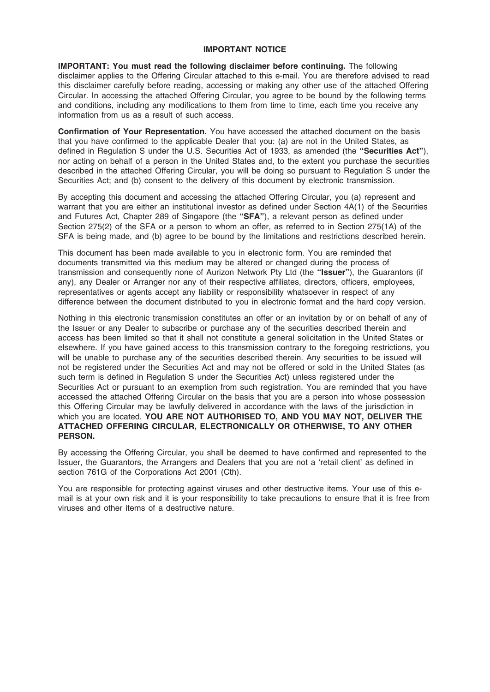# IMPORTANT NOTICE

IMPORTANT: You must read the following disclaimer before continuing. The following disclaimer applies to the Offering Circular attached to this e-mail. You are therefore advised to read this disclaimer carefully before reading, accessing or making any other use of the attached Offering Circular. In accessing the attached Offering Circular, you agree to be bound by the following terms and conditions, including any modifications to them from time to time, each time you receive any information from us as a result of such access.

Confirmation of Your Representation. You have accessed the attached document on the basis that you have confirmed to the applicable Dealer that you: (a) are not in the United States, as defined in Regulation S under the U.S. Securities Act of 1933, as amended (the "Securities Act"), nor acting on behalf of a person in the United States and, to the extent you purchase the securities described in the attached Offering Circular, you will be doing so pursuant to Regulation S under the Securities Act; and (b) consent to the delivery of this document by electronic transmission.

By accepting this document and accessing the attached Offering Circular, you (a) represent and warrant that you are either an institutional investor as defined under Section 4A(1) of the Securities and Futures Act, Chapter 289 of Singapore (the "SFA"), a relevant person as defined under Section 275(2) of the SFA or a person to whom an offer, as referred to in Section 275(1A) of the SFA is being made, and (b) agree to be bound by the limitations and restrictions described herein.

This document has been made available to you in electronic form. You are reminded that documents transmitted via this medium may be altered or changed during the process of transmission and consequently none of Aurizon Network Pty Ltd (the "Issuer"), the Guarantors (if any), any Dealer or Arranger nor any of their respective affiliates, directors, officers, employees, representatives or agents accept any liability or responsibility whatsoever in respect of any difference between the document distributed to you in electronic format and the hard copy version.

Nothing in this electronic transmission constitutes an offer or an invitation by or on behalf of any of the Issuer or any Dealer to subscribe or purchase any of the securities described therein and access has been limited so that it shall not constitute a general solicitation in the United States or elsewhere. If you have gained access to this transmission contrary to the foregoing restrictions, you will be unable to purchase any of the securities described therein. Any securities to be issued will not be registered under the Securities Act and may not be offered or sold in the United States (as such term is defined in Regulation S under the Securities Act) unless registered under the Securities Act or pursuant to an exemption from such registration. You are reminded that you have accessed the attached Offering Circular on the basis that you are a person into whose possession this Offering Circular may be lawfully delivered in accordance with the laws of the jurisdiction in which you are located. YOU ARE NOT AUTHORISED TO, AND YOU MAY NOT, DELIVER THE ATTACHED OFFERING CIRCULAR, ELECTRONICALLY OR OTHERWISE, TO ANY OTHER PERSON.

By accessing the Offering Circular, you shall be deemed to have confirmed and represented to the Issuer, the Guarantors, the Arrangers and Dealers that you are not a 'retail client' as defined in section 761G of the Corporations Act 2001 (Cth).

You are responsible for protecting against viruses and other destructive items. Your use of this email is at your own risk and it is your responsibility to take precautions to ensure that it is free from viruses and other items of a destructive nature.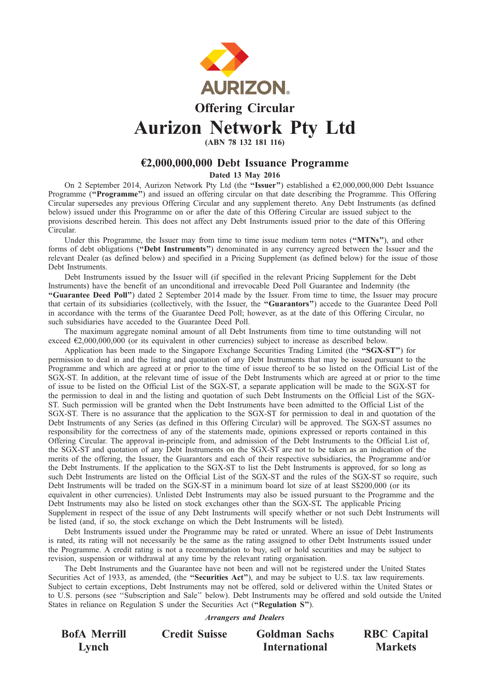

# Offering Circular Aurizon Network Pty Ltd

(ABN 78 132 181 116)

# €2,000,000,000 Debt Issuance Programme

Dated 13 May 2016

On 2 September 2014, Aurizon Network Pty Ltd (the ''Issuer'') established a €2,000,000,000 Debt Issuance Programme ("Programme") and issued an offering circular on that date describing the Programme. This Offering Circular supersedes any previous Offering Circular and any supplement thereto. Any Debt Instruments (as defined below) issued under this Programme on or after the date of this Offering Circular are issued subject to the provisions described herein. This does not affect any Debt Instruments issued prior to the date of this Offering Circular.

Under this Programme, the Issuer may from time to time issue medium term notes ("MTNs"), and other forms of debt obligations ("Debt Instruments") denominated in any currency agreed between the Issuer and the relevant Dealer (as defined below) and specified in a Pricing Supplement (as defined below) for the issue of those Debt Instruments.

Debt Instruments issued by the Issuer will (if specified in the relevant Pricing Supplement for the Debt Instruments) have the benefit of an unconditional and irrevocable Deed Poll Guarantee and Indemnity (the ''Guarantee Deed Poll'') dated 2 September 2014 made by the Issuer. From time to time, the Issuer may procure that certain of its subsidiaries (collectively, with the Issuer, the "Guarantors") accede to the Guarantee Deed Poll in accordance with the terms of the Guarantee Deed Poll; however, as at the date of this Offering Circular, no such subsidiaries have acceded to the Guarantee Deed Poll.

The maximum aggregate nominal amount of all Debt Instruments from time to time outstanding will not exceed  $\epsilon$ 2,000,000,000 (or its equivalent in other currencies) subject to increase as described below.

Application has been made to the Singapore Exchange Securities Trading Limited (the "SGX-ST") for permission to deal in and the listing and quotation of any Debt Instruments that may be issued pursuant to the Programme and which are agreed at or prior to the time of issue thereof to be so listed on the Official List of the SGX-ST. In addition, at the relevant time of issue of the Debt Instruments which are agreed at or prior to the time of issue to be listed on the Official List of the SGX-ST, a separate application will be made to the SGX-ST for the permission to deal in and the listing and quotation of such Debt Instruments on the Official List of the SGX-ST. Such permission will be granted when the Debt Instruments have been admitted to the Official List of the SGX-ST. There is no assurance that the application to the SGX-ST for permission to deal in and quotation of the Debt Instruments of any Series (as defined in this Offering Circular) will be approved. The SGX-ST assumes no responsibility for the correctness of any of the statements made, opinions expressed or reports contained in this Offering Circular. The approval in-principle from, and admission of the Debt Instruments to the Official List of, the SGX-ST and quotation of any Debt Instruments on the SGX-ST are not to be taken as an indication of the merits of the offering, the Issuer, the Guarantors and each of their respective subsidiaries, the Programme and/or the Debt Instruments. If the application to the SGX-ST to list the Debt Instruments is approved, for so long as such Debt Instruments are listed on the Official List of the SGX-ST and the rules of the SGX-ST so require, such Debt Instruments will be traded on the SGX-ST in a minimum board lot size of at least S\$200,000 (or its equivalent in other currencies). Unlisted Debt Instruments may also be issued pursuant to the Programme and the Debt Instruments may also be listed on stock exchanges other than the SGX-ST. The applicable Pricing Supplement in respect of the issue of any Debt Instruments will specify whether or not such Debt Instruments will be listed (and, if so, the stock exchange on which the Debt Instruments will be listed).

Debt Instruments issued under the Programme may be rated or unrated. Where an issue of Debt Instruments is rated, its rating will not necessarily be the same as the rating assigned to other Debt Instruments issued under the Programme. A credit rating is not a recommendation to buy, sell or hold securities and may be subject to revision, suspension or withdrawal at any time by the relevant rating organisation.

The Debt Instruments and the Guarantee have not been and will not be registered under the United States Securities Act of 1933, as amended, (the "Securities Act"), and may be subject to U.S. tax law requirements. Subject to certain exceptions, Debt Instruments may not be offered, sold or delivered within the United States or to U.S. persons (see ''Subscription and Sale'' below). Debt Instruments may be offered and sold outside the United States in reliance on Regulation S under the Securities Act (''Regulation S'').

Arrangers and Dealers

BofA Merrill Lynch

Credit Suisse Goldman Sachs International

RBC Capital Markets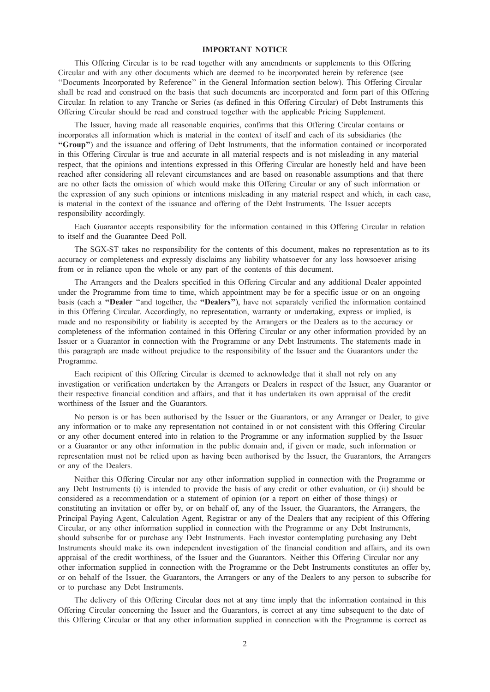# IMPORTANT NOTICE

This Offering Circular is to be read together with any amendments or supplements to this Offering Circular and with any other documents which are deemed to be incorporated herein by reference (see ''Documents Incorporated by Reference'' in the General Information section below). This Offering Circular shall be read and construed on the basis that such documents are incorporated and form part of this Offering Circular. In relation to any Tranche or Series (as defined in this Offering Circular) of Debt Instruments this Offering Circular should be read and construed together with the applicable Pricing Supplement.

The Issuer, having made all reasonable enquiries, confirms that this Offering Circular contains or incorporates all information which is material in the context of itself and each of its subsidiaries (the ''Group'') and the issuance and offering of Debt Instruments, that the information contained or incorporated in this Offering Circular is true and accurate in all material respects and is not misleading in any material respect, that the opinions and intentions expressed in this Offering Circular are honestly held and have been reached after considering all relevant circumstances and are based on reasonable assumptions and that there are no other facts the omission of which would make this Offering Circular or any of such information or the expression of any such opinions or intentions misleading in any material respect and which, in each case, is material in the context of the issuance and offering of the Debt Instruments. The Issuer accepts responsibility accordingly.

Each Guarantor accepts responsibility for the information contained in this Offering Circular in relation to itself and the Guarantee Deed Poll.

The SGX-ST takes no responsibility for the contents of this document, makes no representation as to its accuracy or completeness and expressly disclaims any liability whatsoever for any loss howsoever arising from or in reliance upon the whole or any part of the contents of this document.

The Arrangers and the Dealers specified in this Offering Circular and any additional Dealer appointed under the Programme from time to time, which appointment may be for a specific issue or on an ongoing basis (each a ''Dealer ''and together, the ''Dealers''), have not separately verified the information contained in this Offering Circular. Accordingly, no representation, warranty or undertaking, express or implied, is made and no responsibility or liability is accepted by the Arrangers or the Dealers as to the accuracy or completeness of the information contained in this Offering Circular or any other information provided by an Issuer or a Guarantor in connection with the Programme or any Debt Instruments. The statements made in this paragraph are made without prejudice to the responsibility of the Issuer and the Guarantors under the Programme.

Each recipient of this Offering Circular is deemed to acknowledge that it shall not rely on any investigation or verification undertaken by the Arrangers or Dealers in respect of the Issuer, any Guarantor or their respective financial condition and affairs, and that it has undertaken its own appraisal of the credit worthiness of the Issuer and the Guarantors.

No person is or has been authorised by the Issuer or the Guarantors, or any Arranger or Dealer, to give any information or to make any representation not contained in or not consistent with this Offering Circular or any other document entered into in relation to the Programme or any information supplied by the Issuer or a Guarantor or any other information in the public domain and, if given or made, such information or representation must not be relied upon as having been authorised by the Issuer, the Guarantors, the Arrangers or any of the Dealers.

Neither this Offering Circular nor any other information supplied in connection with the Programme or any Debt Instruments (i) is intended to provide the basis of any credit or other evaluation, or (ii) should be considered as a recommendation or a statement of opinion (or a report on either of those things) or constituting an invitation or offer by, or on behalf of, any of the Issuer, the Guarantors, the Arrangers, the Principal Paying Agent, Calculation Agent, Registrar or any of the Dealers that any recipient of this Offering Circular, or any other information supplied in connection with the Programme or any Debt Instruments, should subscribe for or purchase any Debt Instruments. Each investor contemplating purchasing any Debt Instruments should make its own independent investigation of the financial condition and affairs, and its own appraisal of the credit worthiness, of the Issuer and the Guarantors. Neither this Offering Circular nor any other information supplied in connection with the Programme or the Debt Instruments constitutes an offer by, or on behalf of the Issuer, the Guarantors, the Arrangers or any of the Dealers to any person to subscribe for or to purchase any Debt Instruments.

The delivery of this Offering Circular does not at any time imply that the information contained in this Offering Circular concerning the Issuer and the Guarantors, is correct at any time subsequent to the date of this Offering Circular or that any other information supplied in connection with the Programme is correct as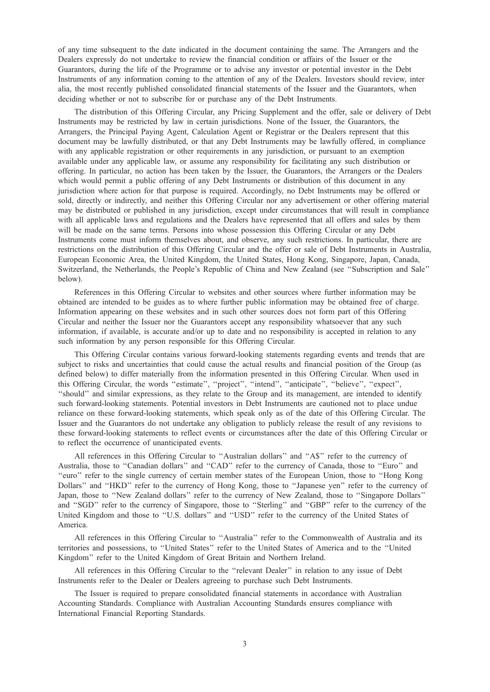of any time subsequent to the date indicated in the document containing the same. The Arrangers and the Dealers expressly do not undertake to review the financial condition or affairs of the Issuer or the Guarantors, during the life of the Programme or to advise any investor or potential investor in the Debt Instruments of any information coming to the attention of any of the Dealers. Investors should review, inter alia, the most recently published consolidated financial statements of the Issuer and the Guarantors, when deciding whether or not to subscribe for or purchase any of the Debt Instruments.

The distribution of this Offering Circular, any Pricing Supplement and the offer, sale or delivery of Debt Instruments may be restricted by law in certain jurisdictions. None of the Issuer, the Guarantors, the Arrangers, the Principal Paying Agent, Calculation Agent or Registrar or the Dealers represent that this document may be lawfully distributed, or that any Debt Instruments may be lawfully offered, in compliance with any applicable registration or other requirements in any jurisdiction, or pursuant to an exemption available under any applicable law, or assume any responsibility for facilitating any such distribution or offering. In particular, no action has been taken by the Issuer, the Guarantors, the Arrangers or the Dealers which would permit a public offering of any Debt Instruments or distribution of this document in any jurisdiction where action for that purpose is required. Accordingly, no Debt Instruments may be offered or sold, directly or indirectly, and neither this Offering Circular nor any advertisement or other offering material may be distributed or published in any jurisdiction, except under circumstances that will result in compliance with all applicable laws and regulations and the Dealers have represented that all offers and sales by them will be made on the same terms. Persons into whose possession this Offering Circular or any Debt Instruments come must inform themselves about, and observe, any such restrictions. In particular, there are restrictions on the distribution of this Offering Circular and the offer or sale of Debt Instruments in Australia, European Economic Area, the United Kingdom, the United States, Hong Kong, Singapore, Japan, Canada, Switzerland, the Netherlands, the People's Republic of China and New Zealand (see ''Subscription and Sale'' below).

References in this Offering Circular to websites and other sources where further information may be obtained are intended to be guides as to where further public information may be obtained free of charge. Information appearing on these websites and in such other sources does not form part of this Offering Circular and neither the Issuer nor the Guarantors accept any responsibility whatsoever that any such information, if available, is accurate and/or up to date and no responsibility is accepted in relation to any such information by any person responsible for this Offering Circular.

This Offering Circular contains various forward-looking statements regarding events and trends that are subject to risks and uncertainties that could cause the actual results and financial position of the Group (as defined below) to differ materially from the information presented in this Offering Circular. When used in this Offering Circular, the words ''estimate'', ''project'', ''intend'', ''anticipate'', ''believe'', ''expect'', ''should'' and similar expressions, as they relate to the Group and its management, are intended to identify such forward-looking statements. Potential investors in Debt Instruments are cautioned not to place undue reliance on these forward-looking statements, which speak only as of the date of this Offering Circular. The Issuer and the Guarantors do not undertake any obligation to publicly release the result of any revisions to these forward-looking statements to reflect events or circumstances after the date of this Offering Circular or to reflect the occurrence of unanticipated events.

All references in this Offering Circular to ''Australian dollars'' and ''A\$'' refer to the currency of Australia, those to "Canadian dollars" and "CAD" refer to the currency of Canada, those to "Euro" and ''euro'' refer to the single currency of certain member states of the European Union, those to ''Hong Kong Dollars'' and ''HKD'' refer to the currency of Hong Kong, those to ''Japanese yen'' refer to the currency of Japan, those to ''New Zealand dollars'' refer to the currency of New Zealand, those to ''Singapore Dollars'' and ''SGD'' refer to the currency of Singapore, those to ''Sterling'' and ''GBP'' refer to the currency of the United Kingdom and those to "U.S. dollars" and "USD" refer to the currency of the United States of America.

All references in this Offering Circular to ''Australia'' refer to the Commonwealth of Australia and its territories and possessions, to ''United States'' refer to the United States of America and to the ''United Kingdom'' refer to the United Kingdom of Great Britain and Northern Ireland.

All references in this Offering Circular to the ''relevant Dealer'' in relation to any issue of Debt Instruments refer to the Dealer or Dealers agreeing to purchase such Debt Instruments.

The Issuer is required to prepare consolidated financial statements in accordance with Australian Accounting Standards. Compliance with Australian Accounting Standards ensures compliance with International Financial Reporting Standards.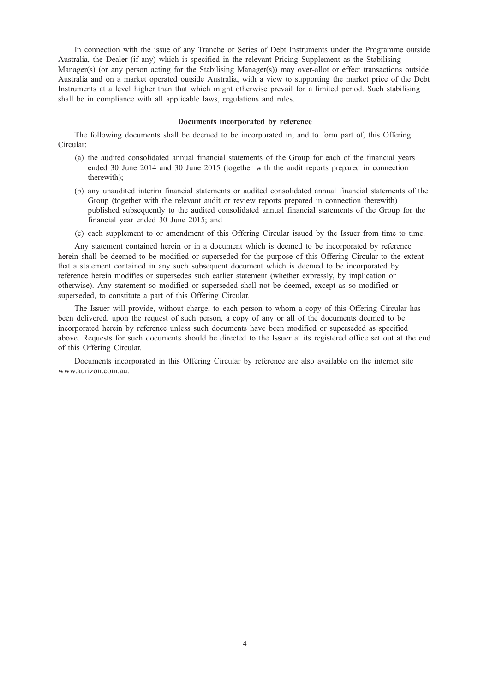In connection with the issue of any Tranche or Series of Debt Instruments under the Programme outside Australia, the Dealer (if any) which is specified in the relevant Pricing Supplement as the Stabilising Manager(s) (or any person acting for the Stabilising Manager(s)) may over-allot or effect transactions outside Australia and on a market operated outside Australia, with a view to supporting the market price of the Debt Instruments at a level higher than that which might otherwise prevail for a limited period. Such stabilising shall be in compliance with all applicable laws, regulations and rules.

#### Documents incorporated by reference

The following documents shall be deemed to be incorporated in, and to form part of, this Offering Circular:

- (a) the audited consolidated annual financial statements of the Group for each of the financial years ended 30 June 2014 and 30 June 2015 (together with the audit reports prepared in connection therewith);
- (b) any unaudited interim financial statements or audited consolidated annual financial statements of the Group (together with the relevant audit or review reports prepared in connection therewith) published subsequently to the audited consolidated annual financial statements of the Group for the financial year ended 30 June 2015; and
- (c) each supplement to or amendment of this Offering Circular issued by the Issuer from time to time.

Any statement contained herein or in a document which is deemed to be incorporated by reference herein shall be deemed to be modified or superseded for the purpose of this Offering Circular to the extent that a statement contained in any such subsequent document which is deemed to be incorporated by reference herein modifies or supersedes such earlier statement (whether expressly, by implication or otherwise). Any statement so modified or superseded shall not be deemed, except as so modified or superseded, to constitute a part of this Offering Circular.

The Issuer will provide, without charge, to each person to whom a copy of this Offering Circular has been delivered, upon the request of such person, a copy of any or all of the documents deemed to be incorporated herein by reference unless such documents have been modified or superseded as specified above. Requests for such documents should be directed to the Issuer at its registered office set out at the end of this Offering Circular.

Documents incorporated in this Offering Circular by reference are also available on the internet site www.aurizon.com.au.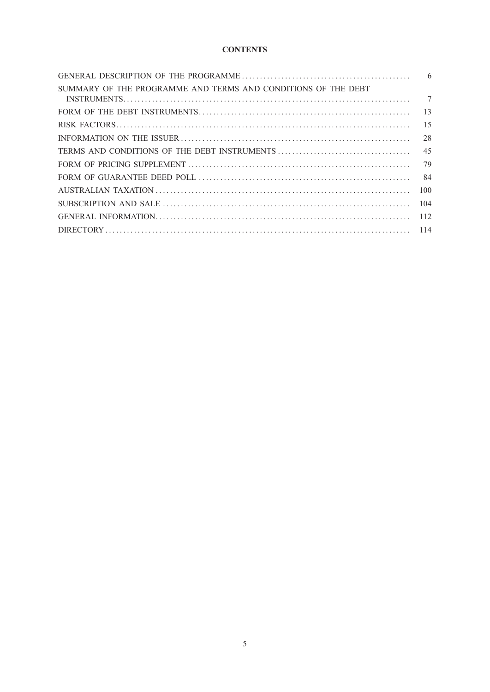# **CONTENTS**

| SUMMARY OF THE PROGRAMME AND TERMS AND CONDITIONS OF THE DEBT | $\tau$ |
|---------------------------------------------------------------|--------|
|                                                               |        |
|                                                               |        |
|                                                               | 28     |
|                                                               | 45     |
|                                                               |        |
|                                                               | 84     |
|                                                               | 100    |
|                                                               | 104    |
|                                                               | 112    |
|                                                               |        |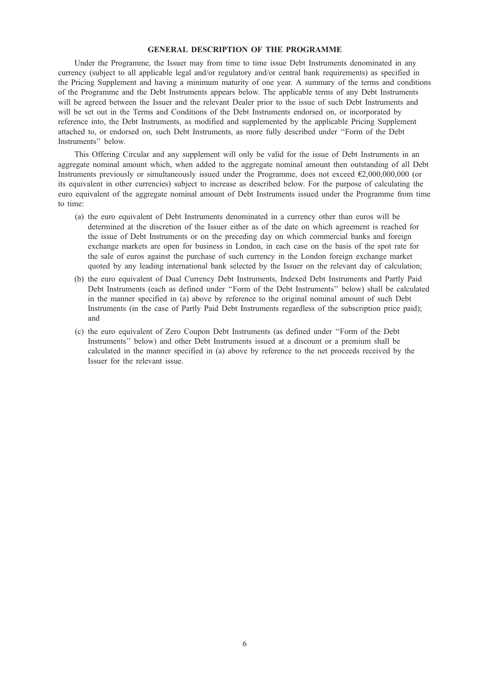# GENERAL DESCRIPTION OF THE PROGRAMME

Under the Programme, the Issuer may from time to time issue Debt Instruments denominated in any currency (subject to all applicable legal and/or regulatory and/or central bank requirements) as specified in the Pricing Supplement and having a minimum maturity of one year. A summary of the terms and conditions of the Programme and the Debt Instruments appears below. The applicable terms of any Debt Instruments will be agreed between the Issuer and the relevant Dealer prior to the issue of such Debt Instruments and will be set out in the Terms and Conditions of the Debt Instruments endorsed on, or incorporated by reference into, the Debt Instruments, as modified and supplemented by the applicable Pricing Supplement attached to, or endorsed on, such Debt Instruments, as more fully described under ''Form of the Debt Instruments'' below.

This Offering Circular and any supplement will only be valid for the issue of Debt Instruments in an aggregate nominal amount which, when added to the aggregate nominal amount then outstanding of all Debt Instruments previously or simultaneously issued under the Programme, does not exceed €2,000,000,000 (or its equivalent in other currencies) subject to increase as described below. For the purpose of calculating the euro equivalent of the aggregate nominal amount of Debt Instruments issued under the Programme from time to time:

- (a) the euro equivalent of Debt Instruments denominated in a currency other than euros will be determined at the discretion of the Issuer either as of the date on which agreement is reached for the issue of Debt Instruments or on the preceding day on which commercial banks and foreign exchange markets are open for business in London, in each case on the basis of the spot rate for the sale of euros against the purchase of such currency in the London foreign exchange market quoted by any leading international bank selected by the Issuer on the relevant day of calculation;
- (b) the euro equivalent of Dual Currency Debt Instruments, Indexed Debt Instruments and Partly Paid Debt Instruments (each as defined under ''Form of the Debt Instruments'' below) shall be calculated in the manner specified in (a) above by reference to the original nominal amount of such Debt Instruments (in the case of Partly Paid Debt Instruments regardless of the subscription price paid); and
- (c) the euro equivalent of Zero Coupon Debt Instruments (as defined under ''Form of the Debt Instruments'' below) and other Debt Instruments issued at a discount or a premium shall be calculated in the manner specified in (a) above by reference to the net proceeds received by the Issuer for the relevant issue.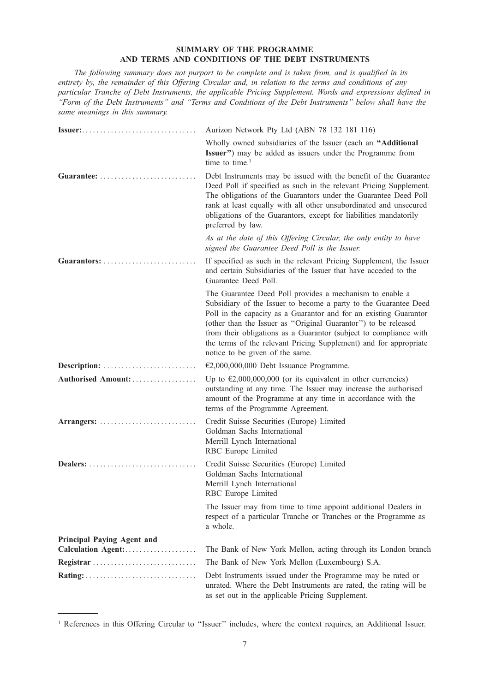# SUMMARY OF THE PROGRAMME AND TERMS AND CONDITIONS OF THE DEBT INSTRUMENTS

The following summary does not purport to be complete and is taken from, and is qualified in its entirety by, the remainder of this Offering Circular and, in relation to the terms and conditions of any particular Tranche of Debt Instruments, the applicable Pricing Supplement. Words and expressions defined in ''Form of the Debt Instruments'' and ''Terms and Conditions of the Debt Instruments'' below shall have the same meanings in this summary.

| <b>Issuer:</b>                                          | Aurizon Network Pty Ltd (ABN 78 132 181 116)                                                                                                                                                                                                                                                                                                                                                                                                     |
|---------------------------------------------------------|--------------------------------------------------------------------------------------------------------------------------------------------------------------------------------------------------------------------------------------------------------------------------------------------------------------------------------------------------------------------------------------------------------------------------------------------------|
|                                                         | Wholly owned subsidiaries of the Issuer (each an "Additional<br>Issuer") may be added as issuers under the Programme from<br>time to time. <sup>1</sup>                                                                                                                                                                                                                                                                                          |
| Guarantee: $\ldots$                                     | Debt Instruments may be issued with the benefit of the Guarantee<br>Deed Poll if specified as such in the relevant Pricing Supplement.<br>The obligations of the Guarantors under the Guarantee Deed Poll<br>rank at least equally with all other unsubordinated and unsecured<br>obligations of the Guarantors, except for liabilities mandatorily<br>preferred by law.                                                                         |
|                                                         | As at the date of this Offering Circular, the only entity to have<br>signed the Guarantee Deed Poll is the Issuer.                                                                                                                                                                                                                                                                                                                               |
| Guarantors: $\ldots \ldots \ldots \ldots \ldots \ldots$ | If specified as such in the relevant Pricing Supplement, the Issuer<br>and certain Subsidiaries of the Issuer that have acceded to the<br>Guarantee Deed Poll.                                                                                                                                                                                                                                                                                   |
|                                                         | The Guarantee Deed Poll provides a mechanism to enable a<br>Subsidiary of the Issuer to become a party to the Guarantee Deed<br>Poll in the capacity as a Guarantor and for an existing Guarantor<br>(other than the Issuer as "Original Guarantor") to be released<br>from their obligations as a Guarantor (subject to compliance with<br>the terms of the relevant Pricing Supplement) and for appropriate<br>notice to be given of the same. |
| Description:                                            | $E2,000,000,000$ Debt Issuance Programme.                                                                                                                                                                                                                                                                                                                                                                                                        |
| Authorised Amount:                                      | Up to $\epsilon$ 2,000,000,000 (or its equivalent in other currencies)<br>outstanding at any time. The Issuer may increase the authorised<br>amount of the Programme at any time in accordance with the<br>terms of the Programme Agreement.                                                                                                                                                                                                     |
| Arrangers:                                              | Credit Suisse Securities (Europe) Limited<br>Goldman Sachs International<br>Merrill Lynch International<br>RBC Europe Limited                                                                                                                                                                                                                                                                                                                    |
| Dealers:                                                | Credit Suisse Securities (Europe) Limited<br>Goldman Sachs International<br>Merrill Lynch International<br>RBC Europe Limited                                                                                                                                                                                                                                                                                                                    |
|                                                         | The Issuer may from time to time appoint additional Dealers in<br>respect of a particular Tranche or Tranches or the Programme as<br>a whole.                                                                                                                                                                                                                                                                                                    |
| Principal Paying Agent and                              |                                                                                                                                                                                                                                                                                                                                                                                                                                                  |
|                                                         | The Bank of New York Mellon, acting through its London branch                                                                                                                                                                                                                                                                                                                                                                                    |
| Registrar                                               | The Bank of New York Mellon (Luxembourg) S.A.                                                                                                                                                                                                                                                                                                                                                                                                    |
|                                                         | Debt Instruments issued under the Programme may be rated or<br>unrated. Where the Debt Instruments are rated, the rating will be<br>as set out in the applicable Pricing Supplement.                                                                                                                                                                                                                                                             |

<sup>&</sup>lt;sup>1</sup> References in this Offering Circular to "Issuer" includes, where the context requires, an Additional Issuer.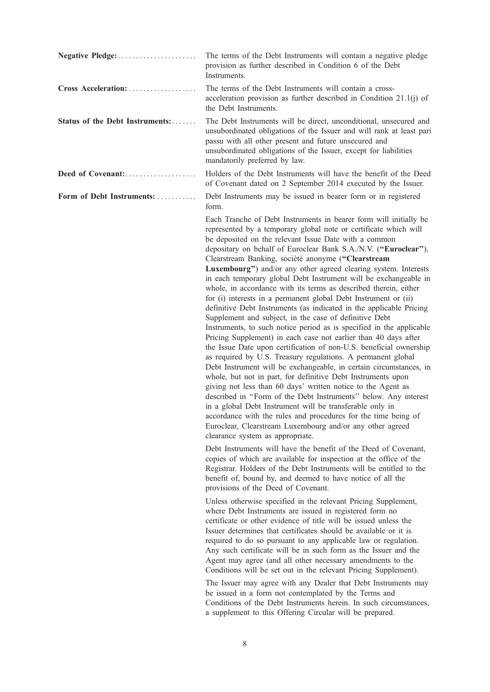|                                 | The terms of the Debt Instruments will contain a negative pledge<br>provision as further described in Condition 6 of the Debt<br>Instruments.                                                                                                                                                                                                                                                                                                                                                                                                                                                                                                                                                                                                                                                                                                                                                                                                                                                                                                                                                                                                                                                                                                                                                                                                                                                                                                                                                                                   |
|---------------------------------|---------------------------------------------------------------------------------------------------------------------------------------------------------------------------------------------------------------------------------------------------------------------------------------------------------------------------------------------------------------------------------------------------------------------------------------------------------------------------------------------------------------------------------------------------------------------------------------------------------------------------------------------------------------------------------------------------------------------------------------------------------------------------------------------------------------------------------------------------------------------------------------------------------------------------------------------------------------------------------------------------------------------------------------------------------------------------------------------------------------------------------------------------------------------------------------------------------------------------------------------------------------------------------------------------------------------------------------------------------------------------------------------------------------------------------------------------------------------------------------------------------------------------------|
| Cross Acceleration:             | The terms of the Debt Instruments will contain a cross-<br>acceleration provision as further described in Condition 21.1(j) of<br>the Debt Instruments.                                                                                                                                                                                                                                                                                                                                                                                                                                                                                                                                                                                                                                                                                                                                                                                                                                                                                                                                                                                                                                                                                                                                                                                                                                                                                                                                                                         |
| Status of the Debt Instruments: | The Debt Instruments will be direct, unconditional, unsecured and<br>unsubordinated obligations of the Issuer and will rank at least pari<br>passu with all other present and future unsecured and<br>unsubordinated obligations of the Issuer, except for liabilities<br>mandatorily preferred by law.                                                                                                                                                                                                                                                                                                                                                                                                                                                                                                                                                                                                                                                                                                                                                                                                                                                                                                                                                                                                                                                                                                                                                                                                                         |
| Deed of Covenant:               | Holders of the Debt Instruments will have the benefit of the Deed<br>of Covenant dated on 2 September 2014 executed by the Issuer.                                                                                                                                                                                                                                                                                                                                                                                                                                                                                                                                                                                                                                                                                                                                                                                                                                                                                                                                                                                                                                                                                                                                                                                                                                                                                                                                                                                              |
| Form of Debt Instruments:       | Debt Instruments may be issued in bearer form or in registered<br>form.                                                                                                                                                                                                                                                                                                                                                                                                                                                                                                                                                                                                                                                                                                                                                                                                                                                                                                                                                                                                                                                                                                                                                                                                                                                                                                                                                                                                                                                         |
|                                 | Each Tranche of Debt Instruments in bearer form will initially be<br>represented by a temporary global note or certificate which will<br>be deposited on the relevant Issue Date with a common<br>depositary on behalf of Euroclear Bank S.A./N.V. ("Euroclear"),<br>Clearstream Banking, socièté anonyme ("Clearstream<br>Luxembourg") and/or any other agreed clearing system. Interests<br>in each temporary global Debt Instrument will be exchangeable in<br>whole, in accordance with its terms as described therein, either<br>for (i) interests in a permanent global Debt Instrument or (ii)<br>definitive Debt Instruments (as indicated in the applicable Pricing<br>Supplement and subject, in the case of definitive Debt<br>Instruments, to such notice period as is specified in the applicable<br>Pricing Supplement) in each case not earlier than 40 days after<br>the Issue Date upon certification of non-U.S. beneficial ownership<br>as required by U.S. Treasury regulations. A permanent global<br>Debt Instrument will be exchangeable, in certain circumstances, in<br>whole, but not in part, for definitive Debt Instruments upon<br>giving not less than 60 days' written notice to the Agent as<br>described in "Form of the Debt Instruments" below. Any interest<br>in a global Debt Instrument will be transferable only in<br>accordance with the rules and procedures for the time being of<br>Euroclear, Clearstream Luxembourg and/or any other agreed<br>clearance system as appropriate. |
|                                 | Debt Instruments will have the benefit of the Deed of Covenant,<br>copies of which are available for inspection at the office of the<br>Registrar. Holders of the Debt Instruments will be entitled to the<br>benefit of, bound by, and deemed to have notice of all the<br>provisions of the Deed of Covenant.                                                                                                                                                                                                                                                                                                                                                                                                                                                                                                                                                                                                                                                                                                                                                                                                                                                                                                                                                                                                                                                                                                                                                                                                                 |
|                                 | Unless otherwise specified in the relevant Pricing Supplement,<br>where Debt Instruments are issued in registered form no<br>certificate or other evidence of title will be issued unless the<br>Issuer determines that certificates should be available or it is<br>required to do so pursuant to any applicable law or regulation.<br>Any such certificate will be in such form as the Issuer and the<br>Agent may agree (and all other necessary amendments to the<br>Conditions will be set out in the relevant Pricing Supplement).<br>The Issuer may agree with any Dealer that Debt Instruments may<br>be issued in a form not contemplated by the Terms and<br>Conditions of the Debt Instruments herein. In such circumstances,                                                                                                                                                                                                                                                                                                                                                                                                                                                                                                                                                                                                                                                                                                                                                                                        |
|                                 | a supplement to this Offering Circular will be prepared.                                                                                                                                                                                                                                                                                                                                                                                                                                                                                                                                                                                                                                                                                                                                                                                                                                                                                                                                                                                                                                                                                                                                                                                                                                                                                                                                                                                                                                                                        |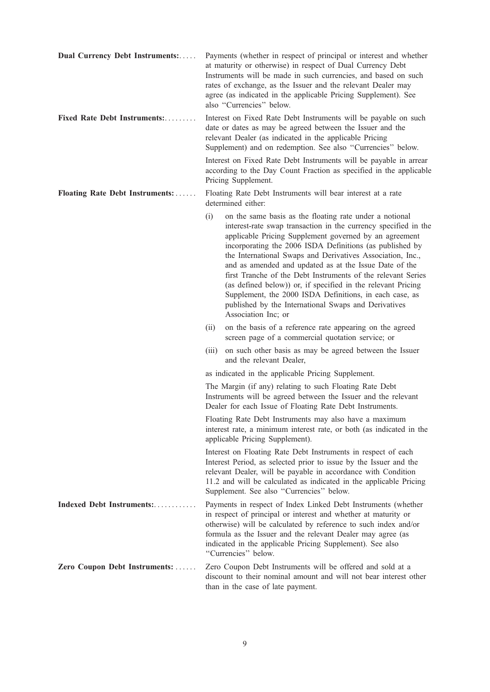| Dual Currency Debt Instruments: | Payments (whether in respect of principal or interest and whether<br>at maturity or otherwise) in respect of Dual Currency Debt<br>Instruments will be made in such currencies, and based on such<br>rates of exchange, as the Issuer and the relevant Dealer may<br>agree (as indicated in the applicable Pricing Supplement). See<br>also "Currencies" below.                                                                                                                                                                                                                                                                                           |
|---------------------------------|-----------------------------------------------------------------------------------------------------------------------------------------------------------------------------------------------------------------------------------------------------------------------------------------------------------------------------------------------------------------------------------------------------------------------------------------------------------------------------------------------------------------------------------------------------------------------------------------------------------------------------------------------------------|
| Fixed Rate Debt Instruments:    | Interest on Fixed Rate Debt Instruments will be payable on such<br>date or dates as may be agreed between the Issuer and the<br>relevant Dealer (as indicated in the applicable Pricing<br>Supplement) and on redemption. See also "Currencies" below.                                                                                                                                                                                                                                                                                                                                                                                                    |
|                                 | Interest on Fixed Rate Debt Instruments will be payable in arrear<br>according to the Day Count Fraction as specified in the applicable<br>Pricing Supplement.                                                                                                                                                                                                                                                                                                                                                                                                                                                                                            |
| Floating Rate Debt Instruments: | Floating Rate Debt Instruments will bear interest at a rate<br>determined either:                                                                                                                                                                                                                                                                                                                                                                                                                                                                                                                                                                         |
|                                 | (i)<br>on the same basis as the floating rate under a notional<br>interest-rate swap transaction in the currency specified in the<br>applicable Pricing Supplement governed by an agreement<br>incorporating the 2006 ISDA Definitions (as published by<br>the International Swaps and Derivatives Association, Inc.,<br>and as amended and updated as at the Issue Date of the<br>first Tranche of the Debt Instruments of the relevant Series<br>(as defined below)) or, if specified in the relevant Pricing<br>Supplement, the 2000 ISDA Definitions, in each case, as<br>published by the International Swaps and Derivatives<br>Association Inc; or |
|                                 | on the basis of a reference rate appearing on the agreed<br>(ii)<br>screen page of a commercial quotation service; or                                                                                                                                                                                                                                                                                                                                                                                                                                                                                                                                     |
|                                 | on such other basis as may be agreed between the Issuer<br>(iii)<br>and the relevant Dealer,                                                                                                                                                                                                                                                                                                                                                                                                                                                                                                                                                              |
|                                 | as indicated in the applicable Pricing Supplement.                                                                                                                                                                                                                                                                                                                                                                                                                                                                                                                                                                                                        |
|                                 | The Margin (if any) relating to such Floating Rate Debt<br>Instruments will be agreed between the Issuer and the relevant<br>Dealer for each Issue of Floating Rate Debt Instruments.                                                                                                                                                                                                                                                                                                                                                                                                                                                                     |
|                                 | Floating Rate Debt Instruments may also have a maximum<br>interest rate, a minimum interest rate, or both (as indicated in the<br>applicable Pricing Supplement).                                                                                                                                                                                                                                                                                                                                                                                                                                                                                         |
|                                 | Interest on Floating Rate Debt Instruments in respect of each<br>Interest Period, as selected prior to issue by the Issuer and the<br>relevant Dealer, will be payable in accordance with Condition<br>11.2 and will be calculated as indicated in the applicable Pricing<br>Supplement. See also "Currencies" below.                                                                                                                                                                                                                                                                                                                                     |
| Indexed Debt Instruments:       | Payments in respect of Index Linked Debt Instruments (whether<br>in respect of principal or interest and whether at maturity or<br>otherwise) will be calculated by reference to such index and/or<br>formula as the Issuer and the relevant Dealer may agree (as<br>indicated in the applicable Pricing Supplement). See also<br>"Currencies" below.                                                                                                                                                                                                                                                                                                     |
| Zero Coupon Debt Instruments:   | Zero Coupon Debt Instruments will be offered and sold at a<br>discount to their nominal amount and will not bear interest other<br>than in the case of late payment.                                                                                                                                                                                                                                                                                                                                                                                                                                                                                      |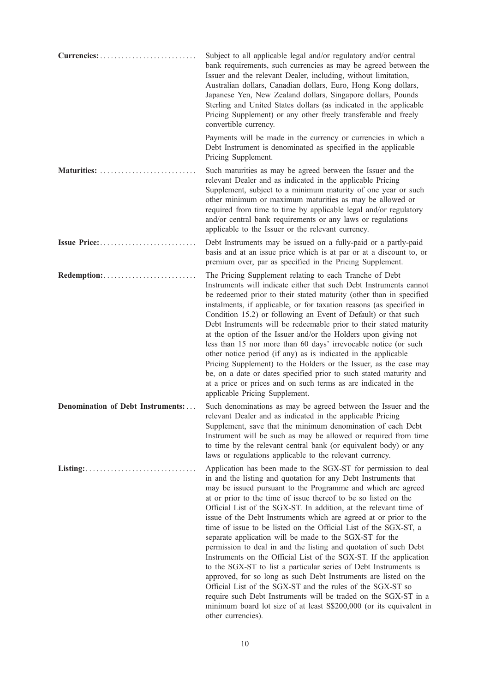|                                                                           | Subject to all applicable legal and/or regulatory and/or central<br>bank requirements, such currencies as may be agreed between the<br>Issuer and the relevant Dealer, including, without limitation,<br>Australian dollars, Canadian dollars, Euro, Hong Kong dollars,<br>Japanese Yen, New Zealand dollars, Singapore dollars, Pounds<br>Sterling and United States dollars (as indicated in the applicable<br>Pricing Supplement) or any other freely transferable and freely<br>convertible currency.                                                                                                                                                                                                                                                                                                                                                                                                                                                                                                                                                    |
|---------------------------------------------------------------------------|--------------------------------------------------------------------------------------------------------------------------------------------------------------------------------------------------------------------------------------------------------------------------------------------------------------------------------------------------------------------------------------------------------------------------------------------------------------------------------------------------------------------------------------------------------------------------------------------------------------------------------------------------------------------------------------------------------------------------------------------------------------------------------------------------------------------------------------------------------------------------------------------------------------------------------------------------------------------------------------------------------------------------------------------------------------|
|                                                                           | Payments will be made in the currency or currencies in which a<br>Debt Instrument is denominated as specified in the applicable<br>Pricing Supplement.                                                                                                                                                                                                                                                                                                                                                                                                                                                                                                                                                                                                                                                                                                                                                                                                                                                                                                       |
| Maturities:                                                               | Such maturities as may be agreed between the Issuer and the<br>relevant Dealer and as indicated in the applicable Pricing<br>Supplement, subject to a minimum maturity of one year or such<br>other minimum or maximum maturities as may be allowed or<br>required from time to time by applicable legal and/or regulatory<br>and/or central bank requirements or any laws or regulations<br>applicable to the Issuer or the relevant currency.                                                                                                                                                                                                                                                                                                                                                                                                                                                                                                                                                                                                              |
| Issue Price:                                                              | Debt Instruments may be issued on a fully-paid or a partly-paid<br>basis and at an issue price which is at par or at a discount to, or<br>premium over, par as specified in the Pricing Supplement.                                                                                                                                                                                                                                                                                                                                                                                                                                                                                                                                                                                                                                                                                                                                                                                                                                                          |
|                                                                           | The Pricing Supplement relating to each Tranche of Debt<br>Instruments will indicate either that such Debt Instruments cannot<br>be redeemed prior to their stated maturity (other than in specified<br>instalments, if applicable, or for taxation reasons (as specified in<br>Condition 15.2) or following an Event of Default) or that such<br>Debt Instruments will be redeemable prior to their stated maturity<br>at the option of the Issuer and/or the Holders upon giving not<br>less than 15 nor more than 60 days' irrevocable notice (or such<br>other notice period (if any) as is indicated in the applicable<br>Pricing Supplement) to the Holders or the Issuer, as the case may<br>be, on a date or dates specified prior to such stated maturity and<br>at a price or prices and on such terms as are indicated in the<br>applicable Pricing Supplement.                                                                                                                                                                                   |
| Denomination of Debt Instruments:                                         | Such denominations as may be agreed between the Issuer and the<br>relevant Dealer and as indicated in the applicable Pricing<br>Supplement, save that the minimum denomination of each Debt<br>Instrument will be such as may be allowed or required from time<br>to time by the relevant central bank (or equivalent body) or any<br>laws or regulations applicable to the relevant currency.                                                                                                                                                                                                                                                                                                                                                                                                                                                                                                                                                                                                                                                               |
| $Listing: \ldots \ldots \ldots \ldots \ldots \ldots \ldots \ldots \ldots$ | Application has been made to the SGX-ST for permission to deal<br>in and the listing and quotation for any Debt Instruments that<br>may be issued pursuant to the Programme and which are agreed<br>at or prior to the time of issue thereof to be so listed on the<br>Official List of the SGX-ST. In addition, at the relevant time of<br>issue of the Debt Instruments which are agreed at or prior to the<br>time of issue to be listed on the Official List of the SGX-ST, a<br>separate application will be made to the SGX-ST for the<br>permission to deal in and the listing and quotation of such Debt<br>Instruments on the Official List of the SGX-ST. If the application<br>to the SGX-ST to list a particular series of Debt Instruments is<br>approved, for so long as such Debt Instruments are listed on the<br>Official List of the SGX-ST and the rules of the SGX-ST so<br>require such Debt Instruments will be traded on the SGX-ST in a<br>minimum board lot size of at least S\$200,000 (or its equivalent in<br>other currencies). |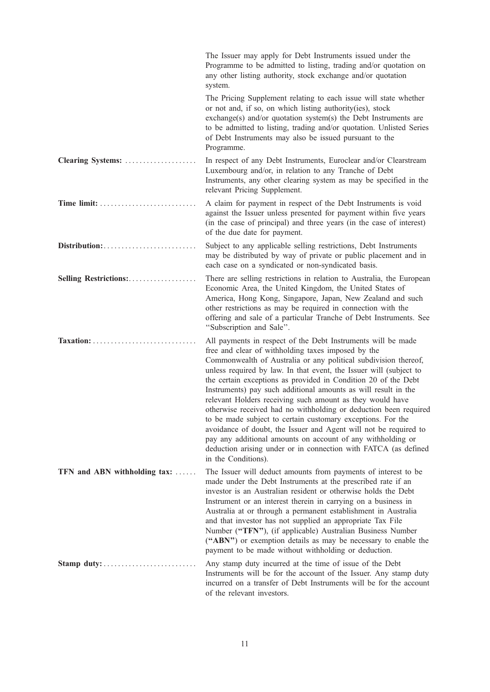|                              | The Issuer may apply for Debt Instruments issued under the<br>Programme to be admitted to listing, trading and/or quotation on<br>any other listing authority, stock exchange and/or quotation<br>system.                                                                                                                                                                                                                                                                                                                                                                                                                                                                                                                                                                                                                    |
|------------------------------|------------------------------------------------------------------------------------------------------------------------------------------------------------------------------------------------------------------------------------------------------------------------------------------------------------------------------------------------------------------------------------------------------------------------------------------------------------------------------------------------------------------------------------------------------------------------------------------------------------------------------------------------------------------------------------------------------------------------------------------------------------------------------------------------------------------------------|
|                              | The Pricing Supplement relating to each issue will state whether<br>or not and, if so, on which listing authority(ies), stock<br>$\alpha$ exchange(s) and/or quotation system(s) the Debt Instruments are<br>to be admitted to listing, trading and/or quotation. Unlisted Series<br>of Debt Instruments may also be issued pursuant to the<br>Programme.                                                                                                                                                                                                                                                                                                                                                                                                                                                                    |
| Clearing Systems:            | In respect of any Debt Instruments, Euroclear and/or Clearstream<br>Luxembourg and/or, in relation to any Tranche of Debt<br>Instruments, any other clearing system as may be specified in the<br>relevant Pricing Supplement.                                                                                                                                                                                                                                                                                                                                                                                                                                                                                                                                                                                               |
|                              | A claim for payment in respect of the Debt Instruments is void<br>against the Issuer unless presented for payment within five years<br>(in the case of principal) and three years (in the case of interest)<br>of the due date for payment.                                                                                                                                                                                                                                                                                                                                                                                                                                                                                                                                                                                  |
|                              | Subject to any applicable selling restrictions, Debt Instruments<br>may be distributed by way of private or public placement and in<br>each case on a syndicated or non-syndicated basis.                                                                                                                                                                                                                                                                                                                                                                                                                                                                                                                                                                                                                                    |
| Selling Restrictions:        | There are selling restrictions in relation to Australia, the European<br>Economic Area, the United Kingdom, the United States of<br>America, Hong Kong, Singapore, Japan, New Zealand and such<br>other restrictions as may be required in connection with the<br>offering and sale of a particular Tranche of Debt Instruments. See<br>"Subscription and Sale".                                                                                                                                                                                                                                                                                                                                                                                                                                                             |
| Taxation:                    | All payments in respect of the Debt Instruments will be made<br>free and clear of withholding taxes imposed by the<br>Commonwealth of Australia or any political subdivision thereof,<br>unless required by law. In that event, the Issuer will (subject to<br>the certain exceptions as provided in Condition 20 of the Debt<br>Instruments) pay such additional amounts as will result in the<br>relevant Holders receiving such amount as they would have<br>otherwise received had no withholding or deduction been required<br>to be made subject to certain customary exceptions. For the<br>avoidance of doubt, the Issuer and Agent will not be required to<br>pay any additional amounts on account of any withholding or<br>deduction arising under or in connection with FATCA (as defined<br>in the Conditions). |
| TFN and ABN withholding tax: | The Issuer will deduct amounts from payments of interest to be<br>made under the Debt Instruments at the prescribed rate if an<br>investor is an Australian resident or otherwise holds the Debt<br>Instrument or an interest therein in carrying on a business in<br>Australia at or through a permanent establishment in Australia<br>and that investor has not supplied an appropriate Tax File<br>Number ("TFN"), (if applicable) Australian Business Number<br>("ABN") or exemption details as may be necessary to enable the<br>payment to be made without withholding or deduction.                                                                                                                                                                                                                                   |
|                              | Any stamp duty incurred at the time of issue of the Debt<br>Instruments will be for the account of the Issuer. Any stamp duty<br>incurred on a transfer of Debt Instruments will be for the account<br>of the relevant investors.                                                                                                                                                                                                                                                                                                                                                                                                                                                                                                                                                                                            |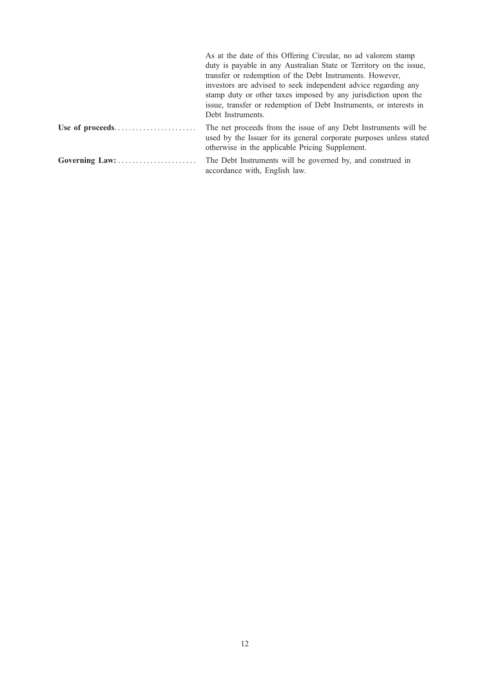| duty is payable in any Australian State or Territory on the issue,<br>transfer or redemption of the Debt Instruments. However,<br>investors are advised to seek independent advice regarding any<br>stamp duty or other taxes imposed by any jurisdiction upon the<br>issue, transfer or redemption of Debt Instruments, or interests in<br>Debt Instruments. |
|---------------------------------------------------------------------------------------------------------------------------------------------------------------------------------------------------------------------------------------------------------------------------------------------------------------------------------------------------------------|
| The net proceeds from the issue of any Debt Instruments will be<br>used by the Issuer for its general corporate purposes unless stated<br>otherwise in the applicable Pricing Supplement.                                                                                                                                                                     |
| The Debt Instruments will be governed by, and construed in<br>accordance with, English law.                                                                                                                                                                                                                                                                   |
| Governing Law:                                                                                                                                                                                                                                                                                                                                                |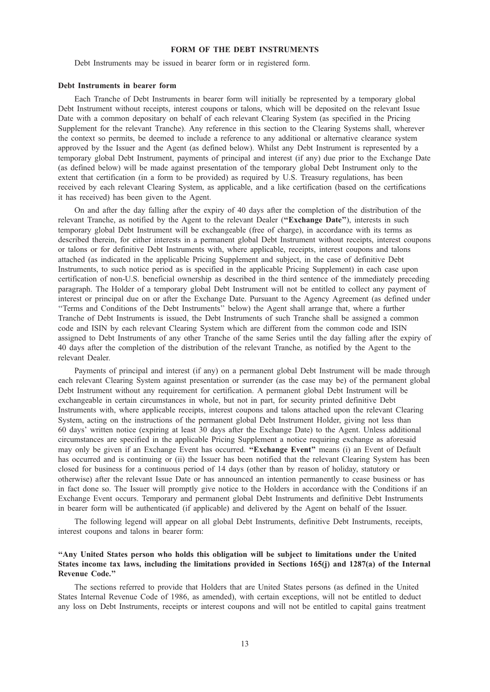# FORM OF THE DEBT INSTRUMENTS

Debt Instruments may be issued in bearer form or in registered form.

## Debt Instruments in bearer form

Each Tranche of Debt Instruments in bearer form will initially be represented by a temporary global Debt Instrument without receipts, interest coupons or talons, which will be deposited on the relevant Issue Date with a common depositary on behalf of each relevant Clearing System (as specified in the Pricing Supplement for the relevant Tranche). Any reference in this section to the Clearing Systems shall, wherever the context so permits, be deemed to include a reference to any additional or alternative clearance system approved by the Issuer and the Agent (as defined below). Whilst any Debt Instrument is represented by a temporary global Debt Instrument, payments of principal and interest (if any) due prior to the Exchange Date (as defined below) will be made against presentation of the temporary global Debt Instrument only to the extent that certification (in a form to be provided) as required by U.S. Treasury regulations, has been received by each relevant Clearing System, as applicable, and a like certification (based on the certifications it has received) has been given to the Agent.

On and after the day falling after the expiry of 40 days after the completion of the distribution of the relevant Tranche, as notified by the Agent to the relevant Dealer ("Exchange Date"), interests in such temporary global Debt Instrument will be exchangeable (free of charge), in accordance with its terms as described therein, for either interests in a permanent global Debt Instrument without receipts, interest coupons or talons or for definitive Debt Instruments with, where applicable, receipts, interest coupons and talons attached (as indicated in the applicable Pricing Supplement and subject, in the case of definitive Debt Instruments, to such notice period as is specified in the applicable Pricing Supplement) in each case upon certification of non-U.S. beneficial ownership as described in the third sentence of the immediately preceding paragraph. The Holder of a temporary global Debt Instrument will not be entitled to collect any payment of interest or principal due on or after the Exchange Date. Pursuant to the Agency Agreement (as defined under ''Terms and Conditions of the Debt Instruments'' below) the Agent shall arrange that, where a further Tranche of Debt Instruments is issued, the Debt Instruments of such Tranche shall be assigned a common code and ISIN by each relevant Clearing System which are different from the common code and ISIN assigned to Debt Instruments of any other Tranche of the same Series until the day falling after the expiry of 40 days after the completion of the distribution of the relevant Tranche, as notified by the Agent to the relevant Dealer.

Payments of principal and interest (if any) on a permanent global Debt Instrument will be made through each relevant Clearing System against presentation or surrender (as the case may be) of the permanent global Debt Instrument without any requirement for certification. A permanent global Debt Instrument will be exchangeable in certain circumstances in whole, but not in part, for security printed definitive Debt Instruments with, where applicable receipts, interest coupons and talons attached upon the relevant Clearing System, acting on the instructions of the permanent global Debt Instrument Holder, giving not less than 60 days' written notice (expiring at least 30 days after the Exchange Date) to the Agent. Unless additional circumstances are specified in the applicable Pricing Supplement a notice requiring exchange as aforesaid may only be given if an Exchange Event has occurred. "Exchange Event" means (i) an Event of Default has occurred and is continuing or (ii) the Issuer has been notified that the relevant Clearing System has been closed for business for a continuous period of 14 days (other than by reason of holiday, statutory or otherwise) after the relevant Issue Date or has announced an intention permanently to cease business or has in fact done so. The Issuer will promptly give notice to the Holders in accordance with the Conditions if an Exchange Event occurs. Temporary and permanent global Debt Instruments and definitive Debt Instruments in bearer form will be authenticated (if applicable) and delivered by the Agent on behalf of the Issuer.

The following legend will appear on all global Debt Instruments, definitive Debt Instruments, receipts, interest coupons and talons in bearer form:

# ''Any United States person who holds this obligation will be subject to limitations under the United States income tax laws, including the limitations provided in Sections 165(j) and 1287(a) of the Internal Revenue Code.''

The sections referred to provide that Holders that are United States persons (as defined in the United States Internal Revenue Code of 1986, as amended), with certain exceptions, will not be entitled to deduct any loss on Debt Instruments, receipts or interest coupons and will not be entitled to capital gains treatment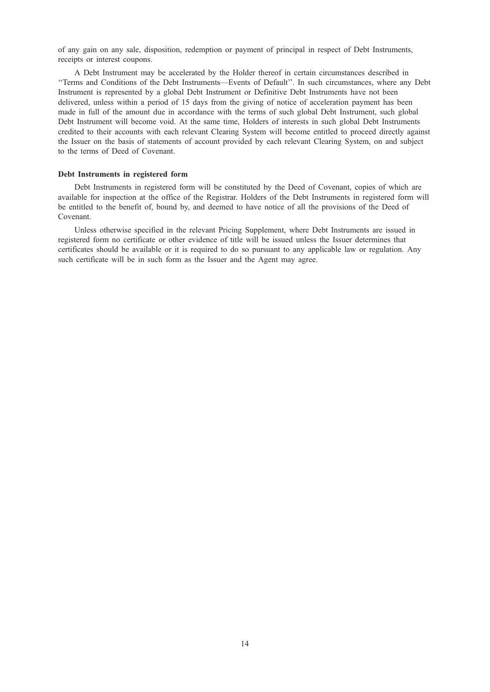of any gain on any sale, disposition, redemption or payment of principal in respect of Debt Instruments, receipts or interest coupons.

A Debt Instrument may be accelerated by the Holder thereof in certain circumstances described in ''Terms and Conditions of the Debt Instruments—Events of Default''. In such circumstances, where any Debt Instrument is represented by a global Debt Instrument or Definitive Debt Instruments have not been delivered, unless within a period of 15 days from the giving of notice of acceleration payment has been made in full of the amount due in accordance with the terms of such global Debt Instrument, such global Debt Instrument will become void. At the same time, Holders of interests in such global Debt Instruments credited to their accounts with each relevant Clearing System will become entitled to proceed directly against the Issuer on the basis of statements of account provided by each relevant Clearing System, on and subject to the terms of Deed of Covenant.

#### Debt Instruments in registered form

Debt Instruments in registered form will be constituted by the Deed of Covenant, copies of which are available for inspection at the office of the Registrar. Holders of the Debt Instruments in registered form will be entitled to the benefit of, bound by, and deemed to have notice of all the provisions of the Deed of Covenant.

Unless otherwise specified in the relevant Pricing Supplement, where Debt Instruments are issued in registered form no certificate or other evidence of title will be issued unless the Issuer determines that certificates should be available or it is required to do so pursuant to any applicable law or regulation. Any such certificate will be in such form as the Issuer and the Agent may agree.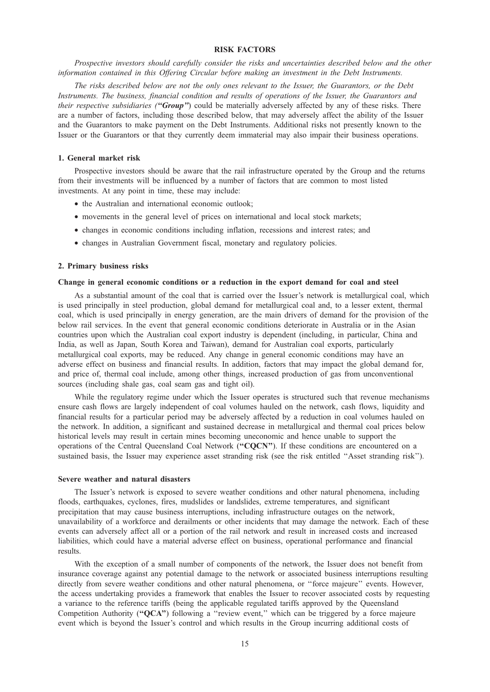# RISK FACTORS

Prospective investors should carefully consider the risks and uncertainties described below and the other information contained in this Offering Circular before making an investment in the Debt Instruments.

The risks described below are not the only ones relevant to the Issuer, the Guarantors, or the Debt Instruments. The business, financial condition and results of operations of the Issuer, the Guarantors and their respective subsidiaries ("Group") could be materially adversely affected by any of these risks. There are a number of factors, including those described below, that may adversely affect the ability of the Issuer and the Guarantors to make payment on the Debt Instruments. Additional risks not presently known to the Issuer or the Guarantors or that they currently deem immaterial may also impair their business operations.

## 1. General market risk

Prospective investors should be aware that the rail infrastructure operated by the Group and the returns from their investments will be influenced by a number of factors that are common to most listed investments. At any point in time, these may include:

- the Australian and international economic outlook;
- movements in the general level of prices on international and local stock markets;
- changes in economic conditions including inflation, recessions and interest rates; and
- changes in Australian Government fiscal, monetary and regulatory policies.

## 2. Primary business risks

## Change in general economic conditions or a reduction in the export demand for coal and steel

As a substantial amount of the coal that is carried over the Issuer's network is metallurgical coal, which is used principally in steel production, global demand for metallurgical coal and, to a lesser extent, thermal coal, which is used principally in energy generation, are the main drivers of demand for the provision of the below rail services. In the event that general economic conditions deteriorate in Australia or in the Asian countries upon which the Australian coal export industry is dependent (including, in particular, China and India, as well as Japan, South Korea and Taiwan), demand for Australian coal exports, particularly metallurgical coal exports, may be reduced. Any change in general economic conditions may have an adverse effect on business and financial results. In addition, factors that may impact the global demand for, and price of, thermal coal include, among other things, increased production of gas from unconventional sources (including shale gas, coal seam gas and tight oil).

While the regulatory regime under which the Issuer operates is structured such that revenue mechanisms ensure cash flows are largely independent of coal volumes hauled on the network, cash flows, liquidity and financial results for a particular period may be adversely affected by a reduction in coal volumes hauled on the network. In addition, a significant and sustained decrease in metallurgical and thermal coal prices below historical levels may result in certain mines becoming uneconomic and hence unable to support the operations of the Central Queensland Coal Network (''CQCN''). If these conditions are encountered on a sustained basis, the Issuer may experience asset stranding risk (see the risk entitled "Asset stranding risk").

#### Severe weather and natural disasters

The Issuer's network is exposed to severe weather conditions and other natural phenomena, including floods, earthquakes, cyclones, fires, mudslides or landslides, extreme temperatures, and significant precipitation that may cause business interruptions, including infrastructure outages on the network, unavailability of a workforce and derailments or other incidents that may damage the network. Each of these events can adversely affect all or a portion of the rail network and result in increased costs and increased liabilities, which could have a material adverse effect on business, operational performance and financial results.

With the exception of a small number of components of the network, the Issuer does not benefit from insurance coverage against any potential damage to the network or associated business interruptions resulting directly from severe weather conditions and other natural phenomena, or ''force majeure'' events. However, the access undertaking provides a framework that enables the Issuer to recover associated costs by requesting a variance to the reference tariffs (being the applicable regulated tariffs approved by the Queensland Competition Authority ("QCA") following a "review event," which can be triggered by a force majeure event which is beyond the Issuer's control and which results in the Group incurring additional costs of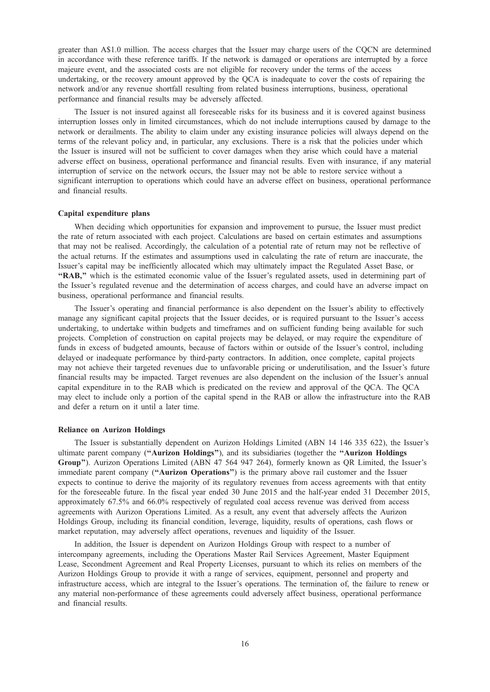greater than A\$1.0 million. The access charges that the Issuer may charge users of the CQCN are determined in accordance with these reference tariffs. If the network is damaged or operations are interrupted by a force majeure event, and the associated costs are not eligible for recovery under the terms of the access undertaking, or the recovery amount approved by the QCA is inadequate to cover the costs of repairing the network and/or any revenue shortfall resulting from related business interruptions, business, operational performance and financial results may be adversely affected.

The Issuer is not insured against all foreseeable risks for its business and it is covered against business interruption losses only in limited circumstances, which do not include interruptions caused by damage to the network or derailments. The ability to claim under any existing insurance policies will always depend on the terms of the relevant policy and, in particular, any exclusions. There is a risk that the policies under which the Issuer is insured will not be sufficient to cover damages when they arise which could have a material adverse effect on business, operational performance and financial results. Even with insurance, if any material interruption of service on the network occurs, the Issuer may not be able to restore service without a significant interruption to operations which could have an adverse effect on business, operational performance and financial results.

## Capital expenditure plans

When deciding which opportunities for expansion and improvement to pursue, the Issuer must predict the rate of return associated with each project. Calculations are based on certain estimates and assumptions that may not be realised. Accordingly, the calculation of a potential rate of return may not be reflective of the actual returns. If the estimates and assumptions used in calculating the rate of return are inaccurate, the Issuer's capital may be inefficiently allocated which may ultimately impact the Regulated Asset Base, or "RAB," which is the estimated economic value of the Issuer's regulated assets, used in determining part of the Issuer's regulated revenue and the determination of access charges, and could have an adverse impact on business, operational performance and financial results.

The Issuer's operating and financial performance is also dependent on the Issuer's ability to effectively manage any significant capital projects that the Issuer decides, or is required pursuant to the Issuer's access undertaking, to undertake within budgets and timeframes and on sufficient funding being available for such projects. Completion of construction on capital projects may be delayed, or may require the expenditure of funds in excess of budgeted amounts, because of factors within or outside of the Issuer's control, including delayed or inadequate performance by third-party contractors. In addition, once complete, capital projects may not achieve their targeted revenues due to unfavorable pricing or underutilisation, and the Issuer's future financial results may be impacted. Target revenues are also dependent on the inclusion of the Issuer's annual capital expenditure in to the RAB which is predicated on the review and approval of the QCA. The QCA may elect to include only a portion of the capital spend in the RAB or allow the infrastructure into the RAB and defer a return on it until a later time.

## Reliance on Aurizon Holdings

The Issuer is substantially dependent on Aurizon Holdings Limited (ABN 14 146 335 622), the Issuer's ultimate parent company ("Aurizon Holdings"), and its subsidiaries (together the "Aurizon Holdings Group"). Aurizon Operations Limited (ABN 47 564 947 264), formerly known as QR Limited, the Issuer's immediate parent company ("Aurizon Operations") is the primary above rail customer and the Issuer expects to continue to derive the majority of its regulatory revenues from access agreements with that entity for the foreseeable future. In the fiscal year ended 30 June 2015 and the half-year ended 31 December 2015, approximately 67.5% and 66.0% respectively of regulated coal access revenue was derived from access agreements with Aurizon Operations Limited. As a result, any event that adversely affects the Aurizon Holdings Group, including its financial condition, leverage, liquidity, results of operations, cash flows or market reputation, may adversely affect operations, revenues and liquidity of the Issuer.

In addition, the Issuer is dependent on Aurizon Holdings Group with respect to a number of intercompany agreements, including the Operations Master Rail Services Agreement, Master Equipment Lease, Secondment Agreement and Real Property Licenses, pursuant to which its relies on members of the Aurizon Holdings Group to provide it with a range of services, equipment, personnel and property and infrastructure access, which are integral to the Issuer's operations. The termination of, the failure to renew or any material non-performance of these agreements could adversely affect business, operational performance and financial results.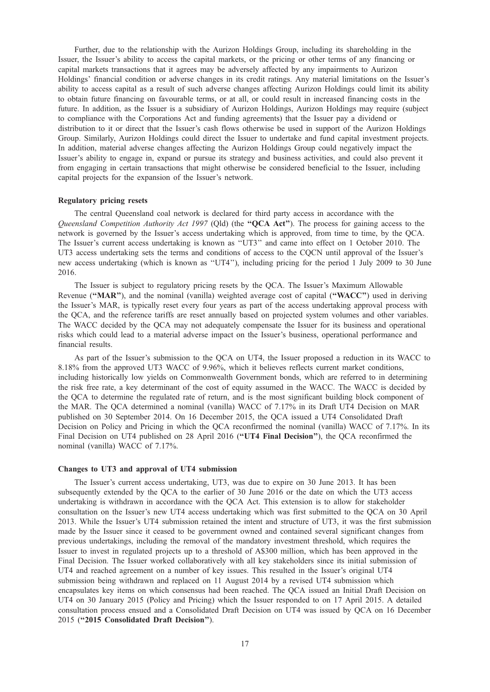Further, due to the relationship with the Aurizon Holdings Group, including its shareholding in the Issuer, the Issuer's ability to access the capital markets, or the pricing or other terms of any financing or capital markets transactions that it agrees may be adversely affected by any impairments to Aurizon Holdings' financial condition or adverse changes in its credit ratings. Any material limitations on the Issuer's ability to access capital as a result of such adverse changes affecting Aurizon Holdings could limit its ability to obtain future financing on favourable terms, or at all, or could result in increased financing costs in the future. In addition, as the Issuer is a subsidiary of Aurizon Holdings, Aurizon Holdings may require (subject to compliance with the Corporations Act and funding agreements) that the Issuer pay a dividend or distribution to it or direct that the Issuer's cash flows otherwise be used in support of the Aurizon Holdings Group. Similarly, Aurizon Holdings could direct the Issuer to undertake and fund capital investment projects. In addition, material adverse changes affecting the Aurizon Holdings Group could negatively impact the Issuer's ability to engage in, expand or pursue its strategy and business activities, and could also prevent it from engaging in certain transactions that might otherwise be considered beneficial to the Issuer, including capital projects for the expansion of the Issuer's network.

## Regulatory pricing resets

The central Queensland coal network is declared for third party access in accordance with the Queensland Competition Authority Act 1997 (Qld) (the "**QCA Act**"). The process for gaining access to the network is governed by the Issuer's access undertaking which is approved, from time to time, by the QCA. The Issuer's current access undertaking is known as ''UT3'' and came into effect on 1 October 2010. The UT3 access undertaking sets the terms and conditions of access to the CQCN until approval of the Issuer's new access undertaking (which is known as ''UT4''), including pricing for the period 1 July 2009 to 30 June 2016.

The Issuer is subject to regulatory pricing resets by the QCA. The Issuer's Maximum Allowable Revenue ("MAR"), and the nominal (vanilla) weighted average cost of capital ("WACC") used in deriving the Issuer's MAR, is typically reset every four years as part of the access undertaking approval process with the QCA, and the reference tariffs are reset annually based on projected system volumes and other variables. The WACC decided by the QCA may not adequately compensate the Issuer for its business and operational risks which could lead to a material adverse impact on the Issuer's business, operational performance and financial results.

As part of the Issuer's submission to the QCA on UT4, the Issuer proposed a reduction in its WACC to 8.18% from the approved UT3 WACC of 9.96%, which it believes reflects current market conditions, including historically low yields on Commonwealth Government bonds, which are referred to in determining the risk free rate, a key determinant of the cost of equity assumed in the WACC. The WACC is decided by the QCA to determine the regulated rate of return, and is the most significant building block component of the MAR. The QCA determined a nominal (vanilla) WACC of 7.17% in its Draft UT4 Decision on MAR published on 30 September 2014. On 16 December 2015, the QCA issued a UT4 Consolidated Draft Decision on Policy and Pricing in which the QCA reconfirmed the nominal (vanilla) WACC of 7.17%. In its Final Decision on UT4 published on 28 April 2016 ("UT4 Final Decision"), the QCA reconfirmed the nominal (vanilla) WACC of 7.17%.

## Changes to UT3 and approval of UT4 submission

The Issuer's current access undertaking, UT3, was due to expire on 30 June 2013. It has been subsequently extended by the QCA to the earlier of 30 June 2016 or the date on which the UT3 access undertaking is withdrawn in accordance with the QCA Act. This extension is to allow for stakeholder consultation on the Issuer's new UT4 access undertaking which was first submitted to the QCA on 30 April 2013. While the Issuer's UT4 submission retained the intent and structure of UT3, it was the first submission made by the Issuer since it ceased to be government owned and contained several significant changes from previous undertakings, including the removal of the mandatory investment threshold, which requires the Issuer to invest in regulated projects up to a threshold of A\$300 million, which has been approved in the Final Decision. The Issuer worked collaboratively with all key stakeholders since its initial submission of UT4 and reached agreement on a number of key issues. This resulted in the Issuer's original UT4 submission being withdrawn and replaced on 11 August 2014 by a revised UT4 submission which encapsulates key items on which consensus had been reached. The QCA issued an Initial Draft Decision on UT4 on 30 January 2015 (Policy and Pricing) which the Issuer responded to on 17 April 2015. A detailed consultation process ensued and a Consolidated Draft Decision on UT4 was issued by QCA on 16 December 2015 (''2015 Consolidated Draft Decision'').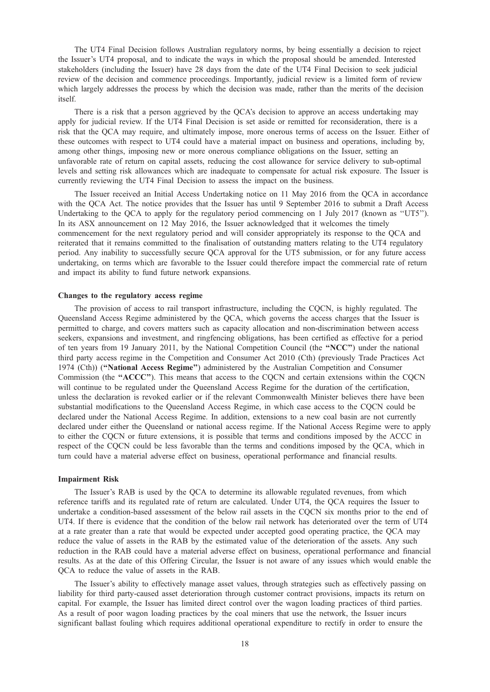The UT4 Final Decision follows Australian regulatory norms, by being essentially a decision to reject the Issuer's UT4 proposal, and to indicate the ways in which the proposal should be amended. Interested stakeholders (including the Issuer) have 28 days from the date of the UT4 Final Decision to seek judicial review of the decision and commence proceedings. Importantly, judicial review is a limited form of review which largely addresses the process by which the decision was made, rather than the merits of the decision itself.

There is a risk that a person aggrieved by the QCA's decision to approve an access undertaking may apply for judicial review. If the UT4 Final Decision is set aside or remitted for reconsideration, there is a risk that the QCA may require, and ultimately impose, more onerous terms of access on the Issuer. Either of these outcomes with respect to UT4 could have a material impact on business and operations, including by, among other things, imposing new or more onerous compliance obligations on the Issuer, setting an unfavorable rate of return on capital assets, reducing the cost allowance for service delivery to sub-optimal levels and setting risk allowances which are inadequate to compensate for actual risk exposure. The Issuer is currently reviewing the UT4 Final Decision to assess the impact on the business.

The Issuer received an Initial Access Undertaking notice on 11 May 2016 from the QCA in accordance with the QCA Act. The notice provides that the Issuer has until 9 September 2016 to submit a Draft Access Undertaking to the QCA to apply for the regulatory period commencing on 1 July 2017 (known as "UT5"). In its ASX announcement on 12 May 2016, the Issuer acknowledged that it welcomes the timely commencement for the next regulatory period and will consider appropriately its response to the QCA and reiterated that it remains committed to the finalisation of outstanding matters relating to the UT4 regulatory period. Any inability to successfully secure QCA approval for the UT5 submission, or for any future access undertaking, on terms which are favorable to the Issuer could therefore impact the commercial rate of return and impact its ability to fund future network expansions.

## Changes to the regulatory access regime

The provision of access to rail transport infrastructure, including the CQCN, is highly regulated. The Queensland Access Regime administered by the QCA, which governs the access charges that the Issuer is permitted to charge, and covers matters such as capacity allocation and non-discrimination between access seekers, expansions and investment, and ringfencing obligations, has been certified as effective for a period of ten years from 19 January 2011, by the National Competition Council (the ''NCC'') under the national third party access regime in the Competition and Consumer Act 2010 (Cth) (previously Trade Practices Act 1974 (Cth)) (''National Access Regime'') administered by the Australian Competition and Consumer Commission (the ''ACCC''). This means that access to the CQCN and certain extensions within the CQCN will continue to be regulated under the Queensland Access Regime for the duration of the certification, unless the declaration is revoked earlier or if the relevant Commonwealth Minister believes there have been substantial modifications to the Queensland Access Regime, in which case access to the CQCN could be declared under the National Access Regime. In addition, extensions to a new coal basin are not currently declared under either the Queensland or national access regime. If the National Access Regime were to apply to either the CQCN or future extensions, it is possible that terms and conditions imposed by the ACCC in respect of the CQCN could be less favorable than the terms and conditions imposed by the QCA, which in turn could have a material adverse effect on business, operational performance and financial results.

#### Impairment Risk

The Issuer's RAB is used by the QCA to determine its allowable regulated revenues, from which reference tariffs and its regulated rate of return are calculated. Under UT4, the QCA requires the Issuer to undertake a condition-based assessment of the below rail assets in the CQCN six months prior to the end of UT4. If there is evidence that the condition of the below rail network has deteriorated over the term of UT4 at a rate greater than a rate that would be expected under accepted good operating practice, the QCA may reduce the value of assets in the RAB by the estimated value of the deterioration of the assets. Any such reduction in the RAB could have a material adverse effect on business, operational performance and financial results. As at the date of this Offering Circular, the Issuer is not aware of any issues which would enable the QCA to reduce the value of assets in the RAB.

The Issuer's ability to effectively manage asset values, through strategies such as effectively passing on liability for third party-caused asset deterioration through customer contract provisions, impacts its return on capital. For example, the Issuer has limited direct control over the wagon loading practices of third parties. As a result of poor wagon loading practices by the coal miners that use the network, the Issuer incurs significant ballast fouling which requires additional operational expenditure to rectify in order to ensure the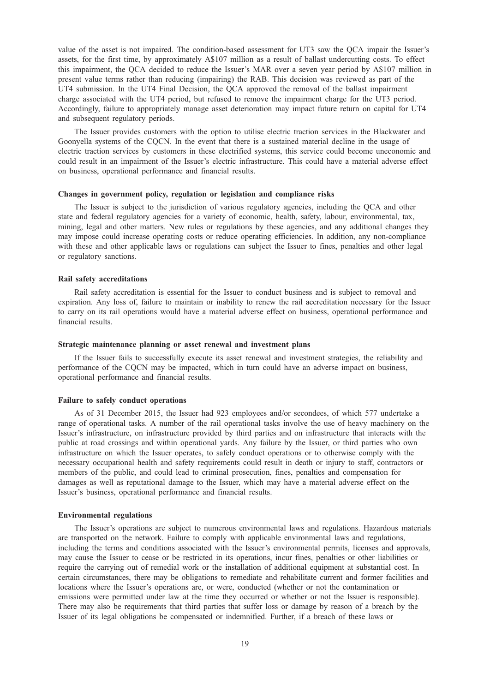value of the asset is not impaired. The condition-based assessment for UT3 saw the QCA impair the Issuer's assets, for the first time, by approximately A\$107 million as a result of ballast undercutting costs. To effect this impairment, the QCA decided to reduce the Issuer's MAR over a seven year period by A\$107 million in present value terms rather than reducing (impairing) the RAB. This decision was reviewed as part of the UT4 submission. In the UT4 Final Decision, the QCA approved the removal of the ballast impairment charge associated with the UT4 period, but refused to remove the impairment charge for the UT3 period. Accordingly, failure to appropriately manage asset deterioration may impact future return on capital for UT4 and subsequent regulatory periods.

The Issuer provides customers with the option to utilise electric traction services in the Blackwater and Goonyella systems of the CQCN. In the event that there is a sustained material decline in the usage of electric traction services by customers in these electrified systems, this service could become uneconomic and could result in an impairment of the Issuer's electric infrastructure. This could have a material adverse effect on business, operational performance and financial results.

## Changes in government policy, regulation or legislation and compliance risks

The Issuer is subject to the jurisdiction of various regulatory agencies, including the QCA and other state and federal regulatory agencies for a variety of economic, health, safety, labour, environmental, tax, mining, legal and other matters. New rules or regulations by these agencies, and any additional changes they may impose could increase operating costs or reduce operating efficiencies. In addition, any non-compliance with these and other applicable laws or regulations can subject the Issuer to fines, penalties and other legal or regulatory sanctions.

## Rail safety accreditations

Rail safety accreditation is essential for the Issuer to conduct business and is subject to removal and expiration. Any loss of, failure to maintain or inability to renew the rail accreditation necessary for the Issuer to carry on its rail operations would have a material adverse effect on business, operational performance and financial results.

## Strategic maintenance planning or asset renewal and investment plans

If the Issuer fails to successfully execute its asset renewal and investment strategies, the reliability and performance of the CQCN may be impacted, which in turn could have an adverse impact on business, operational performance and financial results.

## Failure to safely conduct operations

As of 31 December 2015, the Issuer had 923 employees and/or secondees, of which 577 undertake a range of operational tasks. A number of the rail operational tasks involve the use of heavy machinery on the Issuer's infrastructure, on infrastructure provided by third parties and on infrastructure that interacts with the public at road crossings and within operational yards. Any failure by the Issuer, or third parties who own infrastructure on which the Issuer operates, to safely conduct operations or to otherwise comply with the necessary occupational health and safety requirements could result in death or injury to staff, contractors or members of the public, and could lead to criminal prosecution, fines, penalties and compensation for damages as well as reputational damage to the Issuer, which may have a material adverse effect on the Issuer's business, operational performance and financial results.

#### Environmental regulations

The Issuer's operations are subject to numerous environmental laws and regulations. Hazardous materials are transported on the network. Failure to comply with applicable environmental laws and regulations, including the terms and conditions associated with the Issuer's environmental permits, licenses and approvals, may cause the Issuer to cease or be restricted in its operations, incur fines, penalties or other liabilities or require the carrying out of remedial work or the installation of additional equipment at substantial cost. In certain circumstances, there may be obligations to remediate and rehabilitate current and former facilities and locations where the Issuer's operations are, or were, conducted (whether or not the contamination or emissions were permitted under law at the time they occurred or whether or not the Issuer is responsible). There may also be requirements that third parties that suffer loss or damage by reason of a breach by the Issuer of its legal obligations be compensated or indemnified. Further, if a breach of these laws or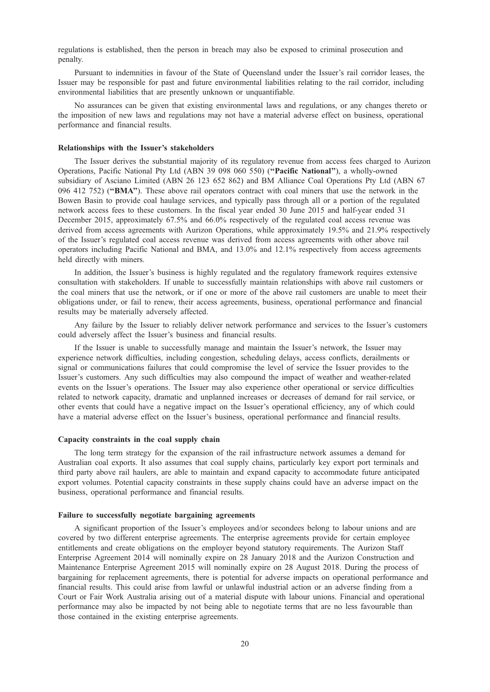regulations is established, then the person in breach may also be exposed to criminal prosecution and penalty.

Pursuant to indemnities in favour of the State of Queensland under the Issuer's rail corridor leases, the Issuer may be responsible for past and future environmental liabilities relating to the rail corridor, including environmental liabilities that are presently unknown or unquantifiable.

No assurances can be given that existing environmental laws and regulations, or any changes thereto or the imposition of new laws and regulations may not have a material adverse effect on business, operational performance and financial results.

## Relationships with the Issuer's stakeholders

The Issuer derives the substantial majority of its regulatory revenue from access fees charged to Aurizon Operations, Pacific National Pty Ltd (ABN 39 098 060 550) (''Pacific National''), a wholly-owned subsidiary of Asciano Limited (ABN 26 123 652 862) and BM Alliance Coal Operations Pty Ltd (ABN 67 096 412 752) (''BMA''). These above rail operators contract with coal miners that use the network in the Bowen Basin to provide coal haulage services, and typically pass through all or a portion of the regulated network access fees to these customers. In the fiscal year ended 30 June 2015 and half-year ended 31 December 2015, approximately 67.5% and 66.0% respectively of the regulated coal access revenue was derived from access agreements with Aurizon Operations, while approximately 19.5% and 21.9% respectively of the Issuer's regulated coal access revenue was derived from access agreements with other above rail operators including Pacific National and BMA, and 13.0% and 12.1% respectively from access agreements held directly with miners.

In addition, the Issuer's business is highly regulated and the regulatory framework requires extensive consultation with stakeholders. If unable to successfully maintain relationships with above rail customers or the coal miners that use the network, or if one or more of the above rail customers are unable to meet their obligations under, or fail to renew, their access agreements, business, operational performance and financial results may be materially adversely affected.

Any failure by the Issuer to reliably deliver network performance and services to the Issuer's customers could adversely affect the Issuer's business and financial results.

If the Issuer is unable to successfully manage and maintain the Issuer's network, the Issuer may experience network difficulties, including congestion, scheduling delays, access conflicts, derailments or signal or communications failures that could compromise the level of service the Issuer provides to the Issuer's customers. Any such difficulties may also compound the impact of weather and weather-related events on the Issuer's operations. The Issuer may also experience other operational or service difficulties related to network capacity, dramatic and unplanned increases or decreases of demand for rail service, or other events that could have a negative impact on the Issuer's operational efficiency, any of which could have a material adverse effect on the Issuer's business, operational performance and financial results.

## Capacity constraints in the coal supply chain

The long term strategy for the expansion of the rail infrastructure network assumes a demand for Australian coal exports. It also assumes that coal supply chains, particularly key export port terminals and third party above rail haulers, are able to maintain and expand capacity to accommodate future anticipated export volumes. Potential capacity constraints in these supply chains could have an adverse impact on the business, operational performance and financial results.

#### Failure to successfully negotiate bargaining agreements

A significant proportion of the Issuer's employees and/or secondees belong to labour unions and are covered by two different enterprise agreements. The enterprise agreements provide for certain employee entitlements and create obligations on the employer beyond statutory requirements. The Aurizon Staff Enterprise Agreement 2014 will nominally expire on 28 January 2018 and the Aurizon Construction and Maintenance Enterprise Agreement 2015 will nominally expire on 28 August 2018. During the process of bargaining for replacement agreements, there is potential for adverse impacts on operational performance and financial results. This could arise from lawful or unlawful industrial action or an adverse finding from a Court or Fair Work Australia arising out of a material dispute with labour unions. Financial and operational performance may also be impacted by not being able to negotiate terms that are no less favourable than those contained in the existing enterprise agreements.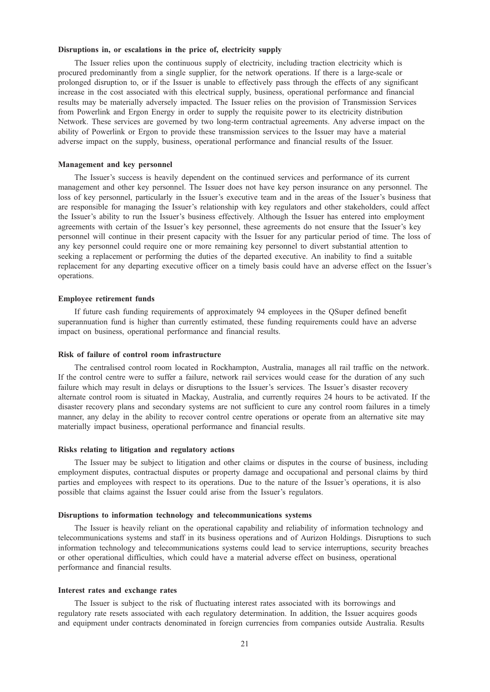## Disruptions in, or escalations in the price of, electricity supply

The Issuer relies upon the continuous supply of electricity, including traction electricity which is procured predominantly from a single supplier, for the network operations. If there is a large-scale or prolonged disruption to, or if the Issuer is unable to effectively pass through the effects of any significant increase in the cost associated with this electrical supply, business, operational performance and financial results may be materially adversely impacted. The Issuer relies on the provision of Transmission Services from Powerlink and Ergon Energy in order to supply the requisite power to its electricity distribution Network. These services are governed by two long-term contractual agreements. Any adverse impact on the ability of Powerlink or Ergon to provide these transmission services to the Issuer may have a material adverse impact on the supply, business, operational performance and financial results of the Issuer.

## Management and key personnel

The Issuer's success is heavily dependent on the continued services and performance of its current management and other key personnel. The Issuer does not have key person insurance on any personnel. The loss of key personnel, particularly in the Issuer's executive team and in the areas of the Issuer's business that are responsible for managing the Issuer's relationship with key regulators and other stakeholders, could affect the Issuer's ability to run the Issuer's business effectively. Although the Issuer has entered into employment agreements with certain of the Issuer's key personnel, these agreements do not ensure that the Issuer's key personnel will continue in their present capacity with the Issuer for any particular period of time. The loss of any key personnel could require one or more remaining key personnel to divert substantial attention to seeking a replacement or performing the duties of the departed executive. An inability to find a suitable replacement for any departing executive officer on a timely basis could have an adverse effect on the Issuer's operations.

#### Employee retirement funds

If future cash funding requirements of approximately 94 employees in the QSuper defined benefit superannuation fund is higher than currently estimated, these funding requirements could have an adverse impact on business, operational performance and financial results.

#### Risk of failure of control room infrastructure

The centralised control room located in Rockhampton, Australia, manages all rail traffic on the network. If the control centre were to suffer a failure, network rail services would cease for the duration of any such failure which may result in delays or disruptions to the Issuer's services. The Issuer's disaster recovery alternate control room is situated in Mackay, Australia, and currently requires 24 hours to be activated. If the disaster recovery plans and secondary systems are not sufficient to cure any control room failures in a timely manner, any delay in the ability to recover control centre operations or operate from an alternative site may materially impact business, operational performance and financial results.

## Risks relating to litigation and regulatory actions

The Issuer may be subject to litigation and other claims or disputes in the course of business, including employment disputes, contractual disputes or property damage and occupational and personal claims by third parties and employees with respect to its operations. Due to the nature of the Issuer's operations, it is also possible that claims against the Issuer could arise from the Issuer's regulators.

#### Disruptions to information technology and telecommunications systems

The Issuer is heavily reliant on the operational capability and reliability of information technology and telecommunications systems and staff in its business operations and of Aurizon Holdings. Disruptions to such information technology and telecommunications systems could lead to service interruptions, security breaches or other operational difficulties, which could have a material adverse effect on business, operational performance and financial results.

## Interest rates and exchange rates

The Issuer is subject to the risk of fluctuating interest rates associated with its borrowings and regulatory rate resets associated with each regulatory determination. In addition, the Issuer acquires goods and equipment under contracts denominated in foreign currencies from companies outside Australia. Results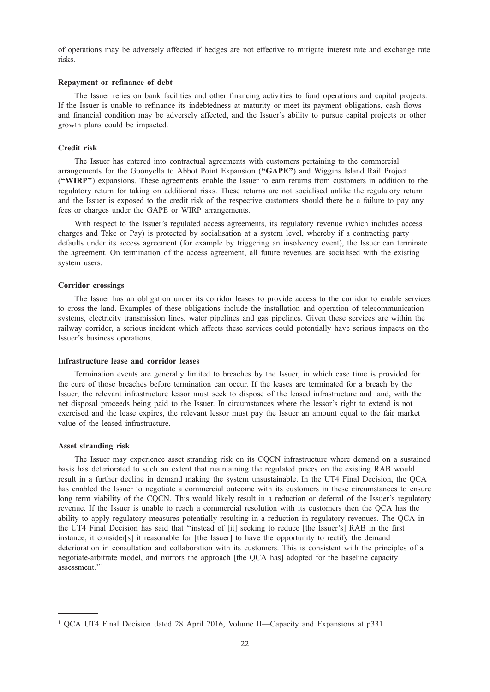of operations may be adversely affected if hedges are not effective to mitigate interest rate and exchange rate risks.

## Repayment or refinance of debt

The Issuer relies on bank facilities and other financing activities to fund operations and capital projects. If the Issuer is unable to refinance its indebtedness at maturity or meet its payment obligations, cash flows and financial condition may be adversely affected, and the Issuer's ability to pursue capital projects or other growth plans could be impacted.

## Credit risk

The Issuer has entered into contractual agreements with customers pertaining to the commercial arrangements for the Goonyella to Abbot Point Expansion ("GAPE") and Wiggins Island Rail Project (''WIRP'') expansions. These agreements enable the Issuer to earn returns from customers in addition to the regulatory return for taking on additional risks. These returns are not socialised unlike the regulatory return and the Issuer is exposed to the credit risk of the respective customers should there be a failure to pay any fees or charges under the GAPE or WIRP arrangements.

With respect to the Issuer's regulated access agreements, its regulatory revenue (which includes access charges and Take or Pay) is protected by socialisation at a system level, whereby if a contracting party defaults under its access agreement (for example by triggering an insolvency event), the Issuer can terminate the agreement. On termination of the access agreement, all future revenues are socialised with the existing system users.

## Corridor crossings

The Issuer has an obligation under its corridor leases to provide access to the corridor to enable services to cross the land. Examples of these obligations include the installation and operation of telecommunication systems, electricity transmission lines, water pipelines and gas pipelines. Given these services are within the railway corridor, a serious incident which affects these services could potentially have serious impacts on the Issuer's business operations.

## Infrastructure lease and corridor leases

Termination events are generally limited to breaches by the Issuer, in which case time is provided for the cure of those breaches before termination can occur. If the leases are terminated for a breach by the Issuer, the relevant infrastructure lessor must seek to dispose of the leased infrastructure and land, with the net disposal proceeds being paid to the Issuer. In circumstances where the lessor's right to extend is not exercised and the lease expires, the relevant lessor must pay the Issuer an amount equal to the fair market value of the leased infrastructure.

## Asset stranding risk

The Issuer may experience asset stranding risk on its CQCN infrastructure where demand on a sustained basis has deteriorated to such an extent that maintaining the regulated prices on the existing RAB would result in a further decline in demand making the system unsustainable. In the UT4 Final Decision, the QCA has enabled the Issuer to negotiate a commercial outcome with its customers in these circumstances to ensure long term viability of the CQCN. This would likely result in a reduction or deferral of the Issuer's regulatory revenue. If the Issuer is unable to reach a commercial resolution with its customers then the QCA has the ability to apply regulatory measures potentially resulting in a reduction in regulatory revenues. The QCA in the UT4 Final Decision has said that ''instead of [it] seeking to reduce [the Issuer's] RAB in the first instance, it consider[s] it reasonable for [the Issuer] to have the opportunity to rectify the demand deterioration in consultation and collaboration with its customers. This is consistent with the principles of a negotiate-arbitrate model, and mirrors the approach [the QCA has] adopted for the baseline capacity assessment.''1

<sup>1</sup> QCA UT4 Final Decision dated 28 April 2016, Volume II—Capacity and Expansions at p331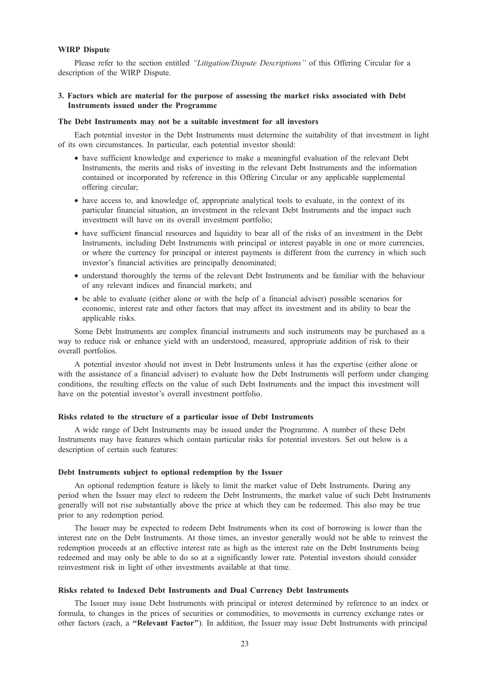## WIRP Dispute

Please refer to the section entitled "Litigation/Dispute Descriptions" of this Offering Circular for a description of the WIRP Dispute.

## 3. Factors which are material for the purpose of assessing the market risks associated with Debt Instruments issued under the Programme

## The Debt Instruments may not be a suitable investment for all investors

Each potential investor in the Debt Instruments must determine the suitability of that investment in light of its own circumstances. In particular, each potential investor should:

- have sufficient knowledge and experience to make a meaningful evaluation of the relevant Debt Instruments, the merits and risks of investing in the relevant Debt Instruments and the information contained or incorporated by reference in this Offering Circular or any applicable supplemental offering circular;
- have access to, and knowledge of, appropriate analytical tools to evaluate, in the context of its particular financial situation, an investment in the relevant Debt Instruments and the impact such investment will have on its overall investment portfolio;
- have sufficient financial resources and liquidity to bear all of the risks of an investment in the Debt Instruments, including Debt Instruments with principal or interest payable in one or more currencies, or where the currency for principal or interest payments is different from the currency in which such investor's financial activities are principally denominated;
- understand thoroughly the terms of the relevant Debt Instruments and be familiar with the behaviour of any relevant indices and financial markets; and
- be able to evaluate (either alone or with the help of a financial adviser) possible scenarios for economic, interest rate and other factors that may affect its investment and its ability to bear the applicable risks.

Some Debt Instruments are complex financial instruments and such instruments may be purchased as a way to reduce risk or enhance yield with an understood, measured, appropriate addition of risk to their overall portfolios.

A potential investor should not invest in Debt Instruments unless it has the expertise (either alone or with the assistance of a financial adviser) to evaluate how the Debt Instruments will perform under changing conditions, the resulting effects on the value of such Debt Instruments and the impact this investment will have on the potential investor's overall investment portfolio.

## Risks related to the structure of a particular issue of Debt Instruments

A wide range of Debt Instruments may be issued under the Programme. A number of these Debt Instruments may have features which contain particular risks for potential investors. Set out below is a description of certain such features:

#### Debt Instruments subject to optional redemption by the Issuer

An optional redemption feature is likely to limit the market value of Debt Instruments. During any period when the Issuer may elect to redeem the Debt Instruments, the market value of such Debt Instruments generally will not rise substantially above the price at which they can be redeemed. This also may be true prior to any redemption period.

The Issuer may be expected to redeem Debt Instruments when its cost of borrowing is lower than the interest rate on the Debt Instruments. At those times, an investor generally would not be able to reinvest the redemption proceeds at an effective interest rate as high as the interest rate on the Debt Instruments being redeemed and may only be able to do so at a significantly lower rate. Potential investors should consider reinvestment risk in light of other investments available at that time.

## Risks related to Indexed Debt Instruments and Dual Currency Debt Instruments

The Issuer may issue Debt Instruments with principal or interest determined by reference to an index or formula, to changes in the prices of securities or commodities, to movements in currency exchange rates or other factors (each, a ''Relevant Factor''). In addition, the Issuer may issue Debt Instruments with principal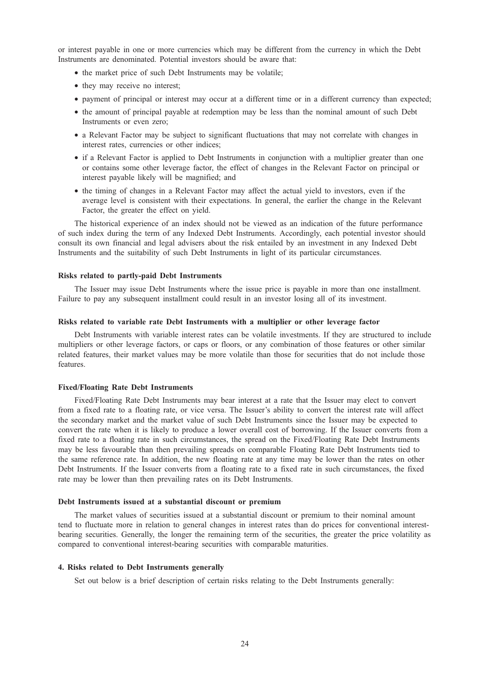or interest payable in one or more currencies which may be different from the currency in which the Debt Instruments are denominated. Potential investors should be aware that:

- the market price of such Debt Instruments may be volatile;
- they may receive no interest;
- payment of principal or interest may occur at a different time or in a different currency than expected;
- the amount of principal payable at redemption may be less than the nominal amount of such Debt Instruments or even zero;
- a Relevant Factor may be subject to significant fluctuations that may not correlate with changes in interest rates, currencies or other indices;
- if a Relevant Factor is applied to Debt Instruments in conjunction with a multiplier greater than one or contains some other leverage factor, the effect of changes in the Relevant Factor on principal or interest payable likely will be magnified; and
- the timing of changes in a Relevant Factor may affect the actual yield to investors, even if the average level is consistent with their expectations. In general, the earlier the change in the Relevant Factor, the greater the effect on yield.

The historical experience of an index should not be viewed as an indication of the future performance of such index during the term of any Indexed Debt Instruments. Accordingly, each potential investor should consult its own financial and legal advisers about the risk entailed by an investment in any Indexed Debt Instruments and the suitability of such Debt Instruments in light of its particular circumstances.

## Risks related to partly-paid Debt Instruments

The Issuer may issue Debt Instruments where the issue price is payable in more than one installment. Failure to pay any subsequent installment could result in an investor losing all of its investment.

# Risks related to variable rate Debt Instruments with a multiplier or other leverage factor

Debt Instruments with variable interest rates can be volatile investments. If they are structured to include multipliers or other leverage factors, or caps or floors, or any combination of those features or other similar related features, their market values may be more volatile than those for securities that do not include those features.

## Fixed/Floating Rate Debt Instruments

Fixed/Floating Rate Debt Instruments may bear interest at a rate that the Issuer may elect to convert from a fixed rate to a floating rate, or vice versa. The Issuer's ability to convert the interest rate will affect the secondary market and the market value of such Debt Instruments since the Issuer may be expected to convert the rate when it is likely to produce a lower overall cost of borrowing. If the Issuer converts from a fixed rate to a floating rate in such circumstances, the spread on the Fixed/Floating Rate Debt Instruments may be less favourable than then prevailing spreads on comparable Floating Rate Debt Instruments tied to the same reference rate. In addition, the new floating rate at any time may be lower than the rates on other Debt Instruments. If the Issuer converts from a floating rate to a fixed rate in such circumstances, the fixed rate may be lower than then prevailing rates on its Debt Instruments.

## Debt Instruments issued at a substantial discount or premium

The market values of securities issued at a substantial discount or premium to their nominal amount tend to fluctuate more in relation to general changes in interest rates than do prices for conventional interestbearing securities. Generally, the longer the remaining term of the securities, the greater the price volatility as compared to conventional interest-bearing securities with comparable maturities.

## 4. Risks related to Debt Instruments generally

Set out below is a brief description of certain risks relating to the Debt Instruments generally: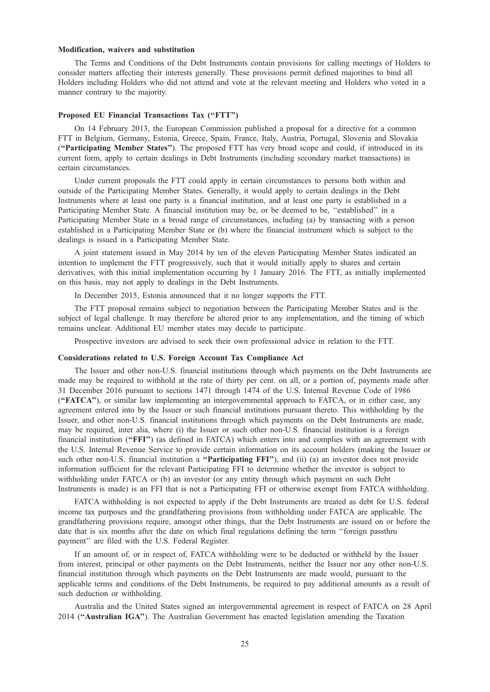## Modification, waivers and substitution

The Terms and Conditions of the Debt Instruments contain provisions for calling meetings of Holders to consider matters affecting their interests generally. These provisions permit defined majorities to bind all Holders including Holders who did not attend and vote at the relevant meeting and Holders who voted in a manner contrary to the majority.

## Proposed EU Financial Transactions Tax ("FTT")

On 14 February 2013, the European Commission published a proposal for a directive for a common FTT in Belgium, Germany, Estonia, Greece, Spain, France, Italy, Austria, Portugal, Slovenia and Slovakia (''Participating Member States''). The proposed FTT has very broad scope and could, if introduced in its current form, apply to certain dealings in Debt Instruments (including secondary market transactions) in certain circumstances.

Under current proposals the FTT could apply in certain circumstances to persons both within and outside of the Participating Member States. Generally, it would apply to certain dealings in the Debt Instruments where at least one party is a financial institution, and at least one party is established in a Participating Member State. A financial institution may be, or be deemed to be, ''established'' in a Participating Member State in a broad range of circumstances, including (a) by transacting with a person established in a Participating Member State or (b) where the financial instrument which is subject to the dealings is issued in a Participating Member State.

A joint statement issued in May 2014 by ten of the eleven Participating Member States indicated an intention to implement the FTT progressively, such that it would initially apply to shares and certain derivatives, with this initial implementation occurring by 1 January 2016. The FTT, as initially implemented on this basis, may not apply to dealings in the Debt Instruments.

In December 2015, Estonia announced that it no longer supports the FTT.

The FTT proposal remains subject to negotiation between the Participating Member States and is the subject of legal challenge. It may therefore be altered prior to any implementation, and the timing of which remains unclear. Additional EU member states may decide to participate.

Prospective investors are advised to seek their own professional advice in relation to the FTT.

## Considerations related to U.S. Foreign Account Tax Compliance Act

The Issuer and other non-U.S. financial institutions through which payments on the Debt Instruments are made may be required to withhold at the rate of thirty per cent. on all, or a portion of, payments made after 31 December 2016 pursuant to sections 1471 through 1474 of the U.S. Internal Revenue Code of 1986 (''FATCA''), or similar law implementing an intergovernmental approach to FATCA, or in either case, any agreement entered into by the Issuer or such financial institutions pursuant thereto. This withholding by the Issuer, and other non-U.S. financial institutions through which payments on the Debt Instruments are made, may be required, inter alia, where (i) the Issuer or such other non-U.S. financial institution is a foreign financial institution (''FFI'') (as defined in FATCA) which enters into and complies with an agreement with the U.S. Internal Revenue Service to provide certain information on its account holders (making the Issuer or such other non-U.S. financial institution a "**Participating FFI**"), and (ii) (a) an investor does not provide information sufficient for the relevant Participating FFI to determine whether the investor is subject to withholding under FATCA or (b) an investor (or any entity through which payment on such Debt Instruments is made) is an FFI that is not a Participating FFI or otherwise exempt from FATCA withholding.

FATCA withholding is not expected to apply if the Debt Instruments are treated as debt for U.S. federal income tax purposes and the grandfathering provisions from withholding under FATCA are applicable. The grandfathering provisions require, amongst other things, that the Debt Instruments are issued on or before the date that is six months after the date on which final regulations defining the term ''foreign passthru payment'' are filed with the U.S. Federal Register.

If an amount of, or in respect of, FATCA withholding were to be deducted or withheld by the Issuer from interest, principal or other payments on the Debt Instruments, neither the Issuer nor any other non-U.S. financial institution through which payments on the Debt Instruments are made would, pursuant to the applicable terms and conditions of the Debt Instruments, be required to pay additional amounts as a result of such deduction or withholding.

Australia and the United States signed an intergovernmental agreement in respect of FATCA on 28 April 2014 (''Australian IGA''). The Australian Government has enacted legislation amending the Taxation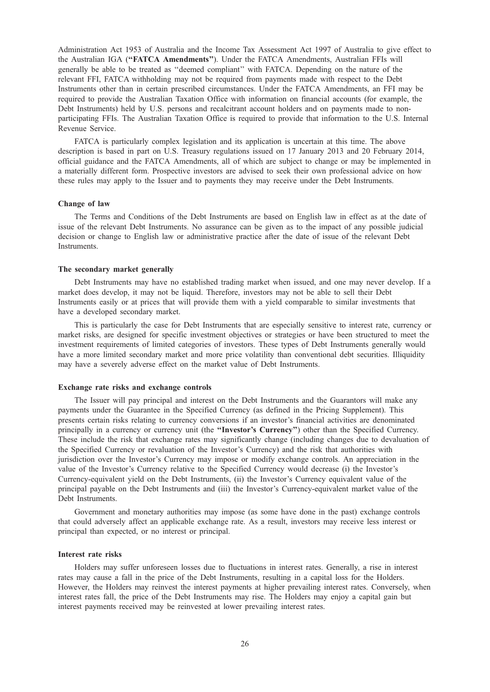Administration Act 1953 of Australia and the Income Tax Assessment Act 1997 of Australia to give effect to the Australian IGA ("FATCA Amendments"). Under the FATCA Amendments, Australian FFIs will generally be able to be treated as ''deemed compliant'' with FATCA. Depending on the nature of the relevant FFI, FATCA withholding may not be required from payments made with respect to the Debt Instruments other than in certain prescribed circumstances. Under the FATCA Amendments, an FFI may be required to provide the Australian Taxation Office with information on financial accounts (for example, the Debt Instruments) held by U.S. persons and recalcitrant account holders and on payments made to nonparticipating FFIs. The Australian Taxation Office is required to provide that information to the U.S. Internal Revenue Service.

FATCA is particularly complex legislation and its application is uncertain at this time. The above description is based in part on U.S. Treasury regulations issued on 17 January 2013 and 20 February 2014, official guidance and the FATCA Amendments, all of which are subject to change or may be implemented in a materially different form. Prospective investors are advised to seek their own professional advice on how these rules may apply to the Issuer and to payments they may receive under the Debt Instruments.

#### Change of law

The Terms and Conditions of the Debt Instruments are based on English law in effect as at the date of issue of the relevant Debt Instruments. No assurance can be given as to the impact of any possible judicial decision or change to English law or administrative practice after the date of issue of the relevant Debt Instruments.

## The secondary market generally

Debt Instruments may have no established trading market when issued, and one may never develop. If a market does develop, it may not be liquid. Therefore, investors may not be able to sell their Debt Instruments easily or at prices that will provide them with a yield comparable to similar investments that have a developed secondary market.

This is particularly the case for Debt Instruments that are especially sensitive to interest rate, currency or market risks, are designed for specific investment objectives or strategies or have been structured to meet the investment requirements of limited categories of investors. These types of Debt Instruments generally would have a more limited secondary market and more price volatility than conventional debt securities. Illiquidity may have a severely adverse effect on the market value of Debt Instruments.

## Exchange rate risks and exchange controls

The Issuer will pay principal and interest on the Debt Instruments and the Guarantors will make any payments under the Guarantee in the Specified Currency (as defined in the Pricing Supplement). This presents certain risks relating to currency conversions if an investor's financial activities are denominated principally in a currency or currency unit (the "Investor's Currency") other than the Specified Currency. These include the risk that exchange rates may significantly change (including changes due to devaluation of the Specified Currency or revaluation of the Investor's Currency) and the risk that authorities with jurisdiction over the Investor's Currency may impose or modify exchange controls. An appreciation in the value of the Investor's Currency relative to the Specified Currency would decrease (i) the Investor's Currency-equivalent yield on the Debt Instruments, (ii) the Investor's Currency equivalent value of the principal payable on the Debt Instruments and (iii) the Investor's Currency-equivalent market value of the Debt Instruments.

Government and monetary authorities may impose (as some have done in the past) exchange controls that could adversely affect an applicable exchange rate. As a result, investors may receive less interest or principal than expected, or no interest or principal.

## Interest rate risks

Holders may suffer unforeseen losses due to fluctuations in interest rates. Generally, a rise in interest rates may cause a fall in the price of the Debt Instruments, resulting in a capital loss for the Holders. However, the Holders may reinvest the interest payments at higher prevailing interest rates. Conversely, when interest rates fall, the price of the Debt Instruments may rise. The Holders may enjoy a capital gain but interest payments received may be reinvested at lower prevailing interest rates.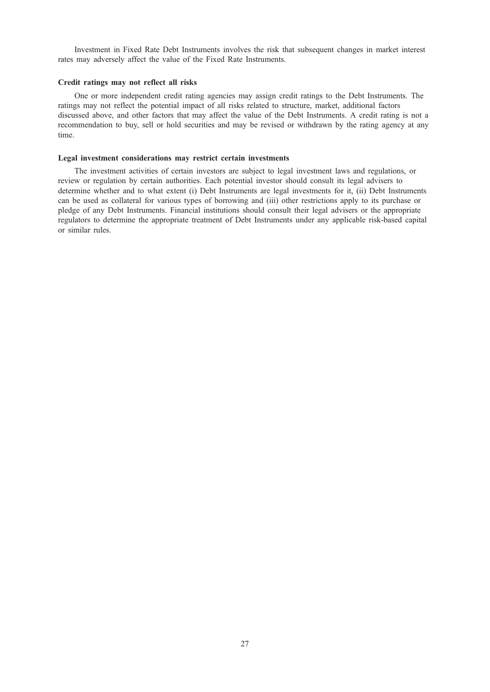Investment in Fixed Rate Debt Instruments involves the risk that subsequent changes in market interest rates may adversely affect the value of the Fixed Rate Instruments.

## Credit ratings may not reflect all risks

One or more independent credit rating agencies may assign credit ratings to the Debt Instruments. The ratings may not reflect the potential impact of all risks related to structure, market, additional factors discussed above, and other factors that may affect the value of the Debt Instruments. A credit rating is not a recommendation to buy, sell or hold securities and may be revised or withdrawn by the rating agency at any time.

## Legal investment considerations may restrict certain investments

The investment activities of certain investors are subject to legal investment laws and regulations, or review or regulation by certain authorities. Each potential investor should consult its legal advisers to determine whether and to what extent (i) Debt Instruments are legal investments for it, (ii) Debt Instruments can be used as collateral for various types of borrowing and (iii) other restrictions apply to its purchase or pledge of any Debt Instruments. Financial institutions should consult their legal advisers or the appropriate regulators to determine the appropriate treatment of Debt Instruments under any applicable risk-based capital or similar rules.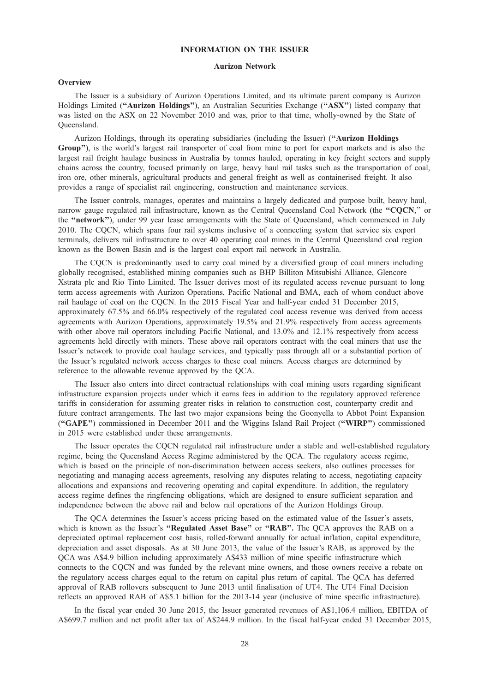# INFORMATION ON THE ISSUER

## Aurizon Network

#### **Overview**

The Issuer is a subsidiary of Aurizon Operations Limited, and its ultimate parent company is Aurizon Holdings Limited (''Aurizon Holdings''), an Australian Securities Exchange (''ASX'') listed company that was listed on the ASX on 22 November 2010 and was, prior to that time, wholly-owned by the State of Queensland.

Aurizon Holdings, through its operating subsidiaries (including the Issuer) ("Aurizon Holdings Group''), is the world's largest rail transporter of coal from mine to port for export markets and is also the largest rail freight haulage business in Australia by tonnes hauled, operating in key freight sectors and supply chains across the country, focused primarily on large, heavy haul rail tasks such as the transportation of coal, iron ore, other minerals, agricultural products and general freight as well as containerised freight. It also provides a range of specialist rail engineering, construction and maintenance services.

The Issuer controls, manages, operates and maintains a largely dedicated and purpose built, heavy haul, narrow gauge regulated rail infrastructure, known as the Central Queensland Coal Network (the "COCN," or the ''network''), under 99 year lease arrangements with the State of Queensland, which commenced in July 2010. The CQCN, which spans four rail systems inclusive of a connecting system that service six export terminals, delivers rail infrastructure to over 40 operating coal mines in the Central Queensland coal region known as the Bowen Basin and is the largest coal export rail network in Australia.

The CQCN is predominantly used to carry coal mined by a diversified group of coal miners including globally recognised, established mining companies such as BHP Billiton Mitsubishi Alliance, Glencore Xstrata plc and Rio Tinto Limited. The Issuer derives most of its regulated access revenue pursuant to long term access agreements with Aurizon Operations, Pacific National and BMA, each of whom conduct above rail haulage of coal on the COCN. In the 2015 Fiscal Year and half-year ended 31 December 2015, approximately 67.5% and 66.0% respectively of the regulated coal access revenue was derived from access agreements with Aurizon Operations, approximately 19.5% and 21.9% respectively from access agreements with other above rail operators including Pacific National, and 13.0% and 12.1% respectively from access agreements held directly with miners. These above rail operators contract with the coal miners that use the Issuer's network to provide coal haulage services, and typically pass through all or a substantial portion of the Issuer's regulated network access charges to these coal miners. Access charges are determined by reference to the allowable revenue approved by the QCA.

The Issuer also enters into direct contractual relationships with coal mining users regarding significant infrastructure expansion projects under which it earns fees in addition to the regulatory approved reference tariffs in consideration for assuming greater risks in relation to construction cost, counterparty credit and future contract arrangements. The last two major expansions being the Goonyella to Abbot Point Expansion (''GAPE'') commissioned in December 2011 and the Wiggins Island Rail Project (''WIRP'') commissioned in 2015 were established under these arrangements.

The Issuer operates the CQCN regulated rail infrastructure under a stable and well-established regulatory regime, being the Queensland Access Regime administered by the QCA. The regulatory access regime, which is based on the principle of non-discrimination between access seekers, also outlines processes for negotiating and managing access agreements, resolving any disputes relating to access, negotiating capacity allocations and expansions and recovering operating and capital expenditure. In addition, the regulatory access regime defines the ringfencing obligations, which are designed to ensure sufficient separation and independence between the above rail and below rail operations of the Aurizon Holdings Group.

The QCA determines the Issuer's access pricing based on the estimated value of the Issuer's assets, which is known as the Issuer's "Regulated Asset Base" or "RAB". The OCA approves the RAB on a depreciated optimal replacement cost basis, rolled-forward annually for actual inflation, capital expenditure, depreciation and asset disposals. As at 30 June 2013, the value of the Issuer's RAB, as approved by the QCA was A\$4.9 billion including approximately A\$433 million of mine specific infrastructure which connects to the CQCN and was funded by the relevant mine owners, and those owners receive a rebate on the regulatory access charges equal to the return on capital plus return of capital. The QCA has deferred approval of RAB rollovers subsequent to June 2013 until finalisation of UT4. The UT4 Final Decision reflects an approved RAB of A\$5.1 billion for the 2013-14 year (inclusive of mine specific infrastructure).

In the fiscal year ended 30 June 2015, the Issuer generated revenues of A\$1,106.4 million, EBITDA of A\$699.7 million and net profit after tax of A\$244.9 million. In the fiscal half-year ended 31 December 2015,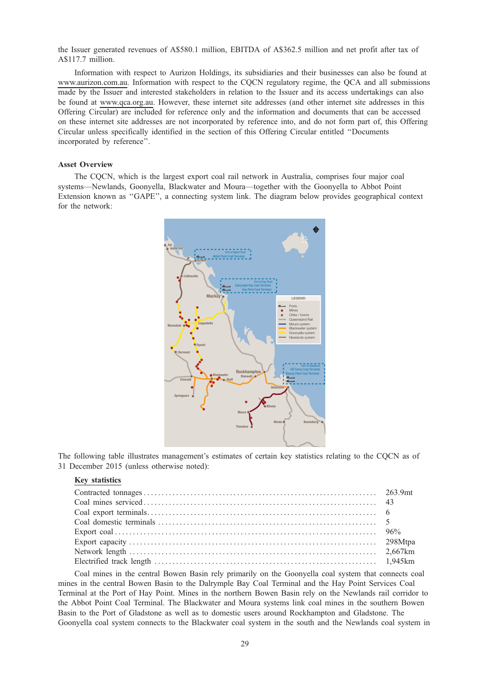the Issuer generated revenues of A\$580.1 million, EBITDA of A\$362.5 million and net profit after tax of A\$117.7 million.

Information with respect to Aurizon Holdings, its subsidiaries and their businesses can also be found at www.aurizon.com.au. Information with respect to the CQCN regulatory regime, the QCA and all submissions made by the Issuer and interested stakeholders in relation to the Issuer and its access undertakings can also be found at www.qca.org.au. However, these internet site addresses (and other internet site addresses in this Offering Circular) are included for reference only and the information and documents that can be accessed on these internet site addresses are not incorporated by reference into, and do not form part of, this Offering Circular unless specifically identified in the section of this Offering Circular entitled ''Documents incorporated by reference''.

## Asset Overview

The CQCN, which is the largest export coal rail network in Australia, comprises four major coal systems—Newlands, Goonyella, Blackwater and Moura—together with the Goonyella to Abbot Point Extension known as "GAPE", a connecting system link. The diagram below provides geographical context for the network:



The following table illustrates management's estimates of certain key statistics relating to the CQCN as of 31 December 2015 (unless otherwise noted):

# Key statistics

Coal mines in the central Bowen Basin rely primarily on the Goonyella coal system that connects coal mines in the central Bowen Basin to the Dalrymple Bay Coal Terminal and the Hay Point Services Coal Terminal at the Port of Hay Point. Mines in the northern Bowen Basin rely on the Newlands rail corridor to the Abbot Point Coal Terminal. The Blackwater and Moura systems link coal mines in the southern Bowen Basin to the Port of Gladstone as well as to domestic users around Rockhampton and Gladstone. The Goonyella coal system connects to the Blackwater coal system in the south and the Newlands coal system in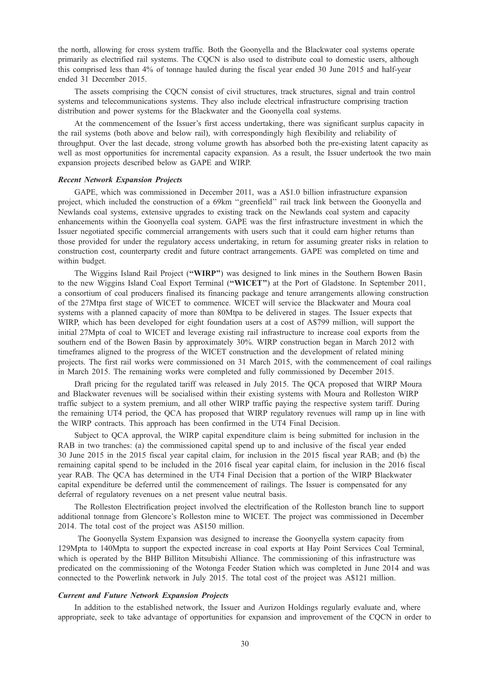the north, allowing for cross system traffic. Both the Goonyella and the Blackwater coal systems operate primarily as electrified rail systems. The CQCN is also used to distribute coal to domestic users, although this comprised less than 4% of tonnage hauled during the fiscal year ended 30 June 2015 and half-year ended 31 December 2015.

The assets comprising the CQCN consist of civil structures, track structures, signal and train control systems and telecommunications systems. They also include electrical infrastructure comprising traction distribution and power systems for the Blackwater and the Goonyella coal systems.

At the commencement of the Issuer's first access undertaking, there was significant surplus capacity in the rail systems (both above and below rail), with correspondingly high flexibility and reliability of throughput. Over the last decade, strong volume growth has absorbed both the pre-existing latent capacity as well as most opportunities for incremental capacity expansion. As a result, the Issuer undertook the two main expansion projects described below as GAPE and WIRP.

#### Recent Network Expansion Projects

GAPE, which was commissioned in December 2011, was a A\$1.0 billion infrastructure expansion project, which included the construction of a 69km ''greenfield'' rail track link between the Goonyella and Newlands coal systems, extensive upgrades to existing track on the Newlands coal system and capacity enhancements within the Goonyella coal system. GAPE was the first infrastructure investment in which the Issuer negotiated specific commercial arrangements with users such that it could earn higher returns than those provided for under the regulatory access undertaking, in return for assuming greater risks in relation to construction cost, counterparty credit and future contract arrangements. GAPE was completed on time and within budget.

The Wiggins Island Rail Project ("WIRP") was designed to link mines in the Southern Bowen Basin to the new Wiggins Island Coal Export Terminal ("WICET") at the Port of Gladstone. In September 2011, a consortium of coal producers finalised its financing package and tenure arrangements allowing construction of the 27Mtpa first stage of WICET to commence. WICET will service the Blackwater and Moura coal systems with a planned capacity of more than 80Mtpa to be delivered in stages. The Issuer expects that WIRP, which has been developed for eight foundation users at a cost of A\$799 million, will support the initial 27Mpta of coal to WICET and leverage existing rail infrastructure to increase coal exports from the southern end of the Bowen Basin by approximately 30%. WIRP construction began in March 2012 with timeframes aligned to the progress of the WICET construction and the development of related mining projects. The first rail works were commissioned on 31 March 2015, with the commencement of coal railings in March 2015. The remaining works were completed and fully commissioned by December 2015.

Draft pricing for the regulated tariff was released in July 2015. The QCA proposed that WIRP Moura and Blackwater revenues will be socialised within their existing systems with Moura and Rolleston WIRP traffic subject to a system premium, and all other WIRP traffic paying the respective system tariff. During the remaining UT4 period, the QCA has proposed that WIRP regulatory revenues will ramp up in line with the WIRP contracts. This approach has been confirmed in the UT4 Final Decision.

Subject to QCA approval, the WIRP capital expenditure claim is being submitted for inclusion in the RAB in two tranches: (a) the commissioned capital spend up to and inclusive of the fiscal year ended 30 June 2015 in the 2015 fiscal year capital claim, for inclusion in the 2015 fiscal year RAB; and (b) the remaining capital spend to be included in the 2016 fiscal year capital claim, for inclusion in the 2016 fiscal year RAB. The QCA has determined in the UT4 Final Decision that a portion of the WIRP Blackwater capital expenditure be deferred until the commencement of railings. The Issuer is compensated for any deferral of regulatory revenues on a net present value neutral basis.

The Rolleston Electrification project involved the electrification of the Rolleston branch line to support additional tonnage from Glencore's Rolleston mine to WICET. The project was commissioned in December 2014. The total cost of the project was A\$150 million.

The Goonyella System Expansion was designed to increase the Goonyella system capacity from 129Mpta to 140Mpta to support the expected increase in coal exports at Hay Point Services Coal Terminal, which is operated by the BHP Billiton Mitsubishi Alliance. The commissioning of this infrastructure was predicated on the commissioning of the Wotonga Feeder Station which was completed in June 2014 and was connected to the Powerlink network in July 2015. The total cost of the project was A\$121 million.

#### Current and Future Network Expansion Projects

In addition to the established network, the Issuer and Aurizon Holdings regularly evaluate and, where appropriate, seek to take advantage of opportunities for expansion and improvement of the CQCN in order to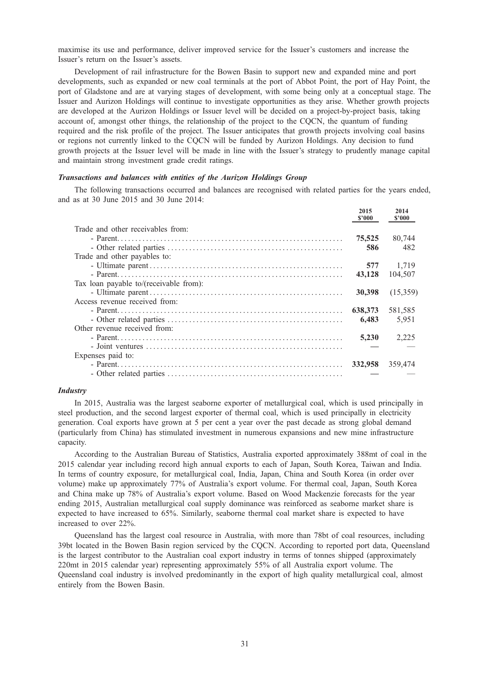maximise its use and performance, deliver improved service for the Issuer's customers and increase the Issuer's return on the Issuer's assets.

Development of rail infrastructure for the Bowen Basin to support new and expanded mine and port developments, such as expanded or new coal terminals at the port of Abbot Point, the port of Hay Point, the port of Gladstone and are at varying stages of development, with some being only at a conceptual stage. The Issuer and Aurizon Holdings will continue to investigate opportunities as they arise. Whether growth projects are developed at the Aurizon Holdings or Issuer level will be decided on a project-by-project basis, taking account of, amongst other things, the relationship of the project to the CQCN, the quantum of funding required and the risk profile of the project. The Issuer anticipates that growth projects involving coal basins or regions not currently linked to the CQCN will be funded by Aurizon Holdings. Any decision to fund growth projects at the Issuer level will be made in line with the Issuer's strategy to prudently manage capital and maintain strong investment grade credit ratings.

## Transactions and balances with entities of the Aurizon Holdings Group

The following transactions occurred and balances are recognised with related parties for the years ended, and as at 30 June 2015 and 30 June 2014:

|                                        | 2015<br>\$2000 | 2014<br>\$2000 |
|----------------------------------------|----------------|----------------|
| Trade and other receivables from:      |                |                |
|                                        | 75,525         | 80,744         |
|                                        | 586            | 482            |
| Trade and other payables to:           |                |                |
|                                        | 577            | 1.719          |
|                                        | 43.128         | 104.507        |
| Tax loan payable to/(receivable from): |                |                |
|                                        | 30,398         | (15,359)       |
| Access revenue received from:          |                |                |
|                                        | 638,373        | 581,585        |
|                                        | 6.483          | 5,951          |
| Other revenue received from:           |                |                |
|                                        | 5,230          | 2,225          |
|                                        |                |                |
| Expenses paid to:                      |                |                |
|                                        | 332,958        | 359,474        |
|                                        |                |                |

## **Industry**

In 2015, Australia was the largest seaborne exporter of metallurgical coal, which is used principally in steel production, and the second largest exporter of thermal coal, which is used principally in electricity generation. Coal exports have grown at 5 per cent a year over the past decade as strong global demand (particularly from China) has stimulated investment in numerous expansions and new mine infrastructure capacity.

According to the Australian Bureau of Statistics, Australia exported approximately 388mt of coal in the 2015 calendar year including record high annual exports to each of Japan, South Korea, Taiwan and India. In terms of country exposure, for metallurgical coal, India, Japan, China and South Korea (in order over volume) make up approximately 77% of Australia's export volume. For thermal coal, Japan, South Korea and China make up 78% of Australia's export volume. Based on Wood Mackenzie forecasts for the year ending 2015, Australian metallurgical coal supply dominance was reinforced as seaborne market share is expected to have increased to 65%. Similarly, seaborne thermal coal market share is expected to have increased to over 22%.

Queensland has the largest coal resource in Australia, with more than 78bt of coal resources, including 39bt located in the Bowen Basin region serviced by the CQCN. According to reported port data, Queensland is the largest contributor to the Australian coal export industry in terms of tonnes shipped (approximately 220mt in 2015 calendar year) representing approximately 55% of all Australia export volume. The Queensland coal industry is involved predominantly in the export of high quality metallurgical coal, almost entirely from the Bowen Basin.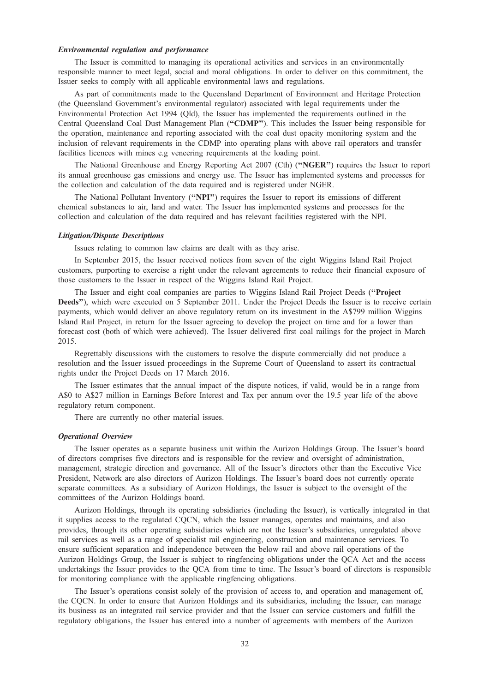## Environmental regulation and performance

The Issuer is committed to managing its operational activities and services in an environmentally responsible manner to meet legal, social and moral obligations. In order to deliver on this commitment, the Issuer seeks to comply with all applicable environmental laws and regulations.

As part of commitments made to the Queensland Department of Environment and Heritage Protection (the Queensland Government's environmental regulator) associated with legal requirements under the Environmental Protection Act 1994 (Qld), the Issuer has implemented the requirements outlined in the Central Queensland Coal Dust Management Plan (''CDMP''). This includes the Issuer being responsible for the operation, maintenance and reporting associated with the coal dust opacity monitoring system and the inclusion of relevant requirements in the CDMP into operating plans with above rail operators and transfer facilities licences with mines e.g veneering requirements at the loading point.

The National Greenhouse and Energy Reporting Act 2007 (Cth) (''NGER'') requires the Issuer to report its annual greenhouse gas emissions and energy use. The Issuer has implemented systems and processes for the collection and calculation of the data required and is registered under NGER.

The National Pollutant Inventory (''NPI'') requires the Issuer to report its emissions of different chemical substances to air, land and water. The Issuer has implemented systems and processes for the collection and calculation of the data required and has relevant facilities registered with the NPI.

## Litigation/Dispute Descriptions

Issues relating to common law claims are dealt with as they arise.

In September 2015, the Issuer received notices from seven of the eight Wiggins Island Rail Project customers, purporting to exercise a right under the relevant agreements to reduce their financial exposure of those customers to the Issuer in respect of the Wiggins Island Rail Project.

The Issuer and eight coal companies are parties to Wiggins Island Rail Project Deeds (''Project Deeds"), which were executed on 5 September 2011. Under the Project Deeds the Issuer is to receive certain payments, which would deliver an above regulatory return on its investment in the A\$799 million Wiggins Island Rail Project, in return for the Issuer agreeing to develop the project on time and for a lower than forecast cost (both of which were achieved). The Issuer delivered first coal railings for the project in March 2015.

Regrettably discussions with the customers to resolve the dispute commercially did not produce a resolution and the Issuer issued proceedings in the Supreme Court of Queensland to assert its contractual rights under the Project Deeds on 17 March 2016.

The Issuer estimates that the annual impact of the dispute notices, if valid, would be in a range from A\$0 to A\$27 million in Earnings Before Interest and Tax per annum over the 19.5 year life of the above regulatory return component.

There are currently no other material issues.

## Operational Overview

The Issuer operates as a separate business unit within the Aurizon Holdings Group. The Issuer's board of directors comprises five directors and is responsible for the review and oversight of administration, management, strategic direction and governance. All of the Issuer's directors other than the Executive Vice President, Network are also directors of Aurizon Holdings. The Issuer's board does not currently operate separate committees. As a subsidiary of Aurizon Holdings, the Issuer is subject to the oversight of the committees of the Aurizon Holdings board.

Aurizon Holdings, through its operating subsidiaries (including the Issuer), is vertically integrated in that it supplies access to the regulated CQCN, which the Issuer manages, operates and maintains, and also provides, through its other operating subsidiaries which are not the Issuer's subsidiaries, unregulated above rail services as well as a range of specialist rail engineering, construction and maintenance services. To ensure sufficient separation and independence between the below rail and above rail operations of the Aurizon Holdings Group, the Issuer is subject to ringfencing obligations under the QCA Act and the access undertakings the Issuer provides to the QCA from time to time. The Issuer's board of directors is responsible for monitoring compliance with the applicable ringfencing obligations.

The Issuer's operations consist solely of the provision of access to, and operation and management of, the CQCN. In order to ensure that Aurizon Holdings and its subsidiaries, including the Issuer, can manage its business as an integrated rail service provider and that the Issuer can service customers and fulfill the regulatory obligations, the Issuer has entered into a number of agreements with members of the Aurizon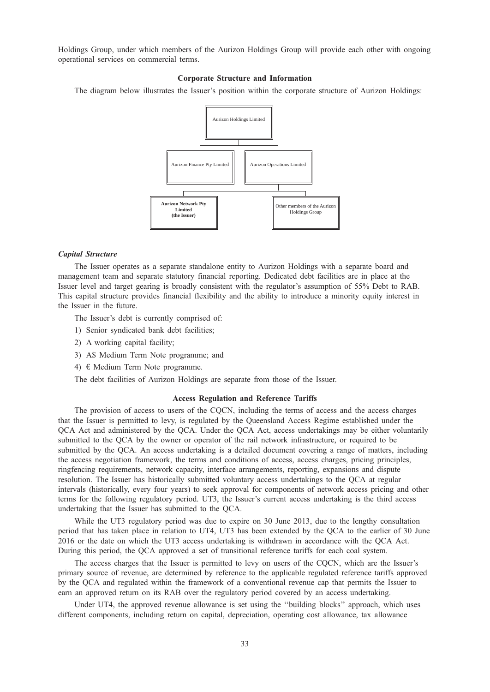Holdings Group, under which members of the Aurizon Holdings Group will provide each other with ongoing operational services on commercial terms.

## Corporate Structure and Information

The diagram below illustrates the Issuer's position within the corporate structure of Aurizon Holdings:



## Capital Structure

The Issuer operates as a separate standalone entity to Aurizon Holdings with a separate board and management team and separate statutory financial reporting. Dedicated debt facilities are in place at the Issuer level and target gearing is broadly consistent with the regulator's assumption of 55% Debt to RAB. This capital structure provides financial flexibility and the ability to introduce a minority equity interest in the Issuer in the future.

The Issuer's debt is currently comprised of:

- 1) Senior syndicated bank debt facilities;
- 2) A working capital facility;
- 3) A\$ Medium Term Note programme; and
- 4) € Medium Term Note programme.

The debt facilities of Aurizon Holdings are separate from those of the Issuer.

#### Access Regulation and Reference Tariffs

The provision of access to users of the CQCN, including the terms of access and the access charges that the Issuer is permitted to levy, is regulated by the Queensland Access Regime established under the QCA Act and administered by the QCA. Under the QCA Act, access undertakings may be either voluntarily submitted to the QCA by the owner or operator of the rail network infrastructure, or required to be submitted by the QCA. An access undertaking is a detailed document covering a range of matters, including the access negotiation framework, the terms and conditions of access, access charges, pricing principles, ringfencing requirements, network capacity, interface arrangements, reporting, expansions and dispute resolution. The Issuer has historically submitted voluntary access undertakings to the QCA at regular intervals (historically, every four years) to seek approval for components of network access pricing and other terms for the following regulatory period. UT3, the Issuer's current access undertaking is the third access undertaking that the Issuer has submitted to the QCA.

While the UT3 regulatory period was due to expire on 30 June 2013, due to the lengthy consultation period that has taken place in relation to UT4, UT3 has been extended by the QCA to the earlier of 30 June 2016 or the date on which the UT3 access undertaking is withdrawn in accordance with the QCA Act. During this period, the QCA approved a set of transitional reference tariffs for each coal system.

The access charges that the Issuer is permitted to levy on users of the CQCN, which are the Issuer's primary source of revenue, are determined by reference to the applicable regulated reference tariffs approved by the QCA and regulated within the framework of a conventional revenue cap that permits the Issuer to earn an approved return on its RAB over the regulatory period covered by an access undertaking.

Under UT4, the approved revenue allowance is set using the ''building blocks'' approach, which uses different components, including return on capital, depreciation, operating cost allowance, tax allowance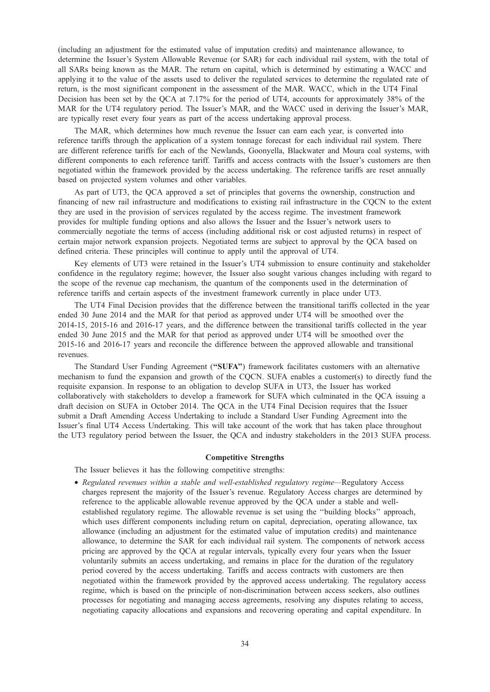(including an adjustment for the estimated value of imputation credits) and maintenance allowance, to determine the Issuer's System Allowable Revenue (or SAR) for each individual rail system, with the total of all SARs being known as the MAR. The return on capital, which is determined by estimating a WACC and applying it to the value of the assets used to deliver the regulated services to determine the regulated rate of return, is the most significant component in the assessment of the MAR. WACC, which in the UT4 Final Decision has been set by the QCA at 7.17% for the period of UT4, accounts for approximately 38% of the MAR for the UT4 regulatory period. The Issuer's MAR, and the WACC used in deriving the Issuer's MAR, are typically reset every four years as part of the access undertaking approval process.

The MAR, which determines how much revenue the Issuer can earn each year, is converted into reference tariffs through the application of a system tonnage forecast for each individual rail system. There are different reference tariffs for each of the Newlands, Goonyella, Blackwater and Moura coal systems, with different components to each reference tariff. Tariffs and access contracts with the Issuer's customers are then negotiated within the framework provided by the access undertaking. The reference tariffs are reset annually based on projected system volumes and other variables.

As part of UT3, the QCA approved a set of principles that governs the ownership, construction and financing of new rail infrastructure and modifications to existing rail infrastructure in the CQCN to the extent they are used in the provision of services regulated by the access regime. The investment framework provides for multiple funding options and also allows the Issuer and the Issuer's network users to commercially negotiate the terms of access (including additional risk or cost adjusted returns) in respect of certain major network expansion projects. Negotiated terms are subject to approval by the QCA based on defined criteria. These principles will continue to apply until the approval of UT4.

Key elements of UT3 were retained in the Issuer's UT4 submission to ensure continuity and stakeholder confidence in the regulatory regime; however, the Issuer also sought various changes including with regard to the scope of the revenue cap mechanism, the quantum of the components used in the determination of reference tariffs and certain aspects of the investment framework currently in place under UT3.

The UT4 Final Decision provides that the difference between the transitional tariffs collected in the year ended 30 June 2014 and the MAR for that period as approved under UT4 will be smoothed over the 2014-15, 2015-16 and 2016-17 years, and the difference between the transitional tariffs collected in the year ended 30 June 2015 and the MAR for that period as approved under UT4 will be smoothed over the 2015-16 and 2016-17 years and reconcile the difference between the approved allowable and transitional revenues.

The Standard User Funding Agreement (''SUFA'') framework facilitates customers with an alternative mechanism to fund the expansion and growth of the CQCN. SUFA enables a customer(s) to directly fund the requisite expansion. In response to an obligation to develop SUFA in UT3, the Issuer has worked collaboratively with stakeholders to develop a framework for SUFA which culminated in the QCA issuing a draft decision on SUFA in October 2014. The QCA in the UT4 Final Decision requires that the Issuer submit a Draft Amending Access Undertaking to include a Standard User Funding Agreement into the Issuer's final UT4 Access Undertaking. This will take account of the work that has taken place throughout the UT3 regulatory period between the Issuer, the QCA and industry stakeholders in the 2013 SUFA process.

## Competitive Strengths

The Issuer believes it has the following competitive strengths:

• Regulated revenues within a stable and well-established regulatory regime—Regulatory Access charges represent the majority of the Issuer's revenue. Regulatory Access charges are determined by reference to the applicable allowable revenue approved by the QCA under a stable and wellestablished regulatory regime. The allowable revenue is set using the ''building blocks'' approach, which uses different components including return on capital, depreciation, operating allowance, tax allowance (including an adjustment for the estimated value of imputation credits) and maintenance allowance, to determine the SAR for each individual rail system. The components of network access pricing are approved by the QCA at regular intervals, typically every four years when the Issuer voluntarily submits an access undertaking, and remains in place for the duration of the regulatory period covered by the access undertaking. Tariffs and access contracts with customers are then negotiated within the framework provided by the approved access undertaking. The regulatory access regime, which is based on the principle of non-discrimination between access seekers, also outlines processes for negotiating and managing access agreements, resolving any disputes relating to access, negotiating capacity allocations and expansions and recovering operating and capital expenditure. In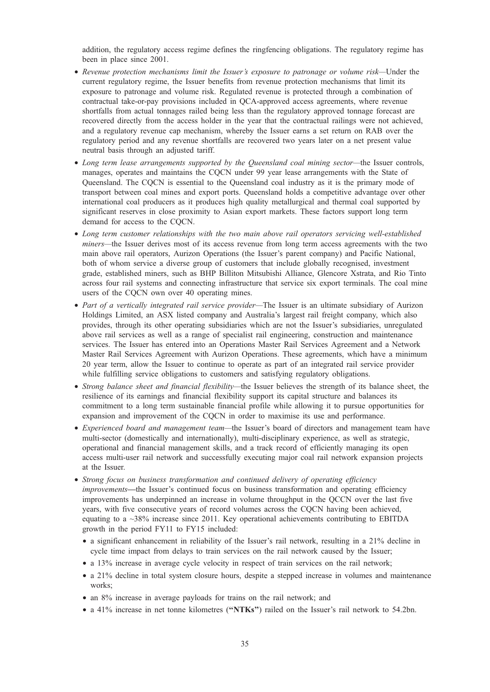addition, the regulatory access regime defines the ringfencing obligations. The regulatory regime has been in place since 2001.

- Revenue protection mechanisms limit the Issuer's exposure to patronage or volume risk—Under the current regulatory regime, the Issuer benefits from revenue protection mechanisms that limit its exposure to patronage and volume risk. Regulated revenue is protected through a combination of contractual take-or-pay provisions included in QCA-approved access agreements, where revenue shortfalls from actual tonnages railed being less than the regulatory approved tonnage forecast are recovered directly from the access holder in the year that the contractual railings were not achieved, and a regulatory revenue cap mechanism, whereby the Issuer earns a set return on RAB over the regulatory period and any revenue shortfalls are recovered two years later on a net present value neutral basis through an adjusted tariff.
- Long term lease arrangements supported by the Queensland coal mining sector—the Issuer controls, manages, operates and maintains the CQCN under 99 year lease arrangements with the State of Queensland. The CQCN is essential to the Queensland coal industry as it is the primary mode of transport between coal mines and export ports. Queensland holds a competitive advantage over other international coal producers as it produces high quality metallurgical and thermal coal supported by significant reserves in close proximity to Asian export markets. These factors support long term demand for access to the COCN.
- Long term customer relationships with the two main above rail operators servicing well-established miners—the Issuer derives most of its access revenue from long term access agreements with the two main above rail operators, Aurizon Operations (the Issuer's parent company) and Pacific National, both of whom service a diverse group of customers that include globally recognised, investment grade, established miners, such as BHP Billiton Mitsubishi Alliance, Glencore Xstrata, and Rio Tinto across four rail systems and connecting infrastructure that service six export terminals. The coal mine users of the CQCN own over 40 operating mines.
- Part of a vertically integrated rail service provider—The Issuer is an ultimate subsidiary of Aurizon Holdings Limited, an ASX listed company and Australia's largest rail freight company, which also provides, through its other operating subsidiaries which are not the Issuer's subsidiaries, unregulated above rail services as well as a range of specialist rail engineering, construction and maintenance services. The Issuer has entered into an Operations Master Rail Services Agreement and a Network Master Rail Services Agreement with Aurizon Operations. These agreements, which have a minimum 20 year term, allow the Issuer to continue to operate as part of an integrated rail service provider while fulfilling service obligations to customers and satisfying regulatory obligations.
- Strong balance sheet and financial flexibility—the Issuer believes the strength of its balance sheet, the resilience of its earnings and financial flexibility support its capital structure and balances its commitment to a long term sustainable financial profile while allowing it to pursue opportunities for expansion and improvement of the CQCN in order to maximise its use and performance.
- Experienced board and management team—the Issuer's board of directors and management team have multi-sector (domestically and internationally), multi-disciplinary experience, as well as strategic, operational and financial management skills, and a track record of efficiently managing its open access multi-user rail network and successfully executing major coal rail network expansion projects at the Issuer.
- Strong focus on business transformation and continued delivery of operating efficiency improvements—the Issuer's continued focus on business transformation and operating efficiency improvements has underpinned an increase in volume throughput in the QCCN over the last five years, with five consecutive years of record volumes across the CQCN having been achieved, equating to a ~38% increase since 2011. Key operational achievements contributing to EBITDA growth in the period FY11 to FY15 included:
	- a significant enhancement in reliability of the Issuer's rail network, resulting in a 21% decline in cycle time impact from delays to train services on the rail network caused by the Issuer;
	- a 13% increase in average cycle velocity in respect of train services on the rail network;
	- a 21% decline in total system closure hours, despite a stepped increase in volumes and maintenance works;
	- an 8% increase in average payloads for trains on the rail network; and
	- a 41% increase in net tonne kilometres ("NTKs") railed on the Issuer's rail network to 54.2bn.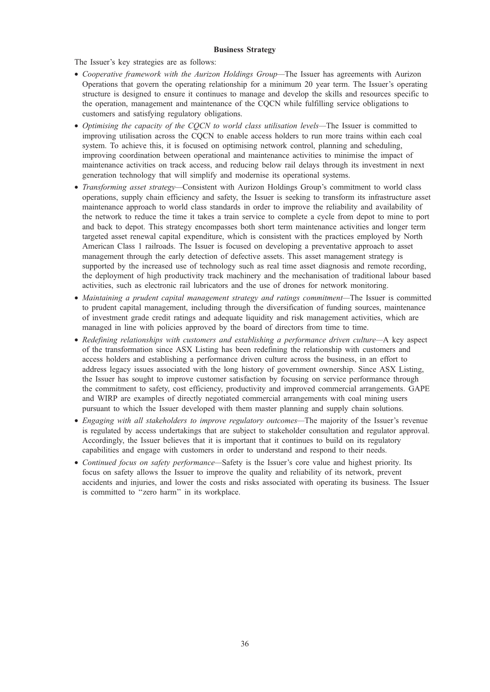# Business Strategy

The Issuer's key strategies are as follows:

- Cooperative framework with the Aurizon Holdings Group—The Issuer has agreements with Aurizon Operations that govern the operating relationship for a minimum 20 year term. The Issuer's operating structure is designed to ensure it continues to manage and develop the skills and resources specific to the operation, management and maintenance of the CQCN while fulfilling service obligations to customers and satisfying regulatory obligations.
- Optimising the capacity of the CQCN to world class utilisation levels—The Issuer is committed to improving utilisation across the CQCN to enable access holders to run more trains within each coal system. To achieve this, it is focused on optimising network control, planning and scheduling, improving coordination between operational and maintenance activities to minimise the impact of maintenance activities on track access, and reducing below rail delays through its investment in next generation technology that will simplify and modernise its operational systems.
- *Transforming asset strategy*—Consistent with Aurizon Holdings Group's commitment to world class operations, supply chain efficiency and safety, the Issuer is seeking to transform its infrastructure asset maintenance approach to world class standards in order to improve the reliability and availability of the network to reduce the time it takes a train service to complete a cycle from depot to mine to port and back to depot. This strategy encompasses both short term maintenance activities and longer term targeted asset renewal capital expenditure, which is consistent with the practices employed by North American Class 1 railroads. The Issuer is focused on developing a preventative approach to asset management through the early detection of defective assets. This asset management strategy is supported by the increased use of technology such as real time asset diagnosis and remote recording, the deployment of high productivity track machinery and the mechanisation of traditional labour based activities, such as electronic rail lubricators and the use of drones for network monitoring.
- Maintaining a prudent capital management strategy and ratings commitment—The Issuer is committed to prudent capital management, including through the diversification of funding sources, maintenance of investment grade credit ratings and adequate liquidity and risk management activities, which are managed in line with policies approved by the board of directors from time to time.
- Redefining relationships with customers and establishing a performance driven culture—A key aspect of the transformation since ASX Listing has been redefining the relationship with customers and access holders and establishing a performance driven culture across the business, in an effort to address legacy issues associated with the long history of government ownership. Since ASX Listing, the Issuer has sought to improve customer satisfaction by focusing on service performance through the commitment to safety, cost efficiency, productivity and improved commercial arrangements. GAPE and WIRP are examples of directly negotiated commercial arrangements with coal mining users pursuant to which the Issuer developed with them master planning and supply chain solutions.
- Engaging with all stakeholders to improve regulatory outcomes—The majority of the Issuer's revenue is regulated by access undertakings that are subject to stakeholder consultation and regulator approval. Accordingly, the Issuer believes that it is important that it continues to build on its regulatory capabilities and engage with customers in order to understand and respond to their needs.
- Continued focus on safety performance—Safety is the Issuer's core value and highest priority. Its focus on safety allows the Issuer to improve the quality and reliability of its network, prevent accidents and injuries, and lower the costs and risks associated with operating its business. The Issuer is committed to ''zero harm'' in its workplace.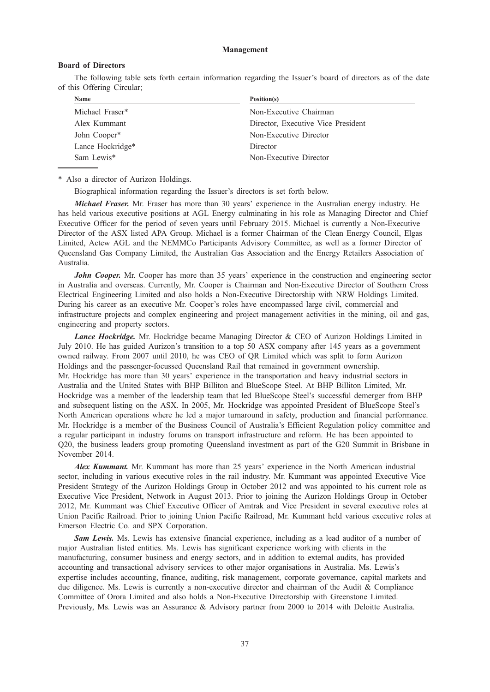#### Management

## Board of Directors

The following table sets forth certain information regarding the Issuer's board of directors as of the date of this Offering Circular;

| Name                     | Position(s)                        |
|--------------------------|------------------------------------|
| Michael Fraser*          | Non-Executive Chairman             |
| Alex Kummant             | Director, Executive Vice President |
| John Cooper <sup>*</sup> | Non-Executive Director             |
| Lance Hockridge*         | Director                           |
| Sam Lewis <sup>*</sup>   | Non-Executive Director             |
|                          |                                    |

\* Also a director of Aurizon Holdings.

Biographical information regarding the Issuer's directors is set forth below.

Michael Fraser. Mr. Fraser has more than 30 years' experience in the Australian energy industry. He has held various executive positions at AGL Energy culminating in his role as Managing Director and Chief Executive Officer for the period of seven years until February 2015. Michael is currently a Non-Executive Director of the ASX listed APA Group. Michael is a former Chairman of the Clean Energy Council, Elgas Limited, Actew AGL and the NEMMCo Participants Advisory Committee, as well as a former Director of Queensland Gas Company Limited, the Australian Gas Association and the Energy Retailers Association of Australia.

John Cooper. Mr. Cooper has more than 35 years' experience in the construction and engineering sector in Australia and overseas. Currently, Mr. Cooper is Chairman and Non-Executive Director of Southern Cross Electrical Engineering Limited and also holds a Non-Executive Directorship with NRW Holdings Limited. During his career as an executive Mr. Cooper's roles have encompassed large civil, commercial and infrastructure projects and complex engineering and project management activities in the mining, oil and gas, engineering and property sectors.

Lance Hockridge. Mr. Hockridge became Managing Director & CEO of Aurizon Holdings Limited in July 2010. He has guided Aurizon's transition to a top 50 ASX company after 145 years as a government owned railway. From 2007 until 2010, he was CEO of QR Limited which was split to form Aurizon Holdings and the passenger-focussed Queensland Rail that remained in government ownership. Mr. Hockridge has more than 30 years' experience in the transportation and heavy industrial sectors in Australia and the United States with BHP Billiton and BlueScope Steel. At BHP Billiton Limited, Mr. Hockridge was a member of the leadership team that led BlueScope Steel's successful demerger from BHP and subsequent listing on the ASX. In 2005, Mr. Hockridge was appointed President of BlueScope Steel's North American operations where he led a major turnaround in safety, production and financial performance. Mr. Hockridge is a member of the Business Council of Australia's Efficient Regulation policy committee and a regular participant in industry forums on transport infrastructure and reform. He has been appointed to Q20, the business leaders group promoting Queensland investment as part of the G20 Summit in Brisbane in November 2014.

Alex Kummant. Mr. Kummant has more than 25 years' experience in the North American industrial sector, including in various executive roles in the rail industry. Mr. Kummant was appointed Executive Vice President Strategy of the Aurizon Holdings Group in October 2012 and was appointed to his current role as Executive Vice President, Network in August 2013. Prior to joining the Aurizon Holdings Group in October 2012, Mr. Kummant was Chief Executive Officer of Amtrak and Vice President in several executive roles at Union Pacific Railroad. Prior to joining Union Pacific Railroad, Mr. Kummant held various executive roles at Emerson Electric Co. and SPX Corporation.

Sam Lewis. Ms. Lewis has extensive financial experience, including as a lead auditor of a number of major Australian listed entities. Ms. Lewis has significant experience working with clients in the manufacturing, consumer business and energy sectors, and in addition to external audits, has provided accounting and transactional advisory services to other major organisations in Australia. Ms. Lewis's expertise includes accounting, finance, auditing, risk management, corporate governance, capital markets and due diligence. Ms. Lewis is currently a non-executive director and chairman of the Audit & Compliance Committee of Orora Limited and also holds a Non-Executive Directorship with Greenstone Limited. Previously, Ms. Lewis was an Assurance & Advisory partner from 2000 to 2014 with Deloitte Australia.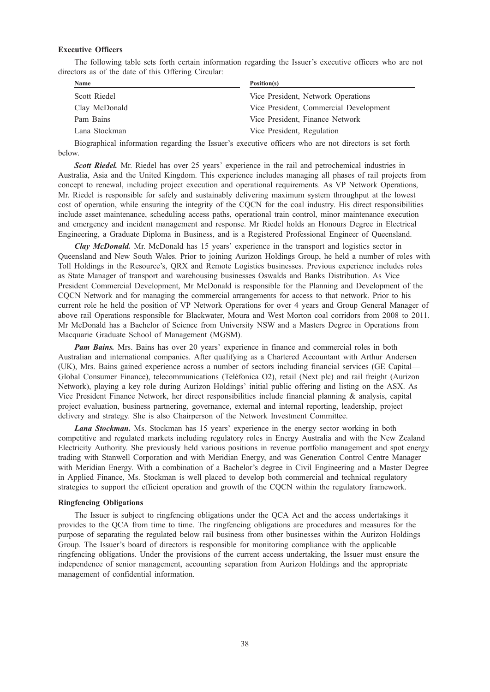# Executive Officers

The following table sets forth certain information regarding the Issuer's executive officers who are not directors as of the date of this Offering Circular:

| <b>Name</b><br>Position(s)                                                                                                                                                                                                                                                                       |                                                                                                                                                                                                                                                                                                                                                                           |
|--------------------------------------------------------------------------------------------------------------------------------------------------------------------------------------------------------------------------------------------------------------------------------------------------|---------------------------------------------------------------------------------------------------------------------------------------------------------------------------------------------------------------------------------------------------------------------------------------------------------------------------------------------------------------------------|
| Scott Riedel                                                                                                                                                                                                                                                                                     | Vice President, Network Operations                                                                                                                                                                                                                                                                                                                                        |
| Clay McDonald                                                                                                                                                                                                                                                                                    | Vice President, Commercial Development                                                                                                                                                                                                                                                                                                                                    |
| Pam Bains                                                                                                                                                                                                                                                                                        | Vice President, Finance Network                                                                                                                                                                                                                                                                                                                                           |
| Lana Stockman                                                                                                                                                                                                                                                                                    | Vice President, Regulation                                                                                                                                                                                                                                                                                                                                                |
| $\mathbf{r}$ and $\mathbf{r}$ and $\mathbf{r}$ and $\mathbf{r}$ and $\mathbf{r}$ and $\mathbf{r}$ and $\mathbf{r}$ and $\mathbf{r}$ and $\mathbf{r}$ and $\mathbf{r}$ and $\mathbf{r}$ and $\mathbf{r}$ and $\mathbf{r}$ and $\mathbf{r}$ and $\mathbf{r}$ and $\mathbf{r}$ and $\mathbf{r}$ and | $\sim$ 1 $\sim$ 1 $\sim$ 1 $\sim$ 1<br>$\mathbf{1}$ $\mathbf{1}$ $\mathbf{1}$ $\mathbf{1}$ $\mathbf{1}$ $\mathbf{1}$ $\mathbf{1}$ $\mathbf{1}$ $\mathbf{1}$ $\mathbf{1}$ $\mathbf{1}$ $\mathbf{1}$ $\mathbf{1}$ $\mathbf{1}$ $\mathbf{1}$ $\mathbf{1}$ $\mathbf{1}$ $\mathbf{1}$ $\mathbf{1}$ $\mathbf{1}$ $\mathbf{1}$ $\mathbf{1}$ $\mathbf{1}$ $\mathbf{1}$ $\mathbf{$ |

Biographical information regarding the Issuer's executive officers who are not directors is set forth below.

Scott Riedel. Mr. Riedel has over 25 years' experience in the rail and petrochemical industries in Australia, Asia and the United Kingdom. This experience includes managing all phases of rail projects from concept to renewal, including project execution and operational requirements. As VP Network Operations, Mr. Riedel is responsible for safely and sustainably delivering maximum system throughput at the lowest cost of operation, while ensuring the integrity of the CQCN for the coal industry. His direct responsibilities include asset maintenance, scheduling access paths, operational train control, minor maintenance execution and emergency and incident management and response. Mr Riedel holds an Honours Degree in Electrical Engineering, a Graduate Diploma in Business, and is a Registered Professional Engineer of Queensland.

Clay McDonald. Mr. McDonald has 15 years' experience in the transport and logistics sector in Queensland and New South Wales. Prior to joining Aurizon Holdings Group, he held a number of roles with Toll Holdings in the Resource's, QRX and Remote Logistics businesses. Previous experience includes roles as State Manager of transport and warehousing businesses Oswalds and Banks Distribution. As Vice President Commercial Development, Mr McDonald is responsible for the Planning and Development of the CQCN Network and for managing the commercial arrangements for access to that network. Prior to his current role he held the position of VP Network Operations for over 4 years and Group General Manager of above rail Operations responsible for Blackwater, Moura and West Morton coal corridors from 2008 to 2011. Mr McDonald has a Bachelor of Science from University NSW and a Masters Degree in Operations from Macquarie Graduate School of Management (MGSM).

**Pam Bains.** Mrs. Bains has over 20 years' experience in finance and commercial roles in both Australian and international companies. After qualifying as a Chartered Accountant with Arthur Andersen (UK), Mrs. Bains gained experience across a number of sectors including financial services (GE Capital— Global Consumer Finance), telecommunications (Teléfonica O2), retail (Next plc) and rail freight (Aurizon Network), playing a key role during Aurizon Holdings' initial public offering and listing on the ASX. As Vice President Finance Network, her direct responsibilities include financial planning & analysis, capital project evaluation, business partnering, governance, external and internal reporting, leadership, project delivery and strategy. She is also Chairperson of the Network Investment Committee.

Lana Stockman. Ms. Stockman has 15 years' experience in the energy sector working in both competitive and regulated markets including regulatory roles in Energy Australia and with the New Zealand Electricity Authority. She previously held various positions in revenue portfolio management and spot energy trading with Stanwell Corporation and with Meridian Energy, and was Generation Control Centre Manager with Meridian Energy. With a combination of a Bachelor's degree in Civil Engineering and a Master Degree in Applied Finance, Ms. Stockman is well placed to develop both commercial and technical regulatory strategies to support the efficient operation and growth of the CQCN within the regulatory framework.

#### Ringfencing Obligations

The Issuer is subject to ringfencing obligations under the QCA Act and the access undertakings it provides to the QCA from time to time. The ringfencing obligations are procedures and measures for the purpose of separating the regulated below rail business from other businesses within the Aurizon Holdings Group. The Issuer's board of directors is responsible for monitoring compliance with the applicable ringfencing obligations. Under the provisions of the current access undertaking, the Issuer must ensure the independence of senior management, accounting separation from Aurizon Holdings and the appropriate management of confidential information.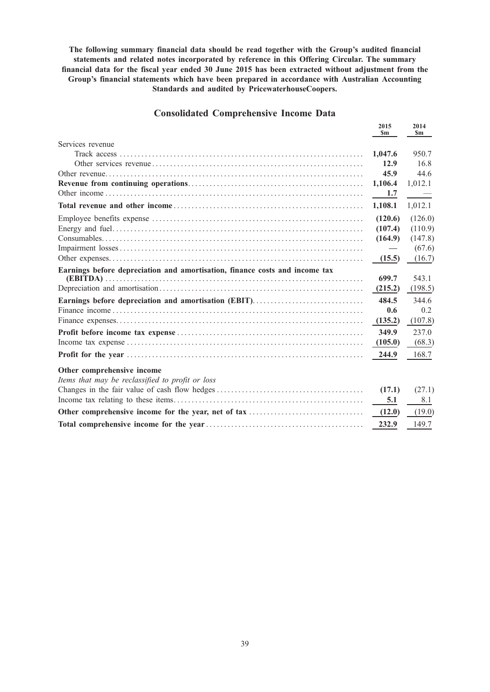The following summary financial data should be read together with the Group's audited financial statements and related notes incorporated by reference in this Offering Circular. The summary financial data for the fiscal year ended 30 June 2015 has been extracted without adjustment from the Group's financial statements which have been prepared in accordance with Australian Accounting Standards and audited by PricewaterhouseCoopers.

# Consolidated Comprehensive Income Data

|                                                                             | 2015<br>$\mathbf{Sm}$ | 2014<br>Sm |
|-----------------------------------------------------------------------------|-----------------------|------------|
| Services revenue                                                            |                       |            |
|                                                                             | 1,047.6               | 950.7      |
|                                                                             | 12.9                  | 16.8       |
|                                                                             | 45.9                  | 44.6       |
|                                                                             | 1,106.4               | 1,012.1    |
|                                                                             | 1.7                   |            |
|                                                                             | 1,108.1               | 1,012.1    |
|                                                                             | (120.6)               | (126.0)    |
|                                                                             | (107.4)               | (110.9)    |
|                                                                             | (164.9)               | (147.8)    |
|                                                                             |                       | (67.6)     |
|                                                                             | (15.5)                | (16.7)     |
| Earnings before depreciation and amortisation, finance costs and income tax |                       |            |
|                                                                             | 699.7                 | 543.1      |
|                                                                             | (215.2)               | (198.5)    |
| Earnings before depreciation and amortisation (EBIT)                        | 484.5                 | 344.6      |
|                                                                             | 0.6                   | 0.2        |
|                                                                             | (135.2)               | (107.8)    |
|                                                                             | 349.9                 | 237.0      |
|                                                                             | (105.0)               | (68.3)     |
|                                                                             | 244.9                 | 168.7      |
| Other comprehensive income                                                  |                       |            |
| Items that may be reclassified to profit or loss                            |                       |            |
|                                                                             | (17.1)                | (27.1)     |
|                                                                             | 5.1                   | 8.1        |
|                                                                             | (12.0)                | (19.0)     |
|                                                                             | 232.9                 | 149.7      |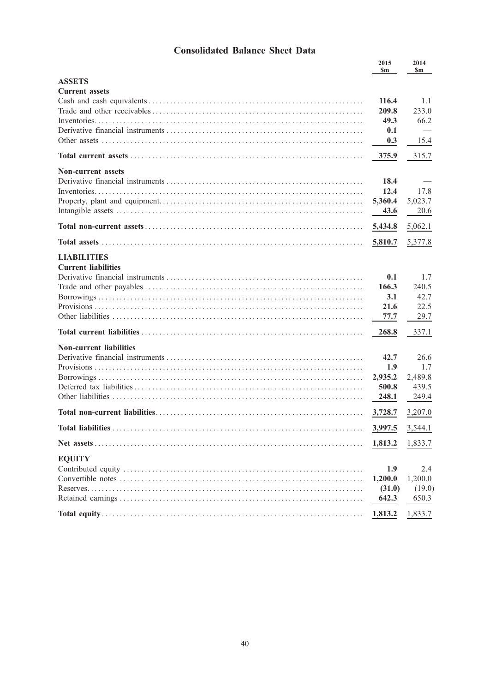# **Consolidated Balance Sheet Data**

|                                | 2015<br><b>Sm</b> | 2014<br><b>Sm</b> |
|--------------------------------|-------------------|-------------------|
| <b>ASSETS</b>                  |                   |                   |
| <b>Current assets</b>          |                   |                   |
|                                | 116.4             | 1.1               |
|                                | 209.8             | 233.0             |
|                                | 49.3              | 66.2              |
|                                | 0.1               |                   |
|                                | 0.3               | 15.4              |
|                                | 375.9             | 315.7             |
| <b>Non-current assets</b>      |                   |                   |
|                                | 18.4              |                   |
|                                | 12.4              | 17.8              |
|                                | 5,360.4           | 5,023.7           |
|                                | 43.6              | 20.6              |
|                                | 5,434.8           | 5,062.1           |
|                                | 5,810.7           | 5,377.8           |
| <b>LIABILITIES</b>             |                   |                   |
| <b>Current liabilities</b>     |                   |                   |
|                                | 0.1               | 1.7               |
|                                | 166.3             | 240.5             |
|                                | 3.1               | 42.7              |
|                                | 21.6              | 22.5              |
|                                | 77.7              | 29.7              |
|                                | 268.8             | 337.1             |
| <b>Non-current liabilities</b> |                   |                   |
|                                | 42.7              | 26.6              |
|                                | 1.9               | 1.7               |
|                                | 2,935.2           | 2,489.8           |
|                                | 500.8             | 439.5             |
|                                | 248.1             | 249.4             |
|                                | 3,728.7           | 3,207.0           |
| <b>Total liabilities</b>       | 3,997.5           | 3,544.1           |
|                                | 1,813.2           | 1,833.7           |
| <b>EQUITY</b>                  |                   |                   |
|                                | 1.9               | 2.4               |
|                                | 1,200.0           | 1,200.0           |
|                                | (31.0)            | (19.0)            |
|                                | 642.3             | 650.3             |
|                                | 1,813.2           | 1,833.7           |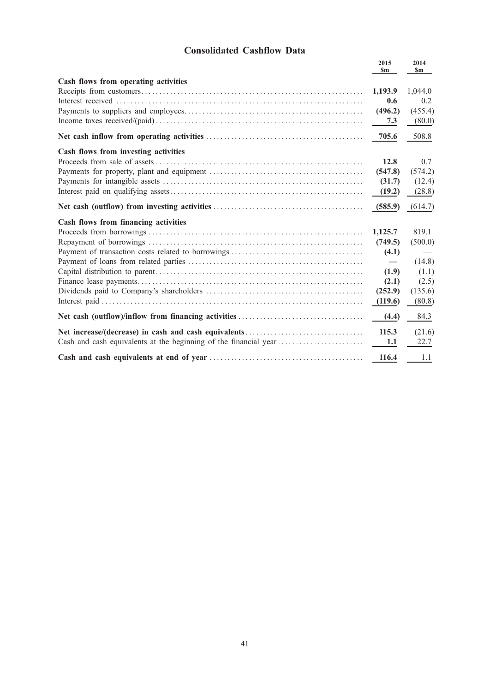# Consolidated Cashflow Data

|                                      | 2015<br><b>Sm</b> | 2014<br>$\mathbf{Sm}$ |
|--------------------------------------|-------------------|-----------------------|
| Cash flows from operating activities |                   |                       |
|                                      | 1,193.9           | 1,044.0               |
|                                      | 0.6               | 0.2                   |
|                                      | (496.2)           | (455.4)               |
|                                      | 7.3               | (80.0)                |
|                                      | 705.6             | 508.8                 |
| Cash flows from investing activities |                   |                       |
|                                      | 12.8              | 0.7                   |
|                                      | (547.8)           | (574.2)               |
|                                      | (31.7)            | (12.4)                |
|                                      | (19.2)            | (28.8)                |
|                                      | (585.9)           | (614.7)               |
| Cash flows from financing activities |                   |                       |
|                                      | 1,125.7           | 819.1                 |
|                                      | (749.5)           | (500.0)               |
|                                      | (4.1)             |                       |
|                                      |                   | (14.8)                |
|                                      | (1.9)             | (1.1)                 |
|                                      | (2.1)             | (2.5)                 |
|                                      | (252.9)           | (135.6)               |
|                                      | (119.6)           | (80.8)                |
|                                      | (4.4)             | 84.3                  |
|                                      | 115.3             | (21.6)                |
|                                      | 1.1               | 22.7                  |
|                                      | 116.4             | 1.1                   |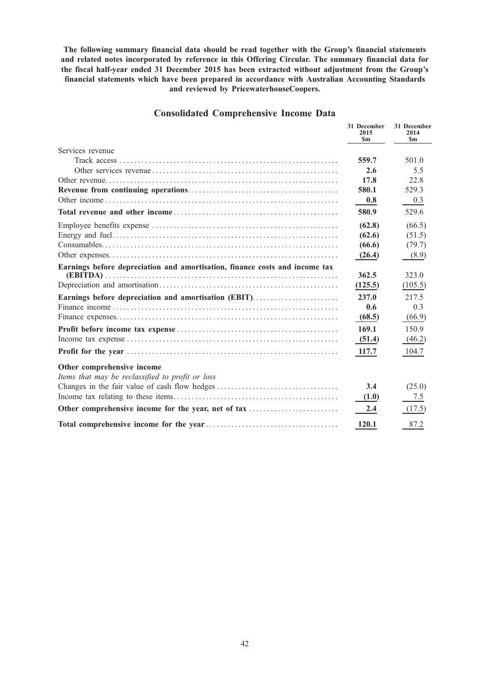The following summary financial data should be read together with the Group's financial statements and related notes incorporated by reference in this Offering Circular. The summary financial data for the fiscal half-year ended 31 December 2015 has been extracted without adjustment from the Group's financial statements which have been prepared in accordance with Australian Accounting Standards and reviewed by PricewaterhouseCoopers.

# Consolidated Comprehensive Income Data

|                                                                             | 31 December<br>2015<br>\$m | 31 December<br>2014<br><b>Sm</b> |
|-----------------------------------------------------------------------------|----------------------------|----------------------------------|
| Services revenue                                                            |                            |                                  |
|                                                                             | 559.7                      | 501.0                            |
|                                                                             | 2.6                        | 5.5                              |
|                                                                             | 17.8                       | 22.8                             |
|                                                                             | 580.1                      | 529.3                            |
|                                                                             | 0.8                        | 0.3                              |
|                                                                             | 580.9                      | 529.6                            |
|                                                                             | (62.8)                     | (66.5)                           |
|                                                                             | (62.6)                     | (51.5)                           |
|                                                                             | (66.6)                     | (79.7)                           |
|                                                                             | (26.4)                     | (8.9)                            |
| Earnings before depreciation and amortisation, finance costs and income tax |                            |                                  |
|                                                                             | 362.5                      | 323.0                            |
|                                                                             | (125.5)                    | (105.5)                          |
| Earnings before depreciation and amortisation (EBIT)                        | 237.0                      | 217.5                            |
|                                                                             | 0.6                        | 0.3                              |
|                                                                             | (68.5)                     | (66.9)                           |
|                                                                             | 169.1                      | 150.9                            |
|                                                                             | (51.4)                     | (46.2)                           |
|                                                                             | 117.7                      | 104.7                            |
| Other comprehensive income                                                  |                            |                                  |
| Items that may be reclassified to profit or loss                            |                            |                                  |
|                                                                             | 3.4                        | (25.0)                           |
|                                                                             | (1.0)                      | 7.5                              |
| Other comprehensive income for the year, net of tax                         | 2.4                        | (17.5)                           |
|                                                                             | 120.1                      | 87.2                             |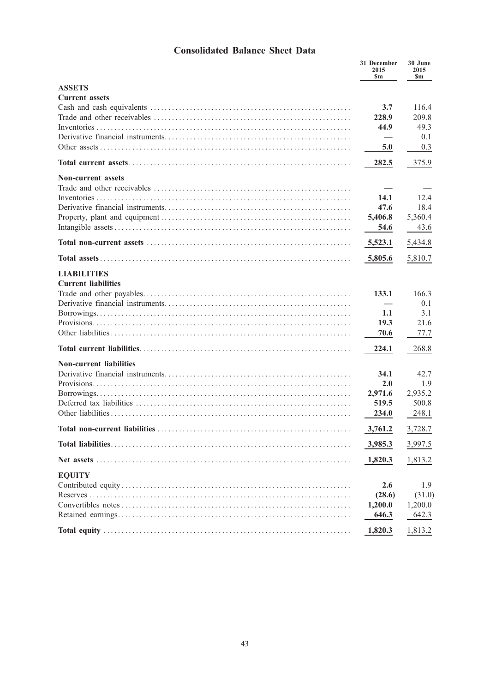# Consolidated Balance Sheet Data

|                                                  | 31 December<br>2015<br>\$m | 30 June<br>2015<br>\$m |
|--------------------------------------------------|----------------------------|------------------------|
| <b>ASSETS</b>                                    |                            |                        |
| <b>Current assets</b>                            | 3.7<br>228.9<br>44.9       | 116.4<br>209.8<br>49.3 |
|                                                  |                            | 0.1                    |
|                                                  | 5.0                        | 0.3                    |
|                                                  | 282.5                      | 375.9                  |
| <b>Non-current assets</b>                        |                            |                        |
|                                                  | 14.1<br>47.6               | 12.4<br>18.4           |
|                                                  | 5,406.8                    | 5,360.4                |
|                                                  | 54.6                       | 43.6                   |
|                                                  | 5,523.1                    | 5,434.8                |
|                                                  | 5,805.6                    | 5,810.7                |
| <b>LIABILITIES</b><br><b>Current liabilities</b> | 133.1                      | 166.3<br>0.1           |
|                                                  | 1.1<br>19.3                | 3.1<br>21.6            |
|                                                  | 70.6                       | 77.7                   |
|                                                  | 224.1                      | 268.8                  |
| <b>Non-current liabilities</b>                   | 34.1                       | 42.7                   |
|                                                  | 2.0                        | 1.9                    |
|                                                  | 2,971.6                    | 2,935.2                |
|                                                  | 519.5                      | 500.8                  |
|                                                  | 234.0                      | 248.1                  |
| <b>Total non-current liabilities</b>             | 3,761.2                    | 3,728.7                |
|                                                  | 3,985.3                    | 3,997.5                |
|                                                  | 1,820.3                    | 1,813.2                |
| <b>EQUITY</b>                                    | 2.6                        | 1.9                    |
|                                                  | (28.6)                     | (31.0)                 |
|                                                  | 1,200.0                    | 1,200.0                |
|                                                  | 646.3                      | 642.3                  |
|                                                  | 1,820.3                    | 1,813.2                |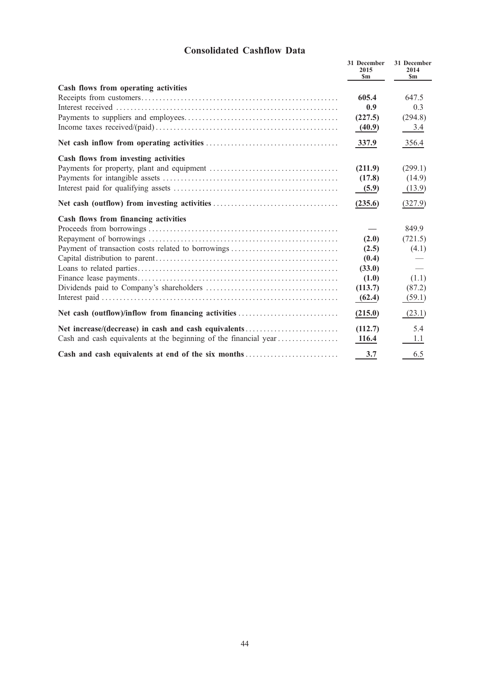# Consolidated Cashflow Data

|                                                                  | 31 December<br>2015<br>\$m | 31 December<br>2014<br><b>Sm</b> |
|------------------------------------------------------------------|----------------------------|----------------------------------|
| Cash flows from operating activities                             |                            |                                  |
|                                                                  | 605.4                      | 647.5                            |
|                                                                  | 0.9                        | 0.3                              |
|                                                                  | (227.5)                    | (294.8)                          |
|                                                                  | (40.9)                     | 3.4                              |
|                                                                  | 337.9                      | 356.4                            |
| Cash flows from investing activities                             |                            |                                  |
|                                                                  | (211.9)                    | (299.1)                          |
|                                                                  | (17.8)                     | (14.9)                           |
|                                                                  | (5.9)                      | (13.9)                           |
|                                                                  | (235.6)                    | (327.9)                          |
| Cash flows from financing activities                             |                            |                                  |
|                                                                  |                            | 849.9                            |
|                                                                  | (2.0)                      | (721.5)                          |
| Payment of transaction costs related to borrowings               | (2.5)                      | (4.1)                            |
|                                                                  | (0.4)                      |                                  |
|                                                                  | (33.0)                     |                                  |
|                                                                  | (1.0)                      | (1.1)                            |
|                                                                  | (113.7)                    | (87.2)                           |
|                                                                  | (62.4)                     | (59.1)                           |
| Net cash (outflow)/inflow from financing activities              | (215.0)                    | (23.1)                           |
| Net increase/(decrease) in cash and cash equivalents             | (112.7)                    | 5.4                              |
| Cash and cash equivalents at the beginning of the financial year | 116.4                      | 1.1                              |
| Cash and cash equivalents at end of the six months               | 3.7                        | 6.5                              |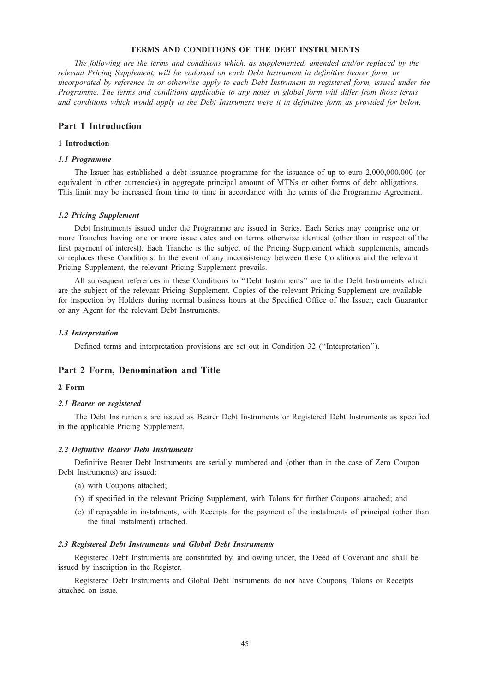# TERMS AND CONDITIONS OF THE DEBT INSTRUMENTS

The following are the terms and conditions which, as supplemented, amended and/or replaced by the relevant Pricing Supplement, will be endorsed on each Debt Instrument in definitive bearer form, or incorporated by reference in or otherwise apply to each Debt Instrument in registered form, issued under the Programme. The terms and conditions applicable to any notes in global form will differ from those terms and conditions which would apply to the Debt Instrument were it in definitive form as provided for below.

# Part 1 Introduction

# 1 Introduction

#### 1.1 Programme

The Issuer has established a debt issuance programme for the issuance of up to euro 2,000,000,000 (or equivalent in other currencies) in aggregate principal amount of MTNs or other forms of debt obligations. This limit may be increased from time to time in accordance with the terms of the Programme Agreement.

## 1.2 Pricing Supplement

Debt Instruments issued under the Programme are issued in Series. Each Series may comprise one or more Tranches having one or more issue dates and on terms otherwise identical (other than in respect of the first payment of interest). Each Tranche is the subject of the Pricing Supplement which supplements, amends or replaces these Conditions. In the event of any inconsistency between these Conditions and the relevant Pricing Supplement, the relevant Pricing Supplement prevails.

All subsequent references in these Conditions to ''Debt Instruments'' are to the Debt Instruments which are the subject of the relevant Pricing Supplement. Copies of the relevant Pricing Supplement are available for inspection by Holders during normal business hours at the Specified Office of the Issuer, each Guarantor or any Agent for the relevant Debt Instruments.

#### 1.3 Interpretation

Defined terms and interpretation provisions are set out in Condition 32 (''Interpretation'').

# Part 2 Form, Denomination and Title

#### 2 Form

## 2.1 Bearer or registered

The Debt Instruments are issued as Bearer Debt Instruments or Registered Debt Instruments as specified in the applicable Pricing Supplement.

#### 2.2 Definitive Bearer Debt Instruments

Definitive Bearer Debt Instruments are serially numbered and (other than in the case of Zero Coupon Debt Instruments) are issued:

- (a) with Coupons attached;
- (b) if specified in the relevant Pricing Supplement, with Talons for further Coupons attached; and
- (c) if repayable in instalments, with Receipts for the payment of the instalments of principal (other than the final instalment) attached.

## 2.3 Registered Debt Instruments and Global Debt Instruments

Registered Debt Instruments are constituted by, and owing under, the Deed of Covenant and shall be issued by inscription in the Register.

Registered Debt Instruments and Global Debt Instruments do not have Coupons, Talons or Receipts attached on issue.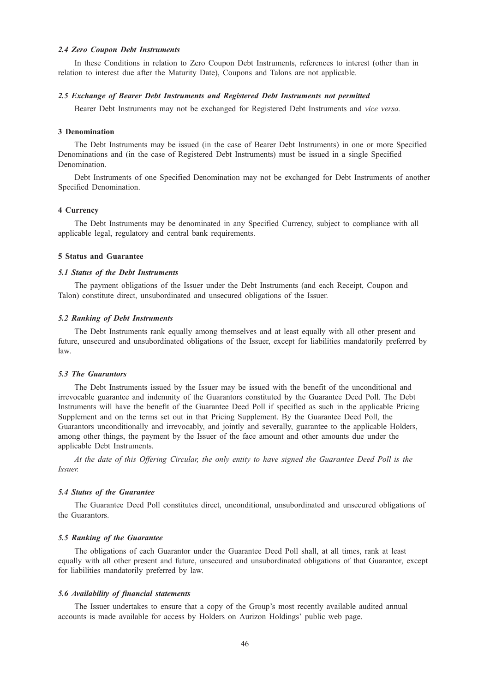## 2.4 Zero Coupon Debt Instruments

In these Conditions in relation to Zero Coupon Debt Instruments, references to interest (other than in relation to interest due after the Maturity Date), Coupons and Talons are not applicable.

# 2.5 Exchange of Bearer Debt Instruments and Registered Debt Instruments not permitted

Bearer Debt Instruments may not be exchanged for Registered Debt Instruments and vice versa.

## 3 Denomination

The Debt Instruments may be issued (in the case of Bearer Debt Instruments) in one or more Specified Denominations and (in the case of Registered Debt Instruments) must be issued in a single Specified Denomination.

Debt Instruments of one Specified Denomination may not be exchanged for Debt Instruments of another Specified Denomination.

# 4 Currency

The Debt Instruments may be denominated in any Specified Currency, subject to compliance with all applicable legal, regulatory and central bank requirements.

## 5 Status and Guarantee

#### 5.1 Status of the Debt Instruments

The payment obligations of the Issuer under the Debt Instruments (and each Receipt, Coupon and Talon) constitute direct, unsubordinated and unsecured obligations of the Issuer.

## 5.2 Ranking of Debt Instruments

The Debt Instruments rank equally among themselves and at least equally with all other present and future, unsecured and unsubordinated obligations of the Issuer, except for liabilities mandatorily preferred by law.

# 5.3 The Guarantors

The Debt Instruments issued by the Issuer may be issued with the benefit of the unconditional and irrevocable guarantee and indemnity of the Guarantors constituted by the Guarantee Deed Poll. The Debt Instruments will have the benefit of the Guarantee Deed Poll if specified as such in the applicable Pricing Supplement and on the terms set out in that Pricing Supplement. By the Guarantee Deed Poll, the Guarantors unconditionally and irrevocably, and jointly and severally, guarantee to the applicable Holders, among other things, the payment by the Issuer of the face amount and other amounts due under the applicable Debt Instruments.

At the date of this Offering Circular, the only entity to have signed the Guarantee Deed Poll is the Issuer.

#### 5.4 Status of the Guarantee

The Guarantee Deed Poll constitutes direct, unconditional, unsubordinated and unsecured obligations of the Guarantors.

## 5.5 Ranking of the Guarantee

The obligations of each Guarantor under the Guarantee Deed Poll shall, at all times, rank at least equally with all other present and future, unsecured and unsubordinated obligations of that Guarantor, except for liabilities mandatorily preferred by law.

#### 5.6 Availability of financial statements

The Issuer undertakes to ensure that a copy of the Group's most recently available audited annual accounts is made available for access by Holders on Aurizon Holdings' public web page.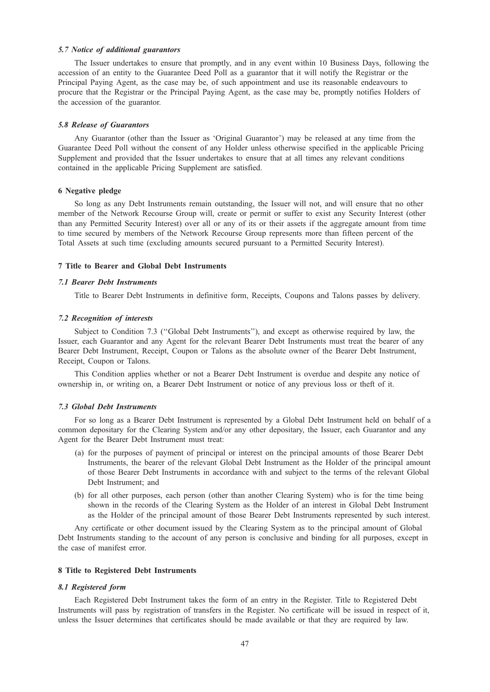## 5.7 Notice of additional guarantors

The Issuer undertakes to ensure that promptly, and in any event within 10 Business Days, following the accession of an entity to the Guarantee Deed Poll as a guarantor that it will notify the Registrar or the Principal Paying Agent, as the case may be, of such appointment and use its reasonable endeavours to procure that the Registrar or the Principal Paying Agent, as the case may be, promptly notifies Holders of the accession of the guarantor.

# 5.8 Release of Guarantors

Any Guarantor (other than the Issuer as 'Original Guarantor') may be released at any time from the Guarantee Deed Poll without the consent of any Holder unless otherwise specified in the applicable Pricing Supplement and provided that the Issuer undertakes to ensure that at all times any relevant conditions contained in the applicable Pricing Supplement are satisfied.

## 6 Negative pledge

So long as any Debt Instruments remain outstanding, the Issuer will not, and will ensure that no other member of the Network Recourse Group will, create or permit or suffer to exist any Security Interest (other than any Permitted Security Interest) over all or any of its or their assets if the aggregate amount from time to time secured by members of the Network Recourse Group represents more than fifteen percent of the Total Assets at such time (excluding amounts secured pursuant to a Permitted Security Interest).

### 7 Title to Bearer and Global Debt Instruments

## 7.1 Bearer Debt Instruments

Title to Bearer Debt Instruments in definitive form, Receipts, Coupons and Talons passes by delivery.

## 7.2 Recognition of interests

Subject to Condition 7.3 ("Global Debt Instruments"), and except as otherwise required by law, the Issuer, each Guarantor and any Agent for the relevant Bearer Debt Instruments must treat the bearer of any Bearer Debt Instrument, Receipt, Coupon or Talons as the absolute owner of the Bearer Debt Instrument, Receipt, Coupon or Talons.

This Condition applies whether or not a Bearer Debt Instrument is overdue and despite any notice of ownership in, or writing on, a Bearer Debt Instrument or notice of any previous loss or theft of it.

#### 7.3 Global Debt Instruments

For so long as a Bearer Debt Instrument is represented by a Global Debt Instrument held on behalf of a common depositary for the Clearing System and/or any other depositary, the Issuer, each Guarantor and any Agent for the Bearer Debt Instrument must treat:

- (a) for the purposes of payment of principal or interest on the principal amounts of those Bearer Debt Instruments, the bearer of the relevant Global Debt Instrument as the Holder of the principal amount of those Bearer Debt Instruments in accordance with and subject to the terms of the relevant Global Debt Instrument; and
- (b) for all other purposes, each person (other than another Clearing System) who is for the time being shown in the records of the Clearing System as the Holder of an interest in Global Debt Instrument as the Holder of the principal amount of those Bearer Debt Instruments represented by such interest.

Any certificate or other document issued by the Clearing System as to the principal amount of Global Debt Instruments standing to the account of any person is conclusive and binding for all purposes, except in the case of manifest error.

## 8 Title to Registered Debt Instruments

#### 8.1 Registered form

Each Registered Debt Instrument takes the form of an entry in the Register. Title to Registered Debt Instruments will pass by registration of transfers in the Register. No certificate will be issued in respect of it, unless the Issuer determines that certificates should be made available or that they are required by law.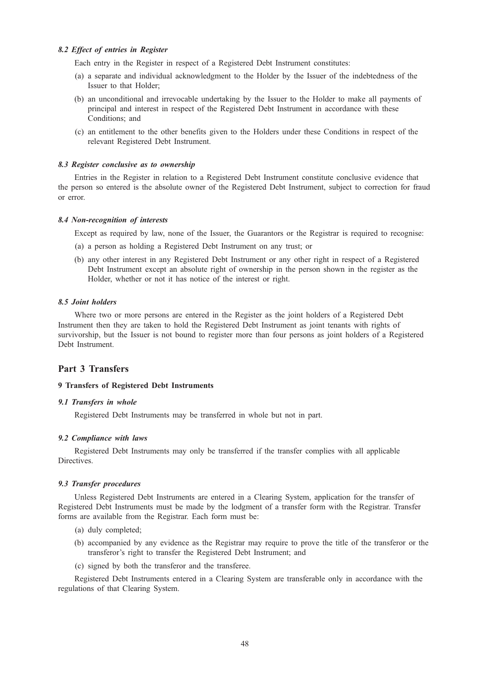## 8.2 Effect of entries in Register

Each entry in the Register in respect of a Registered Debt Instrument constitutes:

- (a) a separate and individual acknowledgment to the Holder by the Issuer of the indebtedness of the Issuer to that Holder;
- (b) an unconditional and irrevocable undertaking by the Issuer to the Holder to make all payments of principal and interest in respect of the Registered Debt Instrument in accordance with these Conditions; and
- (c) an entitlement to the other benefits given to the Holders under these Conditions in respect of the relevant Registered Debt Instrument.

## 8.3 Register conclusive as to ownership

Entries in the Register in relation to a Registered Debt Instrument constitute conclusive evidence that the person so entered is the absolute owner of the Registered Debt Instrument, subject to correction for fraud or error.

## 8.4 Non-recognition of interests

Except as required by law, none of the Issuer, the Guarantors or the Registrar is required to recognise:

- (a) a person as holding a Registered Debt Instrument on any trust; or
- (b) any other interest in any Registered Debt Instrument or any other right in respect of a Registered Debt Instrument except an absolute right of ownership in the person shown in the register as the Holder, whether or not it has notice of the interest or right.

# 8.5 Joint holders

Where two or more persons are entered in the Register as the joint holders of a Registered Debt Instrument then they are taken to hold the Registered Debt Instrument as joint tenants with rights of survivorship, but the Issuer is not bound to register more than four persons as joint holders of a Registered Debt Instrument.

# Part 3 Transfers

# 9 Transfers of Registered Debt Instruments

#### 9.1 Transfers in whole

Registered Debt Instruments may be transferred in whole but not in part.

## 9.2 Compliance with laws

Registered Debt Instruments may only be transferred if the transfer complies with all applicable Directives.

## 9.3 Transfer procedures

Unless Registered Debt Instruments are entered in a Clearing System, application for the transfer of Registered Debt Instruments must be made by the lodgment of a transfer form with the Registrar. Transfer forms are available from the Registrar. Each form must be:

- (a) duly completed;
- (b) accompanied by any evidence as the Registrar may require to prove the title of the transferor or the transferor's right to transfer the Registered Debt Instrument; and
- (c) signed by both the transferor and the transferee.

Registered Debt Instruments entered in a Clearing System are transferable only in accordance with the regulations of that Clearing System.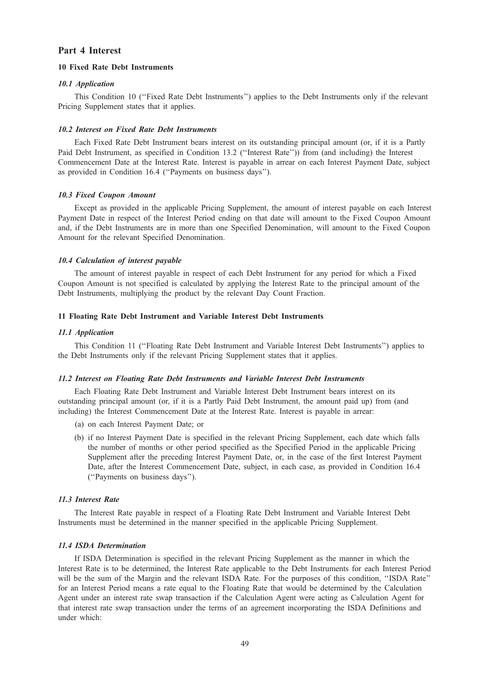# Part 4 Interest

# 10 Fixed Rate Debt Instruments

# 10.1 Application

This Condition 10 (''Fixed Rate Debt Instruments'') applies to the Debt Instruments only if the relevant Pricing Supplement states that it applies.

#### 10.2 Interest on Fixed Rate Debt Instruments

Each Fixed Rate Debt Instrument bears interest on its outstanding principal amount (or, if it is a Partly Paid Debt Instrument, as specified in Condition 13.2 (''Interest Rate'')) from (and including) the Interest Commencement Date at the Interest Rate. Interest is payable in arrear on each Interest Payment Date, subject as provided in Condition 16.4 (''Payments on business days'').

## 10.3 Fixed Coupon Amount

Except as provided in the applicable Pricing Supplement, the amount of interest payable on each Interest Payment Date in respect of the Interest Period ending on that date will amount to the Fixed Coupon Amount and, if the Debt Instruments are in more than one Specified Denomination, will amount to the Fixed Coupon Amount for the relevant Specified Denomination.

## 10.4 Calculation of interest payable

The amount of interest payable in respect of each Debt Instrument for any period for which a Fixed Coupon Amount is not specified is calculated by applying the Interest Rate to the principal amount of the Debt Instruments, multiplying the product by the relevant Day Count Fraction.

## 11 Floating Rate Debt Instrument and Variable Interest Debt Instruments

## 11.1 Application

This Condition 11 (''Floating Rate Debt Instrument and Variable Interest Debt Instruments'') applies to the Debt Instruments only if the relevant Pricing Supplement states that it applies.

#### 11.2 Interest on Floating Rate Debt Instruments and Variable Interest Debt Instruments

Each Floating Rate Debt Instrument and Variable Interest Debt Instrument bears interest on its outstanding principal amount (or, if it is a Partly Paid Debt Instrument, the amount paid up) from (and including) the Interest Commencement Date at the Interest Rate. Interest is payable in arrear:

- (a) on each Interest Payment Date; or
- (b) if no Interest Payment Date is specified in the relevant Pricing Supplement, each date which falls the number of months or other period specified as the Specified Period in the applicable Pricing Supplement after the preceding Interest Payment Date, or, in the case of the first Interest Payment Date, after the Interest Commencement Date, subject, in each case, as provided in Condition 16.4 (''Payments on business days'').

# 11.3 Interest Rate

The Interest Rate payable in respect of a Floating Rate Debt Instrument and Variable Interest Debt Instruments must be determined in the manner specified in the applicable Pricing Supplement.

# 11.4 ISDA Determination

If ISDA Determination is specified in the relevant Pricing Supplement as the manner in which the Interest Rate is to be determined, the Interest Rate applicable to the Debt Instruments for each Interest Period will be the sum of the Margin and the relevant ISDA Rate. For the purposes of this condition, "ISDA Rate" for an Interest Period means a rate equal to the Floating Rate that would be determined by the Calculation Agent under an interest rate swap transaction if the Calculation Agent were acting as Calculation Agent for that interest rate swap transaction under the terms of an agreement incorporating the ISDA Definitions and under which: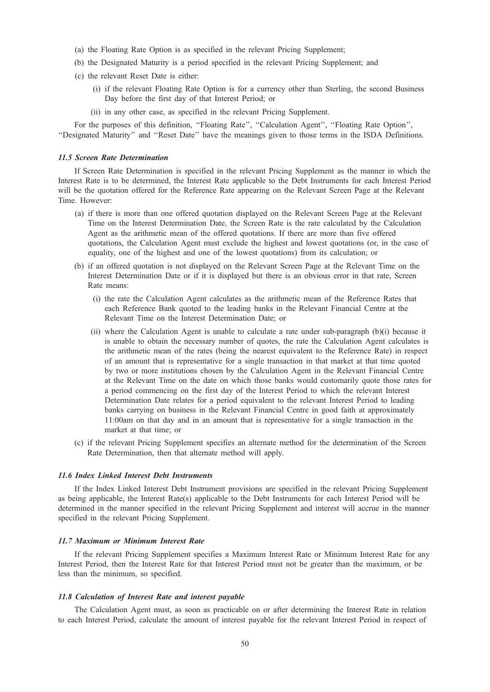- (a) the Floating Rate Option is as specified in the relevant Pricing Supplement;
- (b) the Designated Maturity is a period specified in the relevant Pricing Supplement; and
- (c) the relevant Reset Date is either:
	- (i) if the relevant Floating Rate Option is for a currency other than Sterling, the second Business Day before the first day of that Interest Period; or
	- (ii) in any other case, as specified in the relevant Pricing Supplement.

For the purposes of this definition, "Floating Rate", "Calculation Agent", "Floating Rate Option", ''Designated Maturity'' and ''Reset Date'' have the meanings given to those terms in the ISDA Definitions.

## 11.5 Screen Rate Determination

If Screen Rate Determination is specified in the relevant Pricing Supplement as the manner in which the Interest Rate is to be determined, the Interest Rate applicable to the Debt Instruments for each Interest Period will be the quotation offered for the Reference Rate appearing on the Relevant Screen Page at the Relevant Time. However:

- (a) if there is more than one offered quotation displayed on the Relevant Screen Page at the Relevant Time on the Interest Determination Date, the Screen Rate is the rate calculated by the Calculation Agent as the arithmetic mean of the offered quotations. If there are more than five offered quotations, the Calculation Agent must exclude the highest and lowest quotations (or, in the case of equality, one of the highest and one of the lowest quotations) from its calculation; or
- (b) if an offered quotation is not displayed on the Relevant Screen Page at the Relevant Time on the Interest Determination Date or if it is displayed but there is an obvious error in that rate, Screen Rate means:
	- (i) the rate the Calculation Agent calculates as the arithmetic mean of the Reference Rates that each Reference Bank quoted to the leading banks in the Relevant Financial Centre at the Relevant Time on the Interest Determination Date; or
	- (ii) where the Calculation Agent is unable to calculate a rate under sub-paragraph (b)(i) because it is unable to obtain the necessary number of quotes, the rate the Calculation Agent calculates is the arithmetic mean of the rates (being the nearest equivalent to the Reference Rate) in respect of an amount that is representative for a single transaction in that market at that time quoted by two or more institutions chosen by the Calculation Agent in the Relevant Financial Centre at the Relevant Time on the date on which those banks would customarily quote those rates for a period commencing on the first day of the Interest Period to which the relevant Interest Determination Date relates for a period equivalent to the relevant Interest Period to leading banks carrying on business in the Relevant Financial Centre in good faith at approximately 11:00am on that day and in an amount that is representative for a single transaction in the market at that time; or
- (c) if the relevant Pricing Supplement specifies an alternate method for the determination of the Screen Rate Determination, then that alternate method will apply.

## 11.6 Index Linked Interest Debt Instruments

If the Index Linked Interest Debt Instrument provisions are specified in the relevant Pricing Supplement as being applicable, the Interest Rate(s) applicable to the Debt Instruments for each Interest Period will be determined in the manner specified in the relevant Pricing Supplement and interest will accrue in the manner specified in the relevant Pricing Supplement.

#### 11.7 Maximum or Minimum Interest Rate

If the relevant Pricing Supplement specifies a Maximum Interest Rate or Minimum Interest Rate for any Interest Period, then the Interest Rate for that Interest Period must not be greater than the maximum, or be less than the minimum, so specified.

#### 11.8 Calculation of Interest Rate and interest payable

The Calculation Agent must, as soon as practicable on or after determining the Interest Rate in relation to each Interest Period, calculate the amount of interest payable for the relevant Interest Period in respect of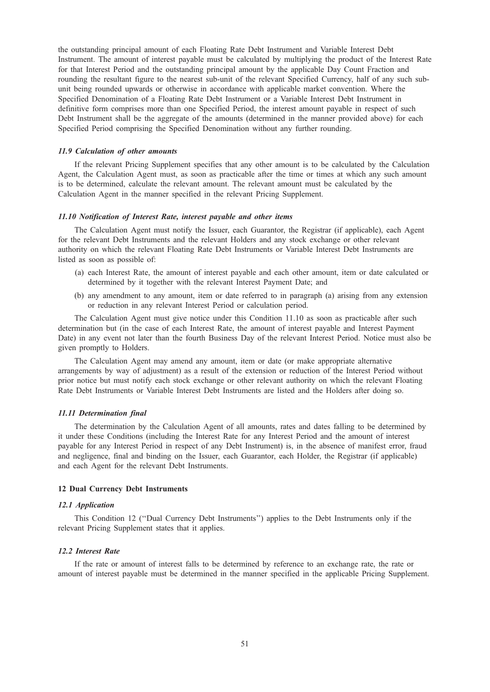the outstanding principal amount of each Floating Rate Debt Instrument and Variable Interest Debt Instrument. The amount of interest payable must be calculated by multiplying the product of the Interest Rate for that Interest Period and the outstanding principal amount by the applicable Day Count Fraction and rounding the resultant figure to the nearest sub-unit of the relevant Specified Currency, half of any such subunit being rounded upwards or otherwise in accordance with applicable market convention. Where the Specified Denomination of a Floating Rate Debt Instrument or a Variable Interest Debt Instrument in definitive form comprises more than one Specified Period, the interest amount payable in respect of such Debt Instrument shall be the aggregate of the amounts (determined in the manner provided above) for each Specified Period comprising the Specified Denomination without any further rounding.

#### 11.9 Calculation of other amounts

If the relevant Pricing Supplement specifies that any other amount is to be calculated by the Calculation Agent, the Calculation Agent must, as soon as practicable after the time or times at which any such amount is to be determined, calculate the relevant amount. The relevant amount must be calculated by the Calculation Agent in the manner specified in the relevant Pricing Supplement.

## 11.10 Notification of Interest Rate, interest payable and other items

The Calculation Agent must notify the Issuer, each Guarantor, the Registrar (if applicable), each Agent for the relevant Debt Instruments and the relevant Holders and any stock exchange or other relevant authority on which the relevant Floating Rate Debt Instruments or Variable Interest Debt Instruments are listed as soon as possible of:

- (a) each Interest Rate, the amount of interest payable and each other amount, item or date calculated or determined by it together with the relevant Interest Payment Date; and
- (b) any amendment to any amount, item or date referred to in paragraph (a) arising from any extension or reduction in any relevant Interest Period or calculation period.

The Calculation Agent must give notice under this Condition 11.10 as soon as practicable after such determination but (in the case of each Interest Rate, the amount of interest payable and Interest Payment Date) in any event not later than the fourth Business Day of the relevant Interest Period. Notice must also be given promptly to Holders.

The Calculation Agent may amend any amount, item or date (or make appropriate alternative arrangements by way of adjustment) as a result of the extension or reduction of the Interest Period without prior notice but must notify each stock exchange or other relevant authority on which the relevant Floating Rate Debt Instruments or Variable Interest Debt Instruments are listed and the Holders after doing so.

## 11.11 Determination final

The determination by the Calculation Agent of all amounts, rates and dates falling to be determined by it under these Conditions (including the Interest Rate for any Interest Period and the amount of interest payable for any Interest Period in respect of any Debt Instrument) is, in the absence of manifest error, fraud and negligence, final and binding on the Issuer, each Guarantor, each Holder, the Registrar (if applicable) and each Agent for the relevant Debt Instruments.

# 12 Dual Currency Debt Instruments

## 12.1 Application

This Condition 12 (''Dual Currency Debt Instruments'') applies to the Debt Instruments only if the relevant Pricing Supplement states that it applies.

#### 12.2 Interest Rate

If the rate or amount of interest falls to be determined by reference to an exchange rate, the rate or amount of interest payable must be determined in the manner specified in the applicable Pricing Supplement.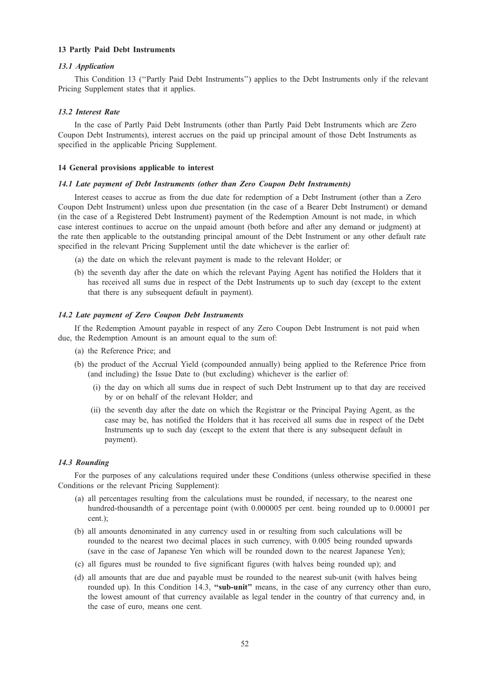# 13 Partly Paid Debt Instruments

# 13.1 Application

This Condition 13 (''Partly Paid Debt Instruments'') applies to the Debt Instruments only if the relevant Pricing Supplement states that it applies.

#### 13.2 Interest Rate

In the case of Partly Paid Debt Instruments (other than Partly Paid Debt Instruments which are Zero Coupon Debt Instruments), interest accrues on the paid up principal amount of those Debt Instruments as specified in the applicable Pricing Supplement.

# 14 General provisions applicable to interest

## 14.1 Late payment of Debt Instruments (other than Zero Coupon Debt Instruments)

Interest ceases to accrue as from the due date for redemption of a Debt Instrument (other than a Zero Coupon Debt Instrument) unless upon due presentation (in the case of a Bearer Debt Instrument) or demand (in the case of a Registered Debt Instrument) payment of the Redemption Amount is not made, in which case interest continues to accrue on the unpaid amount (both before and after any demand or judgment) at the rate then applicable to the outstanding principal amount of the Debt Instrument or any other default rate specified in the relevant Pricing Supplement until the date whichever is the earlier of:

- (a) the date on which the relevant payment is made to the relevant Holder; or
- (b) the seventh day after the date on which the relevant Paying Agent has notified the Holders that it has received all sums due in respect of the Debt Instruments up to such day (except to the extent that there is any subsequent default in payment).

#### 14.2 Late payment of Zero Coupon Debt Instruments

If the Redemption Amount payable in respect of any Zero Coupon Debt Instrument is not paid when due, the Redemption Amount is an amount equal to the sum of:

- (a) the Reference Price; and
- (b) the product of the Accrual Yield (compounded annually) being applied to the Reference Price from (and including) the Issue Date to (but excluding) whichever is the earlier of:
	- (i) the day on which all sums due in respect of such Debt Instrument up to that day are received by or on behalf of the relevant Holder; and
	- (ii) the seventh day after the date on which the Registrar or the Principal Paying Agent, as the case may be, has notified the Holders that it has received all sums due in respect of the Debt Instruments up to such day (except to the extent that there is any subsequent default in payment).

#### 14.3 Rounding

For the purposes of any calculations required under these Conditions (unless otherwise specified in these Conditions or the relevant Pricing Supplement):

- (a) all percentages resulting from the calculations must be rounded, if necessary, to the nearest one hundred-thousandth of a percentage point (with 0.000005 per cent. being rounded up to 0.00001 per cent.);
- (b) all amounts denominated in any currency used in or resulting from such calculations will be rounded to the nearest two decimal places in such currency, with 0.005 being rounded upwards (save in the case of Japanese Yen which will be rounded down to the nearest Japanese Yen);
- (c) all figures must be rounded to five significant figures (with halves being rounded up); and
- (d) all amounts that are due and payable must be rounded to the nearest sub-unit (with halves being rounded up). In this Condition 14.3, "sub-unit" means, in the case of any currency other than euro, the lowest amount of that currency available as legal tender in the country of that currency and, in the case of euro, means one cent.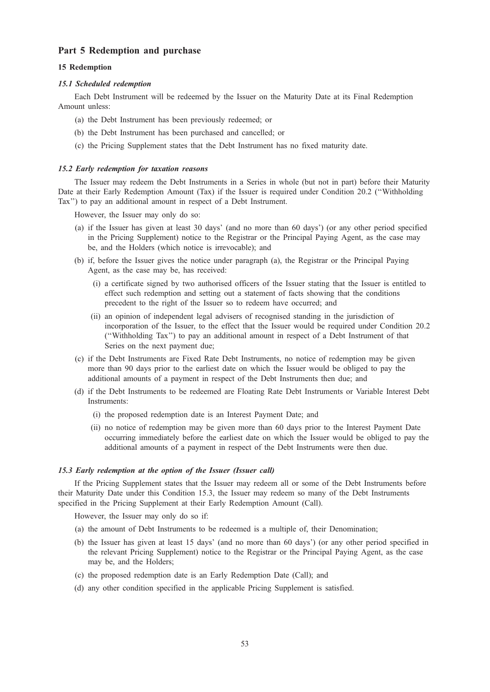# Part 5 Redemption and purchase

# 15 Redemption

## 15.1 Scheduled redemption

Each Debt Instrument will be redeemed by the Issuer on the Maturity Date at its Final Redemption Amount unless:

- (a) the Debt Instrument has been previously redeemed; or
- (b) the Debt Instrument has been purchased and cancelled; or
- (c) the Pricing Supplement states that the Debt Instrument has no fixed maturity date.

#### 15.2 Early redemption for taxation reasons

The Issuer may redeem the Debt Instruments in a Series in whole (but not in part) before their Maturity Date at their Early Redemption Amount (Tax) if the Issuer is required under Condition 20.2 (''Withholding Tax'') to pay an additional amount in respect of a Debt Instrument.

However, the Issuer may only do so:

- (a) if the Issuer has given at least 30 days' (and no more than 60 days') (or any other period specified in the Pricing Supplement) notice to the Registrar or the Principal Paying Agent, as the case may be, and the Holders (which notice is irrevocable); and
- (b) if, before the Issuer gives the notice under paragraph (a), the Registrar or the Principal Paying Agent, as the case may be, has received:
	- (i) a certificate signed by two authorised officers of the Issuer stating that the Issuer is entitled to effect such redemption and setting out a statement of facts showing that the conditions precedent to the right of the Issuer so to redeem have occurred; and
	- (ii) an opinion of independent legal advisers of recognised standing in the jurisdiction of incorporation of the Issuer, to the effect that the Issuer would be required under Condition 20.2 (''Withholding Tax'') to pay an additional amount in respect of a Debt Instrument of that Series on the next payment due;
- (c) if the Debt Instruments are Fixed Rate Debt Instruments, no notice of redemption may be given more than 90 days prior to the earliest date on which the Issuer would be obliged to pay the additional amounts of a payment in respect of the Debt Instruments then due; and
- (d) if the Debt Instruments to be redeemed are Floating Rate Debt Instruments or Variable Interest Debt Instruments:
	- (i) the proposed redemption date is an Interest Payment Date; and
	- (ii) no notice of redemption may be given more than 60 days prior to the Interest Payment Date occurring immediately before the earliest date on which the Issuer would be obliged to pay the additional amounts of a payment in respect of the Debt Instruments were then due.

#### 15.3 Early redemption at the option of the Issuer (Issuer call)

If the Pricing Supplement states that the Issuer may redeem all or some of the Debt Instruments before their Maturity Date under this Condition 15.3, the Issuer may redeem so many of the Debt Instruments specified in the Pricing Supplement at their Early Redemption Amount (Call).

However, the Issuer may only do so if:

- (a) the amount of Debt Instruments to be redeemed is a multiple of, their Denomination;
- (b) the Issuer has given at least 15 days' (and no more than 60 days') (or any other period specified in the relevant Pricing Supplement) notice to the Registrar or the Principal Paying Agent, as the case may be, and the Holders;
- (c) the proposed redemption date is an Early Redemption Date (Call); and
- (d) any other condition specified in the applicable Pricing Supplement is satisfied.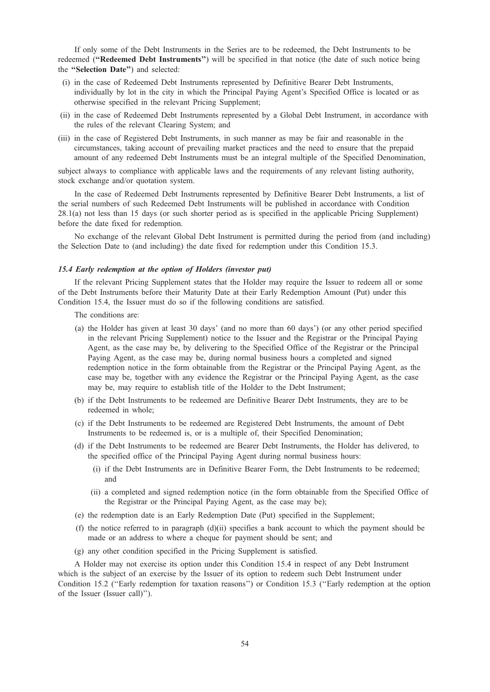If only some of the Debt Instruments in the Series are to be redeemed, the Debt Instruments to be redeemed (''Redeemed Debt Instruments'') will be specified in that notice (the date of such notice being the "Selection Date") and selected:

- (i) in the case of Redeemed Debt Instruments represented by Definitive Bearer Debt Instruments, individually by lot in the city in which the Principal Paying Agent's Specified Office is located or as otherwise specified in the relevant Pricing Supplement;
- (ii) in the case of Redeemed Debt Instruments represented by a Global Debt Instrument, in accordance with the rules of the relevant Clearing System; and
- (iii) in the case of Registered Debt Instruments, in such manner as may be fair and reasonable in the circumstances, taking account of prevailing market practices and the need to ensure that the prepaid amount of any redeemed Debt Instruments must be an integral multiple of the Specified Denomination,

subject always to compliance with applicable laws and the requirements of any relevant listing authority, stock exchange and/or quotation system.

In the case of Redeemed Debt Instruments represented by Definitive Bearer Debt Instruments, a list of the serial numbers of such Redeemed Debt Instruments will be published in accordance with Condition 28.1(a) not less than 15 days (or such shorter period as is specified in the applicable Pricing Supplement) before the date fixed for redemption.

No exchange of the relevant Global Debt Instrument is permitted during the period from (and including) the Selection Date to (and including) the date fixed for redemption under this Condition 15.3.

## 15.4 Early redemption at the option of Holders (investor put)

If the relevant Pricing Supplement states that the Holder may require the Issuer to redeem all or some of the Debt Instruments before their Maturity Date at their Early Redemption Amount (Put) under this Condition 15.4, the Issuer must do so if the following conditions are satisfied.

The conditions are:

- (a) the Holder has given at least 30 days' (and no more than 60 days') (or any other period specified in the relevant Pricing Supplement) notice to the Issuer and the Registrar or the Principal Paying Agent, as the case may be, by delivering to the Specified Office of the Registrar or the Principal Paying Agent, as the case may be, during normal business hours a completed and signed redemption notice in the form obtainable from the Registrar or the Principal Paying Agent, as the case may be, together with any evidence the Registrar or the Principal Paying Agent, as the case may be, may require to establish title of the Holder to the Debt Instrument;
- (b) if the Debt Instruments to be redeemed are Definitive Bearer Debt Instruments, they are to be redeemed in whole;
- (c) if the Debt Instruments to be redeemed are Registered Debt Instruments, the amount of Debt Instruments to be redeemed is, or is a multiple of, their Specified Denomination;
- (d) if the Debt Instruments to be redeemed are Bearer Debt Instruments, the Holder has delivered, to the specified office of the Principal Paying Agent during normal business hours:
	- (i) if the Debt Instruments are in Definitive Bearer Form, the Debt Instruments to be redeemed; and
	- (ii) a completed and signed redemption notice (in the form obtainable from the Specified Office of the Registrar or the Principal Paying Agent, as the case may be);
- (e) the redemption date is an Early Redemption Date (Put) specified in the Supplement;
- (f) the notice referred to in paragraph (d)(ii) specifies a bank account to which the payment should be made or an address to where a cheque for payment should be sent; and
- (g) any other condition specified in the Pricing Supplement is satisfied.

A Holder may not exercise its option under this Condition 15.4 in respect of any Debt Instrument which is the subject of an exercise by the Issuer of its option to redeem such Debt Instrument under Condition 15.2 (''Early redemption for taxation reasons'') or Condition 15.3 (''Early redemption at the option of the Issuer (Issuer call)'').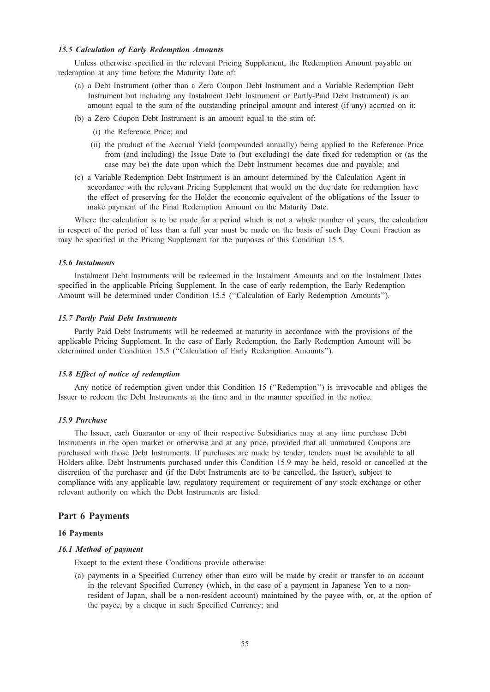## 15.5 Calculation of Early Redemption Amounts

Unless otherwise specified in the relevant Pricing Supplement, the Redemption Amount payable on redemption at any time before the Maturity Date of:

- (a) a Debt Instrument (other than a Zero Coupon Debt Instrument and a Variable Redemption Debt Instrument but including any Instalment Debt Instrument or Partly-Paid Debt Instrument) is an amount equal to the sum of the outstanding principal amount and interest (if any) accrued on it;
- (b) a Zero Coupon Debt Instrument is an amount equal to the sum of:
	- (i) the Reference Price; and
	- (ii) the product of the Accrual Yield (compounded annually) being applied to the Reference Price from (and including) the Issue Date to (but excluding) the date fixed for redemption or (as the case may be) the date upon which the Debt Instrument becomes due and payable; and
- (c) a Variable Redemption Debt Instrument is an amount determined by the Calculation Agent in accordance with the relevant Pricing Supplement that would on the due date for redemption have the effect of preserving for the Holder the economic equivalent of the obligations of the Issuer to make payment of the Final Redemption Amount on the Maturity Date.

Where the calculation is to be made for a period which is not a whole number of years, the calculation in respect of the period of less than a full year must be made on the basis of such Day Count Fraction as may be specified in the Pricing Supplement for the purposes of this Condition 15.5.

## 15.6 Instalments

Instalment Debt Instruments will be redeemed in the Instalment Amounts and on the Instalment Dates specified in the applicable Pricing Supplement. In the case of early redemption, the Early Redemption Amount will be determined under Condition 15.5 (''Calculation of Early Redemption Amounts'').

## 15.7 Partly Paid Debt Instruments

Partly Paid Debt Instruments will be redeemed at maturity in accordance with the provisions of the applicable Pricing Supplement. In the case of Early Redemption, the Early Redemption Amount will be determined under Condition 15.5 (''Calculation of Early Redemption Amounts'').

## 15.8 Effect of notice of redemption

Any notice of redemption given under this Condition 15 (''Redemption'') is irrevocable and obliges the Issuer to redeem the Debt Instruments at the time and in the manner specified in the notice.

## 15.9 Purchase

The Issuer, each Guarantor or any of their respective Subsidiaries may at any time purchase Debt Instruments in the open market or otherwise and at any price, provided that all unmatured Coupons are purchased with those Debt Instruments. If purchases are made by tender, tenders must be available to all Holders alike. Debt Instruments purchased under this Condition 15.9 may be held, resold or cancelled at the discretion of the purchaser and (if the Debt Instruments are to be cancelled, the Issuer), subject to compliance with any applicable law, regulatory requirement or requirement of any stock exchange or other relevant authority on which the Debt Instruments are listed.

## Part 6 Payments

#### 16 Payments

# 16.1 Method of payment

Except to the extent these Conditions provide otherwise:

(a) payments in a Specified Currency other than euro will be made by credit or transfer to an account in the relevant Specified Currency (which, in the case of a payment in Japanese Yen to a nonresident of Japan, shall be a non-resident account) maintained by the payee with, or, at the option of the payee, by a cheque in such Specified Currency; and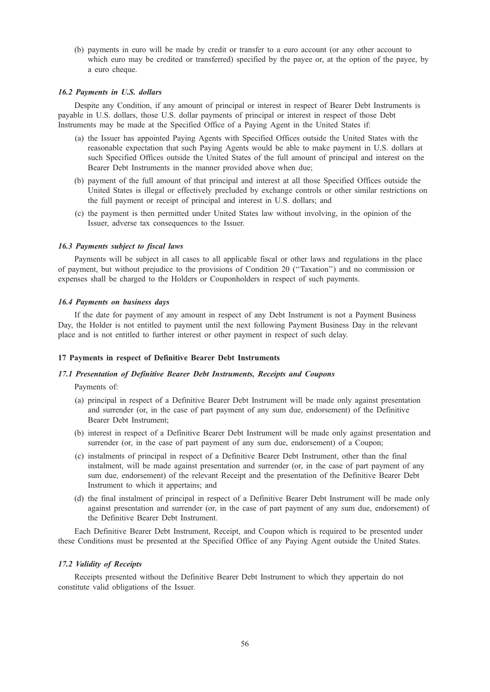(b) payments in euro will be made by credit or transfer to a euro account (or any other account to which euro may be credited or transferred) specified by the payee or, at the option of the payee, by a euro cheque.

## 16.2 Payments in U.S. dollars

Despite any Condition, if any amount of principal or interest in respect of Bearer Debt Instruments is payable in U.S. dollars, those U.S. dollar payments of principal or interest in respect of those Debt Instruments may be made at the Specified Office of a Paying Agent in the United States if:

- (a) the Issuer has appointed Paying Agents with Specified Offices outside the United States with the reasonable expectation that such Paying Agents would be able to make payment in U.S. dollars at such Specified Offices outside the United States of the full amount of principal and interest on the Bearer Debt Instruments in the manner provided above when due;
- (b) payment of the full amount of that principal and interest at all those Specified Offices outside the United States is illegal or effectively precluded by exchange controls or other similar restrictions on the full payment or receipt of principal and interest in U.S. dollars; and
- (c) the payment is then permitted under United States law without involving, in the opinion of the Issuer, adverse tax consequences to the Issuer.

#### 16.3 Payments subject to fiscal laws

Payments will be subject in all cases to all applicable fiscal or other laws and regulations in the place of payment, but without prejudice to the provisions of Condition 20 (''Taxation'') and no commission or expenses shall be charged to the Holders or Couponholders in respect of such payments.

#### 16.4 Payments on business days

If the date for payment of any amount in respect of any Debt Instrument is not a Payment Business Day, the Holder is not entitled to payment until the next following Payment Business Day in the relevant place and is not entitled to further interest or other payment in respect of such delay.

# 17 Payments in respect of Definitive Bearer Debt Instruments

# 17.1 Presentation of Definitive Bearer Debt Instruments, Receipts and Coupons

Payments of:

- (a) principal in respect of a Definitive Bearer Debt Instrument will be made only against presentation and surrender (or, in the case of part payment of any sum due, endorsement) of the Definitive Bearer Debt Instrument;
- (b) interest in respect of a Definitive Bearer Debt Instrument will be made only against presentation and surrender (or, in the case of part payment of any sum due, endorsement) of a Coupon;
- (c) instalments of principal in respect of a Definitive Bearer Debt Instrument, other than the final instalment, will be made against presentation and surrender (or, in the case of part payment of any sum due, endorsement) of the relevant Receipt and the presentation of the Definitive Bearer Debt Instrument to which it appertains; and
- (d) the final instalment of principal in respect of a Definitive Bearer Debt Instrument will be made only against presentation and surrender (or, in the case of part payment of any sum due, endorsement) of the Definitive Bearer Debt Instrument.

Each Definitive Bearer Debt Instrument, Receipt, and Coupon which is required to be presented under these Conditions must be presented at the Specified Office of any Paying Agent outside the United States.

#### 17.2 Validity of Receipts

Receipts presented without the Definitive Bearer Debt Instrument to which they appertain do not constitute valid obligations of the Issuer.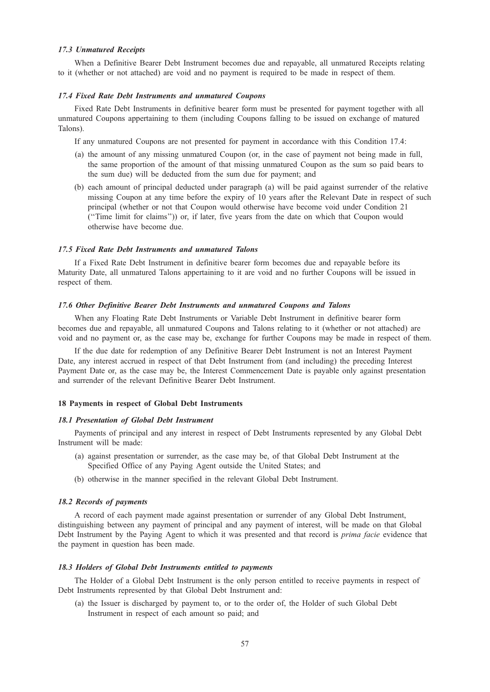## 17.3 Unmatured Receipts

When a Definitive Bearer Debt Instrument becomes due and repayable, all unmatured Receipts relating to it (whether or not attached) are void and no payment is required to be made in respect of them.

## 17.4 Fixed Rate Debt Instruments and unmatured Coupons

Fixed Rate Debt Instruments in definitive bearer form must be presented for payment together with all unmatured Coupons appertaining to them (including Coupons falling to be issued on exchange of matured Talons).

- If any unmatured Coupons are not presented for payment in accordance with this Condition 17.4:
- (a) the amount of any missing unmatured Coupon (or, in the case of payment not being made in full, the same proportion of the amount of that missing unmatured Coupon as the sum so paid bears to the sum due) will be deducted from the sum due for payment; and
- (b) each amount of principal deducted under paragraph (a) will be paid against surrender of the relative missing Coupon at any time before the expiry of 10 years after the Relevant Date in respect of such principal (whether or not that Coupon would otherwise have become void under Condition 21 (''Time limit for claims'')) or, if later, five years from the date on which that Coupon would otherwise have become due.

## 17.5 Fixed Rate Debt Instruments and unmatured Talons

If a Fixed Rate Debt Instrument in definitive bearer form becomes due and repayable before its Maturity Date, all unmatured Talons appertaining to it are void and no further Coupons will be issued in respect of them.

## 17.6 Other Definitive Bearer Debt Instruments and unmatured Coupons and Talons

When any Floating Rate Debt Instruments or Variable Debt Instrument in definitive bearer form becomes due and repayable, all unmatured Coupons and Talons relating to it (whether or not attached) are void and no payment or, as the case may be, exchange for further Coupons may be made in respect of them.

If the due date for redemption of any Definitive Bearer Debt Instrument is not an Interest Payment Date, any interest accrued in respect of that Debt Instrument from (and including) the preceding Interest Payment Date or, as the case may be, the Interest Commencement Date is payable only against presentation and surrender of the relevant Definitive Bearer Debt Instrument.

# 18 Payments in respect of Global Debt Instruments

# 18.1 Presentation of Global Debt Instrument

Payments of principal and any interest in respect of Debt Instruments represented by any Global Debt Instrument will be made:

- (a) against presentation or surrender, as the case may be, of that Global Debt Instrument at the Specified Office of any Paying Agent outside the United States; and
- (b) otherwise in the manner specified in the relevant Global Debt Instrument.

## 18.2 Records of payments

A record of each payment made against presentation or surrender of any Global Debt Instrument, distinguishing between any payment of principal and any payment of interest, will be made on that Global Debt Instrument by the Paying Agent to which it was presented and that record is *prima facie* evidence that the payment in question has been made.

## 18.3 Holders of Global Debt Instruments entitled to payments

The Holder of a Global Debt Instrument is the only person entitled to receive payments in respect of Debt Instruments represented by that Global Debt Instrument and:

(a) the Issuer is discharged by payment to, or to the order of, the Holder of such Global Debt Instrument in respect of each amount so paid; and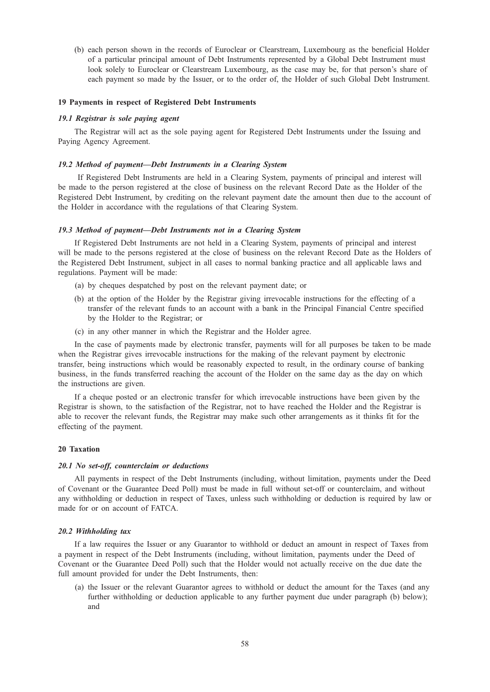(b) each person shown in the records of Euroclear or Clearstream, Luxembourg as the beneficial Holder of a particular principal amount of Debt Instruments represented by a Global Debt Instrument must look solely to Euroclear or Clearstream Luxembourg, as the case may be, for that person's share of each payment so made by the Issuer, or to the order of, the Holder of such Global Debt Instrument.

## 19 Payments in respect of Registered Debt Instruments

## 19.1 Registrar is sole paying agent

The Registrar will act as the sole paying agent for Registered Debt Instruments under the Issuing and Paying Agency Agreement.

## 19.2 Method of payment—Debt Instruments in a Clearing System

If Registered Debt Instruments are held in a Clearing System, payments of principal and interest will be made to the person registered at the close of business on the relevant Record Date as the Holder of the Registered Debt Instrument, by crediting on the relevant payment date the amount then due to the account of the Holder in accordance with the regulations of that Clearing System.

#### 19.3 Method of payment—Debt Instruments not in a Clearing System

If Registered Debt Instruments are not held in a Clearing System, payments of principal and interest will be made to the persons registered at the close of business on the relevant Record Date as the Holders of the Registered Debt Instrument, subject in all cases to normal banking practice and all applicable laws and regulations. Payment will be made:

- (a) by cheques despatched by post on the relevant payment date; or
- (b) at the option of the Holder by the Registrar giving irrevocable instructions for the effecting of a transfer of the relevant funds to an account with a bank in the Principal Financial Centre specified by the Holder to the Registrar; or
- (c) in any other manner in which the Registrar and the Holder agree.

In the case of payments made by electronic transfer, payments will for all purposes be taken to be made when the Registrar gives irrevocable instructions for the making of the relevant payment by electronic transfer, being instructions which would be reasonably expected to result, in the ordinary course of banking business, in the funds transferred reaching the account of the Holder on the same day as the day on which the instructions are given.

If a cheque posted or an electronic transfer for which irrevocable instructions have been given by the Registrar is shown, to the satisfaction of the Registrar, not to have reached the Holder and the Registrar is able to recover the relevant funds, the Registrar may make such other arrangements as it thinks fit for the effecting of the payment.

#### 20 Taxation

#### 20.1 No set-off, counterclaim or deductions

All payments in respect of the Debt Instruments (including, without limitation, payments under the Deed of Covenant or the Guarantee Deed Poll) must be made in full without set-off or counterclaim, and without any withholding or deduction in respect of Taxes, unless such withholding or deduction is required by law or made for or on account of FATCA.

#### 20.2 Withholding tax

If a law requires the Issuer or any Guarantor to withhold or deduct an amount in respect of Taxes from a payment in respect of the Debt Instruments (including, without limitation, payments under the Deed of Covenant or the Guarantee Deed Poll) such that the Holder would not actually receive on the due date the full amount provided for under the Debt Instruments, then:

(a) the Issuer or the relevant Guarantor agrees to withhold or deduct the amount for the Taxes (and any further withholding or deduction applicable to any further payment due under paragraph (b) below); and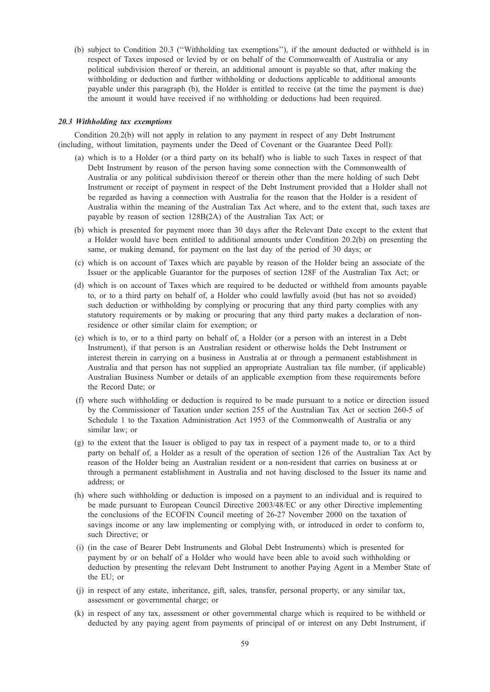(b) subject to Condition 20.3 (''Withholding tax exemptions''), if the amount deducted or withheld is in respect of Taxes imposed or levied by or on behalf of the Commonwealth of Australia or any political subdivision thereof or therein, an additional amount is payable so that, after making the withholding or deduction and further withholding or deductions applicable to additional amounts payable under this paragraph (b), the Holder is entitled to receive (at the time the payment is due) the amount it would have received if no withholding or deductions had been required.

## 20.3 Withholding tax exemptions

Condition 20.2(b) will not apply in relation to any payment in respect of any Debt Instrument (including, without limitation, payments under the Deed of Covenant or the Guarantee Deed Poll):

- (a) which is to a Holder (or a third party on its behalf) who is liable to such Taxes in respect of that Debt Instrument by reason of the person having some connection with the Commonwealth of Australia or any political subdivision thereof or therein other than the mere holding of such Debt Instrument or receipt of payment in respect of the Debt Instrument provided that a Holder shall not be regarded as having a connection with Australia for the reason that the Holder is a resident of Australia within the meaning of the Australian Tax Act where, and to the extent that, such taxes are payable by reason of section 128B(2A) of the Australian Tax Act; or
- (b) which is presented for payment more than 30 days after the Relevant Date except to the extent that a Holder would have been entitled to additional amounts under Condition 20.2(b) on presenting the same, or making demand, for payment on the last day of the period of 30 days; or
- (c) which is on account of Taxes which are payable by reason of the Holder being an associate of the Issuer or the applicable Guarantor for the purposes of section 128F of the Australian Tax Act; or
- (d) which is on account of Taxes which are required to be deducted or withheld from amounts payable to, or to a third party on behalf of, a Holder who could lawfully avoid (but has not so avoided) such deduction or withholding by complying or procuring that any third party complies with any statutory requirements or by making or procuring that any third party makes a declaration of nonresidence or other similar claim for exemption; or
- (e) which is to, or to a third party on behalf of, a Holder (or a person with an interest in a Debt Instrument), if that person is an Australian resident or otherwise holds the Debt Instrument or interest therein in carrying on a business in Australia at or through a permanent establishment in Australia and that person has not supplied an appropriate Australian tax file number, (if applicable) Australian Business Number or details of an applicable exemption from these requirements before the Record Date; or
- (f) where such withholding or deduction is required to be made pursuant to a notice or direction issued by the Commissioner of Taxation under section 255 of the Australian Tax Act or section 260-5 of Schedule 1 to the Taxation Administration Act 1953 of the Commonwealth of Australia or any similar law; or
- (g) to the extent that the Issuer is obliged to pay tax in respect of a payment made to, or to a third party on behalf of, a Holder as a result of the operation of section 126 of the Australian Tax Act by reason of the Holder being an Australian resident or a non-resident that carries on business at or through a permanent establishment in Australia and not having disclosed to the Issuer its name and address; or
- (h) where such withholding or deduction is imposed on a payment to an individual and is required to be made pursuant to European Council Directive 2003/48/EC or any other Directive implementing the conclusions of the ECOFIN Council meeting of 26-27 November 2000 on the taxation of savings income or any law implementing or complying with, or introduced in order to conform to, such Directive; or
- (i) (in the case of Bearer Debt Instruments and Global Debt Instruments) which is presented for payment by or on behalf of a Holder who would have been able to avoid such withholding or deduction by presenting the relevant Debt Instrument to another Paying Agent in a Member State of the EU; or
- (j) in respect of any estate, inheritance, gift, sales, transfer, personal property, or any similar tax, assessment or governmental charge; or
- (k) in respect of any tax, assessment or other governmental charge which is required to be withheld or deducted by any paying agent from payments of principal of or interest on any Debt Instrument, if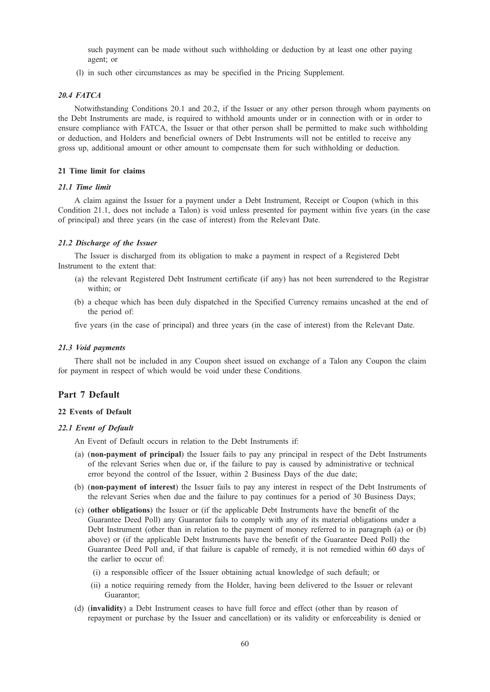such payment can be made without such withholding or deduction by at least one other paying agent; or

(l) in such other circumstances as may be specified in the Pricing Supplement.

# 20.4 FATCA

Notwithstanding Conditions 20.1 and 20.2, if the Issuer or any other person through whom payments on the Debt Instruments are made, is required to withhold amounts under or in connection with or in order to ensure compliance with FATCA, the Issuer or that other person shall be permitted to make such withholding or deduction, and Holders and beneficial owners of Debt Instruments will not be entitled to receive any gross up, additional amount or other amount to compensate them for such withholding or deduction.

# 21 Time limit for claims

# 21.1 Time limit

A claim against the Issuer for a payment under a Debt Instrument, Receipt or Coupon (which in this Condition 21.1, does not include a Talon) is void unless presented for payment within five years (in the case of principal) and three years (in the case of interest) from the Relevant Date.

## 21.2 Discharge of the Issuer

The Issuer is discharged from its obligation to make a payment in respect of a Registered Debt Instrument to the extent that:

- (a) the relevant Registered Debt Instrument certificate (if any) has not been surrendered to the Registrar within; or
- (b) a cheque which has been duly dispatched in the Specified Currency remains uncashed at the end of the period of:

five years (in the case of principal) and three years (in the case of interest) from the Relevant Date.

#### 21.3 Void payments

There shall not be included in any Coupon sheet issued on exchange of a Talon any Coupon the claim for payment in respect of which would be void under these Conditions.

# Part 7 Default

# 22 Events of Default

# 22.1 Event of Default

An Event of Default occurs in relation to the Debt Instruments if:

- (a) (non-payment of principal) the Issuer fails to pay any principal in respect of the Debt Instruments of the relevant Series when due or, if the failure to pay is caused by administrative or technical error beyond the control of the Issuer, within 2 Business Days of the due date;
- (b) (non-payment of interest) the Issuer fails to pay any interest in respect of the Debt Instruments of the relevant Series when due and the failure to pay continues for a period of 30 Business Days;
- (c) (other obligations) the Issuer or (if the applicable Debt Instruments have the benefit of the Guarantee Deed Poll) any Guarantor fails to comply with any of its material obligations under a Debt Instrument (other than in relation to the payment of money referred to in paragraph (a) or (b) above) or (if the applicable Debt Instruments have the benefit of the Guarantee Deed Poll) the Guarantee Deed Poll and, if that failure is capable of remedy, it is not remedied within 60 days of the earlier to occur of:
	- (i) a responsible officer of the Issuer obtaining actual knowledge of such default; or
	- (ii) a notice requiring remedy from the Holder, having been delivered to the Issuer or relevant Guarantor;
- (d) (invalidity) a Debt Instrument ceases to have full force and effect (other than by reason of repayment or purchase by the Issuer and cancellation) or its validity or enforceability is denied or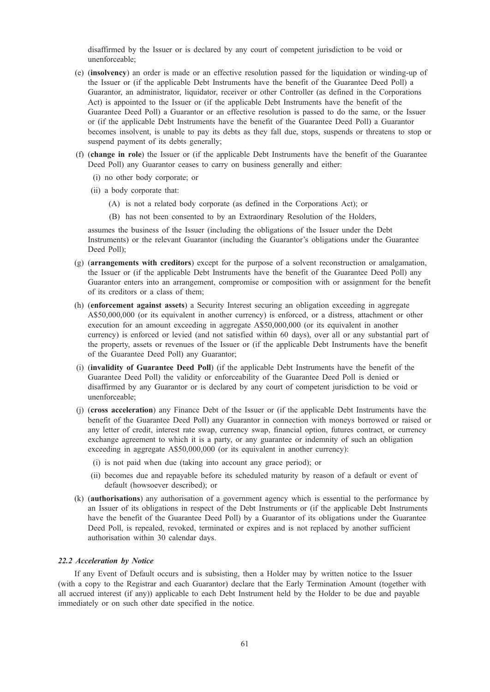disaffirmed by the Issuer or is declared by any court of competent jurisdiction to be void or unenforceable;

- (e) (insolvency) an order is made or an effective resolution passed for the liquidation or winding-up of the Issuer or (if the applicable Debt Instruments have the benefit of the Guarantee Deed Poll) a Guarantor, an administrator, liquidator, receiver or other Controller (as defined in the Corporations Act) is appointed to the Issuer or (if the applicable Debt Instruments have the benefit of the Guarantee Deed Poll) a Guarantor or an effective resolution is passed to do the same, or the Issuer or (if the applicable Debt Instruments have the benefit of the Guarantee Deed Poll) a Guarantor becomes insolvent, is unable to pay its debts as they fall due, stops, suspends or threatens to stop or suspend payment of its debts generally;
- (f) (change in role) the Issuer or (if the applicable Debt Instruments have the benefit of the Guarantee Deed Poll) any Guarantor ceases to carry on business generally and either:
	- (i) no other body corporate; or
	- (ii) a body corporate that:
		- (A) is not a related body corporate (as defined in the Corporations Act); or
		- (B) has not been consented to by an Extraordinary Resolution of the Holders,

assumes the business of the Issuer (including the obligations of the Issuer under the Debt Instruments) or the relevant Guarantor (including the Guarantor's obligations under the Guarantee Deed Poll);

- (g) (arrangements with creditors) except for the purpose of a solvent reconstruction or amalgamation, the Issuer or (if the applicable Debt Instruments have the benefit of the Guarantee Deed Poll) any Guarantor enters into an arrangement, compromise or composition with or assignment for the benefit of its creditors or a class of them;
- (h) (enforcement against assets) a Security Interest securing an obligation exceeding in aggregate A\$50,000,000 (or its equivalent in another currency) is enforced, or a distress, attachment or other execution for an amount exceeding in aggregate A\$50,000,000 (or its equivalent in another currency) is enforced or levied (and not satisfied within 60 days), over all or any substantial part of the property, assets or revenues of the Issuer or (if the applicable Debt Instruments have the benefit of the Guarantee Deed Poll) any Guarantor;
- (i) (invalidity of Guarantee Deed Poll) (if the applicable Debt Instruments have the benefit of the Guarantee Deed Poll) the validity or enforceability of the Guarantee Deed Poll is denied or disaffirmed by any Guarantor or is declared by any court of competent jurisdiction to be void or unenforceable;
- (j) (cross acceleration) any Finance Debt of the Issuer or (if the applicable Debt Instruments have the benefit of the Guarantee Deed Poll) any Guarantor in connection with moneys borrowed or raised or any letter of credit, interest rate swap, currency swap, financial option, futures contract, or currency exchange agreement to which it is a party, or any guarantee or indemnity of such an obligation exceeding in aggregate A\$50,000,000 (or its equivalent in another currency):
	- (i) is not paid when due (taking into account any grace period); or
	- (ii) becomes due and repayable before its scheduled maturity by reason of a default or event of default (howsoever described); or
- (k) (authorisations) any authorisation of a government agency which is essential to the performance by an Issuer of its obligations in respect of the Debt Instruments or (if the applicable Debt Instruments have the benefit of the Guarantee Deed Poll) by a Guarantor of its obligations under the Guarantee Deed Poll, is repealed, revoked, terminated or expires and is not replaced by another sufficient authorisation within 30 calendar days.

## 22.2 Acceleration by Notice

If any Event of Default occurs and is subsisting, then a Holder may by written notice to the Issuer (with a copy to the Registrar and each Guarantor) declare that the Early Termination Amount (together with all accrued interest (if any)) applicable to each Debt Instrument held by the Holder to be due and payable immediately or on such other date specified in the notice.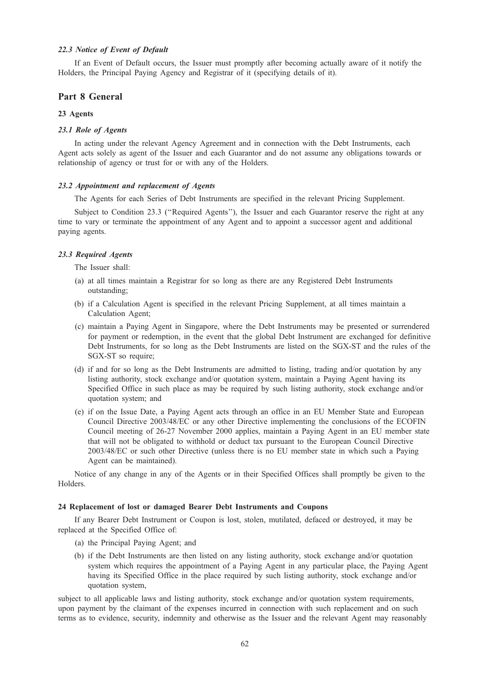## 22.3 Notice of Event of Default

If an Event of Default occurs, the Issuer must promptly after becoming actually aware of it notify the Holders, the Principal Paying Agency and Registrar of it (specifying details of it).

# Part 8 General

# 23 Agents

## 23.1 Role of Agents

In acting under the relevant Agency Agreement and in connection with the Debt Instruments, each Agent acts solely as agent of the Issuer and each Guarantor and do not assume any obligations towards or relationship of agency or trust for or with any of the Holders.

## 23.2 Appointment and replacement of Agents

The Agents for each Series of Debt Instruments are specified in the relevant Pricing Supplement.

Subject to Condition 23.3 ("Required Agents"), the Issuer and each Guarantor reserve the right at any time to vary or terminate the appointment of any Agent and to appoint a successor agent and additional paying agents.

#### 23.3 Required Agents

The Issuer shall:

- (a) at all times maintain a Registrar for so long as there are any Registered Debt Instruments outstanding;
- (b) if a Calculation Agent is specified in the relevant Pricing Supplement, at all times maintain a Calculation Agent;
- (c) maintain a Paying Agent in Singapore, where the Debt Instruments may be presented or surrendered for payment or redemption, in the event that the global Debt Instrument are exchanged for definitive Debt Instruments, for so long as the Debt Instruments are listed on the SGX-ST and the rules of the SGX-ST so require;
- (d) if and for so long as the Debt Instruments are admitted to listing, trading and/or quotation by any listing authority, stock exchange and/or quotation system, maintain a Paying Agent having its Specified Office in such place as may be required by such listing authority, stock exchange and/or quotation system; and
- (e) if on the Issue Date, a Paying Agent acts through an office in an EU Member State and European Council Directive 2003/48/EC or any other Directive implementing the conclusions of the ECOFIN Council meeting of 26-27 November 2000 applies, maintain a Paying Agent in an EU member state that will not be obligated to withhold or deduct tax pursuant to the European Council Directive 2003/48/EC or such other Directive (unless there is no EU member state in which such a Paying Agent can be maintained).

Notice of any change in any of the Agents or in their Specified Offices shall promptly be given to the Holders.

# 24 Replacement of lost or damaged Bearer Debt Instruments and Coupons

If any Bearer Debt Instrument or Coupon is lost, stolen, mutilated, defaced or destroyed, it may be replaced at the Specified Office of:

- (a) the Principal Paying Agent; and
- (b) if the Debt Instruments are then listed on any listing authority, stock exchange and/or quotation system which requires the appointment of a Paying Agent in any particular place, the Paying Agent having its Specified Office in the place required by such listing authority, stock exchange and/or quotation system,

subject to all applicable laws and listing authority, stock exchange and/or quotation system requirements, upon payment by the claimant of the expenses incurred in connection with such replacement and on such terms as to evidence, security, indemnity and otherwise as the Issuer and the relevant Agent may reasonably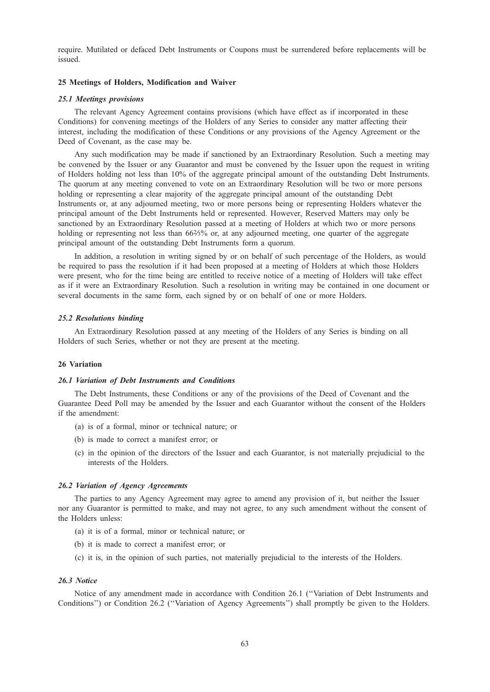require. Mutilated or defaced Debt Instruments or Coupons must be surrendered before replacements will be issued.

## 25 Meetings of Holders, Modification and Waiver

## 25.1 Meetings provisions

The relevant Agency Agreement contains provisions (which have effect as if incorporated in these Conditions) for convening meetings of the Holders of any Series to consider any matter affecting their interest, including the modification of these Conditions or any provisions of the Agency Agreement or the Deed of Covenant, as the case may be.

Any such modification may be made if sanctioned by an Extraordinary Resolution. Such a meeting may be convened by the Issuer or any Guarantor and must be convened by the Issuer upon the request in writing of Holders holding not less than 10% of the aggregate principal amount of the outstanding Debt Instruments. The quorum at any meeting convened to vote on an Extraordinary Resolution will be two or more persons holding or representing a clear majority of the aggregate principal amount of the outstanding Debt Instruments or, at any adjourned meeting, two or more persons being or representing Holders whatever the principal amount of the Debt Instruments held or represented. However, Reserved Matters may only be sanctioned by an Extraordinary Resolution passed at a meeting of Holders at which two or more persons holding or representing not less than 66%% or, at any adjourned meeting, one quarter of the aggregate principal amount of the outstanding Debt Instruments form a quorum.

In addition, a resolution in writing signed by or on behalf of such percentage of the Holders, as would be required to pass the resolution if it had been proposed at a meeting of Holders at which those Holders were present, who for the time being are entitled to receive notice of a meeting of Holders will take effect as if it were an Extraordinary Resolution. Such a resolution in writing may be contained in one document or several documents in the same form, each signed by or on behalf of one or more Holders.

#### 25.2 Resolutions binding

An Extraordinary Resolution passed at any meeting of the Holders of any Series is binding on all Holders of such Series, whether or not they are present at the meeting.

#### 26 Variation

#### 26.1 Variation of Debt Instruments and Conditions

The Debt Instruments, these Conditions or any of the provisions of the Deed of Covenant and the Guarantee Deed Poll may be amended by the Issuer and each Guarantor without the consent of the Holders if the amendment:

- (a) is of a formal, minor or technical nature; or
- (b) is made to correct a manifest error; or
- (c) in the opinion of the directors of the Issuer and each Guarantor, is not materially prejudicial to the interests of the Holders.

#### 26.2 Variation of Agency Agreements

The parties to any Agency Agreement may agree to amend any provision of it, but neither the Issuer nor any Guarantor is permitted to make, and may not agree, to any such amendment without the consent of the Holders unless:

- (a) it is of a formal, minor or technical nature; or
- (b) it is made to correct a manifest error; or
- (c) it is, in the opinion of such parties, not materially prejudicial to the interests of the Holders.

# 26.3 Notice

Notice of any amendment made in accordance with Condition 26.1 (''Variation of Debt Instruments and Conditions'') or Condition 26.2 (''Variation of Agency Agreements'') shall promptly be given to the Holders.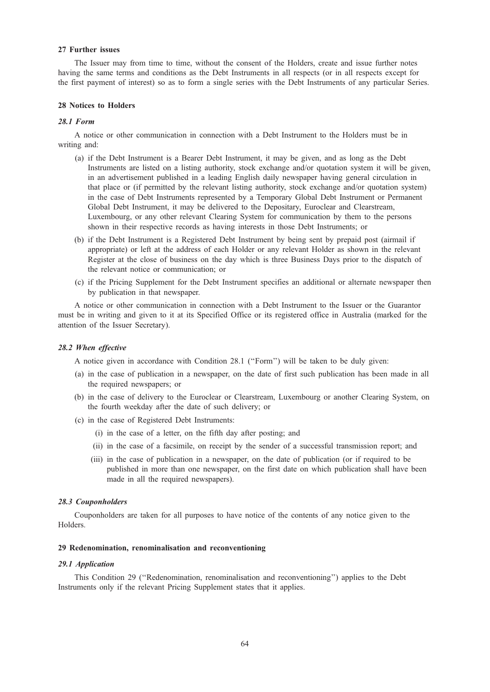#### 27 Further issues

The Issuer may from time to time, without the consent of the Holders, create and issue further notes having the same terms and conditions as the Debt Instruments in all respects (or in all respects except for the first payment of interest) so as to form a single series with the Debt Instruments of any particular Series.

# 28 Notices to Holders

## 28.1 Form

A notice or other communication in connection with a Debt Instrument to the Holders must be in writing and:

- (a) if the Debt Instrument is a Bearer Debt Instrument, it may be given, and as long as the Debt Instruments are listed on a listing authority, stock exchange and/or quotation system it will be given, in an advertisement published in a leading English daily newspaper having general circulation in that place or (if permitted by the relevant listing authority, stock exchange and/or quotation system) in the case of Debt Instruments represented by a Temporary Global Debt Instrument or Permanent Global Debt Instrument, it may be delivered to the Depositary, Euroclear and Clearstream, Luxembourg, or any other relevant Clearing System for communication by them to the persons shown in their respective records as having interests in those Debt Instruments; or
- (b) if the Debt Instrument is a Registered Debt Instrument by being sent by prepaid post (airmail if appropriate) or left at the address of each Holder or any relevant Holder as shown in the relevant Register at the close of business on the day which is three Business Days prior to the dispatch of the relevant notice or communication; or
- (c) if the Pricing Supplement for the Debt Instrument specifies an additional or alternate newspaper then by publication in that newspaper.

A notice or other communication in connection with a Debt Instrument to the Issuer or the Guarantor must be in writing and given to it at its Specified Office or its registered office in Australia (marked for the attention of the Issuer Secretary).

#### 28.2 When effective

A notice given in accordance with Condition 28.1 (''Form'') will be taken to be duly given:

- (a) in the case of publication in a newspaper, on the date of first such publication has been made in all the required newspapers; or
- (b) in the case of delivery to the Euroclear or Clearstream, Luxembourg or another Clearing System, on the fourth weekday after the date of such delivery; or
- (c) in the case of Registered Debt Instruments:
	- (i) in the case of a letter, on the fifth day after posting; and
	- (ii) in the case of a facsimile, on receipt by the sender of a successful transmission report; and
	- (iii) in the case of publication in a newspaper, on the date of publication (or if required to be published in more than one newspaper, on the first date on which publication shall have been made in all the required newspapers).

#### 28.3 Couponholders

Couponholders are taken for all purposes to have notice of the contents of any notice given to the Holders.

## 29 Redenomination, renominalisation and reconventioning

#### 29.1 Application

This Condition 29 (''Redenomination, renominalisation and reconventioning'') applies to the Debt Instruments only if the relevant Pricing Supplement states that it applies.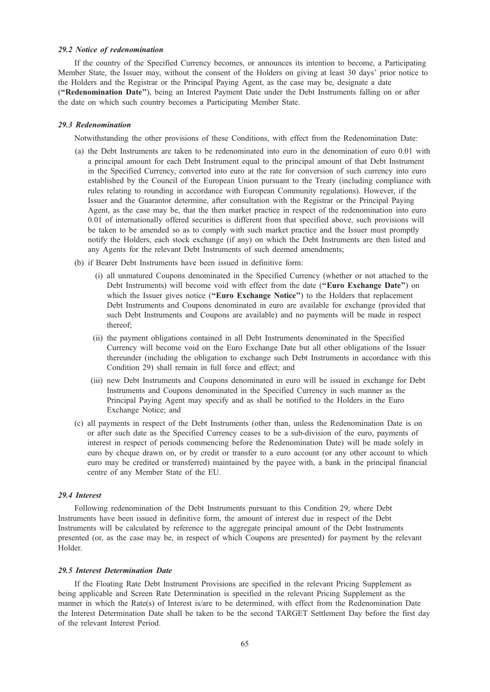## 29.2 Notice of redenomination

If the country of the Specified Currency becomes, or announces its intention to become, a Participating Member State, the Issuer may, without the consent of the Holders on giving at least 30 days' prior notice to the Holders and the Registrar or the Principal Paying Agent, as the case may be, designate a date (''Redenomination Date''), being an Interest Payment Date under the Debt Instruments falling on or after the date on which such country becomes a Participating Member State.

## 29.3 Redenomination

Notwithstanding the other provisions of these Conditions, with effect from the Redenomination Date:

- (a) the Debt Instruments are taken to be redenominated into euro in the denomination of euro 0.01 with a principal amount for each Debt Instrument equal to the principal amount of that Debt Instrument in the Specified Currency, converted into euro at the rate for conversion of such currency into euro established by the Council of the European Union pursuant to the Treaty (including compliance with rules relating to rounding in accordance with European Community regulations). However, if the Issuer and the Guarantor determine, after consultation with the Registrar or the Principal Paying Agent, as the case may be, that the then market practice in respect of the redenomination into euro 0.01 of internationally offered securities is different from that specified above, such provisions will be taken to be amended so as to comply with such market practice and the Issuer must promptly notify the Holders, each stock exchange (if any) on which the Debt Instruments are then listed and any Agents for the relevant Debt Instruments of such deemed amendments;
- (b) if Bearer Debt Instruments have been issued in definitive form:
	- (i) all unmatured Coupons denominated in the Specified Currency (whether or not attached to the Debt Instruments) will become void with effect from the date ("Euro Exchange Date") on which the Issuer gives notice ("Euro Exchange Notice") to the Holders that replacement Debt Instruments and Coupons denominated in euro are available for exchange (provided that such Debt Instruments and Coupons are available) and no payments will be made in respect thereof;
	- (ii) the payment obligations contained in all Debt Instruments denominated in the Specified Currency will become void on the Euro Exchange Date but all other obligations of the Issuer thereunder (including the obligation to exchange such Debt Instruments in accordance with this Condition 29) shall remain in full force and effect; and
	- (iii) new Debt Instruments and Coupons denominated in euro will be issued in exchange for Debt Instruments and Coupons denominated in the Specified Currency in such manner as the Principal Paying Agent may specify and as shall be notified to the Holders in the Euro Exchange Notice; and
- (c) all payments in respect of the Debt Instruments (other than, unless the Redenomination Date is on or after such date as the Specified Currency ceases to be a sub-division of the euro, payments of interest in respect of periods commencing before the Redenomination Date) will be made solely in euro by cheque drawn on, or by credit or transfer to a euro account (or any other account to which euro may be credited or transferred) maintained by the payee with, a bank in the principal financial centre of any Member State of the EU.

#### 29.4 Interest

Following redenomination of the Debt Instruments pursuant to this Condition 29, where Debt Instruments have been issued in definitive form, the amount of interest due in respect of the Debt Instruments will be calculated by reference to the aggregate principal amount of the Debt Instruments presented (or, as the case may be, in respect of which Coupons are presented) for payment by the relevant Holder.

# 29.5 Interest Determination Date

If the Floating Rate Debt Instrument Provisions are specified in the relevant Pricing Supplement as being applicable and Screen Rate Determination is specified in the relevant Pricing Supplement as the manner in which the Rate(s) of Interest is/are to be determined, with effect from the Redenomination Date the Interest Determination Date shall be taken to be the second TARGET Settlement Day before the first day of the relevant Interest Period.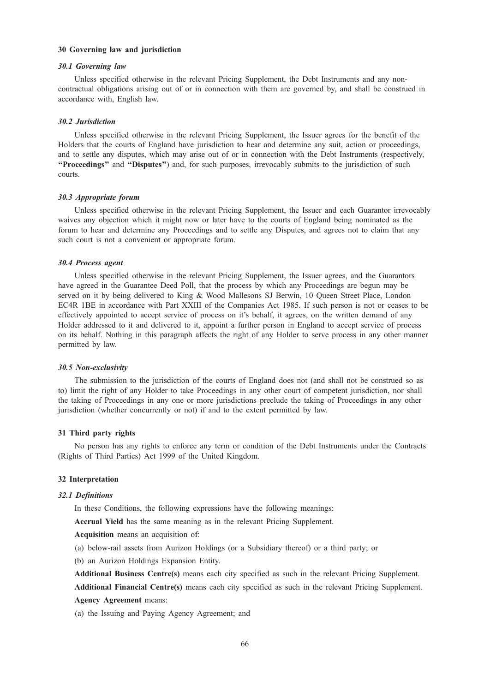# 30 Governing law and jurisdiction

## 30.1 Governing law

Unless specified otherwise in the relevant Pricing Supplement, the Debt Instruments and any noncontractual obligations arising out of or in connection with them are governed by, and shall be construed in accordance with, English law.

#### 30.2 Jurisdiction

Unless specified otherwise in the relevant Pricing Supplement, the Issuer agrees for the benefit of the Holders that the courts of England have jurisdiction to hear and determine any suit, action or proceedings, and to settle any disputes, which may arise out of or in connection with the Debt Instruments (respectively, "Proceedings" and "Disputes") and, for such purposes, irrevocably submits to the jurisdiction of such courts.

#### 30.3 Appropriate forum

Unless specified otherwise in the relevant Pricing Supplement, the Issuer and each Guarantor irrevocably waives any objection which it might now or later have to the courts of England being nominated as the forum to hear and determine any Proceedings and to settle any Disputes, and agrees not to claim that any such court is not a convenient or appropriate forum.

#### 30.4 Process agent

Unless specified otherwise in the relevant Pricing Supplement, the Issuer agrees, and the Guarantors have agreed in the Guarantee Deed Poll, that the process by which any Proceedings are begun may be served on it by being delivered to King & Wood Mallesons SJ Berwin, 10 Queen Street Place, London EC4R 1BE in accordance with Part XXIII of the Companies Act 1985. If such person is not or ceases to be effectively appointed to accept service of process on it's behalf, it agrees, on the written demand of any Holder addressed to it and delivered to it, appoint a further person in England to accept service of process on its behalf. Nothing in this paragraph affects the right of any Holder to serve process in any other manner permitted by law.

#### 30.5 Non-exclusivity

The submission to the jurisdiction of the courts of England does not (and shall not be construed so as to) limit the right of any Holder to take Proceedings in any other court of competent jurisdiction, nor shall the taking of Proceedings in any one or more jurisdictions preclude the taking of Proceedings in any other jurisdiction (whether concurrently or not) if and to the extent permitted by law.

# 31 Third party rights

No person has any rights to enforce any term or condition of the Debt Instruments under the Contracts (Rights of Third Parties) Act 1999 of the United Kingdom.

## 32 Interpretation

#### 32.1 Definitions

In these Conditions, the following expressions have the following meanings:

Accrual Yield has the same meaning as in the relevant Pricing Supplement.

Acquisition means an acquisition of:

- (a) below-rail assets from Aurizon Holdings (or a Subsidiary thereof) or a third party; or
- (b) an Aurizon Holdings Expansion Entity.
- Additional Business Centre(s) means each city specified as such in the relevant Pricing Supplement.

Additional Financial Centre(s) means each city specified as such in the relevant Pricing Supplement. Agency Agreement means:

(a) the Issuing and Paying Agency Agreement; and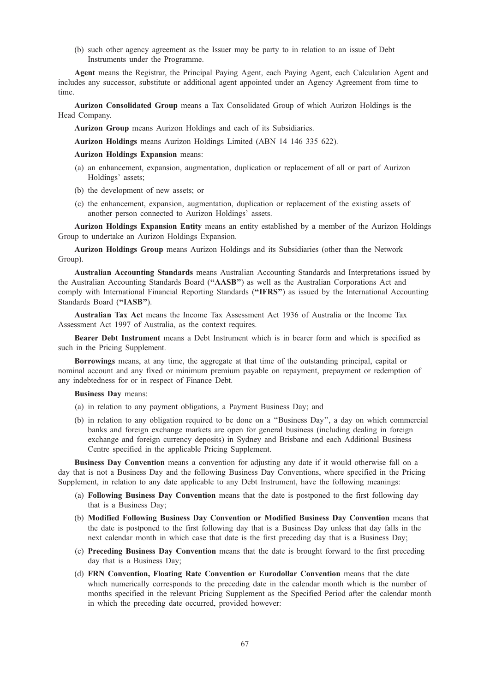(b) such other agency agreement as the Issuer may be party to in relation to an issue of Debt Instruments under the Programme.

Agent means the Registrar, the Principal Paying Agent, each Paying Agent, each Calculation Agent and includes any successor, substitute or additional agent appointed under an Agency Agreement from time to time.

Aurizon Consolidated Group means a Tax Consolidated Group of which Aurizon Holdings is the Head Company.

Aurizon Group means Aurizon Holdings and each of its Subsidiaries.

Aurizon Holdings means Aurizon Holdings Limited (ABN 14 146 335 622).

Aurizon Holdings Expansion means:

- (a) an enhancement, expansion, augmentation, duplication or replacement of all or part of Aurizon Holdings' assets;
- (b) the development of new assets; or
- (c) the enhancement, expansion, augmentation, duplication or replacement of the existing assets of another person connected to Aurizon Holdings' assets.

Aurizon Holdings Expansion Entity means an entity established by a member of the Aurizon Holdings Group to undertake an Aurizon Holdings Expansion.

Aurizon Holdings Group means Aurizon Holdings and its Subsidiaries (other than the Network Group).

Australian Accounting Standards means Australian Accounting Standards and Interpretations issued by the Australian Accounting Standards Board (''AASB'') as well as the Australian Corporations Act and comply with International Financial Reporting Standards ("IFRS") as issued by the International Accounting Standards Board ("IASB").

Australian Tax Act means the Income Tax Assessment Act 1936 of Australia or the Income Tax Assessment Act 1997 of Australia, as the context requires.

Bearer Debt Instrument means a Debt Instrument which is in bearer form and which is specified as such in the Pricing Supplement.

Borrowings means, at any time, the aggregate at that time of the outstanding principal, capital or nominal account and any fixed or minimum premium payable on repayment, prepayment or redemption of any indebtedness for or in respect of Finance Debt.

Business Day means:

- (a) in relation to any payment obligations, a Payment Business Day; and
- (b) in relation to any obligation required to be done on a ''Business Day'', a day on which commercial banks and foreign exchange markets are open for general business (including dealing in foreign exchange and foreign currency deposits) in Sydney and Brisbane and each Additional Business Centre specified in the applicable Pricing Supplement.

Business Day Convention means a convention for adjusting any date if it would otherwise fall on a day that is not a Business Day and the following Business Day Conventions, where specified in the Pricing Supplement, in relation to any date applicable to any Debt Instrument, have the following meanings:

- (a) Following Business Day Convention means that the date is postponed to the first following day that is a Business Day;
- (b) Modified Following Business Day Convention or Modified Business Day Convention means that the date is postponed to the first following day that is a Business Day unless that day falls in the next calendar month in which case that date is the first preceding day that is a Business Day;
- (c) Preceding Business Day Convention means that the date is brought forward to the first preceding day that is a Business Day;
- (d) FRN Convention, Floating Rate Convention or Eurodollar Convention means that the date which numerically corresponds to the preceding date in the calendar month which is the number of months specified in the relevant Pricing Supplement as the Specified Period after the calendar month in which the preceding date occurred, provided however: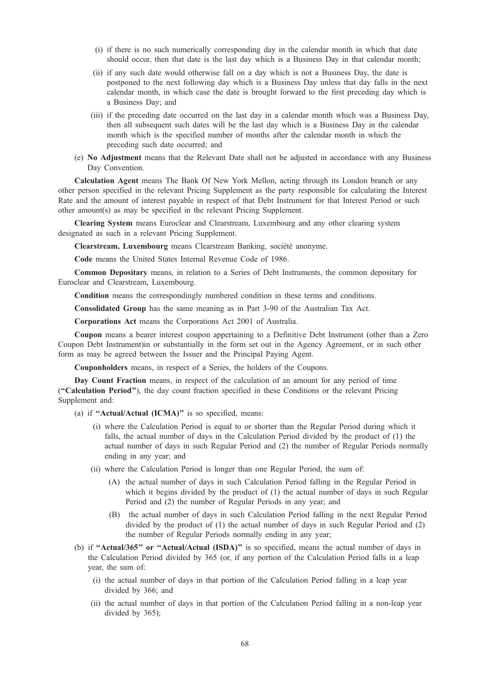- (i) if there is no such numerically corresponding day in the calendar month in which that date should occur, then that date is the last day which is a Business Day in that calendar month;
- (ii) if any such date would otherwise fall on a day which is not a Business Day, the date is postponed to the next following day which is a Business Day unless that day falls in the next calendar month, in which case the date is brought forward to the first preceding day which is a Business Day; and
- (iii) if the preceding date occurred on the last day in a calendar month which was a Business Day, then all subsequent such dates will be the last day which is a Business Day in the calendar month which is the specified number of months after the calendar month in which the preceding such date occurred; and
- (e) No Adjustment means that the Relevant Date shall not be adjusted in accordance with any Business Day Convention.

Calculation Agent means The Bank Of New York Mellon, acting through its London branch or any other person specified in the relevant Pricing Supplement as the party responsible for calculating the Interest Rate and the amount of interest payable in respect of that Debt Instrument for that Interest Period or such other amount(s) as may be specified in the relevant Pricing Supplement.

Clearing System means Euroclear and Clearstream, Luxembourg and any other clearing system designated as such in a relevant Pricing Supplement.

Clearstream, Luxembourg means Clearstream Banking, société anonyme.

Code means the United States Internal Revenue Code of 1986.

Common Depositary means, in relation to a Series of Debt Instruments, the common depositary for Euroclear and Clearstream, Luxembourg.

Condition means the correspondingly numbered condition in these terms and conditions.

Consolidated Group has the same meaning as in Part 3-90 of the Australian Tax Act.

Corporations Act means the Corporations Act 2001 of Australia.

Coupon means a bearer interest coupon appertaining to a Definitive Debt Instrument (other than a Zero Coupon Debt Instrument)in or substantially in the form set out in the Agency Agreement, or in such other form as may be agreed between the Issuer and the Principal Paying Agent.

Couponholders means, in respect of a Series, the holders of the Coupons.

Day Count Fraction means, in respect of the calculation of an amount for any period of time (''Calculation Period''), the day count fraction specified in these Conditions or the relevant Pricing Supplement and:

(a) if "Actual/Actual (ICMA)" is so specified, means:

- (i) where the Calculation Period is equal to or shorter than the Regular Period during which it falls, the actual number of days in the Calculation Period divided by the product of (1) the actual number of days in such Regular Period and (2) the number of Regular Periods normally ending in any year; and
- (ii) where the Calculation Period is longer than one Regular Period, the sum of:
	- (A) the actual number of days in such Calculation Period falling in the Regular Period in which it begins divided by the product of (1) the actual number of days in such Regular Period and (2) the number of Regular Periods in any year; and
	- (B) the actual number of days in such Calculation Period falling in the next Regular Period divided by the product of (1) the actual number of days in such Regular Period and (2) the number of Regular Periods normally ending in any year;
- (b) if "Actual/365" or "Actual/Actual (ISDA)" is so specified, means the actual number of days in the Calculation Period divided by 365 (or, if any portion of the Calculation Period falls in a leap year, the sum of:
	- (i) the actual number of days in that portion of the Calculation Period falling in a leap year divided by 366; and
	- (ii) the actual number of days in that portion of the Calculation Period falling in a non-leap year divided by 365);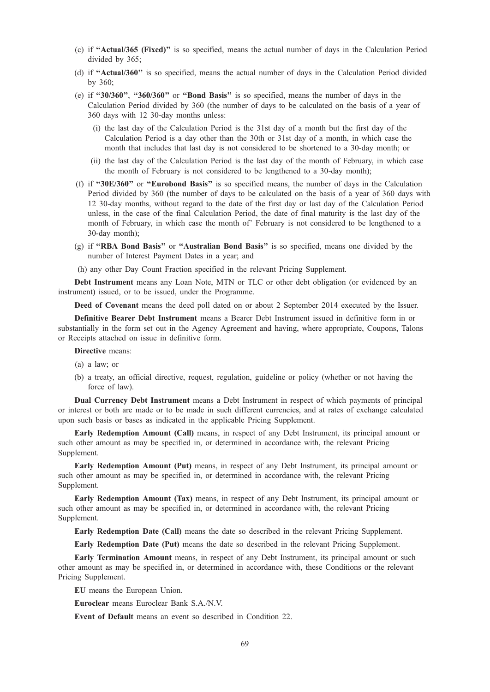- (c) if ''Actual/365 (Fixed)'' is so specified, means the actual number of days in the Calculation Period divided by 365;
- (d) if ''Actual/360'' is so specified, means the actual number of days in the Calculation Period divided by 360;
- (e) if ''30/360'', ''360/360'' or ''Bond Basis'' is so specified, means the number of days in the Calculation Period divided by 360 (the number of days to be calculated on the basis of a year of 360 days with 12 30-day months unless:
	- (i) the last day of the Calculation Period is the 31st day of a month but the first day of the Calculation Period is a day other than the 30th or 31st day of a month, in which case the month that includes that last day is not considered to be shortened to a 30-day month; or
	- (ii) the last day of the Calculation Period is the last day of the month of February, in which case the month of February is not considered to be lengthened to a 30-day month);
- (f) if ''30E/360'' or ''Eurobond Basis'' is so specified means, the number of days in the Calculation Period divided by 360 (the number of days to be calculated on the basis of a year of 360 days with 12 30-day months, without regard to the date of the first day or last day of the Calculation Period unless, in the case of the final Calculation Period, the date of final maturity is the last day of the month of February, in which case the month of' February is not considered to be lengthened to a 30-day month);
- (g) if ''RBA Bond Basis'' or ''Australian Bond Basis'' is so specified, means one divided by the number of Interest Payment Dates in a year; and
- (h) any other Day Count Fraction specified in the relevant Pricing Supplement.

Debt Instrument means any Loan Note, MTN or TLC or other debt obligation (or evidenced by an instrument) issued, or to be issued, under the Programme.

Deed of Covenant means the deed poll dated on or about 2 September 2014 executed by the Issuer.

Definitive Bearer Debt Instrument means a Bearer Debt Instrument issued in definitive form in or substantially in the form set out in the Agency Agreement and having, where appropriate, Coupons, Talons or Receipts attached on issue in definitive form.

Directive means:

- (a) a law; or
- (b) a treaty, an official directive, request, regulation, guideline or policy (whether or not having the force of law).

Dual Currency Debt Instrument means a Debt Instrument in respect of which payments of principal or interest or both are made or to be made in such different currencies, and at rates of exchange calculated upon such basis or bases as indicated in the applicable Pricing Supplement.

Early Redemption Amount (Call) means, in respect of any Debt Instrument, its principal amount or such other amount as may be specified in, or determined in accordance with, the relevant Pricing Supplement.

Early Redemption Amount (Put) means, in respect of any Debt Instrument, its principal amount or such other amount as may be specified in, or determined in accordance with, the relevant Pricing Supplement.

Early Redemption Amount (Tax) means, in respect of any Debt Instrument, its principal amount or such other amount as may be specified in, or determined in accordance with, the relevant Pricing Supplement.

Early Redemption Date (Call) means the date so described in the relevant Pricing Supplement.

Early Redemption Date (Put) means the date so described in the relevant Pricing Supplement.

Early Termination Amount means, in respect of any Debt Instrument, its principal amount or such other amount as may be specified in, or determined in accordance with, these Conditions or the relevant Pricing Supplement.

EU means the European Union.

Euroclear means Euroclear Bank S.A./N.V.

Event of Default means an event so described in Condition 22.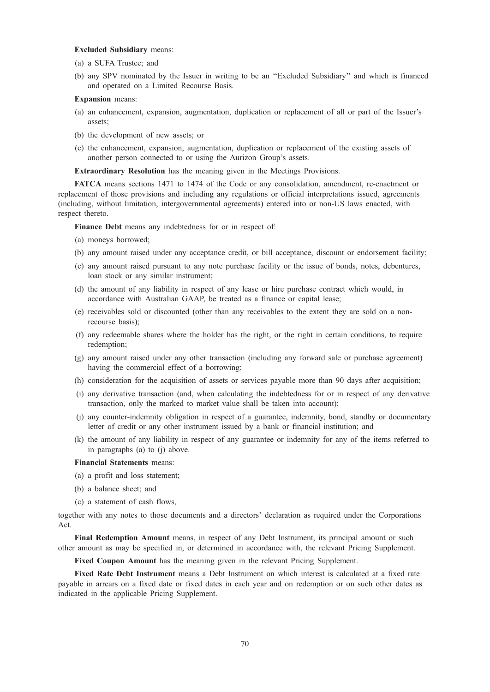## Excluded Subsidiary means:

- (a) a SUFA Trustee; and
- (b) any SPV nominated by the Issuer in writing to be an ''Excluded Subsidiary'' and which is financed and operated on a Limited Recourse Basis.

#### Expansion means:

- (a) an enhancement, expansion, augmentation, duplication or replacement of all or part of the Issuer's assets;
- (b) the development of new assets; or
- (c) the enhancement, expansion, augmentation, duplication or replacement of the existing assets of another person connected to or using the Aurizon Group's assets.

Extraordinary Resolution has the meaning given in the Meetings Provisions.

FATCA means sections 1471 to 1474 of the Code or any consolidation, amendment, re-enactment or replacement of those provisions and including any regulations or official interpretations issued, agreements (including, without limitation, intergovernmental agreements) entered into or non-US laws enacted, with respect thereto.

Finance Debt means any indebtedness for or in respect of:

- (a) moneys borrowed;
- (b) any amount raised under any acceptance credit, or bill acceptance, discount or endorsement facility;
- (c) any amount raised pursuant to any note purchase facility or the issue of bonds, notes, debentures, loan stock or any similar instrument;
- (d) the amount of any liability in respect of any lease or hire purchase contract which would, in accordance with Australian GAAP, be treated as a finance or capital lease;
- (e) receivables sold or discounted (other than any receivables to the extent they are sold on a nonrecourse basis);
- (f) any redeemable shares where the holder has the right, or the right in certain conditions, to require redemption;
- (g) any amount raised under any other transaction (including any forward sale or purchase agreement) having the commercial effect of a borrowing;
- (h) consideration for the acquisition of assets or services payable more than 90 days after acquisition;
- (i) any derivative transaction (and, when calculating the indebtedness for or in respect of any derivative transaction, only the marked to market value shall be taken into account);
- (j) any counter-indemnity obligation in respect of a guarantee, indemnity, bond, standby or documentary letter of credit or any other instrument issued by a bank or financial institution; and
- (k) the amount of any liability in respect of any guarantee or indemnity for any of the items referred to in paragraphs (a) to (j) above.

#### Financial Statements means:

- (a) a profit and loss statement;
- (b) a balance sheet; and
- (c) a statement of cash flows,

together with any notes to those documents and a directors' declaration as required under the Corporations Act.

Final Redemption Amount means, in respect of any Debt Instrument, its principal amount or such other amount as may be specified in, or determined in accordance with, the relevant Pricing Supplement.

Fixed Coupon Amount has the meaning given in the relevant Pricing Supplement.

Fixed Rate Debt Instrument means a Debt Instrument on which interest is calculated at a fixed rate payable in arrears on a fixed date or fixed dates in each year and on redemption or on such other dates as indicated in the applicable Pricing Supplement.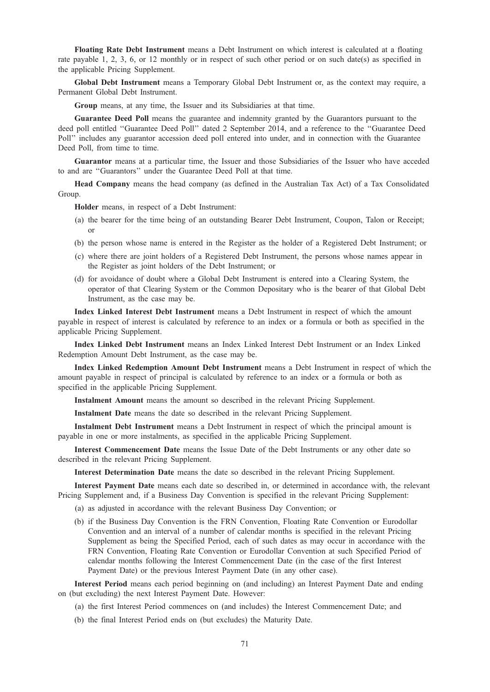Floating Rate Debt Instrument means a Debt Instrument on which interest is calculated at a floating rate payable 1, 2, 3, 6, or 12 monthly or in respect of such other period or on such date(s) as specified in the applicable Pricing Supplement.

Global Debt Instrument means a Temporary Global Debt Instrument or, as the context may require, a Permanent Global Debt Instrument.

Group means, at any time, the Issuer and its Subsidiaries at that time.

Guarantee Deed Poll means the guarantee and indemnity granted by the Guarantors pursuant to the deed poll entitled ''Guarantee Deed Poll'' dated 2 September 2014, and a reference to the ''Guarantee Deed Poll'' includes any guarantor accession deed poll entered into under, and in connection with the Guarantee Deed Poll, from time to time.

Guarantor means at a particular time, the Issuer and those Subsidiaries of the Issuer who have acceded to and are ''Guarantors'' under the Guarantee Deed Poll at that time.

Head Company means the head company (as defined in the Australian Tax Act) of a Tax Consolidated Group.

Holder means, in respect of a Debt Instrument:

- (a) the bearer for the time being of an outstanding Bearer Debt Instrument, Coupon, Talon or Receipt; or
- (b) the person whose name is entered in the Register as the holder of a Registered Debt Instrument; or
- (c) where there are joint holders of a Registered Debt Instrument, the persons whose names appear in the Register as joint holders of the Debt Instrument; or
- (d) for avoidance of doubt where a Global Debt Instrument is entered into a Clearing System, the operator of that Clearing System or the Common Depositary who is the bearer of that Global Debt Instrument, as the case may be.

Index Linked Interest Debt Instrument means a Debt Instrument in respect of which the amount payable in respect of interest is calculated by reference to an index or a formula or both as specified in the applicable Pricing Supplement.

Index Linked Debt Instrument means an Index Linked Interest Debt Instrument or an Index Linked Redemption Amount Debt Instrument, as the case may be.

Index Linked Redemption Amount Debt Instrument means a Debt Instrument in respect of which the amount payable in respect of principal is calculated by reference to an index or a formula or both as specified in the applicable Pricing Supplement.

Instalment Amount means the amount so described in the relevant Pricing Supplement.

Instalment Date means the date so described in the relevant Pricing Supplement.

Instalment Debt Instrument means a Debt Instrument in respect of which the principal amount is payable in one or more instalments, as specified in the applicable Pricing Supplement.

Interest Commencement Date means the Issue Date of the Debt Instruments or any other date so described in the relevant Pricing Supplement.

Interest Determination Date means the date so described in the relevant Pricing Supplement.

Interest Payment Date means each date so described in, or determined in accordance with, the relevant Pricing Supplement and, if a Business Day Convention is specified in the relevant Pricing Supplement:

- (a) as adjusted in accordance with the relevant Business Day Convention; or
- (b) if the Business Day Convention is the FRN Convention, Floating Rate Convention or Eurodollar Convention and an interval of a number of calendar months is specified in the relevant Pricing Supplement as being the Specified Period, each of such dates as may occur in accordance with the FRN Convention, Floating Rate Convention or Eurodollar Convention at such Specified Period of calendar months following the Interest Commencement Date (in the case of the first Interest Payment Date) or the previous Interest Payment Date (in any other case).

Interest Period means each period beginning on (and including) an Interest Payment Date and ending on (but excluding) the next Interest Payment Date. However:

- (a) the first Interest Period commences on (and includes) the Interest Commencement Date; and
- (b) the final Interest Period ends on (but excludes) the Maturity Date.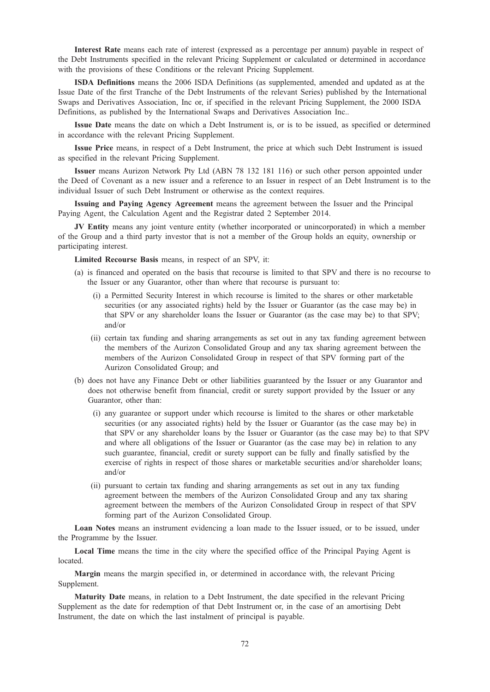Interest Rate means each rate of interest (expressed as a percentage per annum) payable in respect of the Debt Instruments specified in the relevant Pricing Supplement or calculated or determined in accordance with the provisions of these Conditions or the relevant Pricing Supplement.

ISDA Definitions means the 2006 ISDA Definitions (as supplemented, amended and updated as at the Issue Date of the first Tranche of the Debt Instruments of the relevant Series) published by the International Swaps and Derivatives Association, Inc or, if specified in the relevant Pricing Supplement, the 2000 ISDA Definitions, as published by the International Swaps and Derivatives Association Inc..

Issue Date means the date on which a Debt Instrument is, or is to be issued, as specified or determined in accordance with the relevant Pricing Supplement.

Issue Price means, in respect of a Debt Instrument, the price at which such Debt Instrument is issued as specified in the relevant Pricing Supplement.

Issuer means Aurizon Network Pty Ltd (ABN 78 132 181 116) or such other person appointed under the Deed of Covenant as a new issuer and a reference to an Issuer in respect of an Debt Instrument is to the individual Issuer of such Debt Instrument or otherwise as the context requires.

Issuing and Paying Agency Agreement means the agreement between the Issuer and the Principal Paying Agent, the Calculation Agent and the Registrar dated 2 September 2014.

JV Entity means any joint venture entity (whether incorporated or unincorporated) in which a member of the Group and a third party investor that is not a member of the Group holds an equity, ownership or participating interest.

Limited Recourse Basis means, in respect of an SPV, it:

- (a) is financed and operated on the basis that recourse is limited to that SPV and there is no recourse to the Issuer or any Guarantor, other than where that recourse is pursuant to:
	- (i) a Permitted Security Interest in which recourse is limited to the shares or other marketable securities (or any associated rights) held by the Issuer or Guarantor (as the case may be) in that SPV or any shareholder loans the Issuer or Guarantor (as the case may be) to that SPV; and/or
	- (ii) certain tax funding and sharing arrangements as set out in any tax funding agreement between the members of the Aurizon Consolidated Group and any tax sharing agreement between the members of the Aurizon Consolidated Group in respect of that SPV forming part of the Aurizon Consolidated Group; and
- (b) does not have any Finance Debt or other liabilities guaranteed by the Issuer or any Guarantor and does not otherwise benefit from financial, credit or surety support provided by the Issuer or any Guarantor, other than:
	- (i) any guarantee or support under which recourse is limited to the shares or other marketable securities (or any associated rights) held by the Issuer or Guarantor (as the case may be) in that SPV or any shareholder loans by the Issuer or Guarantor (as the case may be) to that SPV and where all obligations of the Issuer or Guarantor (as the case may be) in relation to any such guarantee, financial, credit or surety support can be fully and finally satisfied by the exercise of rights in respect of those shares or marketable securities and/or shareholder loans; and/or
	- (ii) pursuant to certain tax funding and sharing arrangements as set out in any tax funding agreement between the members of the Aurizon Consolidated Group and any tax sharing agreement between the members of the Aurizon Consolidated Group in respect of that SPV forming part of the Aurizon Consolidated Group.

Loan Notes means an instrument evidencing a loan made to the Issuer issued, or to be issued, under the Programme by the Issuer.

Local Time means the time in the city where the specified office of the Principal Paying Agent is located.

Margin means the margin specified in, or determined in accordance with, the relevant Pricing Supplement.

Maturity Date means, in relation to a Debt Instrument, the date specified in the relevant Pricing Supplement as the date for redemption of that Debt Instrument or, in the case of an amortising Debt Instrument, the date on which the last instalment of principal is payable.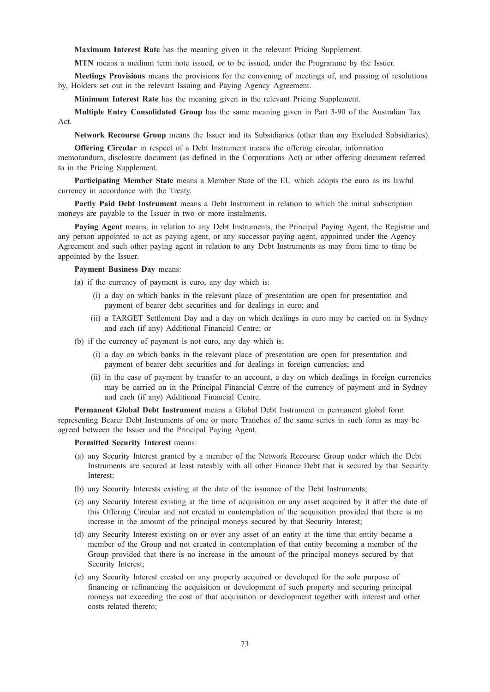Maximum Interest Rate has the meaning given in the relevant Pricing Supplement.

MTN means a medium term note issued, or to be issued, under the Programme by the Issuer.

Meetings Provisions means the provisions for the convening of meetings of, and passing of resolutions by, Holders set out in the relevant Issuing and Paying Agency Agreement.

Minimum Interest Rate has the meaning given in the relevant Pricing Supplement.

Multiple Entry Consolidated Group has the same meaning given in Part 3-90 of the Australian Tax Act.

Network Recourse Group means the Issuer and its Subsidiaries (other than any Excluded Subsidiaries).

Offering Circular in respect of a Debt Instrument means the offering circular, information memorandum, disclosure document (as defined in the Corporations Act) or other offering document referred to in the Pricing Supplement.

Participating Member State means a Member State of the EU which adopts the euro as its lawful currency in accordance with the Treaty.

Partly Paid Debt Instrument means a Debt Instrument in relation to which the initial subscription moneys are payable to the Issuer in two or more instalments.

Paying Agent means, in relation to any Debt Instruments, the Principal Paying Agent, the Registrar and any person appointed to act as paying agent, or any successor paying agent, appointed under the Agency Agreement and such other paying agent in relation to any Debt Instruments as may from time to time be appointed by the Issuer.

#### Payment Business Day means:

- (a) if the currency of payment is euro, any day which is:
	- (i) a day on which banks in the relevant place of presentation are open for presentation and payment of bearer debt securities and for dealings in euro; and
	- (ii) a TARGET Settlement Day and a day on which dealings in euro may be carried on in Sydney and each (if any) Additional Financial Centre; or
- (b) if the currency of payment is not euro, any day which is:
	- (i) a day on which banks in the relevant place of presentation are open for presentation and payment of bearer debt securities and for dealings in foreign currencies; and
	- (ii) in the case of payment by transfer to an account, a day on which dealings in foreign currencies may be carried on in the Principal Financial Centre of the currency of payment and in Sydney and each (if any) Additional Financial Centre.

Permanent Global Debt Instrument means a Global Debt Instrument in permanent global form representing Bearer Debt Instruments of one or more Tranches of the same series in such form as may be agreed between the Issuer and the Principal Paying Agent.

#### Permitted Security Interest means:

- (a) any Security Interest granted by a member of the Network Recourse Group under which the Debt Instruments are secured at least rateably with all other Finance Debt that is secured by that Security Interest;
- (b) any Security Interests existing at the date of the issuance of the Debt Instruments;
- (c) any Security Interest existing at the time of acquisition on any asset acquired by it after the date of this Offering Circular and not created in contemplation of the acquisition provided that there is no increase in the amount of the principal moneys secured by that Security Interest;
- (d) any Security Interest existing on or over any asset of an entity at the time that entity became a member of the Group and not created in contemplation of that entity becoming a member of the Group provided that there is no increase in the amount of the principal moneys secured by that Security Interest;
- (e) any Security Interest created on any property acquired or developed for the sole purpose of financing or refinancing the acquisition or development of such property and securing principal moneys not exceeding the cost of that acquisition or development together with interest and other costs related thereto;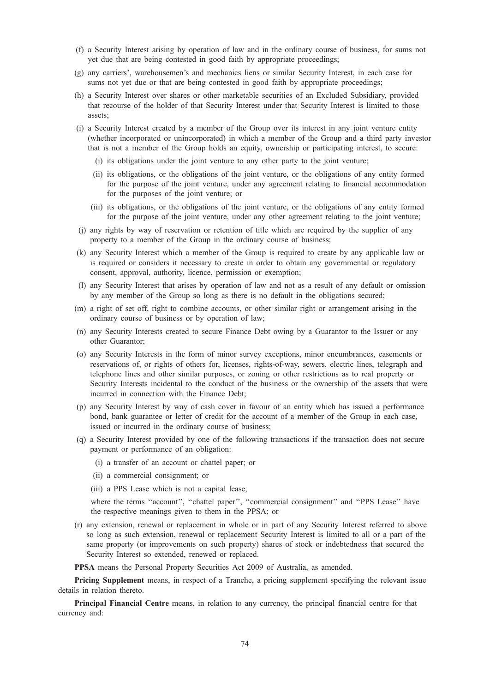- (f) a Security Interest arising by operation of law and in the ordinary course of business, for sums not yet due that are being contested in good faith by appropriate proceedings;
- (g) any carriers', warehousemen's and mechanics liens or similar Security Interest, in each case for sums not yet due or that are being contested in good faith by appropriate proceedings;
- (h) a Security Interest over shares or other marketable securities of an Excluded Subsidiary, provided that recourse of the holder of that Security Interest under that Security Interest is limited to those assets;
- (i) a Security Interest created by a member of the Group over its interest in any joint venture entity (whether incorporated or unincorporated) in which a member of the Group and a third party investor that is not a member of the Group holds an equity, ownership or participating interest, to secure:
	- (i) its obligations under the joint venture to any other party to the joint venture;
	- (ii) its obligations, or the obligations of the joint venture, or the obligations of any entity formed for the purpose of the joint venture, under any agreement relating to financial accommodation for the purposes of the joint venture; or
	- (iii) its obligations, or the obligations of the joint venture, or the obligations of any entity formed for the purpose of the joint venture, under any other agreement relating to the joint venture;
- (j) any rights by way of reservation or retention of title which are required by the supplier of any property to a member of the Group in the ordinary course of business;
- (k) any Security Interest which a member of the Group is required to create by any applicable law or is required or considers it necessary to create in order to obtain any governmental or regulatory consent, approval, authority, licence, permission or exemption;
- (l) any Security Interest that arises by operation of law and not as a result of any default or omission by any member of the Group so long as there is no default in the obligations secured;
- (m) a right of set off, right to combine accounts, or other similar right or arrangement arising in the ordinary course of business or by operation of law;
- (n) any Security Interests created to secure Finance Debt owing by a Guarantor to the Issuer or any other Guarantor;
- (o) any Security Interests in the form of minor survey exceptions, minor encumbrances, easements or reservations of, or rights of others for, licenses, rights-of-way, sewers, electric lines, telegraph and telephone lines and other similar purposes, or zoning or other restrictions as to real property or Security Interests incidental to the conduct of the business or the ownership of the assets that were incurred in connection with the Finance Debt;
- (p) any Security Interest by way of cash cover in favour of an entity which has issued a performance bond, bank guarantee or letter of credit for the account of a member of the Group in each case, issued or incurred in the ordinary course of business;
- (q) a Security Interest provided by one of the following transactions if the transaction does not secure payment or performance of an obligation:
	- (i) a transfer of an account or chattel paper; or
	- (ii) a commercial consignment; or
	- (iii) a PPS Lease which is not a capital lease,

where the terms "account", "chattel paper", "commercial consignment" and "PPS Lease" have the respective meanings given to them in the PPSA; or

(r) any extension, renewal or replacement in whole or in part of any Security Interest referred to above so long as such extension, renewal or replacement Security Interest is limited to all or a part of the same property (or improvements on such property) shares of stock or indebtedness that secured the Security Interest so extended, renewed or replaced.

PPSA means the Personal Property Securities Act 2009 of Australia, as amended.

Pricing Supplement means, in respect of a Tranche, a pricing supplement specifying the relevant issue details in relation thereto.

Principal Financial Centre means, in relation to any currency, the principal financial centre for that currency and: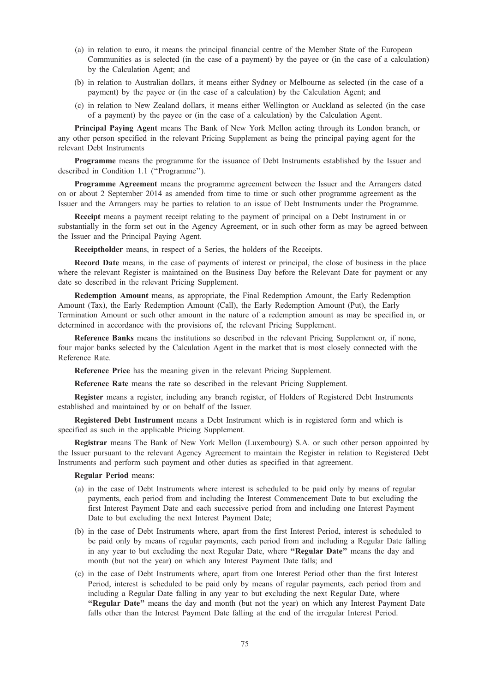- (a) in relation to euro, it means the principal financial centre of the Member State of the European Communities as is selected (in the case of a payment) by the payee or (in the case of a calculation) by the Calculation Agent; and
- (b) in relation to Australian dollars, it means either Sydney or Melbourne as selected (in the case of a payment) by the payee or (in the case of a calculation) by the Calculation Agent; and
- (c) in relation to New Zealand dollars, it means either Wellington or Auckland as selected (in the case of a payment) by the payee or (in the case of a calculation) by the Calculation Agent.

Principal Paying Agent means The Bank of New York Mellon acting through its London branch, or any other person specified in the relevant Pricing Supplement as being the principal paying agent for the relevant Debt Instruments

**Programme** means the programme for the issuance of Debt Instruments established by the Issuer and described in Condition 1.1 (''Programme'').

Programme Agreement means the programme agreement between the Issuer and the Arrangers dated on or about 2 September 2014 as amended from time to time or such other programme agreement as the Issuer and the Arrangers may be parties to relation to an issue of Debt Instruments under the Programme.

Receipt means a payment receipt relating to the payment of principal on a Debt Instrument in or substantially in the form set out in the Agency Agreement, or in such other form as may be agreed between the Issuer and the Principal Paying Agent.

Receiptholder means, in respect of a Series, the holders of the Receipts.

Record Date means, in the case of payments of interest or principal, the close of business in the place where the relevant Register is maintained on the Business Day before the Relevant Date for payment or any date so described in the relevant Pricing Supplement.

Redemption Amount means, as appropriate, the Final Redemption Amount, the Early Redemption Amount (Tax), the Early Redemption Amount (Call), the Early Redemption Amount (Put), the Early Termination Amount or such other amount in the nature of a redemption amount as may be specified in, or determined in accordance with the provisions of, the relevant Pricing Supplement.

Reference Banks means the institutions so described in the relevant Pricing Supplement or, if none, four major banks selected by the Calculation Agent in the market that is most closely connected with the Reference Rate.

Reference Price has the meaning given in the relevant Pricing Supplement.

Reference Rate means the rate so described in the relevant Pricing Supplement.

Register means a register, including any branch register, of Holders of Registered Debt Instruments established and maintained by or on behalf of the Issuer.

Registered Debt Instrument means a Debt Instrument which is in registered form and which is specified as such in the applicable Pricing Supplement.

Registrar means The Bank of New York Mellon (Luxembourg) S.A. or such other person appointed by the Issuer pursuant to the relevant Agency Agreement to maintain the Register in relation to Registered Debt Instruments and perform such payment and other duties as specified in that agreement.

Regular Period means:

- (a) in the case of Debt Instruments where interest is scheduled to be paid only by means of regular payments, each period from and including the Interest Commencement Date to but excluding the first Interest Payment Date and each successive period from and including one Interest Payment Date to but excluding the next Interest Payment Date;
- (b) in the case of Debt Instruments where, apart from the first Interest Period, interest is scheduled to be paid only by means of regular payments, each period from and including a Regular Date falling in any year to but excluding the next Regular Date, where "Regular Date" means the day and month (but not the year) on which any Interest Payment Date falls; and
- (c) in the case of Debt Instruments where, apart from one Interest Period other than the first Interest Period, interest is scheduled to be paid only by means of regular payments, each period from and including a Regular Date falling in any year to but excluding the next Regular Date, where "Regular Date" means the day and month (but not the year) on which any Interest Payment Date falls other than the Interest Payment Date falling at the end of the irregular Interest Period.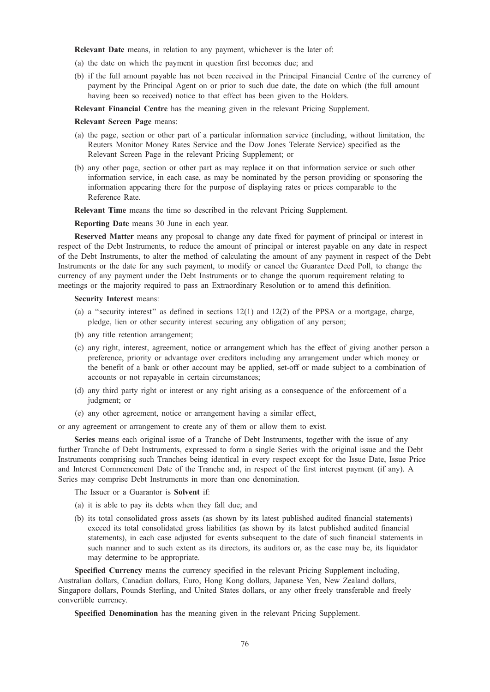Relevant Date means, in relation to any payment, whichever is the later of:

- (a) the date on which the payment in question first becomes due; and
- (b) if the full amount payable has not been received in the Principal Financial Centre of the currency of payment by the Principal Agent on or prior to such due date, the date on which (the full amount having been so received) notice to that effect has been given to the Holders.

Relevant Financial Centre has the meaning given in the relevant Pricing Supplement.

#### Relevant Screen Page means:

- (a) the page, section or other part of a particular information service (including, without limitation, the Reuters Monitor Money Rates Service and the Dow Jones Telerate Service) specified as the Relevant Screen Page in the relevant Pricing Supplement; or
- (b) any other page, section or other part as may replace it on that information service or such other information service, in each case, as may be nominated by the person providing or sponsoring the information appearing there for the purpose of displaying rates or prices comparable to the Reference Rate.

Relevant Time means the time so described in the relevant Pricing Supplement.

Reporting Date means 30 June in each year.

Reserved Matter means any proposal to change any date fixed for payment of principal or interest in respect of the Debt Instruments, to reduce the amount of principal or interest payable on any date in respect of the Debt Instruments, to alter the method of calculating the amount of any payment in respect of the Debt Instruments or the date for any such payment, to modify or cancel the Guarantee Deed Poll, to change the currency of any payment under the Debt Instruments or to change the quorum requirement relating to meetings or the majority required to pass an Extraordinary Resolution or to amend this definition.

Security Interest means:

- (a) a "security interest" as defined in sections  $12(1)$  and  $12(2)$  of the PPSA or a mortgage, charge, pledge, lien or other security interest securing any obligation of any person;
- (b) any title retention arrangement;
- (c) any right, interest, agreement, notice or arrangement which has the effect of giving another person a preference, priority or advantage over creditors including any arrangement under which money or the benefit of a bank or other account may be applied, set-off or made subject to a combination of accounts or not repayable in certain circumstances;
- (d) any third party right or interest or any right arising as a consequence of the enforcement of a judgment; or
- (e) any other agreement, notice or arrangement having a similar effect,

or any agreement or arrangement to create any of them or allow them to exist.

Series means each original issue of a Tranche of Debt Instruments, together with the issue of any further Tranche of Debt Instruments, expressed to form a single Series with the original issue and the Debt Instruments comprising such Tranches being identical in every respect except for the Issue Date, Issue Price and Interest Commencement Date of the Tranche and, in respect of the first interest payment (if any). A Series may comprise Debt Instruments in more than one denomination.

The Issuer or a Guarantor is Solvent if:

- (a) it is able to pay its debts when they fall due; and
- (b) its total consolidated gross assets (as shown by its latest published audited financial statements) exceed its total consolidated gross liabilities (as shown by its latest published audited financial statements), in each case adjusted for events subsequent to the date of such financial statements in such manner and to such extent as its directors, its auditors or, as the case may be, its liquidator may determine to be appropriate.

Specified Currency means the currency specified in the relevant Pricing Supplement including, Australian dollars, Canadian dollars, Euro, Hong Kong dollars, Japanese Yen, New Zealand dollars, Singapore dollars, Pounds Sterling, and United States dollars, or any other freely transferable and freely convertible currency.

Specified Denomination has the meaning given in the relevant Pricing Supplement.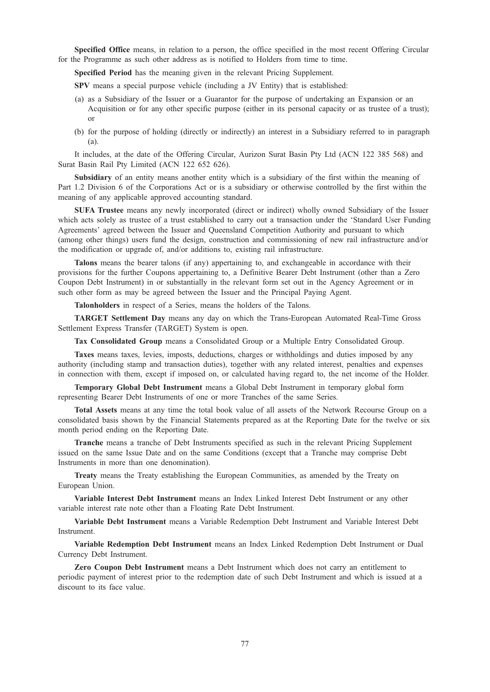Specified Office means, in relation to a person, the office specified in the most recent Offering Circular for the Programme as such other address as is notified to Holders from time to time.

Specified Period has the meaning given in the relevant Pricing Supplement.

SPV means a special purpose vehicle (including a JV Entity) that is established:

- (a) as a Subsidiary of the Issuer or a Guarantor for the purpose of undertaking an Expansion or an Acquisition or for any other specific purpose (either in its personal capacity or as trustee of a trust); or
- (b) for the purpose of holding (directly or indirectly) an interest in a Subsidiary referred to in paragraph  $(a)$

It includes, at the date of the Offering Circular, Aurizon Surat Basin Pty Ltd (ACN 122 385 568) and Surat Basin Rail Pty Limited (ACN 122 652 626).

Subsidiary of an entity means another entity which is a subsidiary of the first within the meaning of Part 1.2 Division 6 of the Corporations Act or is a subsidiary or otherwise controlled by the first within the meaning of any applicable approved accounting standard.

SUFA Trustee means any newly incorporated (direct or indirect) wholly owned Subsidiary of the Issuer which acts solely as trustee of a trust established to carry out a transaction under the 'Standard User Funding Agreements' agreed between the Issuer and Queensland Competition Authority and pursuant to which (among other things) users fund the design, construction and commissioning of new rail infrastructure and/or the modification or upgrade of, and/or additions to, existing rail infrastructure.

Talons means the bearer talons (if any) appertaining to, and exchangeable in accordance with their provisions for the further Coupons appertaining to, a Definitive Bearer Debt Instrument (other than a Zero Coupon Debt Instrument) in or substantially in the relevant form set out in the Agency Agreement or in such other form as may be agreed between the Issuer and the Principal Paying Agent.

Talonholders in respect of a Series, means the holders of the Talons.

TARGET Settlement Day means any day on which the Trans-European Automated Real-Time Gross Settlement Express Transfer (TARGET) System is open.

Tax Consolidated Group means a Consolidated Group or a Multiple Entry Consolidated Group.

Taxes means taxes, levies, imposts, deductions, charges or withholdings and duties imposed by any authority (including stamp and transaction duties), together with any related interest, penalties and expenses in connection with them, except if imposed on, or calculated having regard to, the net income of the Holder.

Temporary Global Debt Instrument means a Global Debt Instrument in temporary global form representing Bearer Debt Instruments of one or more Tranches of the same Series.

Total Assets means at any time the total book value of all assets of the Network Recourse Group on a consolidated basis shown by the Financial Statements prepared as at the Reporting Date for the twelve or six month period ending on the Reporting Date.

Tranche means a tranche of Debt Instruments specified as such in the relevant Pricing Supplement issued on the same Issue Date and on the same Conditions (except that a Tranche may comprise Debt Instruments in more than one denomination).

Treaty means the Treaty establishing the European Communities, as amended by the Treaty on European Union.

Variable Interest Debt Instrument means an Index Linked Interest Debt Instrument or any other variable interest rate note other than a Floating Rate Debt Instrument.

Variable Debt Instrument means a Variable Redemption Debt Instrument and Variable Interest Debt Instrument.

Variable Redemption Debt Instrument means an Index Linked Redemption Debt Instrument or Dual Currency Debt Instrument.

Zero Coupon Debt Instrument means a Debt Instrument which does not carry an entitlement to periodic payment of interest prior to the redemption date of such Debt Instrument and which is issued at a discount to its face value.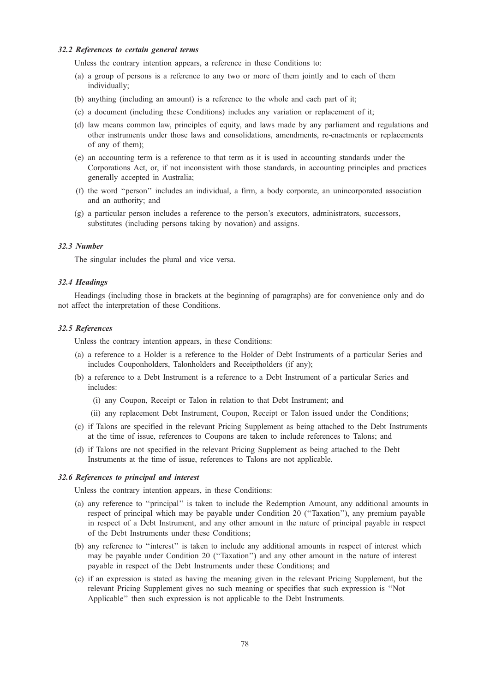# 32.2 References to certain general terms

Unless the contrary intention appears, a reference in these Conditions to:

- (a) a group of persons is a reference to any two or more of them jointly and to each of them individually;
- (b) anything (including an amount) is a reference to the whole and each part of it;
- (c) a document (including these Conditions) includes any variation or replacement of it;
- (d) law means common law, principles of equity, and laws made by any parliament and regulations and other instruments under those laws and consolidations, amendments, re-enactments or replacements of any of them);
- (e) an accounting term is a reference to that term as it is used in accounting standards under the Corporations Act, or, if not inconsistent with those standards, in accounting principles and practices generally accepted in Australia;
- (f) the word ''person'' includes an individual, a firm, a body corporate, an unincorporated association and an authority; and
- (g) a particular person includes a reference to the person's executors, administrators, successors, substitutes (including persons taking by novation) and assigns.

# 32.3 Number

The singular includes the plural and vice versa.

# 32.4 Headings

Headings (including those in brackets at the beginning of paragraphs) are for convenience only and do not affect the interpretation of these Conditions.

# 32.5 References

Unless the contrary intention appears, in these Conditions:

- (a) a reference to a Holder is a reference to the Holder of Debt Instruments of a particular Series and includes Couponholders, Talonholders and Receiptholders (if any);
- (b) a reference to a Debt Instrument is a reference to a Debt Instrument of a particular Series and includes:
	- (i) any Coupon, Receipt or Talon in relation to that Debt Instrument; and
	- (ii) any replacement Debt Instrument, Coupon, Receipt or Talon issued under the Conditions;
- (c) if Talons are specified in the relevant Pricing Supplement as being attached to the Debt Instruments at the time of issue, references to Coupons are taken to include references to Talons; and
- (d) if Talons are not specified in the relevant Pricing Supplement as being attached to the Debt Instruments at the time of issue, references to Talons are not applicable.

# 32.6 References to principal and interest

Unless the contrary intention appears, in these Conditions:

- (a) any reference to ''principal'' is taken to include the Redemption Amount, any additional amounts in respect of principal which may be payable under Condition 20 (''Taxation''), any premium payable in respect of a Debt Instrument, and any other amount in the nature of principal payable in respect of the Debt Instruments under these Conditions;
- (b) any reference to ''interest'' is taken to include any additional amounts in respect of interest which may be payable under Condition 20 (''Taxation'') and any other amount in the nature of interest payable in respect of the Debt Instruments under these Conditions; and
- (c) if an expression is stated as having the meaning given in the relevant Pricing Supplement, but the relevant Pricing Supplement gives no such meaning or specifies that such expression is ''Not Applicable'' then such expression is not applicable to the Debt Instruments.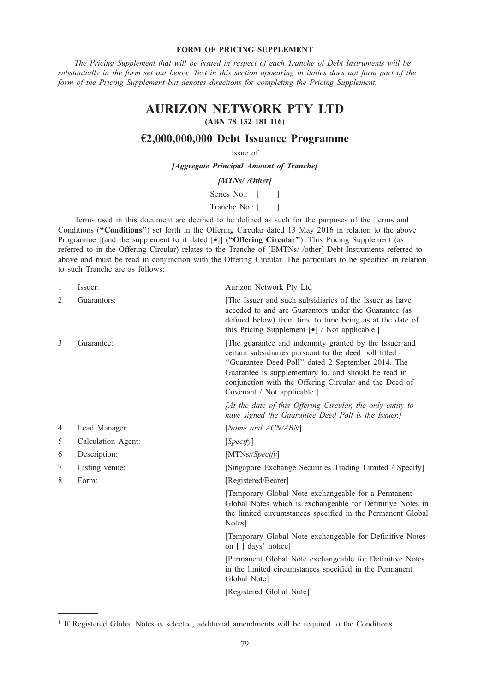# FORM OF PRICING SUPPLEMENT

The Pricing Supplement that will be issued in respect of each Tranche of Debt Instruments will be substantially in the form set out below. Text in this section appearing in italics does not form part of the form of the Pricing Supplement but denotes directions for completing the Pricing Supplement.

# AURIZON NETWORK PTY LTD

# (ABN 78 132 181 116)

# €2,000,000,000 Debt Issuance Programme

# Issue of

[Aggregate Principal Amount of Tranche]

# [MTNs//Other]

Series No.: [ ]

Tranche No.: [ ]

Terms used in this document are deemed to be defined as such for the purposes of the Terms and Conditions ("Conditions") set forth in the Offering Circular dated 13 May 2016 in relation to the above Programme [(and the supplement to it dated [•]] ("Offering Circular"). This Pricing Supplement (as referred to in the Offering Circular) relates to the Tranche of [EMTNs/ /other] Debt Instruments referred to above and must be read in conjunction with the Offering Circular. The particulars to be specified in relation to such Tranche are as follows:

| 1 | Issuer:            | Aurizon Network Pty Ltd                                                                                                                                                                                                                                                                                              |
|---|--------------------|----------------------------------------------------------------------------------------------------------------------------------------------------------------------------------------------------------------------------------------------------------------------------------------------------------------------|
| 2 | Guarantors:        | The Issuer and such subsidiaries of the Issuer as have<br>acceded to and are Guarantors under the Guarantee (as<br>defined below) from time to time being as at the date of<br>this Pricing Supplement $\lceil \bullet \rceil$ / Not applicable.]                                                                    |
| 3 | Guarantee:         | The guarantee and indemnity granted by the Issuer and<br>certain subsidiaries pursuant to the deed poll titled<br>"Guarantee Deed Poll" dated 2 September 2014. The<br>Guarantee is supplementary to, and should be read in<br>conjunction with the Offering Circular and the Deed of<br>Covenant / Not applicable.] |
|   |                    | [At the date of this Offering Circular, the only entity to<br>have signed the Guarantee Deed Poll is the Issuer.]                                                                                                                                                                                                    |
| 4 | Lead Manager:      | [Name and ACN/ABN]                                                                                                                                                                                                                                                                                                   |
| 5 | Calculation Agent: | [Specify]                                                                                                                                                                                                                                                                                                            |
| 6 | Description:       | $[MTNs/\sqrt{Specify}]$                                                                                                                                                                                                                                                                                              |
| 7 | Listing venue:     | [Singapore Exchange Securities Trading Limited / Specify]                                                                                                                                                                                                                                                            |
| 8 | Form:              | [Registered/Bearer]                                                                                                                                                                                                                                                                                                  |
|   |                    | [Temporary Global Note exchangeable for a Permanent<br>Global Notes which is exchangeable for Definitive Notes in<br>the limited circumstances specified in the Permanent Global<br>Notes]                                                                                                                           |
|   |                    | [Temporary Global Note exchangeable for Definitive Notes<br>on [] days' notice]                                                                                                                                                                                                                                      |
|   |                    | [Permanent Global Note exchangeable for Definitive Notes<br>in the limited circumstances specified in the Permanent<br>Global Note]                                                                                                                                                                                  |
|   |                    | [Registered Global Note] <sup>1</sup>                                                                                                                                                                                                                                                                                |
|   |                    |                                                                                                                                                                                                                                                                                                                      |

<sup>&</sup>lt;sup>1</sup> If Registered Global Notes is selected, additional amendments will be required to the Conditions.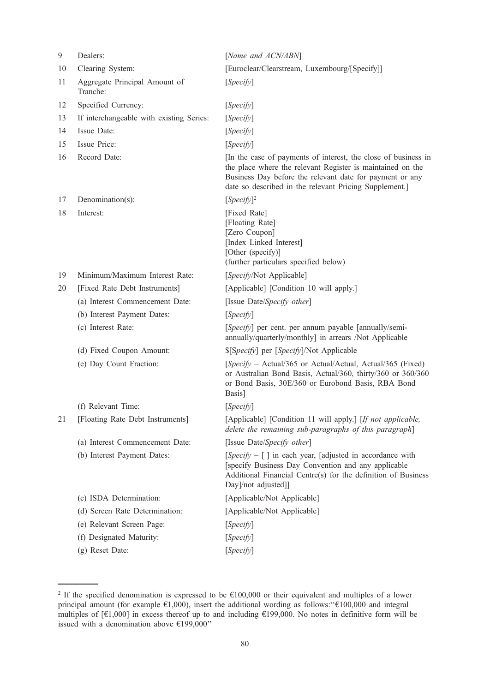| 9  | Dealers:                                  | [Name and ACN/ABN]                                                                                                                                                                                                                                 |
|----|-------------------------------------------|----------------------------------------------------------------------------------------------------------------------------------------------------------------------------------------------------------------------------------------------------|
| 10 | Clearing System:                          | [Euroclear/Clearstream, Luxembourg/[Specify]]                                                                                                                                                                                                      |
| 11 | Aggregate Principal Amount of<br>Tranche: | [Specify]                                                                                                                                                                                                                                          |
| 12 | Specified Currency:                       | [Specify]                                                                                                                                                                                                                                          |
| 13 | If interchangeable with existing Series:  | [Specify]                                                                                                                                                                                                                                          |
| 14 | Issue Date:                               | [Specify]                                                                                                                                                                                                                                          |
| 15 | Issue Price:                              | [Specify]                                                                                                                                                                                                                                          |
| 16 | Record Date:                              | [In the case of payments of interest, the close of business in<br>the place where the relevant Register is maintained on the<br>Business Day before the relevant date for payment or any<br>date so described in the relevant Pricing Supplement.] |
| 17 | Denomination(s):                          | $[Specify]^2$                                                                                                                                                                                                                                      |
| 18 | Interest:                                 | [Fixed Rate]<br>[Floating Rate]<br>[Zero Coupon]<br>[Index Linked Interest]<br>[Other (specify)]<br>(further particulars specified below)                                                                                                          |
| 19 | Minimum/Maximum Interest Rate:            | [Specify/Not Applicable]                                                                                                                                                                                                                           |
| 20 | [Fixed Rate Debt Instruments]             | [Applicable] [Condition 10 will apply.]                                                                                                                                                                                                            |
|    | (a) Interest Commencement Date:           | [Issue Date/Specify other]                                                                                                                                                                                                                         |
|    | (b) Interest Payment Dates:               | [Specify]                                                                                                                                                                                                                                          |
|    | (c) Interest Rate:                        | [Specify] per cent. per annum payable [annually/semi-<br>annually/quarterly/monthly] in arrears /Not Applicable                                                                                                                                    |
|    | (d) Fixed Coupon Amount:                  | \$[Specify] per [Specify]/Not Applicable                                                                                                                                                                                                           |
|    | (e) Day Count Fraction:                   | [Specify – Actual/365 or Actual/Actual, Actual/365 (Fixed)<br>or Australian Bond Basis, Actual/360, thirty/360 or 360/360<br>or Bond Basis, 30E/360 or Eurobond Basis, RBA Bond<br>Basis]                                                          |
|    | (f) Relevant Time:                        | [Specify]                                                                                                                                                                                                                                          |
| 21 | [Floating Rate Debt Instruments]          | [Applicable] [Condition 11 will apply.] [If not applicable,<br>delete the remaining sub-paragraphs of this paragraph]                                                                                                                              |
|    | (a) Interest Commencement Date:           | [Issue Date/Specify other]                                                                                                                                                                                                                         |
|    | (b) Interest Payment Dates:               | $[Specify - [ ]$ in each year, [adjusted in accordance with<br>[specify Business Day Convention and any applicable<br>Additional Financial Centre(s) for the definition of Business<br>Day]/not adjusted]]                                         |
|    | (c) ISDA Determination:                   | [Applicable/Not Applicable]                                                                                                                                                                                                                        |
|    | (d) Screen Rate Determination:            | [Applicable/Not Applicable]                                                                                                                                                                                                                        |
|    | (e) Relevant Screen Page:                 | [Specify]                                                                                                                                                                                                                                          |
|    | (f) Designated Maturity:                  | [Specify]                                                                                                                                                                                                                                          |
|    | (g) Reset Date:                           | [Specify]                                                                                                                                                                                                                                          |

<sup>&</sup>lt;sup>2</sup> If the specified denomination is expressed to be  $\epsilon$ 100,000 or their equivalent and multiples of a lower principal amount (for example €1,000), insert the additional wording as follows:''€100,000 and integral multiples of [€1,000] in excess thereof up to and including €199,000. No notes in definitive form will be issued with a denomination above €199,000''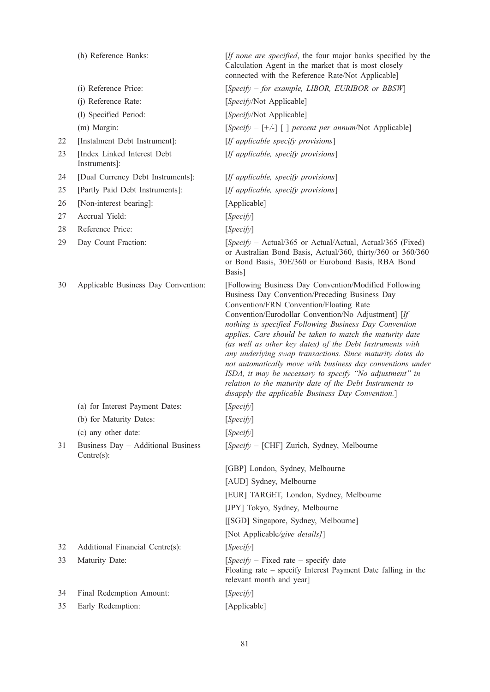|    | (h) Reference Banks:                             | [If none are specified, the four major banks specified by the<br>Calculation Agent in the market that is most closely<br>connected with the Reference Rate/Not Applicable]                                                                                                                                                                                                                                                                                                                                                                                                                                                                                                                          |
|----|--------------------------------------------------|-----------------------------------------------------------------------------------------------------------------------------------------------------------------------------------------------------------------------------------------------------------------------------------------------------------------------------------------------------------------------------------------------------------------------------------------------------------------------------------------------------------------------------------------------------------------------------------------------------------------------------------------------------------------------------------------------------|
|    | (i) Reference Price:                             | [Specify – for example, LIBOR, EURIBOR or BBSW]                                                                                                                                                                                                                                                                                                                                                                                                                                                                                                                                                                                                                                                     |
|    | (j) Reference Rate:                              | [Specify/Not Applicable]                                                                                                                                                                                                                                                                                                                                                                                                                                                                                                                                                                                                                                                                            |
|    | (l) Specified Period:                            | [Specify/Not Applicable]                                                                                                                                                                                                                                                                                                                                                                                                                                                                                                                                                                                                                                                                            |
|    | (m) Margin:                                      | [Specify – $[+/]$ [ ] percent per annum/Not Applicable]                                                                                                                                                                                                                                                                                                                                                                                                                                                                                                                                                                                                                                             |
| 22 | [Instalment Debt Instrument]:                    | [If applicable specify provisions]                                                                                                                                                                                                                                                                                                                                                                                                                                                                                                                                                                                                                                                                  |
| 23 | [Index Linked Interest Debt<br>Instruments]:     | [If applicable, specify provisions]                                                                                                                                                                                                                                                                                                                                                                                                                                                                                                                                                                                                                                                                 |
| 24 | [Dual Currency Debt Instruments]:                | [If applicable, specify provisions]                                                                                                                                                                                                                                                                                                                                                                                                                                                                                                                                                                                                                                                                 |
| 25 | [Partly Paid Debt Instruments]:                  | [If applicable, specify provisions]                                                                                                                                                                                                                                                                                                                                                                                                                                                                                                                                                                                                                                                                 |
| 26 | [Non-interest bearing]:                          | [Applicable]                                                                                                                                                                                                                                                                                                                                                                                                                                                                                                                                                                                                                                                                                        |
| 27 | Accrual Yield:                                   | [Specify]                                                                                                                                                                                                                                                                                                                                                                                                                                                                                                                                                                                                                                                                                           |
| 28 | Reference Price:                                 | [Specify]                                                                                                                                                                                                                                                                                                                                                                                                                                                                                                                                                                                                                                                                                           |
| 29 | Day Count Fraction:                              | [Specify – Actual/365 or Actual/Actual, Actual/365 (Fixed)<br>or Australian Bond Basis, Actual/360, thirty/360 or 360/360<br>or Bond Basis, 30E/360 or Eurobond Basis, RBA Bond<br>Basis]                                                                                                                                                                                                                                                                                                                                                                                                                                                                                                           |
| 30 | Applicable Business Day Convention:              | [Following Business Day Convention/Modified Following<br>Business Day Convention/Preceding Business Day<br>Convention/FRN Convention/Floating Rate<br>Convention/Eurodollar Convention/No Adjustment] [If<br>nothing is specified Following Business Day Convention<br>applies. Care should be taken to match the maturity date<br>(as well as other key dates) of the Debt Instruments with<br>any underlying swap transactions. Since maturity dates do<br>not automatically move with business day conventions under<br>ISDA, it may be necessary to specify "No adjustment" in<br>relation to the maturity date of the Debt Instruments to<br>disapply the applicable Business Day Convention.] |
|    | (a) for Interest Payment Dates:                  | [Specify]                                                                                                                                                                                                                                                                                                                                                                                                                                                                                                                                                                                                                                                                                           |
|    | (b) for Maturity Dates:                          | [Specify]                                                                                                                                                                                                                                                                                                                                                                                                                                                                                                                                                                                                                                                                                           |
|    | (c) any other date:                              | [Specify]                                                                                                                                                                                                                                                                                                                                                                                                                                                                                                                                                                                                                                                                                           |
| 31 | Business Day - Additional Business<br>Centre(s): | [Specify - [CHF] Zurich, Sydney, Melbourne                                                                                                                                                                                                                                                                                                                                                                                                                                                                                                                                                                                                                                                          |
|    |                                                  | [GBP] London, Sydney, Melbourne                                                                                                                                                                                                                                                                                                                                                                                                                                                                                                                                                                                                                                                                     |
|    |                                                  | [AUD] Sydney, Melbourne                                                                                                                                                                                                                                                                                                                                                                                                                                                                                                                                                                                                                                                                             |
|    |                                                  | [EUR] TARGET, London, Sydney, Melbourne                                                                                                                                                                                                                                                                                                                                                                                                                                                                                                                                                                                                                                                             |
|    |                                                  | [JPY] Tokyo, Sydney, Melbourne                                                                                                                                                                                                                                                                                                                                                                                                                                                                                                                                                                                                                                                                      |
|    |                                                  | [[SGD] Singapore, Sydney, Melbourne]                                                                                                                                                                                                                                                                                                                                                                                                                                                                                                                                                                                                                                                                |
|    |                                                  | [Not Applicable/give details]]                                                                                                                                                                                                                                                                                                                                                                                                                                                                                                                                                                                                                                                                      |
| 32 | Additional Financial Centre(s):                  | [Specify]                                                                                                                                                                                                                                                                                                                                                                                                                                                                                                                                                                                                                                                                                           |
| 33 | Maturity Date:                                   | $[Specify - Fixed rate - specify date]$<br>Floating rate - specify Interest Payment Date falling in the<br>relevant month and year]                                                                                                                                                                                                                                                                                                                                                                                                                                                                                                                                                                 |
| 34 | Final Redemption Amount:                         | [Specify]                                                                                                                                                                                                                                                                                                                                                                                                                                                                                                                                                                                                                                                                                           |
| 35 | Early Redemption:                                | [Applicable]                                                                                                                                                                                                                                                                                                                                                                                                                                                                                                                                                                                                                                                                                        |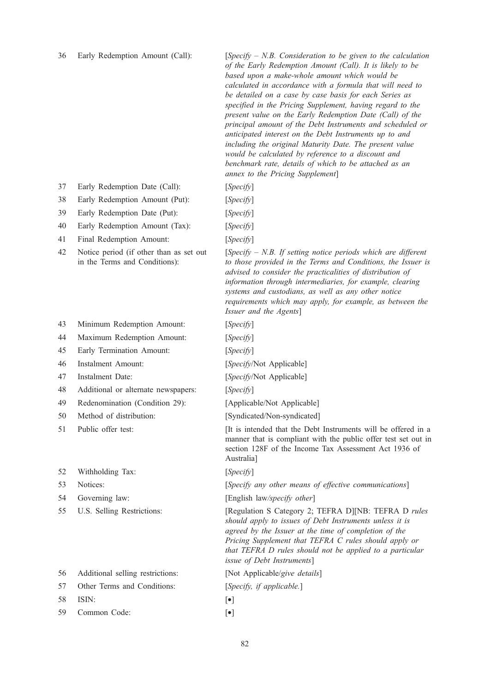36 Early Redemption Amount (Call): [Specify  $- N.B.$  Consideration to be given to the calculation of the Early Redemption Amount (Call). It is likely to be based upon a make-whole amount which would be calculated in accordance with a formula that will need to be detailed on a case by case basis for each Series as specified in the Pricing Supplement, having regard to the present value on the Early Redemption Date (Call) of the principal amount of the Debt Instruments and scheduled or anticipated interest on the Debt Instruments up to and including the original Maturity Date. The present value would be calculated by reference to a discount and benchmark rate, details of which to be attached as an annex to the Pricing Supplement]

- 37 Early Redemption Date (Call): [Specify]
- 38 Early Redemption Amount (Put): [Specify]
- 39 Early Redemption Date (Put): [Specify]
- 40 Early Redemption Amount (Tax): [Specify]
- 41 Final Redemption Amount: [Specify]
- 42 Notice period (if other than as set out in the Terms and Conditions):
- 43 Minimum Redemption Amount: [Specify]
- 44 Maximum Redemption Amount: [Specify]
- 45 Early Termination Amount: [Specify]
- 
- 
- 48 Additional or alternate newspapers: [Specify]
- 49 Redenomination (Condition 29): [Applicable/Not Applicable]
- 
- 
- 52 Withholding Tax: [Specify]
- 
- 
- 

| ЭO. |  | Additional seming restrictions: |
|-----|--|---------------------------------|
|     |  |                                 |

- 
- 58 ISIN: [•]
- 59 Common Code: [•]
- 
- 
- 
- 
- 

 $[Specify - N.B. If setting notice periods which are different$ to those provided in the Terms and Conditions, the Issuer is advised to consider the practicalities of distribution of information through intermediaries, for example, clearing systems and custodians, as well as any other notice requirements which may apply, for example, as between the Issuer and the Agents]

- 
- 
- 46 Instalment Amount: [Specify/Not Applicable]
- 47 Instalment Date: [Specify/Not Applicable]

- 
- 50 Method of distribution: [Syndicated/Non-syndicated]

51 Public offer test: [It is intended that the Debt Instruments will be offered in a manner that is compliant with the public offer test set out in section 128F of the Income Tax Assessment Act 1936 of Australia]

53 Notices: [Specify any other means of effective communications]

54 Governing law: [English law/specify other]

55 U.S. Selling Restrictions: [Regulation S Category 2; TEFRA D][NB: TEFRA D rules should apply to issues of Debt Instruments unless it is agreed by the Issuer at the time of completion of the Pricing Supplement that TEFRA C rules should apply or that TEFRA D rules should not be applied to a particular issue of Debt Instruments]

56 Additional selling restrictions: [Not Applicable/give details]

- 57 Other Terms and Conditions: [Specify, if applicable.]
	- -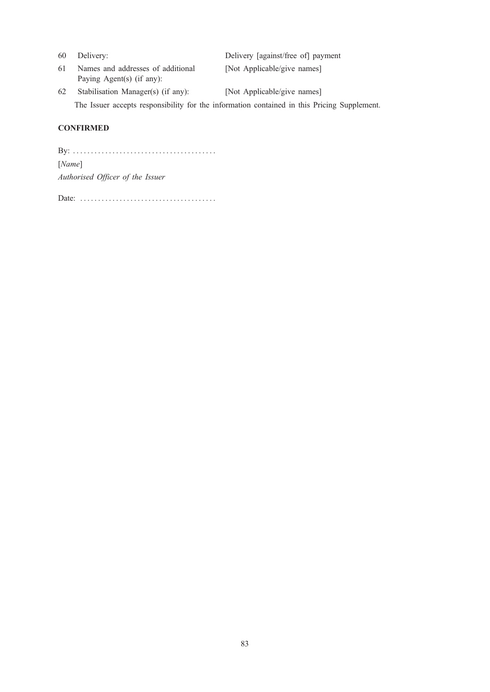| 60 | Delivery:                                                      | Delivery [against/free of] payment                                                          |
|----|----------------------------------------------------------------|---------------------------------------------------------------------------------------------|
| 61 | Names and addresses of additional<br>Paying Agent(s) (if any): | [Not Applicable/give names]                                                                 |
| 62 | Stabilisation Manager(s) (if any):                             | [Not Applicable/give names]                                                                 |
|    |                                                                | The Issuer accepts responsibility for the information contained in this Pricing Supplement. |

# **CONFIRMED**

By: . . . . . . . . . . . . . . . . . . . . . . . . . . . . . . . . . . . . . . . . [Name] Authorised Officer of the Issuer

Date: ......................................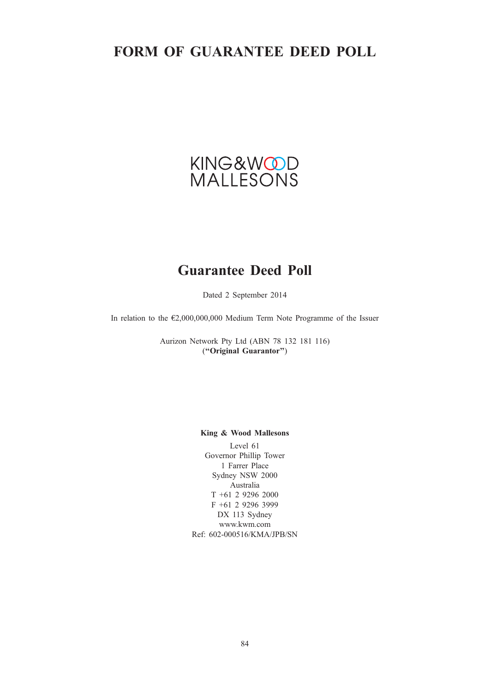# FORM OF GUARANTEE DEED POLL



# Guarantee Deed Poll

Dated 2 September 2014

In relation to the €2,000,000,000 Medium Term Note Programme of the Issuer

Aurizon Network Pty Ltd (ABN 78 132 181 116) (''Original Guarantor'')

# King & Wood Mallesons

Level 61 Governor Phillip Tower 1 Farrer Place Sydney NSW 2000 Australia T +61 2 9296 2000 F +61 2 9296 3999 DX 113 Sydney www.kwm.com Ref: 602-000516/KMA/JPB/SN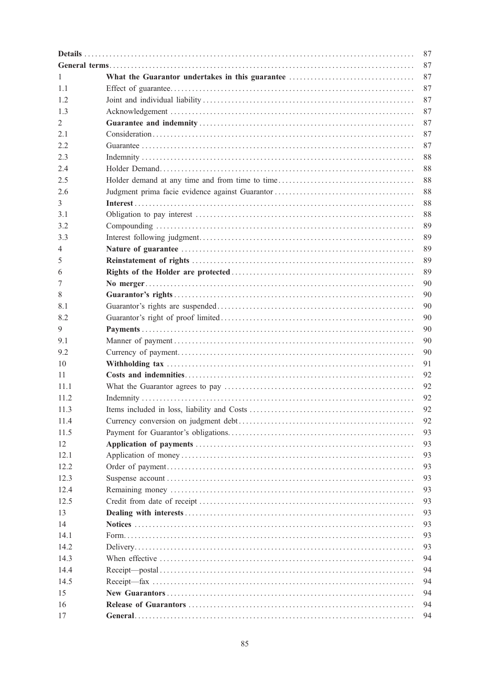| 87   |  |    |  |
|------|--|----|--|
|      |  | 87 |  |
| 1    |  | 87 |  |
| 1.1  |  | 87 |  |
| 1.2  |  | 87 |  |
| 1.3  |  | 87 |  |
| 2    |  | 87 |  |
| 2.1  |  | 87 |  |
| 2.2  |  | 87 |  |
| 2.3  |  | 88 |  |
| 2.4  |  | 88 |  |
| 2.5  |  | 88 |  |
| 2.6  |  | 88 |  |
| 3    |  | 88 |  |
| 3.1  |  | 88 |  |
| 3.2  |  | 89 |  |
| 3.3  |  | 89 |  |
| 4    |  | 89 |  |
| 5    |  | 89 |  |
| 6    |  | 89 |  |
| 7    |  | 90 |  |
| 8    |  | 90 |  |
| 8.1  |  | 90 |  |
| 8.2  |  | 90 |  |
| 9    |  | 90 |  |
| 9.1  |  | 90 |  |
| 9.2  |  | 90 |  |
|      |  |    |  |
| 10   |  | 91 |  |
| 11   |  | 92 |  |
| 11.1 |  | 92 |  |
| 11.2 |  | 92 |  |
| 11.3 |  | 92 |  |
| 11.4 |  | 92 |  |
| 11.5 |  | 93 |  |
| 12   |  | 93 |  |
| 12.1 |  | 93 |  |
| 12.2 |  | 93 |  |
| 12.3 |  | 93 |  |
| 12.4 |  | 93 |  |
| 12.5 |  | 93 |  |
| 13   |  | 93 |  |
| 14   |  | 93 |  |
| 14.1 |  | 93 |  |
| 14.2 |  | 93 |  |
| 14.3 |  | 94 |  |
| 14.4 |  | 94 |  |
| 14.5 |  | 94 |  |
| 15   |  | 94 |  |
| 16   |  | 94 |  |
| 17   |  | 94 |  |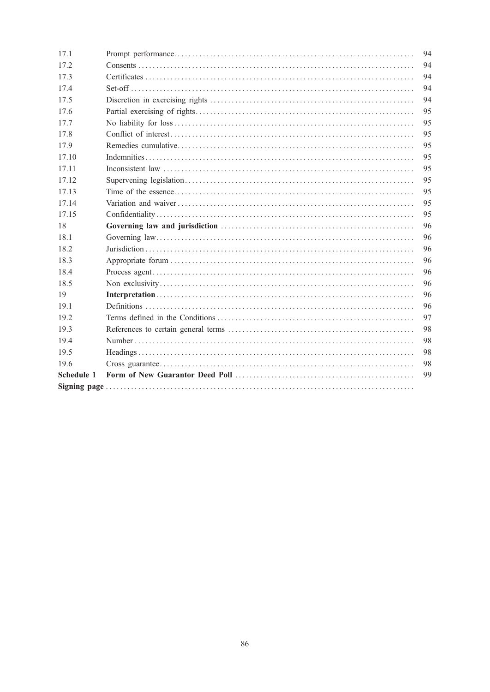| 17.1       | 94 |
|------------|----|
| 17.2       | 94 |
| 17.3       | 94 |
| 17.4       | 94 |
| 17.5       | 94 |
| 17.6       | 95 |
| 17.7       | 95 |
| 17.8       | 95 |
| 17.9       | 95 |
| 17.10      | 95 |
| 17.11      | 95 |
| 17.12      | 95 |
| 17.13      | 95 |
| 17.14      | 95 |
| 17.15      | 95 |
| 18         | 96 |
|            |    |
| 18.1       | 96 |
| 18.2       | 96 |
| 18.3       | 96 |
| 18.4       | 96 |
| 18.5       | 96 |
| 19         | 96 |
| 19.1       | 96 |
| 19.2       | 97 |
| 19.3       | 98 |
| 19.4       | 98 |
| 19.5       | 98 |
| 19.6       | 98 |
| Schedule 1 | 99 |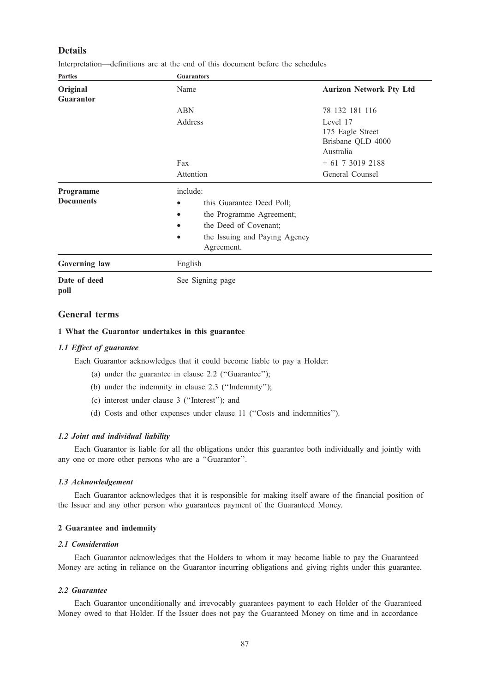# Details

Interpretation—definitions are at the end of this document before the schedules

| <b>Parties</b>                | <b>Guarantors</b>                                                                                                                                                                             |                                                                |  |
|-------------------------------|-----------------------------------------------------------------------------------------------------------------------------------------------------------------------------------------------|----------------------------------------------------------------|--|
| Original                      | Name                                                                                                                                                                                          | <b>Aurizon Network Pty Ltd</b>                                 |  |
| <b>Guarantor</b>              |                                                                                                                                                                                               |                                                                |  |
|                               | <b>ABN</b>                                                                                                                                                                                    | 78 132 181 116                                                 |  |
|                               | Address                                                                                                                                                                                       | Level 17<br>175 Eagle Street<br>Brisbane QLD 4000<br>Australia |  |
|                               | Fax                                                                                                                                                                                           | $+61$ 7 3019 2188                                              |  |
|                               | Attention                                                                                                                                                                                     | General Counsel                                                |  |
| Programme<br><b>Documents</b> | include:<br>this Guarantee Deed Poll;<br>$\bullet$<br>the Programme Agreement;<br>$\bullet$<br>the Deed of Covenant;<br>$\bullet$<br>the Issuing and Paying Agency<br>$\bullet$<br>Agreement. |                                                                |  |
| Governing law                 | English                                                                                                                                                                                       |                                                                |  |
| Date of deed                  | See Signing page                                                                                                                                                                              |                                                                |  |

```
poll
```
# General terms

# 1 What the Guarantor undertakes in this guarantee

# 1.1 Effect of guarantee

Each Guarantor acknowledges that it could become liable to pay a Holder:

- (a) under the guarantee in clause 2.2 (''Guarantee'');
- (b) under the indemnity in clause 2.3 (''Indemnity'');
- (c) interest under clause 3 (''Interest''); and
- (d) Costs and other expenses under clause 11 (''Costs and indemnities'').

# 1.2 Joint and individual liability

Each Guarantor is liable for all the obligations under this guarantee both individually and jointly with any one or more other persons who are a ''Guarantor''.

# 1.3 Acknowledgement

Each Guarantor acknowledges that it is responsible for making itself aware of the financial position of the Issuer and any other person who guarantees payment of the Guaranteed Money.

# 2 Guarantee and indemnity

# 2.1 Consideration

Each Guarantor acknowledges that the Holders to whom it may become liable to pay the Guaranteed Money are acting in reliance on the Guarantor incurring obligations and giving rights under this guarantee.

# 2.2 Guarantee

Each Guarantor unconditionally and irrevocably guarantees payment to each Holder of the Guaranteed Money owed to that Holder. If the Issuer does not pay the Guaranteed Money on time and in accordance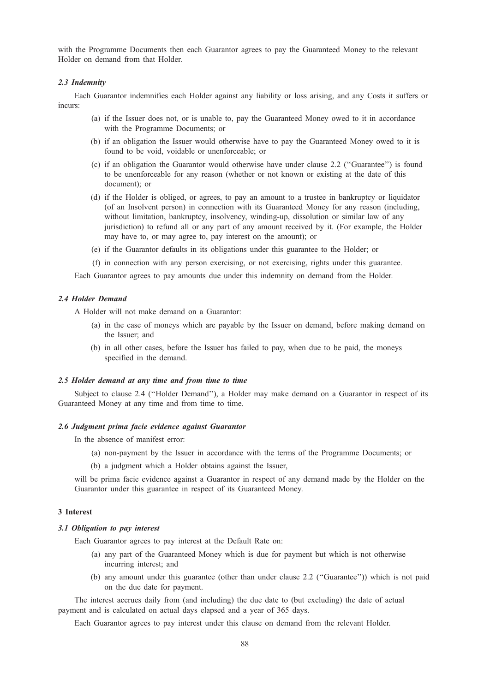with the Programme Documents then each Guarantor agrees to pay the Guaranteed Money to the relevant Holder on demand from that Holder.

#### 2.3 Indemnity

Each Guarantor indemnifies each Holder against any liability or loss arising, and any Costs it suffers or incurs:

- (a) if the Issuer does not, or is unable to, pay the Guaranteed Money owed to it in accordance with the Programme Documents; or
- (b) if an obligation the Issuer would otherwise have to pay the Guaranteed Money owed to it is found to be void, voidable or unenforceable; or
- (c) if an obligation the Guarantor would otherwise have under clause 2.2 (''Guarantee'') is found to be unenforceable for any reason (whether or not known or existing at the date of this document); or
- (d) if the Holder is obliged, or agrees, to pay an amount to a trustee in bankruptcy or liquidator (of an Insolvent person) in connection with its Guaranteed Money for any reason (including, without limitation, bankruptcy, insolvency, winding-up, dissolution or similar law of any jurisdiction) to refund all or any part of any amount received by it. (For example, the Holder may have to, or may agree to, pay interest on the amount); or
- (e) if the Guarantor defaults in its obligations under this guarantee to the Holder; or
- (f) in connection with any person exercising, or not exercising, rights under this guarantee.

Each Guarantor agrees to pay amounts due under this indemnity on demand from the Holder.

#### 2.4 Holder Demand

A Holder will not make demand on a Guarantor:

- (a) in the case of moneys which are payable by the Issuer on demand, before making demand on the Issuer; and
- (b) in all other cases, before the Issuer has failed to pay, when due to be paid, the moneys specified in the demand.

#### 2.5 Holder demand at any time and from time to time

Subject to clause 2.4 (''Holder Demand''), a Holder may make demand on a Guarantor in respect of its Guaranteed Money at any time and from time to time.

# 2.6 Judgment prima facie evidence against Guarantor

In the absence of manifest error:

- (a) non-payment by the Issuer in accordance with the terms of the Programme Documents; or
- (b) a judgment which a Holder obtains against the Issuer,

will be prima facie evidence against a Guarantor in respect of any demand made by the Holder on the Guarantor under this guarantee in respect of its Guaranteed Money.

# 3 Interest

### 3.1 Obligation to pay interest

Each Guarantor agrees to pay interest at the Default Rate on:

- (a) any part of the Guaranteed Money which is due for payment but which is not otherwise incurring interest; and
- (b) any amount under this guarantee (other than under clause 2.2 (''Guarantee'')) which is not paid on the due date for payment.

The interest accrues daily from (and including) the due date to (but excluding) the date of actual payment and is calculated on actual days elapsed and a year of 365 days.

Each Guarantor agrees to pay interest under this clause on demand from the relevant Holder.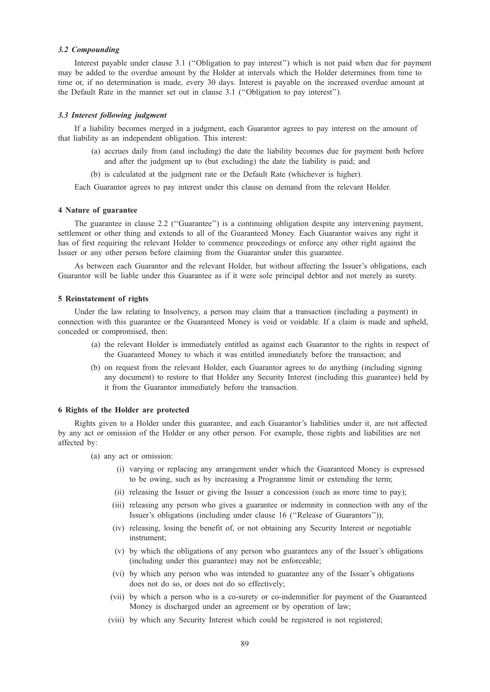### 3.2 Compounding

Interest payable under clause 3.1 (''Obligation to pay interest'') which is not paid when due for payment may be added to the overdue amount by the Holder at intervals which the Holder determines from time to time or, if no determination is made, every 30 days. Interest is payable on the increased overdue amount at the Default Rate in the manner set out in clause 3.1 (''Obligation to pay interest'').

# 3.3 Interest following judgment

If a liability becomes merged in a judgment, each Guarantor agrees to pay interest on the amount of that liability as an independent obligation. This interest:

- (a) accrues daily from (and including) the date the liability becomes due for payment both before and after the judgment up to (but excluding) the date the liability is paid; and
- (b) is calculated at the judgment rate or the Default Rate (whichever is higher).

Each Guarantor agrees to pay interest under this clause on demand from the relevant Holder.

# 4 Nature of guarantee

The guarantee in clause 2.2 (''Guarantee'') is a continuing obligation despite any intervening payment, settlement or other thing and extends to all of the Guaranteed Money. Each Guarantor waives any right it has of first requiring the relevant Holder to commence proceedings or enforce any other right against the Issuer or any other person before claiming from the Guarantor under this guarantee.

As between each Guarantor and the relevant Holder, but without affecting the Issuer's obligations, each Guarantor will be liable under this Guarantee as if it were sole principal debtor and not merely as surety.

#### 5 Reinstatement of rights

Under the law relating to Insolvency, a person may claim that a transaction (including a payment) in connection with this guarantee or the Guaranteed Money is void or voidable. If a claim is made and upheld, conceded or compromised, then:

- (a) the relevant Holder is immediately entitled as against each Guarantor to the rights in respect of the Guaranteed Money to which it was entitled immediately before the transaction; and
- (b) on request from the relevant Holder, each Guarantor agrees to do anything (including signing any document) to restore to that Holder any Security Interest (including this guarantee) held by it from the Guarantor immediately before the transaction.

#### 6 Rights of the Holder are protected

Rights given to a Holder under this guarantee, and each Guarantor's liabilities under it, are not affected by any act or omission of the Holder or any other person. For example, those rights and liabilities are not affected by:

- (a) any act or omission:
	- (i) varying or replacing any arrangement under which the Guaranteed Money is expressed to be owing, such as by increasing a Programme limit or extending the term;
	- (ii) releasing the Issuer or giving the Issuer a concession (such as more time to pay);
	- (iii) releasing any person who gives a guarantee or indemnity in connection with any of the Issuer's obligations (including under clause 16 (''Release of Guarantors''));
	- (iv) releasing, losing the benefit of, or not obtaining any Security Interest or negotiable instrument;
	- (v) by which the obligations of any person who guarantees any of the Issuer's obligations (including under this guarantee) may not be enforceable;
	- (vi) by which any person who was intended to guarantee any of the Issuer's obligations does not do so, or does not do so effectively;
	- (vii) by which a person who is a co-surety or co-indemnifier for payment of the Guaranteed Money is discharged under an agreement or by operation of law;
	- (viii) by which any Security Interest which could be registered is not registered;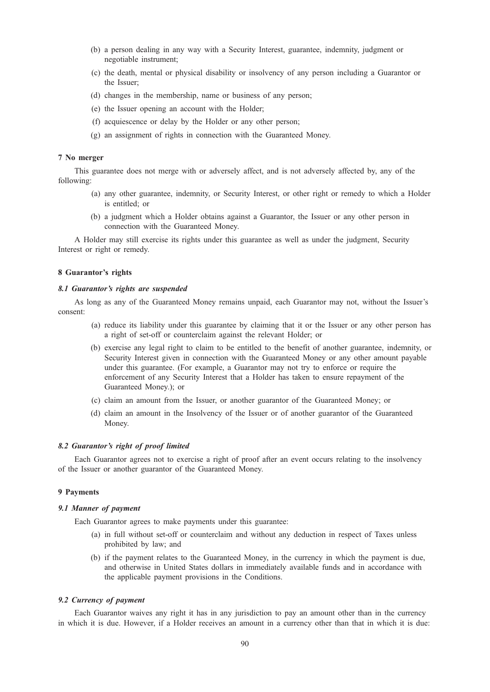- (b) a person dealing in any way with a Security Interest, guarantee, indemnity, judgment or negotiable instrument;
- (c) the death, mental or physical disability or insolvency of any person including a Guarantor or the Issuer;
- (d) changes in the membership, name or business of any person;
- (e) the Issuer opening an account with the Holder;
- (f) acquiescence or delay by the Holder or any other person;
- (g) an assignment of rights in connection with the Guaranteed Money.

# 7 No merger

This guarantee does not merge with or adversely affect, and is not adversely affected by, any of the following:

- (a) any other guarantee, indemnity, or Security Interest, or other right or remedy to which a Holder is entitled; or
- (b) a judgment which a Holder obtains against a Guarantor, the Issuer or any other person in connection with the Guaranteed Money.

A Holder may still exercise its rights under this guarantee as well as under the judgment, Security Interest or right or remedy.

# 8 Guarantor's rights

## 8.1 Guarantor's rights are suspended

As long as any of the Guaranteed Money remains unpaid, each Guarantor may not, without the Issuer's consent:

- (a) reduce its liability under this guarantee by claiming that it or the Issuer or any other person has a right of set-off or counterclaim against the relevant Holder; or
- (b) exercise any legal right to claim to be entitled to the benefit of another guarantee, indemnity, or Security Interest given in connection with the Guaranteed Money or any other amount payable under this guarantee. (For example, a Guarantor may not try to enforce or require the enforcement of any Security Interest that a Holder has taken to ensure repayment of the Guaranteed Money.); or
- (c) claim an amount from the Issuer, or another guarantor of the Guaranteed Money; or
- (d) claim an amount in the Insolvency of the Issuer or of another guarantor of the Guaranteed Money.

# 8.2 Guarantor's right of proof limited

Each Guarantor agrees not to exercise a right of proof after an event occurs relating to the insolvency of the Issuer or another guarantor of the Guaranteed Money.

# 9 Payments

# 9.1 Manner of payment

Each Guarantor agrees to make payments under this guarantee:

- (a) in full without set-off or counterclaim and without any deduction in respect of Taxes unless prohibited by law; and
- (b) if the payment relates to the Guaranteed Money, in the currency in which the payment is due, and otherwise in United States dollars in immediately available funds and in accordance with the applicable payment provisions in the Conditions.

# 9.2 Currency of payment

Each Guarantor waives any right it has in any jurisdiction to pay an amount other than in the currency in which it is due. However, if a Holder receives an amount in a currency other than that in which it is due: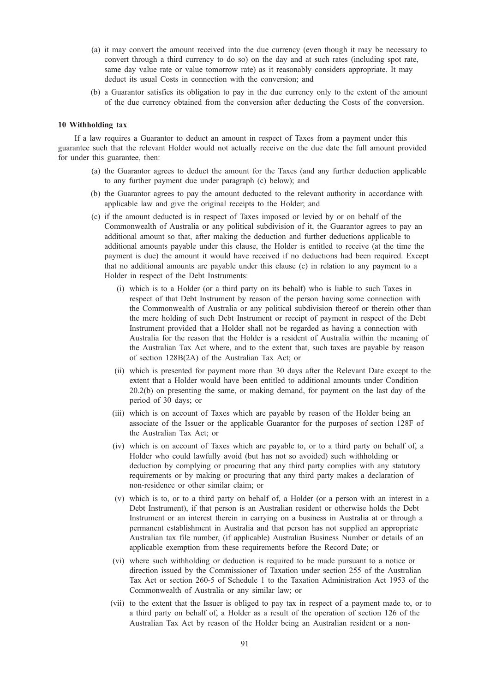- (a) it may convert the amount received into the due currency (even though it may be necessary to convert through a third currency to do so) on the day and at such rates (including spot rate, same day value rate or value tomorrow rate) as it reasonably considers appropriate. It may deduct its usual Costs in connection with the conversion; and
- (b) a Guarantor satisfies its obligation to pay in the due currency only to the extent of the amount of the due currency obtained from the conversion after deducting the Costs of the conversion.

# 10 Withholding tax

If a law requires a Guarantor to deduct an amount in respect of Taxes from a payment under this guarantee such that the relevant Holder would not actually receive on the due date the full amount provided for under this guarantee, then:

- (a) the Guarantor agrees to deduct the amount for the Taxes (and any further deduction applicable to any further payment due under paragraph (c) below); and
- (b) the Guarantor agrees to pay the amount deducted to the relevant authority in accordance with applicable law and give the original receipts to the Holder; and
- (c) if the amount deducted is in respect of Taxes imposed or levied by or on behalf of the Commonwealth of Australia or any political subdivision of it, the Guarantor agrees to pay an additional amount so that, after making the deduction and further deductions applicable to additional amounts payable under this clause, the Holder is entitled to receive (at the time the payment is due) the amount it would have received if no deductions had been required. Except that no additional amounts are payable under this clause (c) in relation to any payment to a Holder in respect of the Debt Instruments:
	- (i) which is to a Holder (or a third party on its behalf) who is liable to such Taxes in respect of that Debt Instrument by reason of the person having some connection with the Commonwealth of Australia or any political subdivision thereof or therein other than the mere holding of such Debt Instrument or receipt of payment in respect of the Debt Instrument provided that a Holder shall not be regarded as having a connection with Australia for the reason that the Holder is a resident of Australia within the meaning of the Australian Tax Act where, and to the extent that, such taxes are payable by reason of section 128B(2A) of the Australian Tax Act; or
	- (ii) which is presented for payment more than 30 days after the Relevant Date except to the extent that a Holder would have been entitled to additional amounts under Condition 20.2(b) on presenting the same, or making demand, for payment on the last day of the period of 30 days; or
	- (iii) which is on account of Taxes which are payable by reason of the Holder being an associate of the Issuer or the applicable Guarantor for the purposes of section 128F of the Australian Tax Act; or
	- (iv) which is on account of Taxes which are payable to, or to a third party on behalf of, a Holder who could lawfully avoid (but has not so avoided) such withholding or deduction by complying or procuring that any third party complies with any statutory requirements or by making or procuring that any third party makes a declaration of non-residence or other similar claim; or
	- (v) which is to, or to a third party on behalf of, a Holder (or a person with an interest in a Debt Instrument), if that person is an Australian resident or otherwise holds the Debt Instrument or an interest therein in carrying on a business in Australia at or through a permanent establishment in Australia and that person has not supplied an appropriate Australian tax file number, (if applicable) Australian Business Number or details of an applicable exemption from these requirements before the Record Date; or
	- (vi) where such withholding or deduction is required to be made pursuant to a notice or direction issued by the Commissioner of Taxation under section 255 of the Australian Tax Act or section 260-5 of Schedule 1 to the Taxation Administration Act 1953 of the Commonwealth of Australia or any similar law; or
	- (vii) to the extent that the Issuer is obliged to pay tax in respect of a payment made to, or to a third party on behalf of, a Holder as a result of the operation of section 126 of the Australian Tax Act by reason of the Holder being an Australian resident or a non-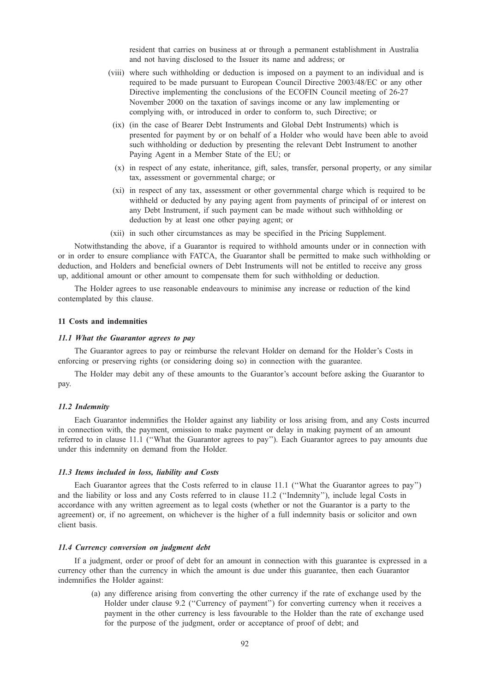resident that carries on business at or through a permanent establishment in Australia and not having disclosed to the Issuer its name and address; or

- (viii) where such withholding or deduction is imposed on a payment to an individual and is required to be made pursuant to European Council Directive 2003/48/EC or any other Directive implementing the conclusions of the ECOFIN Council meeting of 26-27 November 2000 on the taxation of savings income or any law implementing or complying with, or introduced in order to conform to, such Directive; or
	- (ix) (in the case of Bearer Debt Instruments and Global Debt Instruments) which is presented for payment by or on behalf of a Holder who would have been able to avoid such withholding or deduction by presenting the relevant Debt Instrument to another Paying Agent in a Member State of the EU; or
	- (x) in respect of any estate, inheritance, gift, sales, transfer, personal property, or any similar tax, assessment or governmental charge; or
	- (xi) in respect of any tax, assessment or other governmental charge which is required to be withheld or deducted by any paying agent from payments of principal of or interest on any Debt Instrument, if such payment can be made without such withholding or deduction by at least one other paying agent; or
- (xii) in such other circumstances as may be specified in the Pricing Supplement.

Notwithstanding the above, if a Guarantor is required to withhold amounts under or in connection with or in order to ensure compliance with FATCA, the Guarantor shall be permitted to make such withholding or deduction, and Holders and beneficial owners of Debt Instruments will not be entitled to receive any gross up, additional amount or other amount to compensate them for such withholding or deduction.

The Holder agrees to use reasonable endeavours to minimise any increase or reduction of the kind contemplated by this clause.

# 11 Costs and indemnities

#### 11.1 What the Guarantor agrees to pay

The Guarantor agrees to pay or reimburse the relevant Holder on demand for the Holder's Costs in enforcing or preserving rights (or considering doing so) in connection with the guarantee.

The Holder may debit any of these amounts to the Guarantor's account before asking the Guarantor to pay.

#### 11.2 Indemnity

Each Guarantor indemnifies the Holder against any liability or loss arising from, and any Costs incurred in connection with, the payment, omission to make payment or delay in making payment of an amount referred to in clause 11.1 (''What the Guarantor agrees to pay''). Each Guarantor agrees to pay amounts due under this indemnity on demand from the Holder.

#### 11.3 Items included in loss, liability and Costs

Each Guarantor agrees that the Costs referred to in clause 11.1 (''What the Guarantor agrees to pay'') and the liability or loss and any Costs referred to in clause 11.2 (''Indemnity''), include legal Costs in accordance with any written agreement as to legal costs (whether or not the Guarantor is a party to the agreement) or, if no agreement, on whichever is the higher of a full indemnity basis or solicitor and own client basis.

#### 11.4 Currency conversion on judgment debt

If a judgment, order or proof of debt for an amount in connection with this guarantee is expressed in a currency other than the currency in which the amount is due under this guarantee, then each Guarantor indemnifies the Holder against:

(a) any difference arising from converting the other currency if the rate of exchange used by the Holder under clause 9.2 ("Currency of payment") for converting currency when it receives a payment in the other currency is less favourable to the Holder than the rate of exchange used for the purpose of the judgment, order or acceptance of proof of debt; and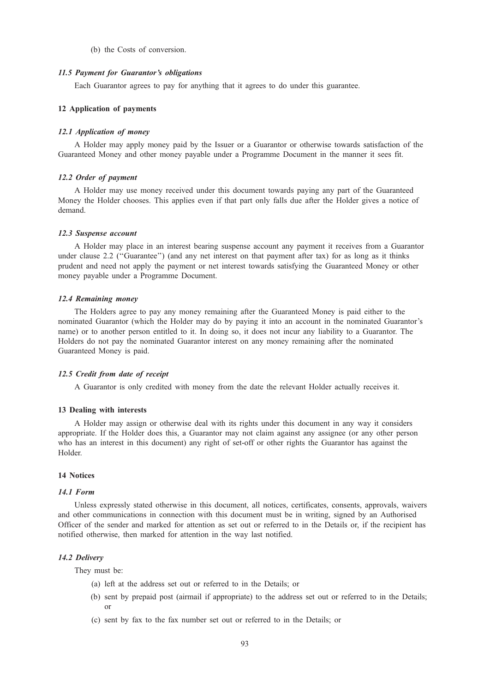#### (b) the Costs of conversion.

#### 11.5 Payment for Guarantor's obligations

Each Guarantor agrees to pay for anything that it agrees to do under this guarantee.

# 12 Application of payments

#### 12.1 Application of money

A Holder may apply money paid by the Issuer or a Guarantor or otherwise towards satisfaction of the Guaranteed Money and other money payable under a Programme Document in the manner it sees fit.

# 12.2 Order of payment

A Holder may use money received under this document towards paying any part of the Guaranteed Money the Holder chooses. This applies even if that part only falls due after the Holder gives a notice of demand.

#### 12.3 Suspense account

A Holder may place in an interest bearing suspense account any payment it receives from a Guarantor under clause 2.2 ("Guarantee") (and any net interest on that payment after tax) for as long as it thinks prudent and need not apply the payment or net interest towards satisfying the Guaranteed Money or other money payable under a Programme Document.

#### 12.4 Remaining money

The Holders agree to pay any money remaining after the Guaranteed Money is paid either to the nominated Guarantor (which the Holder may do by paying it into an account in the nominated Guarantor's name) or to another person entitled to it. In doing so, it does not incur any liability to a Guarantor. The Holders do not pay the nominated Guarantor interest on any money remaining after the nominated Guaranteed Money is paid.

# 12.5 Credit from date of receipt

A Guarantor is only credited with money from the date the relevant Holder actually receives it.

#### 13 Dealing with interests

A Holder may assign or otherwise deal with its rights under this document in any way it considers appropriate. If the Holder does this, a Guarantor may not claim against any assignee (or any other person who has an interest in this document) any right of set-off or other rights the Guarantor has against the Holder.

# 14 Notices

# 14.1 Form

Unless expressly stated otherwise in this document, all notices, certificates, consents, approvals, waivers and other communications in connection with this document must be in writing, signed by an Authorised Officer of the sender and marked for attention as set out or referred to in the Details or, if the recipient has notified otherwise, then marked for attention in the way last notified.

#### 14.2 Delivery

They must be:

- (a) left at the address set out or referred to in the Details; or
- (b) sent by prepaid post (airmail if appropriate) to the address set out or referred to in the Details; or
- (c) sent by fax to the fax number set out or referred to in the Details; or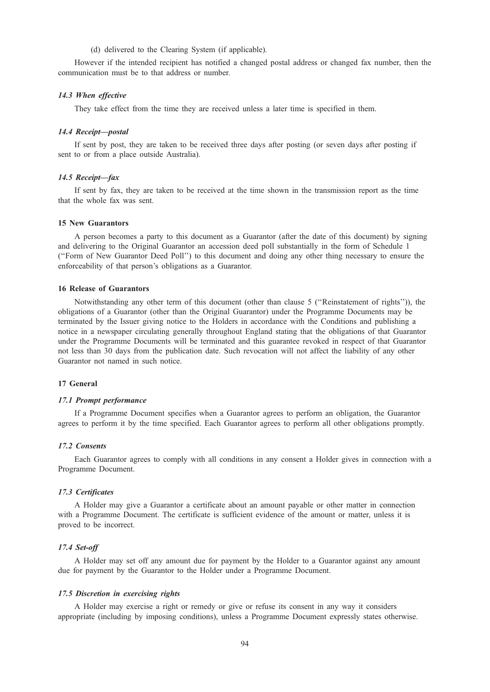(d) delivered to the Clearing System (if applicable).

However if the intended recipient has notified a changed postal address or changed fax number, then the communication must be to that address or number.

# 14.3 When effective

They take effect from the time they are received unless a later time is specified in them.

# 14.4 Receipt—postal

If sent by post, they are taken to be received three days after posting (or seven days after posting if sent to or from a place outside Australia).

# 14.5 Receipt—fax

If sent by fax, they are taken to be received at the time shown in the transmission report as the time that the whole fax was sent.

#### 15 New Guarantors

A person becomes a party to this document as a Guarantor (after the date of this document) by signing and delivering to the Original Guarantor an accession deed poll substantially in the form of Schedule 1 (''Form of New Guarantor Deed Poll'') to this document and doing any other thing necessary to ensure the enforceability of that person's obligations as a Guarantor.

# 16 Release of Guarantors

Notwithstanding any other term of this document (other than clause 5 (''Reinstatement of rights'')), the obligations of a Guarantor (other than the Original Guarantor) under the Programme Documents may be terminated by the Issuer giving notice to the Holders in accordance with the Conditions and publishing a notice in a newspaper circulating generally throughout England stating that the obligations of that Guarantor under the Programme Documents will be terminated and this guarantee revoked in respect of that Guarantor not less than 30 days from the publication date. Such revocation will not affect the liability of any other Guarantor not named in such notice.

# 17 General

#### 17.1 Prompt performance

If a Programme Document specifies when a Guarantor agrees to perform an obligation, the Guarantor agrees to perform it by the time specified. Each Guarantor agrees to perform all other obligations promptly.

# 17.2 Consents

Each Guarantor agrees to comply with all conditions in any consent a Holder gives in connection with a Programme Document.

# 17.3 Certificates

A Holder may give a Guarantor a certificate about an amount payable or other matter in connection with a Programme Document. The certificate is sufficient evidence of the amount or matter, unless it is proved to be incorrect.

# 17.4 Set-off

A Holder may set off any amount due for payment by the Holder to a Guarantor against any amount due for payment by the Guarantor to the Holder under a Programme Document.

#### 17.5 Discretion in exercising rights

A Holder may exercise a right or remedy or give or refuse its consent in any way it considers appropriate (including by imposing conditions), unless a Programme Document expressly states otherwise.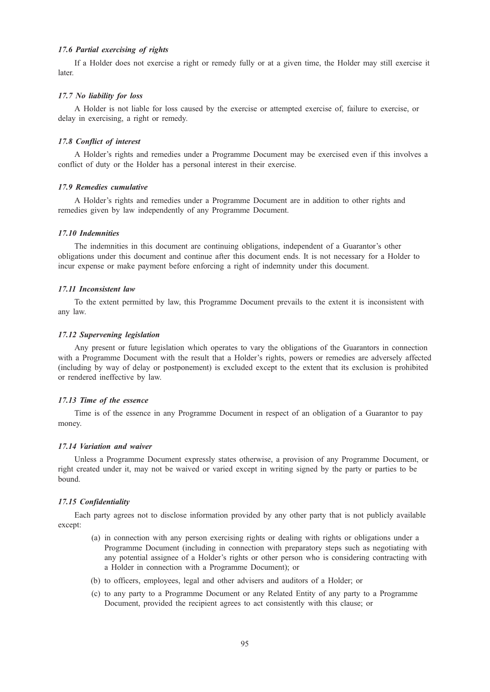# 17.6 Partial exercising of rights

If a Holder does not exercise a right or remedy fully or at a given time, the Holder may still exercise it later.

### 17.7 No liability for loss

A Holder is not liable for loss caused by the exercise or attempted exercise of, failure to exercise, or delay in exercising, a right or remedy.

# 17.8 Conflict of interest

A Holder's rights and remedies under a Programme Document may be exercised even if this involves a conflict of duty or the Holder has a personal interest in their exercise.

# 17.9 Remedies cumulative

A Holder's rights and remedies under a Programme Document are in addition to other rights and remedies given by law independently of any Programme Document.

#### 17.10 Indemnities

The indemnities in this document are continuing obligations, independent of a Guarantor's other obligations under this document and continue after this document ends. It is not necessary for a Holder to incur expense or make payment before enforcing a right of indemnity under this document.

## 17.11 Inconsistent law

To the extent permitted by law, this Programme Document prevails to the extent it is inconsistent with any law.

#### 17.12 Supervening legislation

Any present or future legislation which operates to vary the obligations of the Guarantors in connection with a Programme Document with the result that a Holder's rights, powers or remedies are adversely affected (including by way of delay or postponement) is excluded except to the extent that its exclusion is prohibited or rendered ineffective by law.

# 17.13 Time of the essence

Time is of the essence in any Programme Document in respect of an obligation of a Guarantor to pay money.

# 17.14 Variation and waiver

Unless a Programme Document expressly states otherwise, a provision of any Programme Document, or right created under it, may not be waived or varied except in writing signed by the party or parties to be bound.

#### 17.15 Confidentiality

Each party agrees not to disclose information provided by any other party that is not publicly available except:

- (a) in connection with any person exercising rights or dealing with rights or obligations under a Programme Document (including in connection with preparatory steps such as negotiating with any potential assignee of a Holder's rights or other person who is considering contracting with a Holder in connection with a Programme Document); or
- (b) to officers, employees, legal and other advisers and auditors of a Holder; or
- (c) to any party to a Programme Document or any Related Entity of any party to a Programme Document, provided the recipient agrees to act consistently with this clause; or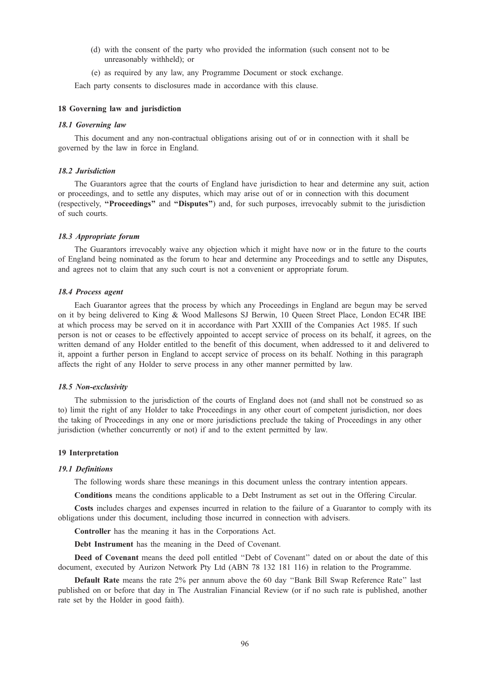- (d) with the consent of the party who provided the information (such consent not to be unreasonably withheld); or
- (e) as required by any law, any Programme Document or stock exchange.

Each party consents to disclosures made in accordance with this clause.

# 18 Governing law and jurisdiction

#### 18.1 Governing law

This document and any non-contractual obligations arising out of or in connection with it shall be governed by the law in force in England.

# 18.2 Jurisdiction

The Guarantors agree that the courts of England have jurisdiction to hear and determine any suit, action or proceedings, and to settle any disputes, which may arise out of or in connection with this document (respectively, ''Proceedings'' and ''Disputes'') and, for such purposes, irrevocably submit to the jurisdiction of such courts.

#### 18.3 Appropriate forum

The Guarantors irrevocably waive any objection which it might have now or in the future to the courts of England being nominated as the forum to hear and determine any Proceedings and to settle any Disputes, and agrees not to claim that any such court is not a convenient or appropriate forum.

# 18.4 Process agent

Each Guarantor agrees that the process by which any Proceedings in England are begun may be served on it by being delivered to King & Wood Mallesons SJ Berwin, 10 Queen Street Place, London EC4R IBE at which process may be served on it in accordance with Part XXIII of the Companies Act 1985. If such person is not or ceases to be effectively appointed to accept service of process on its behalf, it agrees, on the written demand of any Holder entitled to the benefit of this document, when addressed to it and delivered to it, appoint a further person in England to accept service of process on its behalf. Nothing in this paragraph affects the right of any Holder to serve process in any other manner permitted by law.

#### 18.5 Non-exclusivity

The submission to the jurisdiction of the courts of England does not (and shall not be construed so as to) limit the right of any Holder to take Proceedings in any other court of competent jurisdiction, nor does the taking of Proceedings in any one or more jurisdictions preclude the taking of Proceedings in any other jurisdiction (whether concurrently or not) if and to the extent permitted by law.

#### 19 Interpretation

#### 19.1 Definitions

The following words share these meanings in this document unless the contrary intention appears.

Conditions means the conditions applicable to a Debt Instrument as set out in the Offering Circular.

Costs includes charges and expenses incurred in relation to the failure of a Guarantor to comply with its obligations under this document, including those incurred in connection with advisers.

Controller has the meaning it has in the Corporations Act.

Debt Instrument has the meaning in the Deed of Covenant.

Deed of Covenant means the deed poll entitled "Debt of Covenant" dated on or about the date of this document, executed by Aurizon Network Pty Ltd (ABN 78 132 181 116) in relation to the Programme.

Default Rate means the rate 2% per annum above the 60 day ''Bank Bill Swap Reference Rate'' last published on or before that day in The Australian Financial Review (or if no such rate is published, another rate set by the Holder in good faith).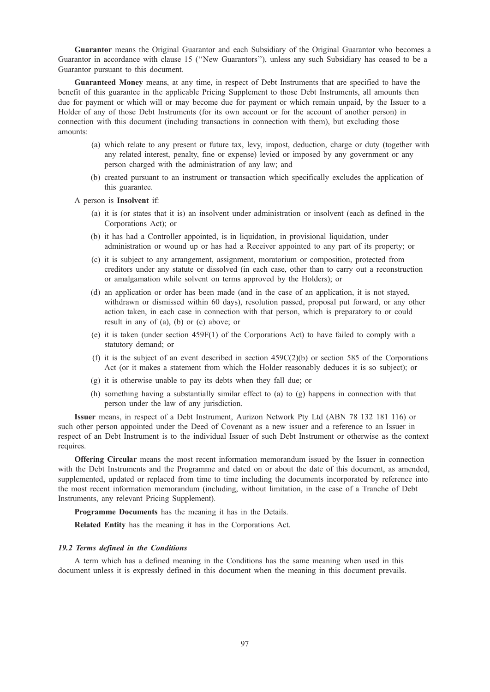Guarantor means the Original Guarantor and each Subsidiary of the Original Guarantor who becomes a Guarantor in accordance with clause 15 (''New Guarantors''), unless any such Subsidiary has ceased to be a Guarantor pursuant to this document.

Guaranteed Money means, at any time, in respect of Debt Instruments that are specified to have the benefit of this guarantee in the applicable Pricing Supplement to those Debt Instruments, all amounts then due for payment or which will or may become due for payment or which remain unpaid, by the Issuer to a Holder of any of those Debt Instruments (for its own account or for the account of another person) in connection with this document (including transactions in connection with them), but excluding those amounts:

- (a) which relate to any present or future tax, levy, impost, deduction, charge or duty (together with any related interest, penalty, fine or expense) levied or imposed by any government or any person charged with the administration of any law; and
- (b) created pursuant to an instrument or transaction which specifically excludes the application of this guarantee.
- A person is Insolvent if:
	- (a) it is (or states that it is) an insolvent under administration or insolvent (each as defined in the Corporations Act); or
	- (b) it has had a Controller appointed, is in liquidation, in provisional liquidation, under administration or wound up or has had a Receiver appointed to any part of its property; or
	- (c) it is subject to any arrangement, assignment, moratorium or composition, protected from creditors under any statute or dissolved (in each case, other than to carry out a reconstruction or amalgamation while solvent on terms approved by the Holders); or
	- (d) an application or order has been made (and in the case of an application, it is not stayed, withdrawn or dismissed within 60 days), resolution passed, proposal put forward, or any other action taken, in each case in connection with that person, which is preparatory to or could result in any of (a), (b) or (c) above; or
	- (e) it is taken (under section 459F(1) of the Corporations Act) to have failed to comply with a statutory demand; or
	- (f) it is the subject of an event described in section  $459C(2)(b)$  or section 585 of the Corporations Act (or it makes a statement from which the Holder reasonably deduces it is so subject); or
	- (g) it is otherwise unable to pay its debts when they fall due; or
	- (h) something having a substantially similar effect to (a) to (g) happens in connection with that person under the law of any jurisdiction.

Issuer means, in respect of a Debt Instrument, Aurizon Network Pty Ltd (ABN 78 132 181 116) or such other person appointed under the Deed of Covenant as a new issuer and a reference to an Issuer in respect of an Debt Instrument is to the individual Issuer of such Debt Instrument or otherwise as the context requires.

Offering Circular means the most recent information memorandum issued by the Issuer in connection with the Debt Instruments and the Programme and dated on or about the date of this document, as amended, supplemented, updated or replaced from time to time including the documents incorporated by reference into the most recent information memorandum (including, without limitation, in the case of a Tranche of Debt Instruments, any relevant Pricing Supplement).

Programme Documents has the meaning it has in the Details.

Related Entity has the meaning it has in the Corporations Act.

# 19.2 Terms defined in the Conditions

A term which has a defined meaning in the Conditions has the same meaning when used in this document unless it is expressly defined in this document when the meaning in this document prevails.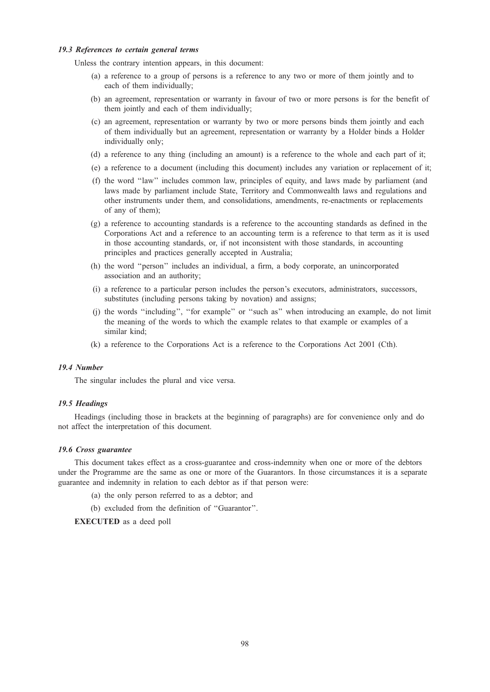# 19.3 References to certain general terms

Unless the contrary intention appears, in this document:

- (a) a reference to a group of persons is a reference to any two or more of them jointly and to each of them individually;
- (b) an agreement, representation or warranty in favour of two or more persons is for the benefit of them jointly and each of them individually;
- (c) an agreement, representation or warranty by two or more persons binds them jointly and each of them individually but an agreement, representation or warranty by a Holder binds a Holder individually only;
- (d) a reference to any thing (including an amount) is a reference to the whole and each part of it;
- (e) a reference to a document (including this document) includes any variation or replacement of it;
- (f) the word ''law'' includes common law, principles of equity, and laws made by parliament (and laws made by parliament include State, Territory and Commonwealth laws and regulations and other instruments under them, and consolidations, amendments, re-enactments or replacements of any of them);
- (g) a reference to accounting standards is a reference to the accounting standards as defined in the Corporations Act and a reference to an accounting term is a reference to that term as it is used in those accounting standards, or, if not inconsistent with those standards, in accounting principles and practices generally accepted in Australia;
- (h) the word ''person'' includes an individual, a firm, a body corporate, an unincorporated association and an authority;
- (i) a reference to a particular person includes the person's executors, administrators, successors, substitutes (including persons taking by novation) and assigns;
- (j) the words ''including'', ''for example'' or ''such as'' when introducing an example, do not limit the meaning of the words to which the example relates to that example or examples of a similar kind;
- (k) a reference to the Corporations Act is a reference to the Corporations Act 2001 (Cth).

# 19.4 Number

The singular includes the plural and vice versa.

#### 19.5 Headings

Headings (including those in brackets at the beginning of paragraphs) are for convenience only and do not affect the interpretation of this document.

# 19.6 Cross guarantee

This document takes effect as a cross-guarantee and cross-indemnity when one or more of the debtors under the Programme are the same as one or more of the Guarantors. In those circumstances it is a separate guarantee and indemnity in relation to each debtor as if that person were:

- (a) the only person referred to as a debtor; and
- (b) excluded from the definition of ''Guarantor''.

EXECUTED as a deed poll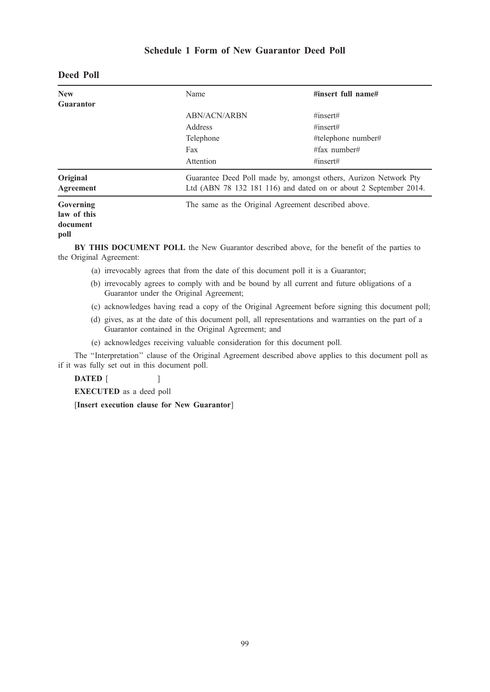# Schedule 1 Form of New Guarantor Deed Poll

| <b>New</b><br>Guarantor                      | Name                | #insert full name#                                                                                                                   |  |
|----------------------------------------------|---------------------|--------------------------------------------------------------------------------------------------------------------------------------|--|
|                                              | <b>ABN/ACN/ARBN</b> | $\#insert\#$                                                                                                                         |  |
|                                              | Address             | $\#insert\#$                                                                                                                         |  |
|                                              | Telephone           | #telephone number#                                                                                                                   |  |
|                                              | Fax                 | $#$ fax number#                                                                                                                      |  |
|                                              | Attention           | $\#insert\#$                                                                                                                         |  |
| Original<br>Agreement                        |                     | Guarantee Deed Poll made by, amongst others, Aurizon Network Pty<br>Ltd (ABN 78 132 181 116) and dated on or about 2 September 2014. |  |
| Governing<br>law of this<br>document<br>poll |                     | The same as the Original Agreement described above.                                                                                  |  |

# Deed Poll

BY THIS DOCUMENT POLL the New Guarantor described above, for the benefit of the parties to the Original Agreement:

- (a) irrevocably agrees that from the date of this document poll it is a Guarantor;
- (b) irrevocably agrees to comply with and be bound by all current and future obligations of a Guarantor under the Original Agreement;
- (c) acknowledges having read a copy of the Original Agreement before signing this document poll;
- (d) gives, as at the date of this document poll, all representations and warranties on the part of a Guarantor contained in the Original Agreement; and
- (e) acknowledges receiving valuable consideration for this document poll.

The ''Interpretation'' clause of the Original Agreement described above applies to this document poll as if it was fully set out in this document poll.

DATED [ ]

EXECUTED as a deed poll

[Insert execution clause for New Guarantor]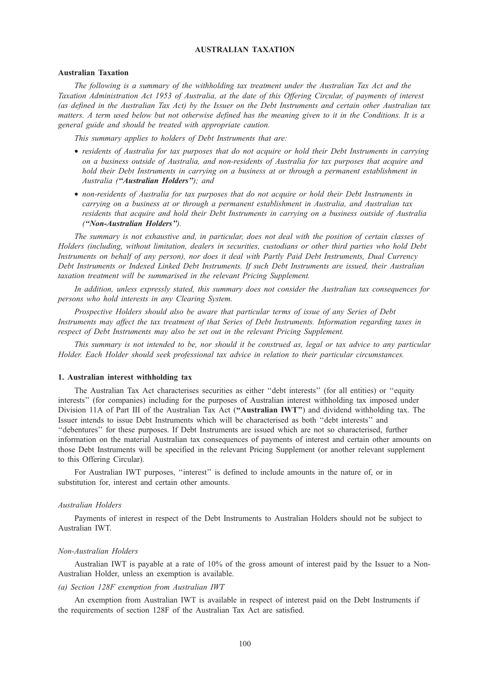# AUSTRALIAN TAXATION

#### Australian Taxation

The following is a summary of the withholding tax treatment under the Australian Tax Act and the Taxation Administration Act 1953 of Australia, at the date of this Offering Circular, of payments of interest (as defined in the Australian Tax Act) by the Issuer on the Debt Instruments and certain other Australian tax matters. A term used below but not otherwise defined has the meaning given to it in the Conditions. It is a general guide and should be treated with appropriate caution.

This summary applies to holders of Debt Instruments that are:

- residents of Australia for tax purposes that do not acquire or hold their Debt Instruments in carrying on a business outside of Australia, and non-residents of Australia for tax purposes that acquire and hold their Debt Instruments in carrying on a business at or through a permanent establishment in Australia ("Australian Holders"); and
- non-residents of Australia for tax purposes that do not acquire or hold their Debt Instruments in carrying on a business at or through a permanent establishment in Australia, and Australian tax residents that acquire and hold their Debt Instruments in carrying on a business outside of Australia (''Non-Australian Holders'').

The summary is not exhaustive and, in particular, does not deal with the position of certain classes of Holders (including, without limitation, dealers in securities, custodians or other third parties who hold Debt Instruments on behalf of any person), nor does it deal with Partly Paid Debt Instruments, Dual Currency Debt Instruments or Indexed Linked Debt Instruments. If such Debt Instruments are issued, their Australian taxation treatment will be summarised in the relevant Pricing Supplement.

In addition, unless expressly stated, this summary does not consider the Australian tax consequences for persons who hold interests in any Clearing System.

Prospective Holders should also be aware that particular terms of issue of any Series of Debt Instruments may affect the tax treatment of that Series of Debt Instruments. Information regarding taxes in respect of Debt Instruments may also be set out in the relevant Pricing Supplement.

This summary is not intended to be, nor should it be construed as, legal or tax advice to any particular Holder. Each Holder should seek professional tax advice in relation to their particular circumstances.

### 1. Australian interest withholding tax

The Australian Tax Act characterises securities as either ''debt interests'' (for all entities) or ''equity interests'' (for companies) including for the purposes of Australian interest withholding tax imposed under Division 11A of Part III of the Australian Tax Act ("Australian IWT") and dividend withholding tax. The Issuer intends to issue Debt Instruments which will be characterised as both ''debt interests'' and ''debentures'' for these purposes. If Debt Instruments are issued which are not so characterised, further information on the material Australian tax consequences of payments of interest and certain other amounts on those Debt Instruments will be specified in the relevant Pricing Supplement (or another relevant supplement to this Offering Circular).

For Australian IWT purposes, ''interest'' is defined to include amounts in the nature of, or in substitution for, interest and certain other amounts.

#### Australian Holders

Payments of interest in respect of the Debt Instruments to Australian Holders should not be subject to Australian IWT.

#### Non-Australian Holders

Australian IWT is payable at a rate of 10% of the gross amount of interest paid by the Issuer to a Non-Australian Holder, unless an exemption is available.

# (a) Section 128F exemption from Australian IWT

An exemption from Australian IWT is available in respect of interest paid on the Debt Instruments if the requirements of section 128F of the Australian Tax Act are satisfied.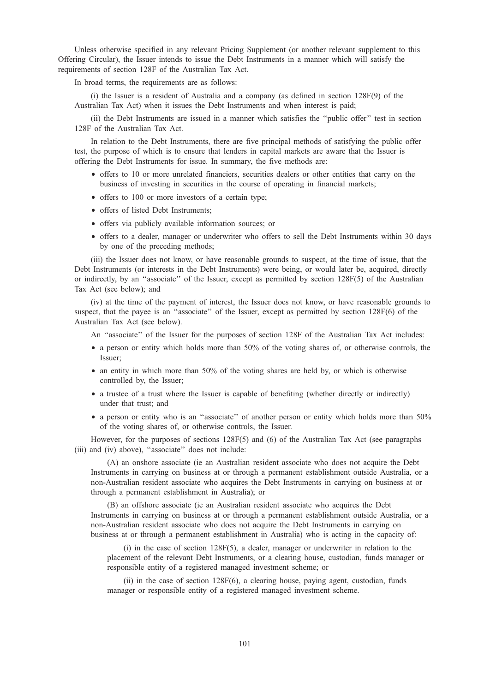Unless otherwise specified in any relevant Pricing Supplement (or another relevant supplement to this Offering Circular), the Issuer intends to issue the Debt Instruments in a manner which will satisfy the requirements of section 128F of the Australian Tax Act.

In broad terms, the requirements are as follows:

(i) the Issuer is a resident of Australia and a company (as defined in section 128F(9) of the Australian Tax Act) when it issues the Debt Instruments and when interest is paid;

(ii) the Debt Instruments are issued in a manner which satisfies the ''public offer'' test in section 128F of the Australian Tax Act.

In relation to the Debt Instruments, there are five principal methods of satisfying the public offer test, the purpose of which is to ensure that lenders in capital markets are aware that the Issuer is offering the Debt Instruments for issue. In summary, the five methods are:

- offers to 10 or more unrelated financiers, securities dealers or other entities that carry on the business of investing in securities in the course of operating in financial markets;
- offers to 100 or more investors of a certain type;
- offers of listed Debt Instruments;
- offers via publicly available information sources; or
- offers to a dealer, manager or underwriter who offers to sell the Debt Instruments within 30 days by one of the preceding methods;

(iii) the Issuer does not know, or have reasonable grounds to suspect, at the time of issue, that the Debt Instruments (or interests in the Debt Instruments) were being, or would later be, acquired, directly or indirectly, by an ''associate'' of the Issuer, except as permitted by section 128F(5) of the Australian Tax Act (see below); and

(iv) at the time of the payment of interest, the Issuer does not know, or have reasonable grounds to suspect, that the payee is an "associate" of the Issuer, except as permitted by section 128F(6) of the Australian Tax Act (see below).

An "associate" of the Issuer for the purposes of section 128F of the Australian Tax Act includes:

- a person or entity which holds more than 50% of the voting shares of, or otherwise controls, the Issuer;
- an entity in which more than 50% of the voting shares are held by, or which is otherwise controlled by, the Issuer;
- a trustee of a trust where the Issuer is capable of benefiting (whether directly or indirectly) under that trust; and
- a person or entity who is an "associate" of another person or entity which holds more than 50% of the voting shares of, or otherwise controls, the Issuer.

However, for the purposes of sections 128F(5) and (6) of the Australian Tax Act (see paragraphs (iii) and (iv) above), ''associate'' does not include:

(A) an onshore associate (ie an Australian resident associate who does not acquire the Debt Instruments in carrying on business at or through a permanent establishment outside Australia, or a non-Australian resident associate who acquires the Debt Instruments in carrying on business at or through a permanent establishment in Australia); or

(B) an offshore associate (ie an Australian resident associate who acquires the Debt Instruments in carrying on business at or through a permanent establishment outside Australia, or a non-Australian resident associate who does not acquire the Debt Instruments in carrying on business at or through a permanent establishment in Australia) who is acting in the capacity of:

(i) in the case of section 128F(5), a dealer, manager or underwriter in relation to the placement of the relevant Debt Instruments, or a clearing house, custodian, funds manager or responsible entity of a registered managed investment scheme; or

(ii) in the case of section 128F(6), a clearing house, paying agent, custodian, funds manager or responsible entity of a registered managed investment scheme.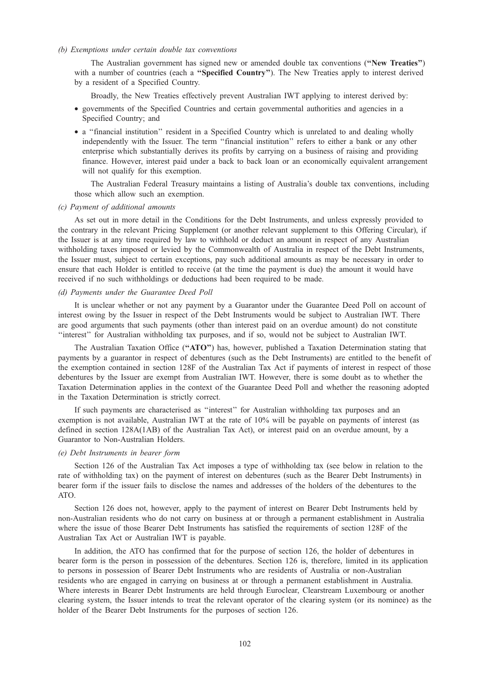# (b) Exemptions under certain double tax conventions

The Australian government has signed new or amended double tax conventions (''New Treaties'') with a number of countries (each a "Specified Country"). The New Treaties apply to interest derived by a resident of a Specified Country.

Broadly, the New Treaties effectively prevent Australian IWT applying to interest derived by:

- governments of the Specified Countries and certain governmental authorities and agencies in a Specified Country; and
- a ''financial institution'' resident in a Specified Country which is unrelated to and dealing wholly independently with the Issuer. The term ''financial institution'' refers to either a bank or any other enterprise which substantially derives its profits by carrying on a business of raising and providing finance. However, interest paid under a back to back loan or an economically equivalent arrangement will not qualify for this exemption.

The Australian Federal Treasury maintains a listing of Australia's double tax conventions, including those which allow such an exemption.

#### (c) Payment of additional amounts

As set out in more detail in the Conditions for the Debt Instruments, and unless expressly provided to the contrary in the relevant Pricing Supplement (or another relevant supplement to this Offering Circular), if the Issuer is at any time required by law to withhold or deduct an amount in respect of any Australian withholding taxes imposed or levied by the Commonwealth of Australia in respect of the Debt Instruments, the Issuer must, subject to certain exceptions, pay such additional amounts as may be necessary in order to ensure that each Holder is entitled to receive (at the time the payment is due) the amount it would have received if no such withholdings or deductions had been required to be made.

# (d) Payments under the Guarantee Deed Poll

It is unclear whether or not any payment by a Guarantor under the Guarantee Deed Poll on account of interest owing by the Issuer in respect of the Debt Instruments would be subject to Australian IWT. There are good arguments that such payments (other than interest paid on an overdue amount) do not constitute ''interest'' for Australian withholding tax purposes, and if so, would not be subject to Australian IWT.

The Australian Taxation Office ("ATO") has, however, published a Taxation Determination stating that payments by a guarantor in respect of debentures (such as the Debt Instruments) are entitled to the benefit of the exemption contained in section 128F of the Australian Tax Act if payments of interest in respect of those debentures by the Issuer are exempt from Australian IWT. However, there is some doubt as to whether the Taxation Determination applies in the context of the Guarantee Deed Poll and whether the reasoning adopted in the Taxation Determination is strictly correct.

If such payments are characterised as ''interest'' for Australian withholding tax purposes and an exemption is not available, Australian IWT at the rate of 10% will be payable on payments of interest (as defined in section 128A(1AB) of the Australian Tax Act), or interest paid on an overdue amount, by a Guarantor to Non-Australian Holders.

# (e) Debt Instruments in bearer form

Section 126 of the Australian Tax Act imposes a type of withholding tax (see below in relation to the rate of withholding tax) on the payment of interest on debentures (such as the Bearer Debt Instruments) in bearer form if the issuer fails to disclose the names and addresses of the holders of the debentures to the ATO.

Section 126 does not, however, apply to the payment of interest on Bearer Debt Instruments held by non-Australian residents who do not carry on business at or through a permanent establishment in Australia where the issue of those Bearer Debt Instruments has satisfied the requirements of section 128F of the Australian Tax Act or Australian IWT is payable.

In addition, the ATO has confirmed that for the purpose of section 126, the holder of debentures in bearer form is the person in possession of the debentures. Section 126 is, therefore, limited in its application to persons in possession of Bearer Debt Instruments who are residents of Australia or non-Australian residents who are engaged in carrying on business at or through a permanent establishment in Australia. Where interests in Bearer Debt Instruments are held through Euroclear, Clearstream Luxembourg or another clearing system, the Issuer intends to treat the relevant operator of the clearing system (or its nominee) as the holder of the Bearer Debt Instruments for the purposes of section 126.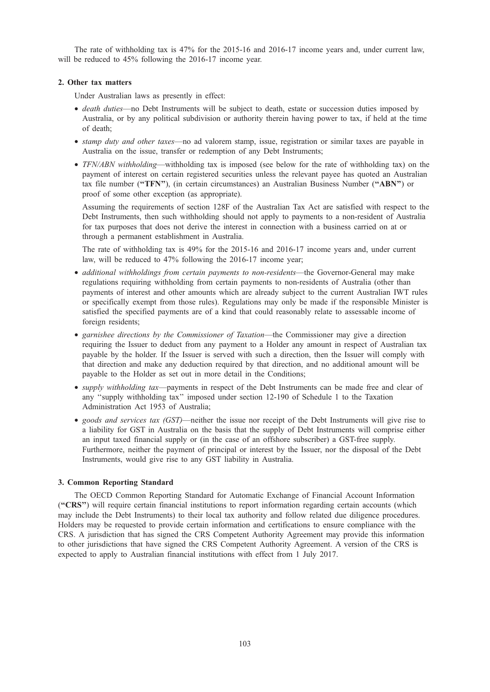The rate of withholding tax is 47% for the 2015-16 and 2016-17 income years and, under current law, will be reduced to 45% following the 2016-17 income year.

# 2. Other tax matters

Under Australian laws as presently in effect:

- death duties—no Debt Instruments will be subject to death, estate or succession duties imposed by Australia, or by any political subdivision or authority therein having power to tax, if held at the time of death;
- stamp duty and other taxes—no ad valorem stamp, issue, registration or similar taxes are payable in Australia on the issue, transfer or redemption of any Debt Instruments;
- TFN/ABN withholding—withholding tax is imposed (see below for the rate of withholding tax) on the payment of interest on certain registered securities unless the relevant payee has quoted an Australian tax file number ("TFN"), (in certain circumstances) an Australian Business Number ("ABN") or proof of some other exception (as appropriate).

Assuming the requirements of section 128F of the Australian Tax Act are satisfied with respect to the Debt Instruments, then such withholding should not apply to payments to a non-resident of Australia for tax purposes that does not derive the interest in connection with a business carried on at or through a permanent establishment in Australia.

The rate of withholding tax is 49% for the 2015-16 and 2016-17 income years and, under current law, will be reduced to 47% following the 2016-17 income year;

- additional withholdings from certain payments to non-residents—the Governor-General may make regulations requiring withholding from certain payments to non-residents of Australia (other than payments of interest and other amounts which are already subject to the current Australian IWT rules or specifically exempt from those rules). Regulations may only be made if the responsible Minister is satisfied the specified payments are of a kind that could reasonably relate to assessable income of foreign residents;
- garnishee directions by the Commissioner of Taxation—the Commissioner may give a direction requiring the Issuer to deduct from any payment to a Holder any amount in respect of Australian tax payable by the holder. If the Issuer is served with such a direction, then the Issuer will comply with that direction and make any deduction required by that direction, and no additional amount will be payable to the Holder as set out in more detail in the Conditions;
- *supply withholding tax—payments in respect of the Debt Instruments can be made free and clear of* any ''supply withholding tax'' imposed under section 12-190 of Schedule 1 to the Taxation Administration Act 1953 of Australia;
- goods and services tax (GST)—neither the issue nor receipt of the Debt Instruments will give rise to a liability for GST in Australia on the basis that the supply of Debt Instruments will comprise either an input taxed financial supply or (in the case of an offshore subscriber) a GST-free supply. Furthermore, neither the payment of principal or interest by the Issuer, nor the disposal of the Debt Instruments, would give rise to any GST liability in Australia.

# 3. Common Reporting Standard

The OECD Common Reporting Standard for Automatic Exchange of Financial Account Information (''CRS'') will require certain financial institutions to report information regarding certain accounts (which may include the Debt Instruments) to their local tax authority and follow related due diligence procedures. Holders may be requested to provide certain information and certifications to ensure compliance with the CRS. A jurisdiction that has signed the CRS Competent Authority Agreement may provide this information to other jurisdictions that have signed the CRS Competent Authority Agreement. A version of the CRS is expected to apply to Australian financial institutions with effect from 1 July 2017.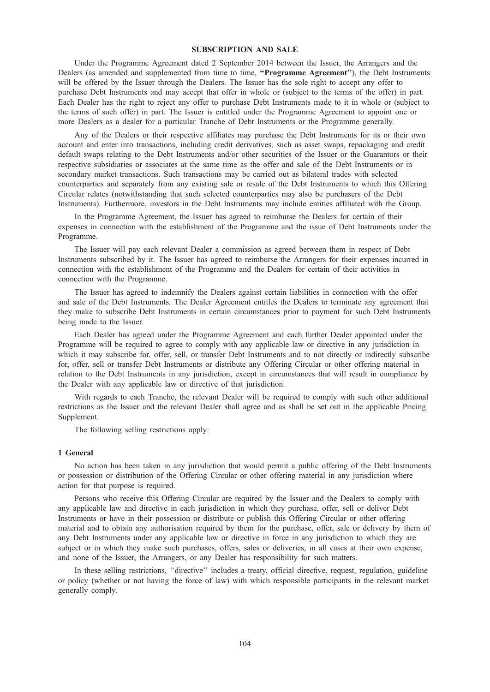# SUBSCRIPTION AND SALE

Under the Programme Agreement dated 2 September 2014 between the Issuer, the Arrangers and the Dealers (as amended and supplemented from time to time, "Programme Agreement"), the Debt Instruments will be offered by the Issuer through the Dealers. The Issuer has the sole right to accept any offer to purchase Debt Instruments and may accept that offer in whole or (subject to the terms of the offer) in part. Each Dealer has the right to reject any offer to purchase Debt Instruments made to it in whole or (subject to the terms of such offer) in part. The Issuer is entitled under the Programme Agreement to appoint one or more Dealers as a dealer for a particular Tranche of Debt Instruments or the Programme generally.

Any of the Dealers or their respective affiliates may purchase the Debt Instruments for its or their own account and enter into transactions, including credit derivatives, such as asset swaps, repackaging and credit default swaps relating to the Debt Instruments and/or other securities of the Issuer or the Guarantors or their respective subsidiaries or associates at the same time as the offer and sale of the Debt Instruments or in secondary market transactions. Such transactions may be carried out as bilateral trades with selected counterparties and separately from any existing sale or resale of the Debt Instruments to which this Offering Circular relates (notwithstanding that such selected counterparties may also be purchasers of the Debt Instruments). Furthermore, investors in the Debt Instruments may include entities affiliated with the Group.

In the Programme Agreement, the Issuer has agreed to reimburse the Dealers for certain of their expenses in connection with the establishment of the Programme and the issue of Debt Instruments under the Programme.

The Issuer will pay each relevant Dealer a commission as agreed between them in respect of Debt Instruments subscribed by it. The Issuer has agreed to reimburse the Arrangers for their expenses incurred in connection with the establishment of the Programme and the Dealers for certain of their activities in connection with the Programme.

The Issuer has agreed to indemnify the Dealers against certain liabilities in connection with the offer and sale of the Debt Instruments. The Dealer Agreement entitles the Dealers to terminate any agreement that they make to subscribe Debt Instruments in certain circumstances prior to payment for such Debt Instruments being made to the Issuer.

Each Dealer has agreed under the Programme Agreement and each further Dealer appointed under the Programme will be required to agree to comply with any applicable law or directive in any jurisdiction in which it may subscribe for, offer, sell, or transfer Debt Instruments and to not directly or indirectly subscribe for, offer, sell or transfer Debt Instruments or distribute any Offering Circular or other offering material in relation to the Debt Instruments in any jurisdiction, except in circumstances that will result in compliance by the Dealer with any applicable law or directive of that jurisdiction.

With regards to each Tranche, the relevant Dealer will be required to comply with such other additional restrictions as the Issuer and the relevant Dealer shall agree and as shall be set out in the applicable Pricing Supplement.

The following selling restrictions apply:

# 1 General

No action has been taken in any jurisdiction that would permit a public offering of the Debt Instruments or possession or distribution of the Offering Circular or other offering material in any jurisdiction where action for that purpose is required.

Persons who receive this Offering Circular are required by the Issuer and the Dealers to comply with any applicable law and directive in each jurisdiction in which they purchase, offer, sell or deliver Debt Instruments or have in their possession or distribute or publish this Offering Circular or other offering material and to obtain any authorisation required by them for the purchase, offer, sale or delivery by them of any Debt Instruments under any applicable law or directive in force in any jurisdiction to which they are subject or in which they make such purchases, offers, sales or deliveries, in all cases at their own expense, and none of the Issuer, the Arrangers, or any Dealer has responsibility for such matters.

In these selling restrictions, ''directive'' includes a treaty, official directive, request, regulation, guideline or policy (whether or not having the force of law) with which responsible participants in the relevant market generally comply.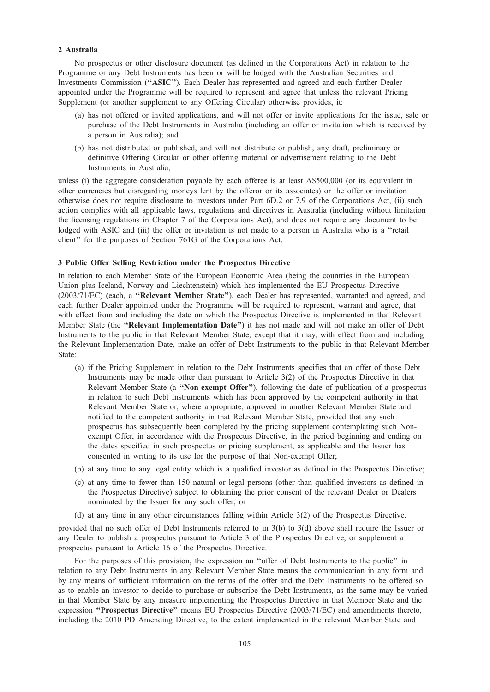# 2 Australia

No prospectus or other disclosure document (as defined in the Corporations Act) in relation to the Programme or any Debt Instruments has been or will be lodged with the Australian Securities and Investments Commission (''ASIC''). Each Dealer has represented and agreed and each further Dealer appointed under the Programme will be required to represent and agree that unless the relevant Pricing Supplement (or another supplement to any Offering Circular) otherwise provides, it:

- (a) has not offered or invited applications, and will not offer or invite applications for the issue, sale or purchase of the Debt Instruments in Australia (including an offer or invitation which is received by a person in Australia); and
- (b) has not distributed or published, and will not distribute or publish, any draft, preliminary or definitive Offering Circular or other offering material or advertisement relating to the Debt Instruments in Australia,

unless (i) the aggregate consideration payable by each offeree is at least A\$500,000 (or its equivalent in other currencies but disregarding moneys lent by the offeror or its associates) or the offer or invitation otherwise does not require disclosure to investors under Part 6D.2 or 7.9 of the Corporations Act, (ii) such action complies with all applicable laws, regulations and directives in Australia (including without limitation the licensing regulations in Chapter 7 of the Corporations Act), and does not require any document to be lodged with ASIC and (iii) the offer or invitation is not made to a person in Australia who is a "retail client'' for the purposes of Section 761G of the Corporations Act.

# 3 Public Offer Selling Restriction under the Prospectus Directive

In relation to each Member State of the European Economic Area (being the countries in the European Union plus Iceland, Norway and Liechtenstein) which has implemented the EU Prospectus Directive (2003/71/EC) (each, a ''Relevant Member State''), each Dealer has represented, warranted and agreed, and each further Dealer appointed under the Programme will be required to represent, warrant and agree, that with effect from and including the date on which the Prospectus Directive is implemented in that Relevant Member State (the "Relevant Implementation Date") it has not made and will not make an offer of Debt Instruments to the public in that Relevant Member State, except that it may, with effect from and including the Relevant Implementation Date, make an offer of Debt Instruments to the public in that Relevant Member State:

- (a) if the Pricing Supplement in relation to the Debt Instruments specifies that an offer of those Debt Instruments may be made other than pursuant to Article 3(2) of the Prospectus Directive in that Relevant Member State (a "Non-exempt Offer"), following the date of publication of a prospectus in relation to such Debt Instruments which has been approved by the competent authority in that Relevant Member State or, where appropriate, approved in another Relevant Member State and notified to the competent authority in that Relevant Member State, provided that any such prospectus has subsequently been completed by the pricing supplement contemplating such Nonexempt Offer, in accordance with the Prospectus Directive, in the period beginning and ending on the dates specified in such prospectus or pricing supplement, as applicable and the Issuer has consented in writing to its use for the purpose of that Non-exempt Offer;
- (b) at any time to any legal entity which is a qualified investor as defined in the Prospectus Directive;
- (c) at any time to fewer than 150 natural or legal persons (other than qualified investors as defined in the Prospectus Directive) subject to obtaining the prior consent of the relevant Dealer or Dealers nominated by the Issuer for any such offer; or
- (d) at any time in any other circumstances falling within Article 3(2) of the Prospectus Directive.

provided that no such offer of Debt Instruments referred to in 3(b) to 3(d) above shall require the Issuer or any Dealer to publish a prospectus pursuant to Article 3 of the Prospectus Directive, or supplement a prospectus pursuant to Article 16 of the Prospectus Directive.

For the purposes of this provision, the expression an ''offer of Debt Instruments to the public'' in relation to any Debt Instruments in any Relevant Member State means the communication in any form and by any means of sufficient information on the terms of the offer and the Debt Instruments to be offered so as to enable an investor to decide to purchase or subscribe the Debt Instruments, as the same may be varied in that Member State by any measure implementing the Prospectus Directive in that Member State and the expression "Prospectus Directive" means EU Prospectus Directive (2003/71/EC) and amendments thereto, including the 2010 PD Amending Directive, to the extent implemented in the relevant Member State and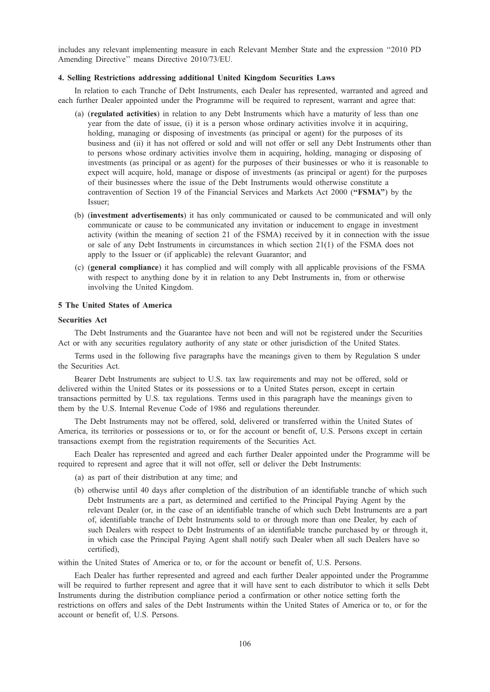includes any relevant implementing measure in each Relevant Member State and the expression ''2010 PD Amending Directive'' means Directive 2010/73/EU.

# 4. Selling Restrictions addressing additional United Kingdom Securities Laws

In relation to each Tranche of Debt Instruments, each Dealer has represented, warranted and agreed and each further Dealer appointed under the Programme will be required to represent, warrant and agree that:

- (a) (regulated activities) in relation to any Debt Instruments which have a maturity of less than one year from the date of issue, (i) it is a person whose ordinary activities involve it in acquiring, holding, managing or disposing of investments (as principal or agent) for the purposes of its business and (ii) it has not offered or sold and will not offer or sell any Debt Instruments other than to persons whose ordinary activities involve them in acquiring, holding, managing or disposing of investments (as principal or as agent) for the purposes of their businesses or who it is reasonable to expect will acquire, hold, manage or dispose of investments (as principal or agent) for the purposes of their businesses where the issue of the Debt Instruments would otherwise constitute a contravention of Section 19 of the Financial Services and Markets Act 2000 ("FSMA") by the Issuer;
- (b) (investment advertisements) it has only communicated or caused to be communicated and will only communicate or cause to be communicated any invitation or inducement to engage in investment activity (within the meaning of section 21 of the FSMA) received by it in connection with the issue or sale of any Debt Instruments in circumstances in which section 21(1) of the FSMA does not apply to the Issuer or (if applicable) the relevant Guarantor; and
- (c) (general compliance) it has complied and will comply with all applicable provisions of the FSMA with respect to anything done by it in relation to any Debt Instruments in, from or otherwise involving the United Kingdom.

# 5 The United States of America

#### Securities Act

The Debt Instruments and the Guarantee have not been and will not be registered under the Securities Act or with any securities regulatory authority of any state or other jurisdiction of the United States.

Terms used in the following five paragraphs have the meanings given to them by Regulation S under the Securities Act.

Bearer Debt Instruments are subject to U.S. tax law requirements and may not be offered, sold or delivered within the United States or its possessions or to a United States person, except in certain transactions permitted by U.S. tax regulations. Terms used in this paragraph have the meanings given to them by the U.S. Internal Revenue Code of 1986 and regulations thereunder.

The Debt Instruments may not be offered, sold, delivered or transferred within the United States of America, its territories or possessions or to, or for the account or benefit of, U.S. Persons except in certain transactions exempt from the registration requirements of the Securities Act.

Each Dealer has represented and agreed and each further Dealer appointed under the Programme will be required to represent and agree that it will not offer, sell or deliver the Debt Instruments:

- (a) as part of their distribution at any time; and
- (b) otherwise until 40 days after completion of the distribution of an identifiable tranche of which such Debt Instruments are a part, as determined and certified to the Principal Paying Agent by the relevant Dealer (or, in the case of an identifiable tranche of which such Debt Instruments are a part of, identifiable tranche of Debt Instruments sold to or through more than one Dealer, by each of such Dealers with respect to Debt Instruments of an identifiable tranche purchased by or through it, in which case the Principal Paying Agent shall notify such Dealer when all such Dealers have so certified),

within the United States of America or to, or for the account or benefit of, U.S. Persons.

Each Dealer has further represented and agreed and each further Dealer appointed under the Programme will be required to further represent and agree that it will have sent to each distributor to which it sells Debt Instruments during the distribution compliance period a confirmation or other notice setting forth the restrictions on offers and sales of the Debt Instruments within the United States of America or to, or for the account or benefit of, U.S. Persons.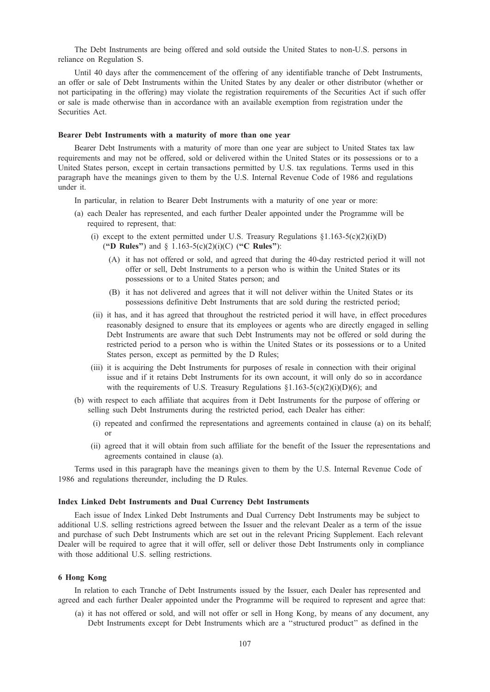The Debt Instruments are being offered and sold outside the United States to non-U.S. persons in reliance on Regulation S.

Until 40 days after the commencement of the offering of any identifiable tranche of Debt Instruments, an offer or sale of Debt Instruments within the United States by any dealer or other distributor (whether or not participating in the offering) may violate the registration requirements of the Securities Act if such offer or sale is made otherwise than in accordance with an available exemption from registration under the Securities Act.

### Bearer Debt Instruments with a maturity of more than one year

Bearer Debt Instruments with a maturity of more than one year are subject to United States tax law requirements and may not be offered, sold or delivered within the United States or its possessions or to a United States person, except in certain transactions permitted by U.S. tax regulations. Terms used in this paragraph have the meanings given to them by the U.S. Internal Revenue Code of 1986 and regulations under it.

In particular, in relation to Bearer Debt Instruments with a maturity of one year or more:

- (a) each Dealer has represented, and each further Dealer appointed under the Programme will be required to represent, that:
	- (i) except to the extent permitted under U.S. Treasury Regulations  $\S1.163-5(c)(2)(i)(D)$ ("D Rules") and  $\S 1.163-5(c)(2)(i)(C)$  ("C Rules"):
		- (A) it has not offered or sold, and agreed that during the 40-day restricted period it will not offer or sell, Debt Instruments to a person who is within the United States or its possessions or to a United States person; and
		- (B) it has not delivered and agrees that it will not deliver within the United States or its possessions definitive Debt Instruments that are sold during the restricted period;
	- (ii) it has, and it has agreed that throughout the restricted period it will have, in effect procedures reasonably designed to ensure that its employees or agents who are directly engaged in selling Debt Instruments are aware that such Debt Instruments may not be offered or sold during the restricted period to a person who is within the United States or its possessions or to a United States person, except as permitted by the D Rules;
	- (iii) it is acquiring the Debt Instruments for purposes of resale in connection with their original issue and if it retains Debt Instruments for its own account, it will only do so in accordance with the requirements of U.S. Treasury Regulations  $\S1.163-5(c)(2)(i)D(6)$ ; and
- (b) with respect to each affiliate that acquires from it Debt Instruments for the purpose of offering or selling such Debt Instruments during the restricted period, each Dealer has either:
	- (i) repeated and confirmed the representations and agreements contained in clause (a) on its behalf; or
	- (ii) agreed that it will obtain from such affiliate for the benefit of the Issuer the representations and agreements contained in clause (a).

Terms used in this paragraph have the meanings given to them by the U.S. Internal Revenue Code of 1986 and regulations thereunder, including the D Rules.

#### Index Linked Debt Instruments and Dual Currency Debt Instruments

Each issue of Index Linked Debt Instruments and Dual Currency Debt Instruments may be subject to additional U.S. selling restrictions agreed between the Issuer and the relevant Dealer as a term of the issue and purchase of such Debt Instruments which are set out in the relevant Pricing Supplement. Each relevant Dealer will be required to agree that it will offer, sell or deliver those Debt Instruments only in compliance with those additional U.S. selling restrictions.

# 6 Hong Kong

In relation to each Tranche of Debt Instruments issued by the Issuer, each Dealer has represented and agreed and each further Dealer appointed under the Programme will be required to represent and agree that:

(a) it has not offered or sold, and will not offer or sell in Hong Kong, by means of any document, any Debt Instruments except for Debt Instruments which are a ''structured product'' as defined in the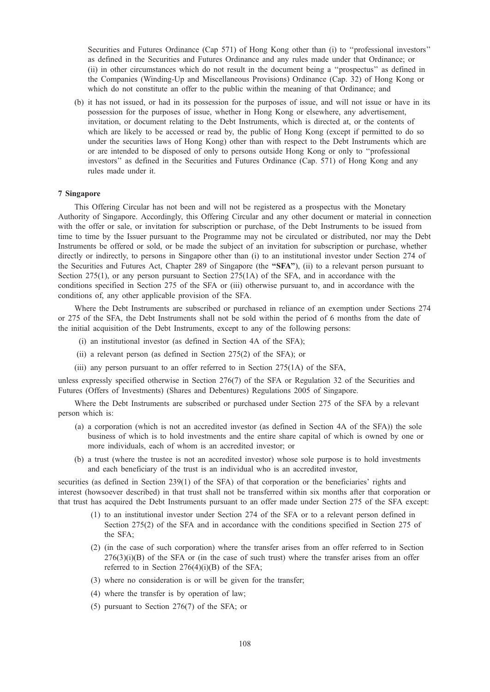Securities and Futures Ordinance (Cap 571) of Hong Kong other than (i) to ''professional investors'' as defined in the Securities and Futures Ordinance and any rules made under that Ordinance; or (ii) in other circumstances which do not result in the document being a ''prospectus'' as defined in the Companies (Winding-Up and Miscellaneous Provisions) Ordinance (Cap. 32) of Hong Kong or which do not constitute an offer to the public within the meaning of that Ordinance; and

(b) it has not issued, or had in its possession for the purposes of issue, and will not issue or have in its possession for the purposes of issue, whether in Hong Kong or elsewhere, any advertisement, invitation, or document relating to the Debt Instruments, which is directed at, or the contents of which are likely to be accessed or read by, the public of Hong Kong (except if permitted to do so under the securities laws of Hong Kong) other than with respect to the Debt Instruments which are or are intended to be disposed of only to persons outside Hong Kong or only to ''professional investors'' as defined in the Securities and Futures Ordinance (Cap. 571) of Hong Kong and any rules made under it.

# 7 Singapore

This Offering Circular has not been and will not be registered as a prospectus with the Monetary Authority of Singapore. Accordingly, this Offering Circular and any other document or material in connection with the offer or sale, or invitation for subscription or purchase, of the Debt Instruments to be issued from time to time by the Issuer pursuant to the Programme may not be circulated or distributed, nor may the Debt Instruments be offered or sold, or be made the subject of an invitation for subscription or purchase, whether directly or indirectly, to persons in Singapore other than (i) to an institutional investor under Section 274 of the Securities and Futures Act, Chapter 289 of Singapore (the "SFA"), (ii) to a relevant person pursuant to Section 275(1), or any person pursuant to Section 275(1A) of the SFA, and in accordance with the conditions specified in Section 275 of the SFA or (iii) otherwise pursuant to, and in accordance with the conditions of, any other applicable provision of the SFA.

Where the Debt Instruments are subscribed or purchased in reliance of an exemption under Sections 274 or 275 of the SFA, the Debt Instruments shall not be sold within the period of 6 months from the date of the initial acquisition of the Debt Instruments, except to any of the following persons:

- (i) an institutional investor (as defined in Section 4A of the SFA);
- (ii) a relevant person (as defined in Section 275(2) of the SFA); or
- (iii) any person pursuant to an offer referred to in Section 275(1A) of the SFA,

unless expressly specified otherwise in Section 276(7) of the SFA or Regulation 32 of the Securities and Futures (Offers of Investments) (Shares and Debentures) Regulations 2005 of Singapore.

Where the Debt Instruments are subscribed or purchased under Section 275 of the SFA by a relevant person which is:

- (a) a corporation (which is not an accredited investor (as defined in Section 4A of the SFA)) the sole business of which is to hold investments and the entire share capital of which is owned by one or more individuals, each of whom is an accredited investor; or
- (b) a trust (where the trustee is not an accredited investor) whose sole purpose is to hold investments and each beneficiary of the trust is an individual who is an accredited investor,

securities (as defined in Section 239(1) of the SFA) of that corporation or the beneficiaries' rights and interest (howsoever described) in that trust shall not be transferred within six months after that corporation or that trust has acquired the Debt Instruments pursuant to an offer made under Section 275 of the SFA except:

- (1) to an institutional investor under Section 274 of the SFA or to a relevant person defined in Section 275(2) of the SFA and in accordance with the conditions specified in Section 275 of the SFA;
- (2) (in the case of such corporation) where the transfer arises from an offer referred to in Section  $276(3)(i)(B)$  of the SFA or (in the case of such trust) where the transfer arises from an offer referred to in Section 276(4)(i)(B) of the SFA;
- (3) where no consideration is or will be given for the transfer;
- (4) where the transfer is by operation of law;
- (5) pursuant to Section 276(7) of the SFA; or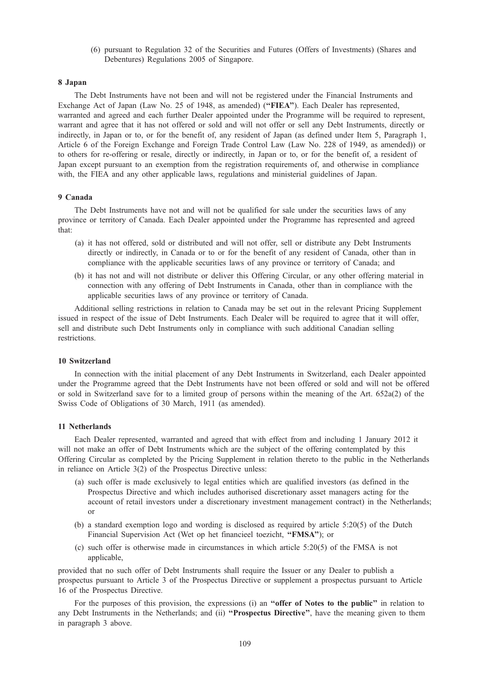(6) pursuant to Regulation 32 of the Securities and Futures (Offers of Investments) (Shares and Debentures) Regulations 2005 of Singapore.

#### 8 Japan

The Debt Instruments have not been and will not be registered under the Financial Instruments and Exchange Act of Japan (Law No. 25 of 1948, as amended) ("FIEA"). Each Dealer has represented, warranted and agreed and each further Dealer appointed under the Programme will be required to represent, warrant and agree that it has not offered or sold and will not offer or sell any Debt Instruments, directly or indirectly, in Japan or to, or for the benefit of, any resident of Japan (as defined under Item 5, Paragraph 1, Article 6 of the Foreign Exchange and Foreign Trade Control Law (Law No. 228 of 1949, as amended)) or to others for re-offering or resale, directly or indirectly, in Japan or to, or for the benefit of, a resident of Japan except pursuant to an exemption from the registration requirements of, and otherwise in compliance with, the FIEA and any other applicable laws, regulations and ministerial guidelines of Japan.

# 9 Canada

The Debt Instruments have not and will not be qualified for sale under the securities laws of any province or territory of Canada. Each Dealer appointed under the Programme has represented and agreed that:

- (a) it has not offered, sold or distributed and will not offer, sell or distribute any Debt Instruments directly or indirectly, in Canada or to or for the benefit of any resident of Canada, other than in compliance with the applicable securities laws of any province or territory of Canada; and
- (b) it has not and will not distribute or deliver this Offering Circular, or any other offering material in connection with any offering of Debt Instruments in Canada, other than in compliance with the applicable securities laws of any province or territory of Canada.

Additional selling restrictions in relation to Canada may be set out in the relevant Pricing Supplement issued in respect of the issue of Debt Instruments. Each Dealer will be required to agree that it will offer, sell and distribute such Debt Instruments only in compliance with such additional Canadian selling restrictions.

# 10 Switzerland

In connection with the initial placement of any Debt Instruments in Switzerland, each Dealer appointed under the Programme agreed that the Debt Instruments have not been offered or sold and will not be offered or sold in Switzerland save for to a limited group of persons within the meaning of the Art. 652a(2) of the Swiss Code of Obligations of 30 March, 1911 (as amended).

### 11 Netherlands

Each Dealer represented, warranted and agreed that with effect from and including 1 January 2012 it will not make an offer of Debt Instruments which are the subject of the offering contemplated by this Offering Circular as completed by the Pricing Supplement in relation thereto to the public in the Netherlands in reliance on Article 3(2) of the Prospectus Directive unless:

- (a) such offer is made exclusively to legal entities which are qualified investors (as defined in the Prospectus Directive and which includes authorised discretionary asset managers acting for the account of retail investors under a discretionary investment management contract) in the Netherlands; or
- (b) a standard exemption logo and wording is disclosed as required by article 5:20(5) of the Dutch Financial Supervision Act (Wet op het financieel toezicht, "FMSA"); or
- (c) such offer is otherwise made in circumstances in which article 5:20(5) of the FMSA is not applicable,

provided that no such offer of Debt Instruments shall require the Issuer or any Dealer to publish a prospectus pursuant to Article 3 of the Prospectus Directive or supplement a prospectus pursuant to Article 16 of the Prospectus Directive.

For the purposes of this provision, the expressions (i) an "offer of Notes to the public" in relation to any Debt Instruments in the Netherlands; and (ii) "Prospectus Directive", have the meaning given to them in paragraph 3 above.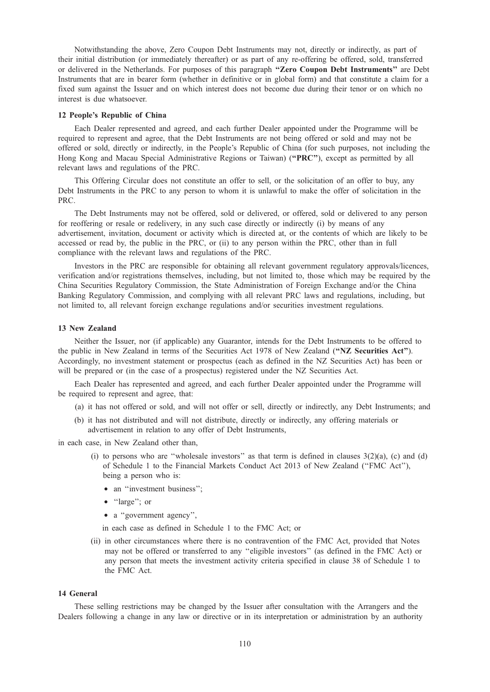Notwithstanding the above, Zero Coupon Debt Instruments may not, directly or indirectly, as part of their initial distribution (or immediately thereafter) or as part of any re-offering be offered, sold, transferred or delivered in the Netherlands. For purposes of this paragraph ''Zero Coupon Debt Instruments'' are Debt Instruments that are in bearer form (whether in definitive or in global form) and that constitute a claim for a fixed sum against the Issuer and on which interest does not become due during their tenor or on which no interest is due whatsoever.

# 12 People's Republic of China

Each Dealer represented and agreed, and each further Dealer appointed under the Programme will be required to represent and agree, that the Debt Instruments are not being offered or sold and may not be offered or sold, directly or indirectly, in the People's Republic of China (for such purposes, not including the Hong Kong and Macau Special Administrative Regions or Taiwan) ("PRC"), except as permitted by all relevant laws and regulations of the PRC.

This Offering Circular does not constitute an offer to sell, or the solicitation of an offer to buy, any Debt Instruments in the PRC to any person to whom it is unlawful to make the offer of solicitation in the PRC.

The Debt Instruments may not be offered, sold or delivered, or offered, sold or delivered to any person for reoffering or resale or redelivery, in any such case directly or indirectly (i) by means of any advertisement, invitation, document or activity which is directed at, or the contents of which are likely to be accessed or read by, the public in the PRC, or (ii) to any person within the PRC, other than in full compliance with the relevant laws and regulations of the PRC.

Investors in the PRC are responsible for obtaining all relevant government regulatory approvals/licences, verification and/or registrations themselves, including, but not limited to, those which may be required by the China Securities Regulatory Commission, the State Administration of Foreign Exchange and/or the China Banking Regulatory Commission, and complying with all relevant PRC laws and regulations, including, but not limited to, all relevant foreign exchange regulations and/or securities investment regulations.

## 13 New Zealand

Neither the Issuer, nor (if applicable) any Guarantor, intends for the Debt Instruments to be offered to the public in New Zealand in terms of the Securities Act 1978 of New Zealand ("NZ Securities Act"). Accordingly, no investment statement or prospectus (each as defined in the NZ Securities Act) has been or will be prepared or (in the case of a prospectus) registered under the NZ Securities Act.

Each Dealer has represented and agreed, and each further Dealer appointed under the Programme will be required to represent and agree, that:

- (a) it has not offered or sold, and will not offer or sell, directly or indirectly, any Debt Instruments; and
- (b) it has not distributed and will not distribute, directly or indirectly, any offering materials or advertisement in relation to any offer of Debt Instruments,

in each case, in New Zealand other than,

- (i) to persons who are "wholesale investors" as that term is defined in clauses  $3(2)(a)$ , (c) and (d) of Schedule 1 to the Financial Markets Conduct Act 2013 of New Zealand (''FMC Act''), being a person who is:
	- an "investment business";
	- "large"; or
	- a "government agency",

in each case as defined in Schedule 1 to the FMC Act; or

(ii) in other circumstances where there is no contravention of the FMC Act, provided that Notes may not be offered or transferred to any ''eligible investors'' (as defined in the FMC Act) or any person that meets the investment activity criteria specified in clause 38 of Schedule 1 to the FMC Act.

## 14 General

These selling restrictions may be changed by the Issuer after consultation with the Arrangers and the Dealers following a change in any law or directive or in its interpretation or administration by an authority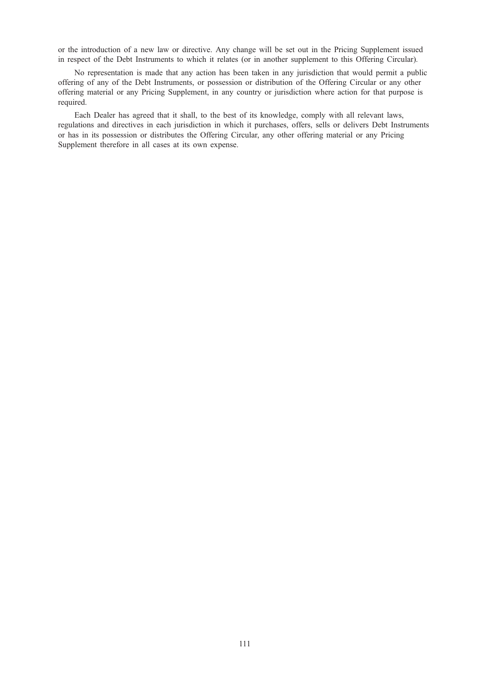or the introduction of a new law or directive. Any change will be set out in the Pricing Supplement issued in respect of the Debt Instruments to which it relates (or in another supplement to this Offering Circular).

No representation is made that any action has been taken in any jurisdiction that would permit a public offering of any of the Debt Instruments, or possession or distribution of the Offering Circular or any other offering material or any Pricing Supplement, in any country or jurisdiction where action for that purpose is required.

Each Dealer has agreed that it shall, to the best of its knowledge, comply with all relevant laws, regulations and directives in each jurisdiction in which it purchases, offers, sells or delivers Debt Instruments or has in its possession or distributes the Offering Circular, any other offering material or any Pricing Supplement therefore in all cases at its own expense.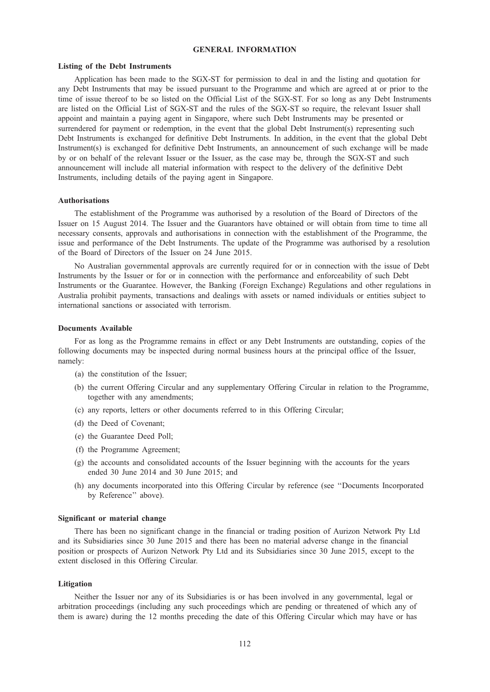# GENERAL INFORMATION

### Listing of the Debt Instruments

Application has been made to the SGX-ST for permission to deal in and the listing and quotation for any Debt Instruments that may be issued pursuant to the Programme and which are agreed at or prior to the time of issue thereof to be so listed on the Official List of the SGX-ST. For so long as any Debt Instruments are listed on the Official List of SGX-ST and the rules of the SGX-ST so require, the relevant Issuer shall appoint and maintain a paying agent in Singapore, where such Debt Instruments may be presented or surrendered for payment or redemption, in the event that the global Debt Instrument(s) representing such Debt Instruments is exchanged for definitive Debt Instruments. In addition, in the event that the global Debt Instrument(s) is exchanged for definitive Debt Instruments, an announcement of such exchange will be made by or on behalf of the relevant Issuer or the Issuer, as the case may be, through the SGX-ST and such announcement will include all material information with respect to the delivery of the definitive Debt Instruments, including details of the paying agent in Singapore.

#### Authorisations

The establishment of the Programme was authorised by a resolution of the Board of Directors of the Issuer on 15 August 2014. The Issuer and the Guarantors have obtained or will obtain from time to time all necessary consents, approvals and authorisations in connection with the establishment of the Programme, the issue and performance of the Debt Instruments. The update of the Programme was authorised by a resolution of the Board of Directors of the Issuer on 24 June 2015.

No Australian governmental approvals are currently required for or in connection with the issue of Debt Instruments by the Issuer or for or in connection with the performance and enforceability of such Debt Instruments or the Guarantee. However, the Banking (Foreign Exchange) Regulations and other regulations in Australia prohibit payments, transactions and dealings with assets or named individuals or entities subject to international sanctions or associated with terrorism.

## Documents Available

For as long as the Programme remains in effect or any Debt Instruments are outstanding, copies of the following documents may be inspected during normal business hours at the principal office of the Issuer, namely:

- (a) the constitution of the Issuer;
- (b) the current Offering Circular and any supplementary Offering Circular in relation to the Programme, together with any amendments;
- (c) any reports, letters or other documents referred to in this Offering Circular;
- (d) the Deed of Covenant;
- (e) the Guarantee Deed Poll;
- (f) the Programme Agreement;
- (g) the accounts and consolidated accounts of the Issuer beginning with the accounts for the years ended 30 June 2014 and 30 June 2015; and
- (h) any documents incorporated into this Offering Circular by reference (see ''Documents Incorporated by Reference'' above).

#### Significant or material change

There has been no significant change in the financial or trading position of Aurizon Network Pty Ltd and its Subsidiaries since 30 June 2015 and there has been no material adverse change in the financial position or prospects of Aurizon Network Pty Ltd and its Subsidiaries since 30 June 2015, except to the extent disclosed in this Offering Circular.

#### Litigation

Neither the Issuer nor any of its Subsidiaries is or has been involved in any governmental, legal or arbitration proceedings (including any such proceedings which are pending or threatened of which any of them is aware) during the 12 months preceding the date of this Offering Circular which may have or has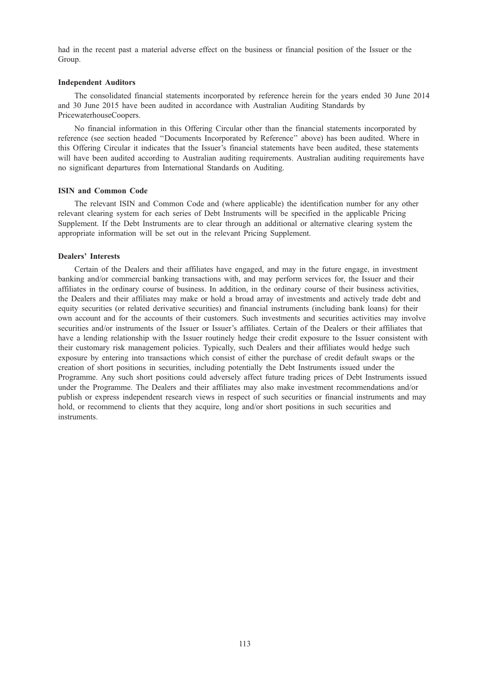had in the recent past a material adverse effect on the business or financial position of the Issuer or the Group.

### Independent Auditors

The consolidated financial statements incorporated by reference herein for the years ended 30 June 2014 and 30 June 2015 have been audited in accordance with Australian Auditing Standards by PricewaterhouseCoopers.

No financial information in this Offering Circular other than the financial statements incorporated by reference (see section headed ''Documents Incorporated by Reference'' above) has been audited. Where in this Offering Circular it indicates that the Issuer's financial statements have been audited, these statements will have been audited according to Australian auditing requirements. Australian auditing requirements have no significant departures from International Standards on Auditing.

## ISIN and Common Code

The relevant ISIN and Common Code and (where applicable) the identification number for any other relevant clearing system for each series of Debt Instruments will be specified in the applicable Pricing Supplement. If the Debt Instruments are to clear through an additional or alternative clearing system the appropriate information will be set out in the relevant Pricing Supplement.

# Dealers' Interests

Certain of the Dealers and their affiliates have engaged, and may in the future engage, in investment banking and/or commercial banking transactions with, and may perform services for, the Issuer and their affiliates in the ordinary course of business. In addition, in the ordinary course of their business activities, the Dealers and their affiliates may make or hold a broad array of investments and actively trade debt and equity securities (or related derivative securities) and financial instruments (including bank loans) for their own account and for the accounts of their customers. Such investments and securities activities may involve securities and/or instruments of the Issuer or Issuer's affiliates. Certain of the Dealers or their affiliates that have a lending relationship with the Issuer routinely hedge their credit exposure to the Issuer consistent with their customary risk management policies. Typically, such Dealers and their affiliates would hedge such exposure by entering into transactions which consist of either the purchase of credit default swaps or the creation of short positions in securities, including potentially the Debt Instruments issued under the Programme. Any such short positions could adversely affect future trading prices of Debt Instruments issued under the Programme. The Dealers and their affiliates may also make investment recommendations and/or publish or express independent research views in respect of such securities or financial instruments and may hold, or recommend to clients that they acquire, long and/or short positions in such securities and instruments.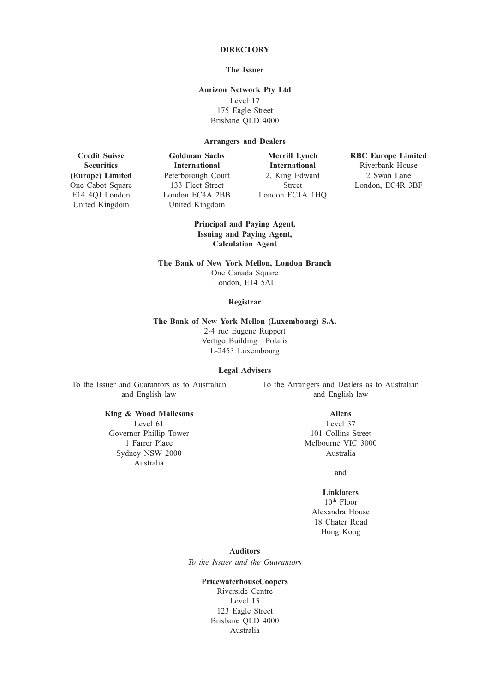# **DIRECTORY**

# The Issuer

Aurizon Network Pty Ltd

Level 17 175 Eagle Street Brisbane QLD 4000

# Arrangers and Dealers

Credit Suisse **Securities** (Europe) Limited One Cabot Square E14 4QJ London United Kingdom

Goldman Sachs International Peterborough Court 133 Fleet Street London EC4A 2BB United Kingdom

Merrill Lynch International 2, King Edward Street London EC1A 1HQ RBC Europe Limited Riverbank House 2 Swan Lane London, EC4R 3BF

Principal and Paying Agent, Issuing and Paying Agent, Calculation Agent

The Bank of New York Mellon, London Branch

One Canada Square London, E14 5AL

# Registrar

# The Bank of New York Mellon (Luxembourg) S.A.

2-4 rue Eugene Ruppert Vertigo Building—Polaris L-2453 Luxembourg

## Legal Advisers

To the Issuer and Guarantors as to Australian and English law

> King & Wood Mallesons Level 61 Governor Phillip Tower 1 Farrer Place Sydney NSW 2000 Australia

To the Arrangers and Dealers as to Australian and English law

Allens

Level 37 101 Collins Street Melbourne VIC 3000 Australia

and

# Linklaters

10th Floor Alexandra House 18 Chater Road Hong Kong

Auditors

To the Issuer and the Guarantors

# PricewaterhouseCoopers

Riverside Centre Level 15 123 Eagle Street Brisbane QLD 4000 Australia